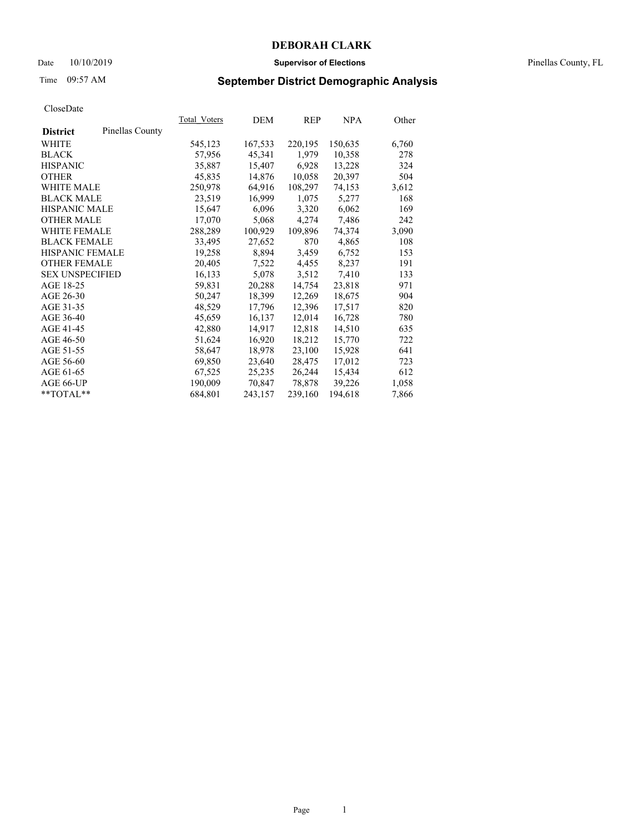### Date 10/10/2019 **Supervisor of Elections** Pinellas County, FL

# Time 09:57 AM **September District Demographic Analysis**

|                        |                 | Total Voters | DEM     | REP     | NPA     | Other |
|------------------------|-----------------|--------------|---------|---------|---------|-------|
| <b>District</b>        | Pinellas County |              |         |         |         |       |
| WHITE                  |                 | 545,123      | 167,533 | 220,195 | 150,635 | 6,760 |
| <b>BLACK</b>           |                 | 57,956       | 45,341  | 1,979   | 10,358  | 278   |
| <b>HISPANIC</b>        |                 | 35,887       | 15,407  | 6,928   | 13,228  | 324   |
| <b>OTHER</b>           |                 | 45,835       | 14,876  | 10,058  | 20,397  | 504   |
| <b>WHITE MALE</b>      |                 | 250,978      | 64,916  | 108,297 | 74,153  | 3,612 |
| <b>BLACK MALE</b>      |                 | 23,519       | 16,999  | 1,075   | 5,277   | 168   |
| <b>HISPANIC MALE</b>   |                 | 15,647       | 6,096   | 3,320   | 6,062   | 169   |
| <b>OTHER MALE</b>      |                 | 17,070       | 5,068   | 4,274   | 7,486   | 242   |
| <b>WHITE FEMALE</b>    |                 | 288,289      | 100,929 | 109,896 | 74,374  | 3,090 |
| <b>BLACK FEMALE</b>    |                 | 33,495       | 27,652  | 870     | 4,865   | 108   |
| <b>HISPANIC FEMALE</b> |                 | 19,258       | 8,894   | 3,459   | 6,752   | 153   |
| <b>OTHER FEMALE</b>    |                 | 20,405       | 7,522   | 4,455   | 8,237   | 191   |
| <b>SEX UNSPECIFIED</b> |                 | 16,133       | 5,078   | 3,512   | 7,410   | 133   |
| AGE 18-25              |                 | 59,831       | 20,288  | 14,754  | 23,818  | 971   |
| AGE 26-30              |                 | 50,247       | 18,399  | 12,269  | 18,675  | 904   |
| AGE 31-35              |                 | 48,529       | 17,796  | 12,396  | 17,517  | 820   |
| AGE 36-40              |                 | 45,659       | 16,137  | 12,014  | 16,728  | 780   |
| AGE 41-45              |                 | 42,880       | 14,917  | 12,818  | 14,510  | 635   |
| AGE 46-50              |                 | 51,624       | 16,920  | 18,212  | 15,770  | 722   |
| AGE 51-55              |                 | 58,647       | 18,978  | 23,100  | 15,928  | 641   |
| AGE 56-60              |                 | 69,850       | 23,640  | 28,475  | 17,012  | 723   |
| AGE 61-65              |                 | 67,525       | 25,235  | 26,244  | 15,434  | 612   |
| AGE 66-UP              |                 | 190,009      | 70,847  | 78,878  | 39,226  | 1,058 |
| $*$ $TOTAL**$          |                 | 684,801      | 243,157 | 239,160 | 194,618 | 7,866 |
|                        |                 |              |         |         |         |       |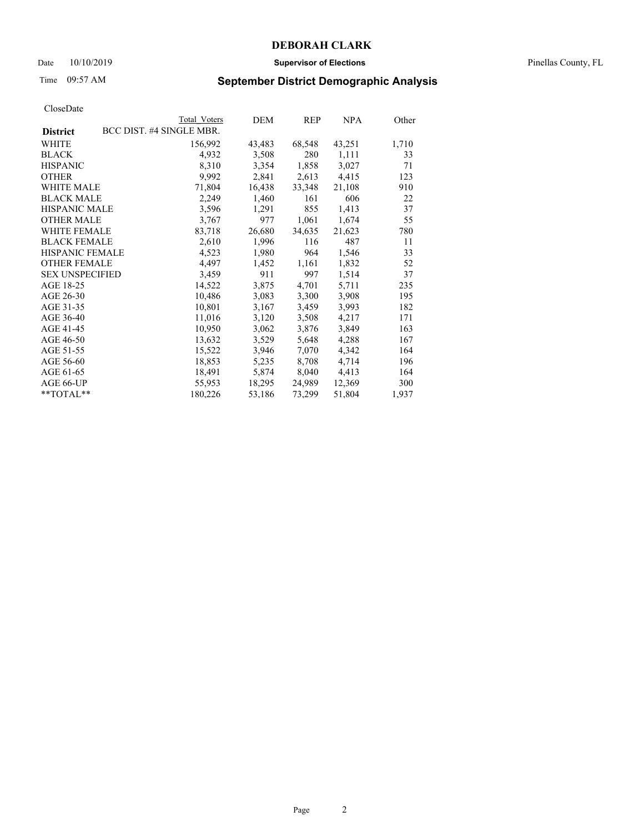### Date 10/10/2019 **Supervisor of Elections** Pinellas County, FL

# Time 09:57 AM **September District Demographic Analysis**

|                                             | Total Voters | DEM    | <b>REP</b> | NPA    | Other |
|---------------------------------------------|--------------|--------|------------|--------|-------|
| BCC DIST. #4 SINGLE MBR.<br><b>District</b> |              |        |            |        |       |
| WHITE                                       | 156,992      | 43,483 | 68,548     | 43,251 | 1,710 |
| <b>BLACK</b>                                | 4,932        | 3,508  | 280        | 1,111  | 33    |
| <b>HISPANIC</b>                             | 8,310        | 3,354  | 1,858      | 3,027  | 71    |
| <b>OTHER</b>                                | 9,992        | 2,841  | 2,613      | 4,415  | 123   |
| <b>WHITE MALE</b>                           | 71,804       | 16,438 | 33,348     | 21,108 | 910   |
| <b>BLACK MALE</b>                           | 2,249        | 1,460  | 161        | 606    | 22    |
| <b>HISPANIC MALE</b>                        | 3,596        | 1,291  | 855        | 1,413  | 37    |
| <b>OTHER MALE</b>                           | 3,767        | 977    | 1,061      | 1,674  | 55    |
| <b>WHITE FEMALE</b>                         | 83,718       | 26,680 | 34,635     | 21,623 | 780   |
| <b>BLACK FEMALE</b>                         | 2,610        | 1,996  | 116        | 487    | 11    |
| <b>HISPANIC FEMALE</b>                      | 4,523        | 1,980  | 964        | 1,546  | 33    |
| <b>OTHER FEMALE</b>                         | 4,497        | 1,452  | 1,161      | 1,832  | 52    |
| <b>SEX UNSPECIFIED</b>                      | 3,459        | 911    | 997        | 1,514  | 37    |
| AGE 18-25                                   | 14,522       | 3,875  | 4,701      | 5,711  | 235   |
| AGE 26-30                                   | 10,486       | 3,083  | 3,300      | 3,908  | 195   |
| AGE 31-35                                   | 10,801       | 3,167  | 3,459      | 3,993  | 182   |
| AGE 36-40                                   | 11,016       | 3,120  | 3,508      | 4,217  | 171   |
| AGE 41-45                                   | 10,950       | 3,062  | 3,876      | 3,849  | 163   |
| AGE 46-50                                   | 13,632       | 3,529  | 5,648      | 4,288  | 167   |
| AGE 51-55                                   | 15,522       | 3,946  | 7,070      | 4,342  | 164   |
| AGE 56-60                                   | 18,853       | 5,235  | 8,708      | 4,714  | 196   |
| AGE 61-65                                   | 18,491       | 5,874  | 8,040      | 4,413  | 164   |
| AGE 66-UP                                   | 55,953       | 18,295 | 24,989     | 12,369 | 300   |
| $*$ $TOTAL**$                               | 180,226      | 53,186 | 73,299     | 51,804 | 1,937 |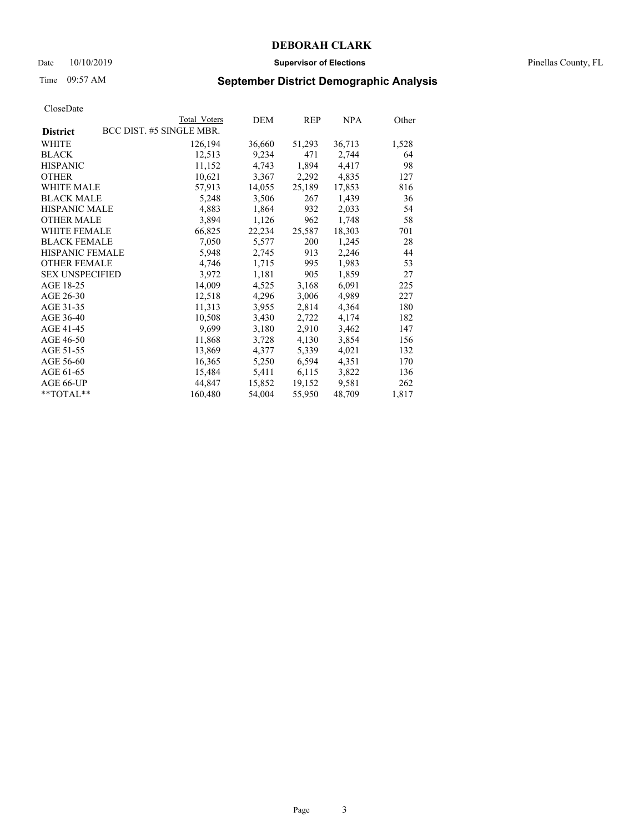### Date 10/10/2019 **Supervisor of Elections** Pinellas County, FL

# Time 09:57 AM **September District Demographic Analysis**

| Total Voters             | DEM    | REP    | NPA    | Other |
|--------------------------|--------|--------|--------|-------|
| BCC DIST. #5 SINGLE MBR. |        |        |        |       |
| 126,194                  | 36,660 | 51,293 | 36,713 | 1,528 |
| 12,513                   | 9,234  | 471    | 2,744  | 64    |
| 11,152                   | 4,743  | 1,894  | 4,417  | 98    |
| 10,621                   | 3,367  | 2,292  | 4,835  | 127   |
| 57,913                   | 14,055 | 25,189 | 17,853 | 816   |
| 5,248                    | 3,506  | 267    | 1,439  | 36    |
| 4,883                    | 1,864  | 932    | 2,033  | 54    |
| 3,894                    | 1,126  | 962    | 1,748  | 58    |
| 66,825                   | 22,234 | 25,587 | 18,303 | 701   |
| 7,050                    | 5,577  | 200    | 1,245  | 28    |
| 5,948                    | 2,745  | 913    | 2,246  | 44    |
| 4,746                    | 1,715  | 995    | 1,983  | 53    |
| 3,972                    | 1,181  | 905    | 1,859  | 27    |
| 14,009                   | 4,525  | 3,168  | 6,091  | 225   |
| 12,518                   | 4,296  | 3,006  | 4,989  | 227   |
| 11,313                   | 3,955  | 2,814  | 4,364  | 180   |
| 10,508                   | 3,430  | 2,722  | 4,174  | 182   |
| 9,699                    | 3,180  | 2,910  | 3,462  | 147   |
| 11,868                   | 3,728  | 4,130  | 3,854  | 156   |
| 13,869                   | 4,377  | 5,339  | 4,021  | 132   |
| 16,365                   | 5,250  | 6,594  | 4,351  | 170   |
| 15,484                   | 5,411  | 6,115  | 3,822  | 136   |
| 44,847                   | 15,852 | 19,152 | 9,581  | 262   |
| 160,480                  | 54,004 | 55,950 | 48,709 | 1,817 |
|                          |        |        |        |       |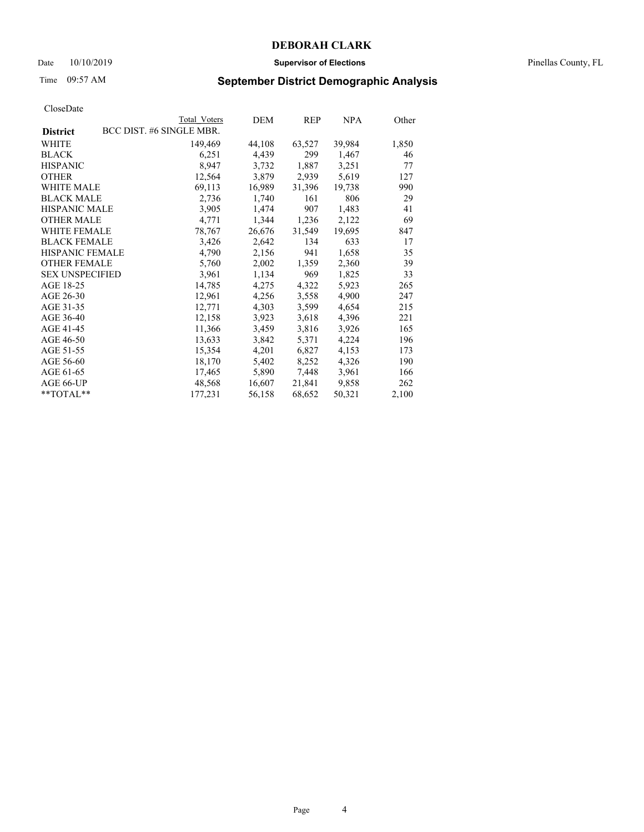### Date 10/10/2019 **Supervisor of Elections** Pinellas County, FL

# Time 09:57 AM **September District Demographic Analysis**

|                        | Total Voters             | DEM    | REP    | <b>NPA</b> | Other |
|------------------------|--------------------------|--------|--------|------------|-------|
| <b>District</b>        | BCC DIST. #6 SINGLE MBR. |        |        |            |       |
| WHITE                  | 149,469                  | 44,108 | 63,527 | 39,984     | 1,850 |
| <b>BLACK</b>           | 6,251                    | 4,439  | 299    | 1,467      | 46    |
| <b>HISPANIC</b>        | 8,947                    | 3,732  | 1,887  | 3,251      | 77    |
| <b>OTHER</b>           | 12,564                   | 3,879  | 2,939  | 5,619      | 127   |
| <b>WHITE MALE</b>      | 69,113                   | 16,989 | 31,396 | 19,738     | 990   |
| <b>BLACK MALE</b>      | 2,736                    | 1,740  | 161    | 806        | 29    |
| <b>HISPANIC MALE</b>   | 3,905                    | 1,474  | 907    | 1,483      | 41    |
| <b>OTHER MALE</b>      | 4,771                    | 1,344  | 1,236  | 2,122      | 69    |
| <b>WHITE FEMALE</b>    | 78,767                   | 26,676 | 31,549 | 19,695     | 847   |
| <b>BLACK FEMALE</b>    | 3,426                    | 2,642  | 134    | 633        | 17    |
| <b>HISPANIC FEMALE</b> | 4,790                    | 2,156  | 941    | 1,658      | 35    |
| <b>OTHER FEMALE</b>    | 5,760                    | 2,002  | 1,359  | 2,360      | 39    |
| <b>SEX UNSPECIFIED</b> | 3,961                    | 1,134  | 969    | 1,825      | 33    |
| AGE 18-25              | 14,785                   | 4,275  | 4,322  | 5,923      | 265   |
| AGE 26-30              | 12,961                   | 4,256  | 3,558  | 4,900      | 247   |
| AGE 31-35              | 12,771                   | 4,303  | 3,599  | 4,654      | 215   |
| AGE 36-40              | 12,158                   | 3,923  | 3,618  | 4,396      | 221   |
| AGE 41-45              | 11,366                   | 3,459  | 3,816  | 3,926      | 165   |
| AGE 46-50              | 13,633                   | 3,842  | 5,371  | 4,224      | 196   |
| AGE 51-55              | 15,354                   | 4,201  | 6,827  | 4,153      | 173   |
| AGE 56-60              | 18,170                   | 5,402  | 8,252  | 4,326      | 190   |
| AGE 61-65              | 17,465                   | 5,890  | 7,448  | 3,961      | 166   |
| AGE 66-UP              | 48,568                   | 16,607 | 21,841 | 9,858      | 262   |
| **TOTAL**              | 177,231                  | 56,158 | 68,652 | 50,321     | 2,100 |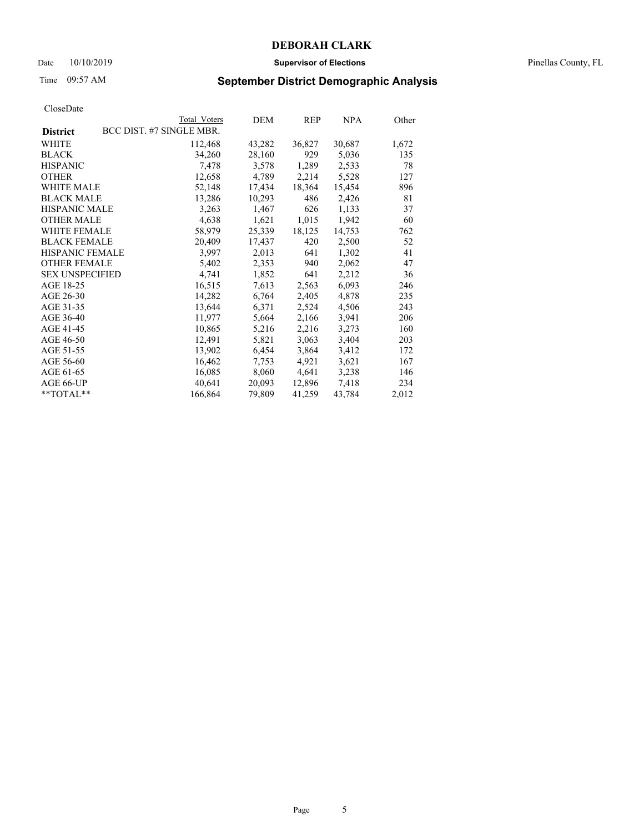### Date 10/10/2019 **Supervisor of Elections** Pinellas County, FL

# Time 09:57 AM **September District Demographic Analysis**

|                        | Total Voters             | DEM    | REP    | NPA    | Other |
|------------------------|--------------------------|--------|--------|--------|-------|
| <b>District</b>        | BCC DIST. #7 SINGLE MBR. |        |        |        |       |
| WHITE                  | 112,468                  | 43,282 | 36,827 | 30,687 | 1,672 |
| <b>BLACK</b>           | 34,260                   | 28,160 | 929    | 5,036  | 135   |
| <b>HISPANIC</b>        | 7,478                    | 3,578  | 1,289  | 2,533  | 78    |
| <b>OTHER</b>           | 12,658                   | 4,789  | 2,214  | 5,528  | 127   |
| WHITE MALE             | 52,148                   | 17,434 | 18,364 | 15,454 | 896   |
| <b>BLACK MALE</b>      | 13,286                   | 10,293 | 486    | 2,426  | 81    |
| HISPANIC MALE          | 3,263                    | 1,467  | 626    | 1,133  | 37    |
| <b>OTHER MALE</b>      | 4,638                    | 1,621  | 1,015  | 1,942  | 60    |
| <b>WHITE FEMALE</b>    | 58,979                   | 25,339 | 18,125 | 14,753 | 762   |
| <b>BLACK FEMALE</b>    | 20,409                   | 17,437 | 420    | 2,500  | 52    |
| <b>HISPANIC FEMALE</b> | 3,997                    | 2,013  | 641    | 1,302  | 41    |
| <b>OTHER FEMALE</b>    | 5,402                    | 2,353  | 940    | 2,062  | 47    |
| <b>SEX UNSPECIFIED</b> | 4,741                    | 1,852  | 641    | 2,212  | 36    |
| AGE 18-25              | 16,515                   | 7,613  | 2,563  | 6,093  | 246   |
| AGE 26-30              | 14,282                   | 6,764  | 2,405  | 4,878  | 235   |
| AGE 31-35              | 13,644                   | 6,371  | 2,524  | 4,506  | 243   |
| AGE 36-40              | 11,977                   | 5,664  | 2,166  | 3,941  | 206   |
| AGE 41-45              | 10,865                   | 5,216  | 2,216  | 3,273  | 160   |
| AGE 46-50              | 12,491                   | 5,821  | 3,063  | 3,404  | 203   |
| AGE 51-55              | 13,902                   | 6,454  | 3,864  | 3,412  | 172   |
| AGE 56-60              | 16,462                   | 7,753  | 4,921  | 3,621  | 167   |
| AGE 61-65              | 16,085                   | 8,060  | 4,641  | 3,238  | 146   |
| AGE 66-UP              | 40,641                   | 20,093 | 12,896 | 7,418  | 234   |
| $*$ $TOTAL**$          | 166,864                  | 79,809 | 41,259 | 43,784 | 2,012 |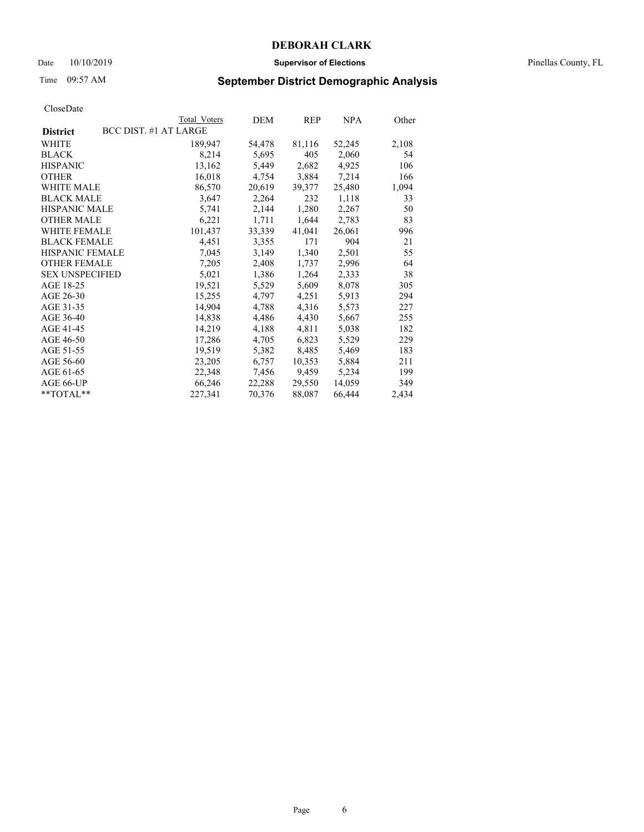### Date 10/10/2019 **Supervisor of Elections** Pinellas County, FL

# Time 09:57 AM **September District Demographic Analysis**

|                        | Total Voters          | DEM    | REP    | NPA    | Other |
|------------------------|-----------------------|--------|--------|--------|-------|
| <b>District</b>        | BCC DIST. #1 AT LARGE |        |        |        |       |
| WHITE                  | 189,947               | 54,478 | 81,116 | 52,245 | 2,108 |
| <b>BLACK</b>           | 8,214                 | 5,695  | 405    | 2,060  | 54    |
| <b>HISPANIC</b>        | 13,162                | 5,449  | 2,682  | 4,925  | 106   |
| <b>OTHER</b>           | 16,018                | 4,754  | 3,884  | 7,214  | 166   |
| <b>WHITE MALE</b>      | 86,570                | 20,619 | 39,377 | 25,480 | 1,094 |
| <b>BLACK MALE</b>      | 3,647                 | 2,264  | 232    | 1,118  | 33    |
| <b>HISPANIC MALE</b>   | 5,741                 | 2,144  | 1,280  | 2,267  | 50    |
| <b>OTHER MALE</b>      | 6,221                 | 1,711  | 1,644  | 2,783  | 83    |
| <b>WHITE FEMALE</b>    | 101,437               | 33,339 | 41,041 | 26,061 | 996   |
| <b>BLACK FEMALE</b>    | 4,451                 | 3,355  | 171    | 904    | 21    |
| <b>HISPANIC FEMALE</b> | 7,045                 | 3,149  | 1,340  | 2,501  | 55    |
| <b>OTHER FEMALE</b>    | 7,205                 | 2,408  | 1,737  | 2,996  | 64    |
| <b>SEX UNSPECIFIED</b> | 5,021                 | 1,386  | 1,264  | 2,333  | 38    |
| AGE 18-25              | 19,521                | 5,529  | 5,609  | 8,078  | 305   |
| AGE 26-30              | 15,255                | 4,797  | 4,251  | 5,913  | 294   |
| AGE 31-35              | 14,904                | 4,788  | 4,316  | 5,573  | 227   |
| AGE 36-40              | 14,838                | 4,486  | 4,430  | 5,667  | 255   |
| AGE 41-45              | 14,219                | 4,188  | 4,811  | 5,038  | 182   |
| AGE 46-50              | 17,286                | 4,705  | 6,823  | 5,529  | 229   |
| AGE 51-55              | 19,519                | 5,382  | 8,485  | 5,469  | 183   |
| AGE 56-60              | 23,205                | 6,757  | 10,353 | 5,884  | 211   |
| AGE 61-65              | 22,348                | 7,456  | 9,459  | 5,234  | 199   |
| AGE 66-UP              | 66,246                | 22,288 | 29,550 | 14,059 | 349   |
| $*$ $TOTAL**$          | 227,341               | 70,376 | 88,087 | 66,444 | 2,434 |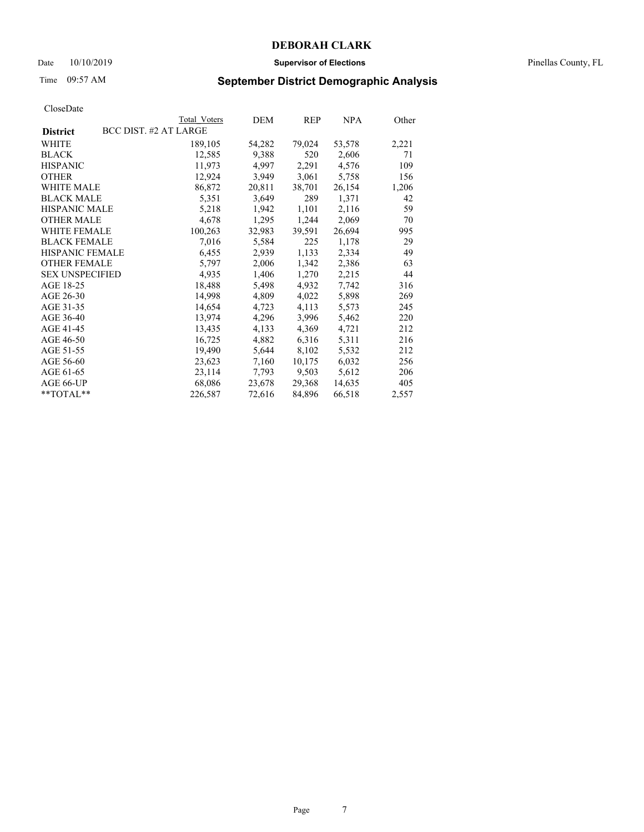### Date 10/10/2019 **Supervisor of Elections** Pinellas County, FL

# Time 09:57 AM **September District Demographic Analysis**

|                                          | Total Voters | DEM    | REP    | <b>NPA</b> | Other |
|------------------------------------------|--------------|--------|--------|------------|-------|
| BCC DIST. #2 AT LARGE<br><b>District</b> |              |        |        |            |       |
| WHITE                                    | 189,105      | 54,282 | 79,024 | 53,578     | 2,221 |
| <b>BLACK</b>                             | 12,585       | 9,388  | 520    | 2,606      | 71    |
| <b>HISPANIC</b>                          | 11,973       | 4,997  | 2,291  | 4,576      | 109   |
| <b>OTHER</b>                             | 12,924       | 3,949  | 3,061  | 5,758      | 156   |
| <b>WHITE MALE</b>                        | 86,872       | 20,811 | 38,701 | 26,154     | 1,206 |
| <b>BLACK MALE</b>                        | 5,351        | 3,649  | 289    | 1,371      | 42    |
| HISPANIC MALE                            | 5,218        | 1,942  | 1,101  | 2,116      | 59    |
| <b>OTHER MALE</b>                        | 4,678        | 1,295  | 1,244  | 2,069      | 70    |
| <b>WHITE FEMALE</b>                      | 100,263      | 32,983 | 39,591 | 26,694     | 995   |
| <b>BLACK FEMALE</b>                      | 7,016        | 5,584  | 225    | 1,178      | 29    |
| <b>HISPANIC FEMALE</b>                   | 6,455        | 2,939  | 1,133  | 2,334      | 49    |
| <b>OTHER FEMALE</b>                      | 5,797        | 2,006  | 1,342  | 2,386      | 63    |
| <b>SEX UNSPECIFIED</b>                   | 4,935        | 1,406  | 1,270  | 2,215      | 44    |
| AGE 18-25                                | 18,488       | 5,498  | 4,932  | 7,742      | 316   |
| AGE 26-30                                | 14,998       | 4,809  | 4,022  | 5,898      | 269   |
| AGE 31-35                                | 14,654       | 4,723  | 4,113  | 5,573      | 245   |
| AGE 36-40                                | 13,974       | 4,296  | 3,996  | 5,462      | 220   |
| AGE 41-45                                | 13,435       | 4,133  | 4,369  | 4,721      | 212   |
| AGE 46-50                                | 16,725       | 4,882  | 6,316  | 5,311      | 216   |
| AGE 51-55                                | 19,490       | 5,644  | 8,102  | 5,532      | 212   |
| AGE 56-60                                | 23,623       | 7,160  | 10,175 | 6,032      | 256   |
| AGE 61-65                                | 23,114       | 7,793  | 9,503  | 5,612      | 206   |
| AGE 66-UP                                | 68,086       | 23,678 | 29,368 | 14,635     | 405   |
| $*$ $TOTAL**$                            | 226,587      | 72,616 | 84,896 | 66,518     | 2,557 |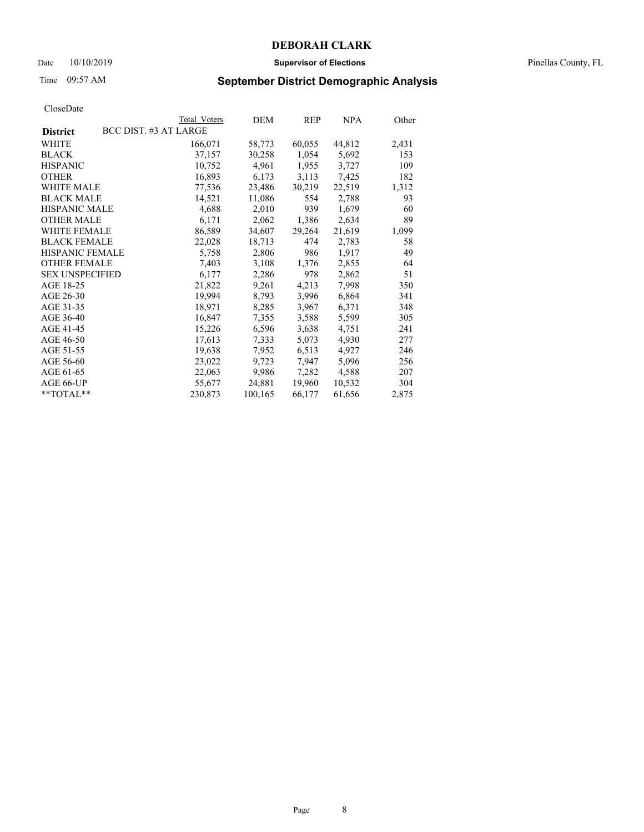### Date 10/10/2019 **Supervisor of Elections** Pinellas County, FL

# Time 09:57 AM **September District Demographic Analysis**

|                        | Total Voters          | DEM     | REP    | NPA    | Other |
|------------------------|-----------------------|---------|--------|--------|-------|
| <b>District</b>        | BCC DIST. #3 AT LARGE |         |        |        |       |
| WHITE                  | 166,071               | 58,773  | 60,055 | 44,812 | 2,431 |
| <b>BLACK</b>           | 37,157                | 30,258  | 1,054  | 5,692  | 153   |
| <b>HISPANIC</b>        | 10,752                | 4,961   | 1,955  | 3,727  | 109   |
| <b>OTHER</b>           | 16,893                | 6,173   | 3,113  | 7,425  | 182   |
| <b>WHITE MALE</b>      | 77,536                | 23,486  | 30,219 | 22,519 | 1,312 |
| <b>BLACK MALE</b>      | 14,521                | 11,086  | 554    | 2,788  | 93    |
| <b>HISPANIC MALE</b>   | 4,688                 | 2,010   | 939    | 1,679  | 60    |
| <b>OTHER MALE</b>      | 6,171                 | 2,062   | 1,386  | 2,634  | 89    |
| <b>WHITE FEMALE</b>    | 86,589                | 34,607  | 29,264 | 21,619 | 1,099 |
| <b>BLACK FEMALE</b>    | 22,028                | 18,713  | 474    | 2,783  | 58    |
| <b>HISPANIC FEMALE</b> | 5,758                 | 2,806   | 986    | 1,917  | 49    |
| <b>OTHER FEMALE</b>    | 7,403                 | 3,108   | 1,376  | 2,855  | 64    |
| <b>SEX UNSPECIFIED</b> | 6,177                 | 2,286   | 978    | 2,862  | 51    |
| AGE 18-25              | 21,822                | 9,261   | 4,213  | 7,998  | 350   |
| AGE 26-30              | 19,994                | 8,793   | 3,996  | 6,864  | 341   |
| AGE 31-35              | 18,971                | 8,285   | 3,967  | 6,371  | 348   |
| AGE 36-40              | 16,847                | 7,355   | 3,588  | 5,599  | 305   |
| AGE 41-45              | 15,226                | 6,596   | 3,638  | 4,751  | 241   |
| AGE 46-50              | 17,613                | 7,333   | 5,073  | 4,930  | 277   |
| AGE 51-55              | 19,638                | 7,952   | 6,513  | 4,927  | 246   |
| AGE 56-60              | 23,022                | 9,723   | 7,947  | 5,096  | 256   |
| AGE 61-65              | 22,063                | 9,986   | 7,282  | 4,588  | 207   |
| AGE 66-UP              | 55,677                | 24,881  | 19,960 | 10,532 | 304   |
| $*$ $TOTAL**$          | 230,873               | 100,165 | 66,177 | 61,656 | 2,875 |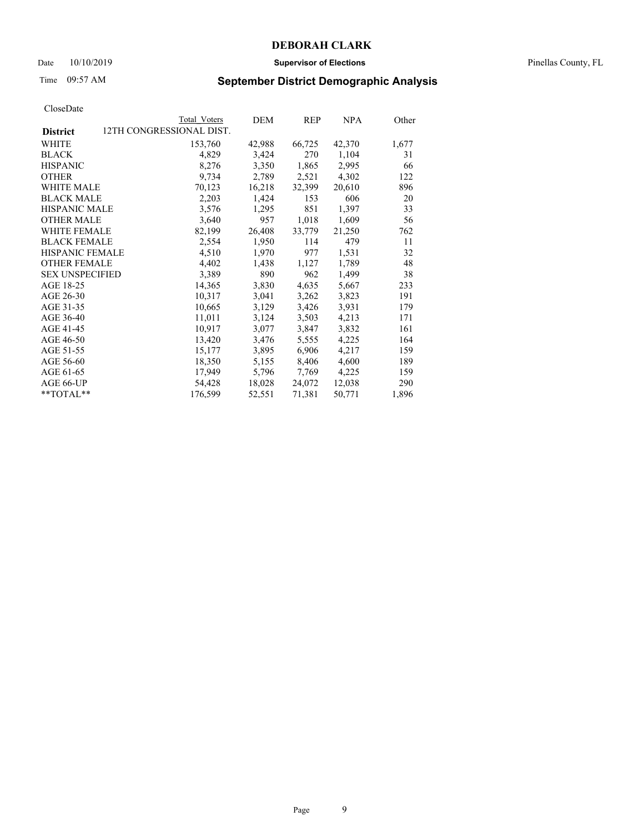### Date 10/10/2019 **Supervisor of Elections** Pinellas County, FL

# Time 09:57 AM **September District Demographic Analysis**

|                        |                          | Total Voters | DEM    | REP    | NPA    | Other |
|------------------------|--------------------------|--------------|--------|--------|--------|-------|
| <b>District</b>        | 12TH CONGRESSIONAL DIST. |              |        |        |        |       |
| WHITE                  |                          | 153,760      | 42,988 | 66,725 | 42,370 | 1,677 |
| <b>BLACK</b>           |                          | 4,829        | 3,424  | 270    | 1,104  | 31    |
| <b>HISPANIC</b>        |                          | 8,276        | 3,350  | 1,865  | 2,995  | 66    |
| <b>OTHER</b>           |                          | 9,734        | 2,789  | 2,521  | 4,302  | 122   |
| <b>WHITE MALE</b>      |                          | 70,123       | 16,218 | 32,399 | 20,610 | 896   |
| <b>BLACK MALE</b>      |                          | 2,203        | 1,424  | 153    | 606    | 20    |
| <b>HISPANIC MALE</b>   |                          | 3,576        | 1,295  | 851    | 1,397  | 33    |
| <b>OTHER MALE</b>      |                          | 3,640        | 957    | 1,018  | 1,609  | 56    |
| <b>WHITE FEMALE</b>    |                          | 82,199       | 26,408 | 33,779 | 21,250 | 762   |
| <b>BLACK FEMALE</b>    |                          | 2,554        | 1,950  | 114    | 479    | 11    |
| <b>HISPANIC FEMALE</b> |                          | 4,510        | 1,970  | 977    | 1,531  | 32    |
| <b>OTHER FEMALE</b>    |                          | 4,402        | 1,438  | 1,127  | 1,789  | 48    |
| <b>SEX UNSPECIFIED</b> |                          | 3,389        | 890    | 962    | 1,499  | 38    |
| AGE 18-25              |                          | 14,365       | 3,830  | 4,635  | 5,667  | 233   |
| AGE 26-30              |                          | 10,317       | 3,041  | 3,262  | 3,823  | 191   |
| AGE 31-35              |                          | 10,665       | 3,129  | 3,426  | 3,931  | 179   |
| AGE 36-40              |                          | 11,011       | 3,124  | 3,503  | 4,213  | 171   |
| AGE 41-45              |                          | 10,917       | 3,077  | 3,847  | 3,832  | 161   |
| AGE 46-50              |                          | 13,420       | 3,476  | 5,555  | 4,225  | 164   |
| AGE 51-55              |                          | 15,177       | 3,895  | 6,906  | 4,217  | 159   |
| AGE 56-60              |                          | 18,350       | 5,155  | 8,406  | 4,600  | 189   |
| AGE 61-65              |                          | 17,949       | 5,796  | 7,769  | 4,225  | 159   |
| AGE 66-UP              |                          | 54,428       | 18,028 | 24,072 | 12,038 | 290   |
| $*$ $TOTAL**$          |                          | 176,599      | 52,551 | 71,381 | 50,771 | 1,896 |
|                        |                          |              |        |        |        |       |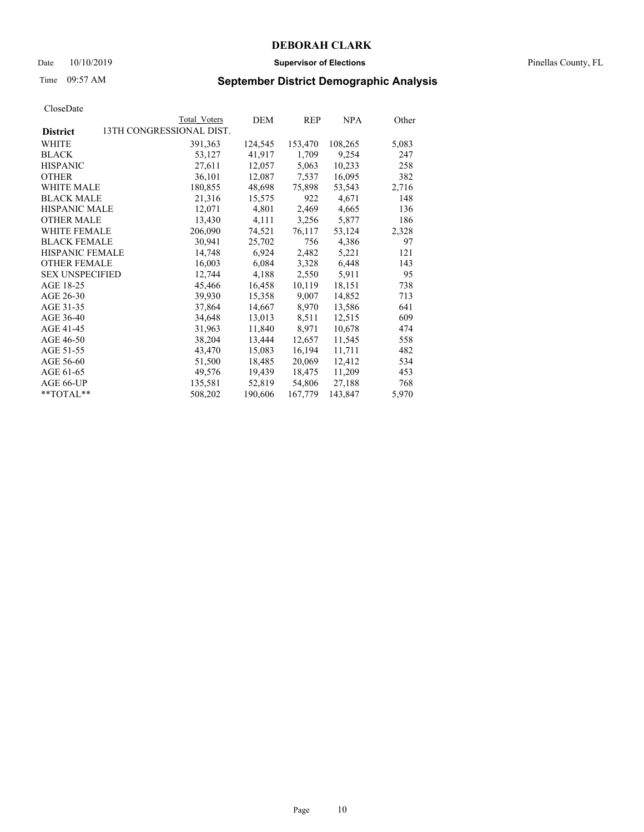### Date 10/10/2019 **Supervisor of Elections** Pinellas County, FL

# Time 09:57 AM **September District Demographic Analysis**

|                                             | Total Voters | DEM     | REP     | NPA     | Other |
|---------------------------------------------|--------------|---------|---------|---------|-------|
| 13TH CONGRESSIONAL DIST.<br><b>District</b> |              |         |         |         |       |
| WHITE                                       | 391, 363     | 124,545 | 153,470 | 108,265 | 5,083 |
| <b>BLACK</b>                                | 53,127       | 41,917  | 1,709   | 9,254   | 247   |
| <b>HISPANIC</b>                             | 27,611       | 12,057  | 5,063   | 10,233  | 258   |
| <b>OTHER</b>                                | 36,101       | 12,087  | 7,537   | 16,095  | 382   |
| <b>WHITE MALE</b>                           | 180,855      | 48,698  | 75,898  | 53,543  | 2,716 |
| <b>BLACK MALE</b>                           | 21,316       | 15,575  | 922     | 4,671   | 148   |
| <b>HISPANIC MALE</b>                        | 12,071       | 4,801   | 2,469   | 4,665   | 136   |
| <b>OTHER MALE</b>                           | 13,430       | 4,111   | 3,256   | 5,877   | 186   |
| WHITE FEMALE                                | 206,090      | 74,521  | 76,117  | 53,124  | 2,328 |
| <b>BLACK FEMALE</b>                         | 30,941       | 25,702  | 756     | 4,386   | 97    |
| <b>HISPANIC FEMALE</b>                      | 14,748       | 6,924   | 2,482   | 5,221   | 121   |
| <b>OTHER FEMALE</b>                         | 16,003       | 6,084   | 3,328   | 6,448   | 143   |
| <b>SEX UNSPECIFIED</b>                      | 12,744       | 4,188   | 2,550   | 5,911   | 95    |
| AGE 18-25                                   | 45,466       | 16,458  | 10,119  | 18,151  | 738   |
| AGE 26-30                                   | 39,930       | 15,358  | 9,007   | 14,852  | 713   |
| AGE 31-35                                   | 37,864       | 14,667  | 8,970   | 13,586  | 641   |
| AGE 36-40                                   | 34,648       | 13,013  | 8,511   | 12,515  | 609   |
| AGE 41-45                                   | 31,963       | 11,840  | 8,971   | 10,678  | 474   |
| AGE 46-50                                   | 38,204       | 13,444  | 12,657  | 11,545  | 558   |
| AGE 51-55                                   | 43,470       | 15,083  | 16,194  | 11,711  | 482   |
| AGE 56-60                                   | 51,500       | 18,485  | 20,069  | 12,412  | 534   |
| AGE 61-65                                   | 49,576       | 19,439  | 18,475  | 11,209  | 453   |
| AGE 66-UP                                   | 135,581      | 52,819  | 54,806  | 27,188  | 768   |
| **TOTAL**                                   | 508,202      | 190,606 | 167,779 | 143,847 | 5,970 |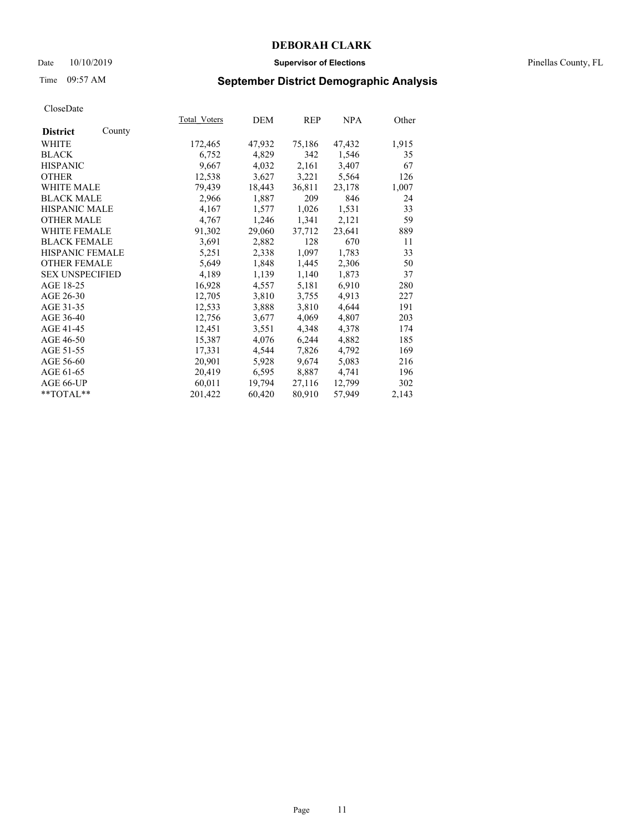### Date 10/10/2019 **Supervisor of Elections** Pinellas County, FL

# Time 09:57 AM **September District Demographic Analysis**

|                        |        | Total Voters | DEM    | REP    | NPA    | Other |
|------------------------|--------|--------------|--------|--------|--------|-------|
| <b>District</b>        | County |              |        |        |        |       |
| WHITE                  |        | 172,465      | 47,932 | 75,186 | 47,432 | 1,915 |
| <b>BLACK</b>           |        | 6,752        | 4,829  | 342    | 1,546  | 35    |
| <b>HISPANIC</b>        |        | 9,667        | 4,032  | 2,161  | 3,407  | 67    |
| <b>OTHER</b>           |        | 12,538       | 3,627  | 3,221  | 5,564  | 126   |
| <b>WHITE MALE</b>      |        | 79,439       | 18,443 | 36,811 | 23,178 | 1,007 |
| <b>BLACK MALE</b>      |        | 2,966        | 1,887  | 209    | 846    | 24    |
| <b>HISPANIC MALE</b>   |        | 4,167        | 1,577  | 1,026  | 1,531  | 33    |
| <b>OTHER MALE</b>      |        | 4,767        | 1,246  | 1,341  | 2,121  | 59    |
| <b>WHITE FEMALE</b>    |        | 91,302       | 29,060 | 37,712 | 23,641 | 889   |
| <b>BLACK FEMALE</b>    |        | 3,691        | 2,882  | 128    | 670    | 11    |
| <b>HISPANIC FEMALE</b> |        | 5,251        | 2,338  | 1,097  | 1,783  | 33    |
| <b>OTHER FEMALE</b>    |        | 5,649        | 1,848  | 1,445  | 2,306  | 50    |
| <b>SEX UNSPECIFIED</b> |        | 4,189        | 1,139  | 1,140  | 1,873  | 37    |
| AGE 18-25              |        | 16,928       | 4,557  | 5,181  | 6,910  | 280   |
| AGE 26-30              |        | 12,705       | 3,810  | 3,755  | 4,913  | 227   |
| AGE 31-35              |        | 12,533       | 3,888  | 3,810  | 4,644  | 191   |
| AGE 36-40              |        | 12,756       | 3,677  | 4,069  | 4,807  | 203   |
| AGE 41-45              |        | 12,451       | 3,551  | 4,348  | 4,378  | 174   |
| AGE 46-50              |        | 15,387       | 4,076  | 6,244  | 4,882  | 185   |
| AGE 51-55              |        | 17,331       | 4,544  | 7,826  | 4,792  | 169   |
| AGE 56-60              |        | 20,901       | 5,928  | 9,674  | 5,083  | 216   |
| AGE 61-65              |        | 20,419       | 6,595  | 8,887  | 4,741  | 196   |
| AGE 66-UP              |        | 60,011       | 19,794 | 27,116 | 12,799 | 302   |
| **TOTAL**              |        | 201,422      | 60,420 | 80,910 | 57,949 | 2,143 |
|                        |        |              |        |        |        |       |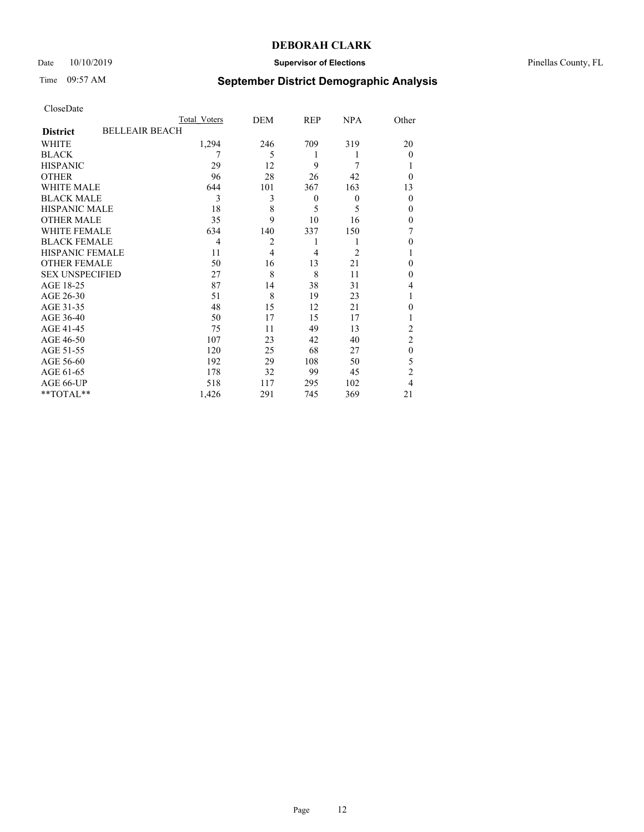## Date 10/10/2019 **Supervisor of Elections** Pinellas County, FL

# Time 09:57 AM **September District Demographic Analysis**

|                        | Total Voters          | DEM            | <b>REP</b> | <b>NPA</b>     | Other          |
|------------------------|-----------------------|----------------|------------|----------------|----------------|
| <b>District</b>        | <b>BELLEAIR BEACH</b> |                |            |                |                |
| WHITE                  | 1,294                 | 246            | 709        | 319            | 20             |
| <b>BLACK</b>           | 7                     | 5              | 1          | 1              | $\theta$       |
| <b>HISPANIC</b>        | 29                    | 12             | 9          | 7              | 1              |
| <b>OTHER</b>           | 96                    | 28             | 26         | 42             | $\Omega$       |
| WHITE MALE             | 644                   | 101            | 367        | 163            | 13             |
| <b>BLACK MALE</b>      | 3                     | 3              | $\theta$   | $\mathbf{0}$   | $\theta$       |
| <b>HISPANIC MALE</b>   | 18                    | 8              | 5          | 5              | $\theta$       |
| <b>OTHER MALE</b>      | 35                    | 9              | 10         | 16             | $\theta$       |
| WHITE FEMALE           | 634                   | 140            | 337        | 150            | 7              |
| <b>BLACK FEMALE</b>    | $\overline{4}$        | 2              | 1          | 1              | $\theta$       |
| <b>HISPANIC FEMALE</b> | 11                    | $\overline{4}$ | 4          | $\overline{2}$ | 1              |
| <b>OTHER FEMALE</b>    | 50                    | 16             | 13         | 21             | 0              |
| <b>SEX UNSPECIFIED</b> | 27                    | 8              | 8          | 11             | $\Omega$       |
| AGE 18-25              | 87                    | 14             | 38         | 31             | 4              |
| AGE 26-30              | 51                    | 8              | 19         | 23             | 1              |
| AGE 31-35              | 48                    | 15             | 12         | 21             | $\Omega$       |
| AGE 36-40              | 50                    | 17             | 15         | 17             | 1              |
| AGE 41-45              | 75                    | 11             | 49         | 13             | $\overline{2}$ |
| AGE 46-50              | 107                   | 23             | 42         | 40             | $\overline{2}$ |
| AGE 51-55              | 120                   | 25             | 68         | 27             | $\theta$       |
| AGE 56-60              | 192                   | 29             | 108        | 50             | 5              |
| AGE 61-65              | 178                   | 32             | 99         | 45             | $\overline{2}$ |
| AGE 66-UP              | 518                   | 117            | 295        | 102            | 4              |
| **TOTAL**              | 1,426                 | 291            | 745        | 369            | 21             |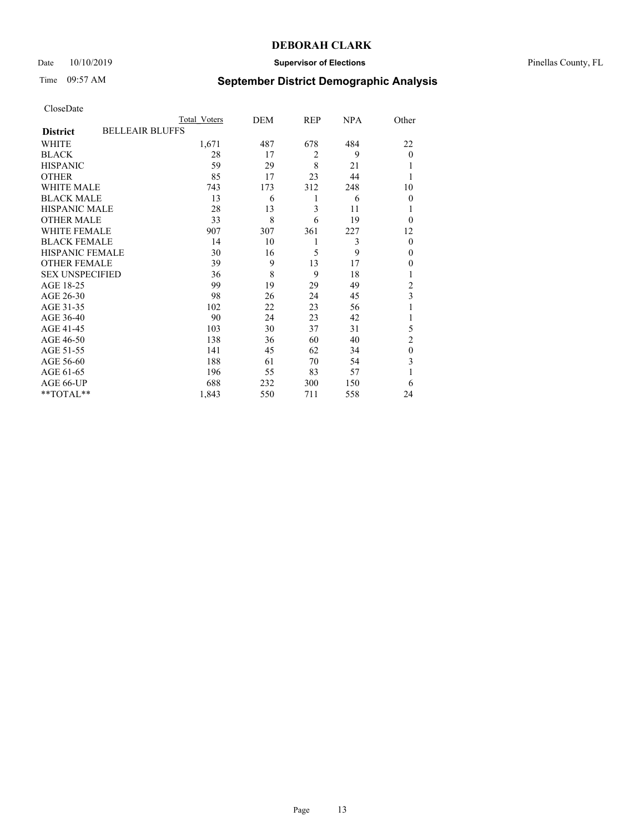## Date 10/10/2019 **Supervisor of Elections** Pinellas County, FL

# Time 09:57 AM **September District Demographic Analysis**

|                                           | Total Voters | DEM | REP            | <b>NPA</b> | Other          |
|-------------------------------------------|--------------|-----|----------------|------------|----------------|
| <b>BELLEAIR BLUFFS</b><br><b>District</b> |              |     |                |            |                |
| WHITE                                     | 1,671        | 487 | 678            | 484        | 22             |
| <b>BLACK</b>                              | 28           | 17  | $\overline{2}$ | 9          | $\theta$       |
| <b>HISPANIC</b>                           | 59           | 29  | 8              | 21         |                |
| <b>OTHER</b>                              | 85           | 17  | 23             | 44         |                |
| WHITE MALE                                | 743          | 173 | 312            | 248        | 10             |
| <b>BLACK MALE</b>                         | 13           | 6   | 1              | 6          | $\Omega$       |
| <b>HISPANIC MALE</b>                      | 28           | 13  | 3              | 11         |                |
| <b>OTHER MALE</b>                         | 33           | 8   | 6              | 19         | $\Omega$       |
| WHITE FEMALE                              | 907          | 307 | 361            | 227        | 12             |
| <b>BLACK FEMALE</b>                       | 14           | 10  | 1              | 3          | $\overline{0}$ |
| <b>HISPANIC FEMALE</b>                    | 30           | 16  | 5              | 9          | $\Omega$       |
| <b>OTHER FEMALE</b>                       | 39           | 9   | 13             | 17         | $\Omega$       |
| <b>SEX UNSPECIFIED</b>                    | 36           | 8   | 9              | 18         |                |
| AGE 18-25                                 | 99           | 19  | 29             | 49         | $\overline{2}$ |
| AGE 26-30                                 | 98           | 26  | 24             | 45         | 3              |
| AGE 31-35                                 | 102          | 22  | 23             | 56         |                |
| AGE 36-40                                 | 90           | 24  | 23             | 42         |                |
| AGE 41-45                                 | 103          | 30  | 37             | 31         | 5              |
| AGE 46-50                                 | 138          | 36  | 60             | 40         | $\overline{2}$ |
| AGE 51-55                                 | 141          | 45  | 62             | 34         | $\theta$       |
| AGE 56-60                                 | 188          | 61  | 70             | 54         | 3              |
| AGE 61-65                                 | 196          | 55  | 83             | 57         | 1              |
| AGE 66-UP                                 | 688          | 232 | 300            | 150        | 6              |
| **TOTAL**                                 | 1,843        | 550 | 711            | 558        | 24             |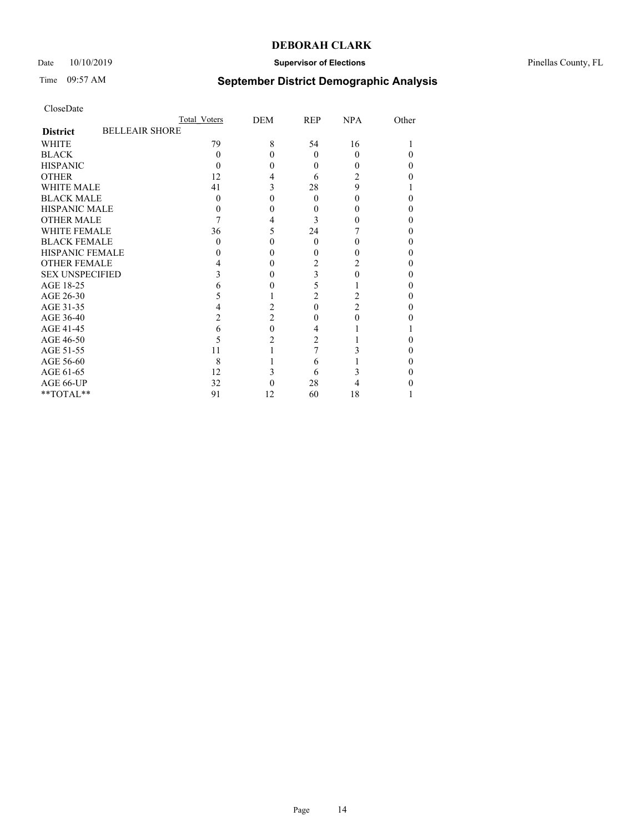## Date 10/10/2019 **Supervisor of Elections** Pinellas County, FL

# Time 09:57 AM **September District Demographic Analysis**

|                        | Total Voters          | DEM            | REP            | <b>NPA</b>     | Other |
|------------------------|-----------------------|----------------|----------------|----------------|-------|
| <b>District</b>        | <b>BELLEAIR SHORE</b> |                |                |                |       |
| <b>WHITE</b>           | 79                    | 8              | 54             | 16             |       |
| <b>BLACK</b>           | 0                     | 0              | $\Omega$       | $\Omega$       |       |
| <b>HISPANIC</b>        | 0                     | 0              | $\theta$       | 0              | 0     |
| <b>OTHER</b>           | 12                    |                | 6              | 2              |       |
| <b>WHITE MALE</b>      | 41                    |                | 28             | 9              |       |
| <b>BLACK MALE</b>      | 0                     |                | $\Omega$       | 0              |       |
| <b>HISPANIC MALE</b>   |                       |                | 0              |                |       |
| <b>OTHER MALE</b>      |                       | 4              | 3              | 0              |       |
| <b>WHITE FEMALE</b>    | 36                    | 5              | 24             |                |       |
| <b>BLACK FEMALE</b>    | $\Omega$              | 0              | $\theta$       | 0              | 0     |
| <b>HISPANIC FEMALE</b> |                       |                | 0              |                |       |
| <b>OTHER FEMALE</b>    |                       |                | 2              |                |       |
| <b>SEX UNSPECIFIED</b> |                       |                | 3              | 0              |       |
| AGE 18-25              |                       |                | 5              |                |       |
| AGE 26-30              |                       |                | $\overline{c}$ | 2              |       |
| AGE 31-35              |                       | 2              | $\Omega$       | $\overline{c}$ |       |
| AGE 36-40              | 2                     | $\overline{c}$ | $\Omega$       | $\Omega$       |       |
| AGE 41-45              | 6                     | 0              | 4              |                |       |
| AGE 46-50              | 5                     | 2              | 2              |                |       |
| AGE 51-55              | 11                    |                |                |                |       |
| AGE 56-60              | 8                     |                | 6              |                |       |
| AGE 61-65              | 12                    | 3              | 6              |                |       |
| AGE 66-UP              | 32                    |                | 28             | 4              |       |
| **TOTAL**              | 91                    | 12             | 60             | 18             |       |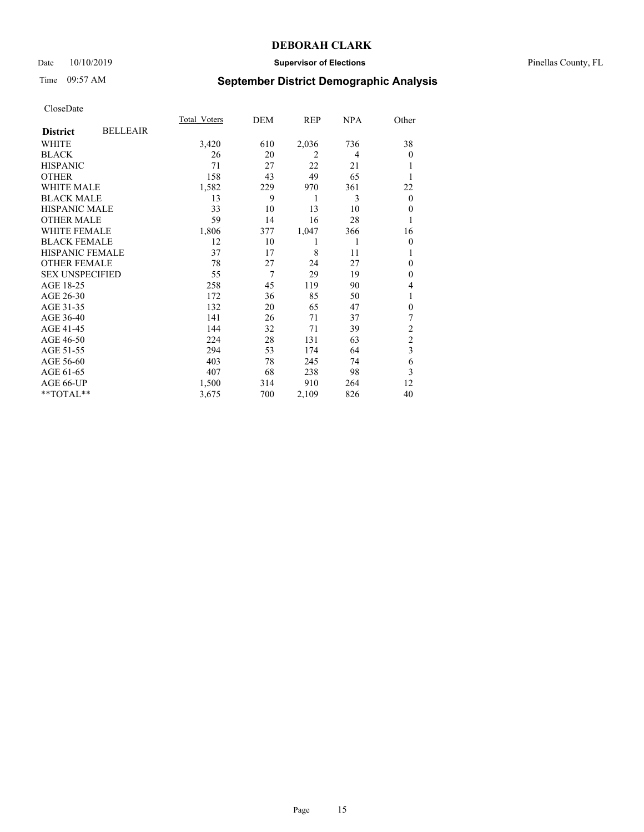## Date 10/10/2019 **Supervisor of Elections** Pinellas County, FL

# Time 09:57 AM **September District Demographic Analysis**

|                        |                 | Total Voters | DEM | REP   | <b>NPA</b> | Other            |
|------------------------|-----------------|--------------|-----|-------|------------|------------------|
| <b>District</b>        | <b>BELLEAIR</b> |              |     |       |            |                  |
| WHITE                  |                 | 3,420        | 610 | 2,036 | 736        | 38               |
| <b>BLACK</b>           |                 | 26           | 20  | 2     | 4          | $\theta$         |
| <b>HISPANIC</b>        |                 | 71           | 27  | 22    | 21         | 1                |
| <b>OTHER</b>           |                 | 158          | 43  | 49    | 65         |                  |
| WHITE MALE             |                 | 1,582        | 229 | 970   | 361        | 22               |
| <b>BLACK MALE</b>      |                 | 13           | 9   | 1     | 3          | $\boldsymbol{0}$ |
| <b>HISPANIC MALE</b>   |                 | 33           | 10  | 13    | 10         | $\mathbf{0}$     |
| <b>OTHER MALE</b>      |                 | 59           | 14  | 16    | 28         | 1                |
| WHITE FEMALE           |                 | 1,806        | 377 | 1,047 | 366        | 16               |
| <b>BLACK FEMALE</b>    |                 | 12           | 10  | 1     | 1          | $\mathbf{0}$     |
| <b>HISPANIC FEMALE</b> |                 | 37           | 17  | 8     | 11         | 1                |
| <b>OTHER FEMALE</b>    |                 | 78           | 27  | 24    | 27         | $\theta$         |
| <b>SEX UNSPECIFIED</b> |                 | 55           | 7   | 29    | 19         | $\theta$         |
| AGE 18-25              |                 | 258          | 45  | 119   | 90         | 4                |
| AGE 26-30              |                 | 172          | 36  | 85    | 50         | 1                |
| AGE 31-35              |                 | 132          | 20  | 65    | 47         | $\mathbf{0}$     |
| AGE 36-40              |                 | 141          | 26  | 71    | 37         | 7                |
| AGE 41-45              |                 | 144          | 32  | 71    | 39         | $\overline{2}$   |
| AGE 46-50              |                 | 224          | 28  | 131   | 63         | $\mathfrak{2}$   |
| AGE 51-55              |                 | 294          | 53  | 174   | 64         | 3                |
| AGE 56-60              |                 | 403          | 78  | 245   | 74         | 6                |
| AGE 61-65              |                 | 407          | 68  | 238   | 98         | 3                |
| AGE 66-UP              |                 | 1,500        | 314 | 910   | 264        | 12               |
| **TOTAL**              |                 | 3,675        | 700 | 2,109 | 826        | 40               |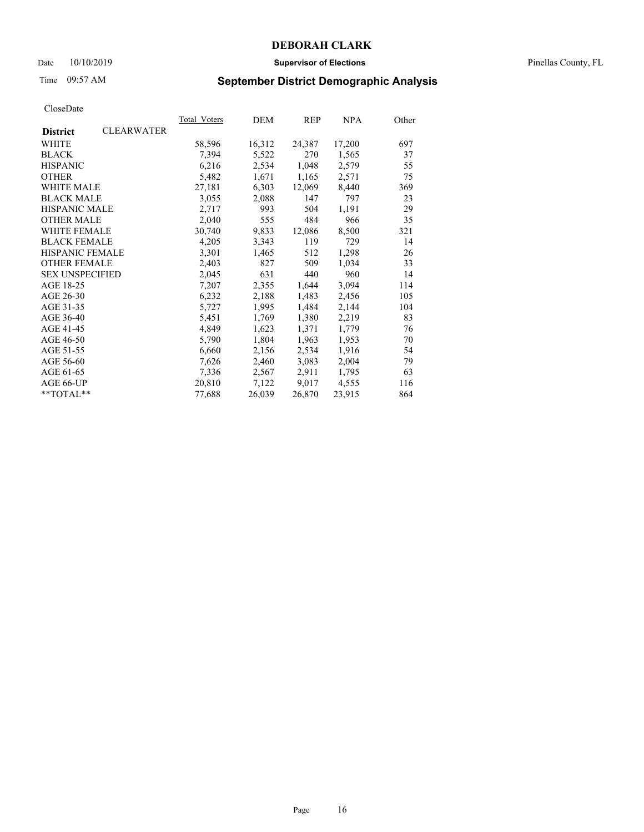### Date 10/10/2019 **Supervisor of Elections** Pinellas County, FL

# Time 09:57 AM **September District Demographic Analysis**

|                        |                   | <b>Total Voters</b> | DEM    | REP    | <u>NPA</u> | Other |
|------------------------|-------------------|---------------------|--------|--------|------------|-------|
| <b>District</b>        | <b>CLEARWATER</b> |                     |        |        |            |       |
| WHITE                  |                   | 58,596              | 16,312 | 24,387 | 17,200     | 697   |
| <b>BLACK</b>           |                   | 7,394               | 5,522  | 270    | 1,565      | 37    |
| <b>HISPANIC</b>        |                   | 6,216               | 2,534  | 1,048  | 2,579      | 55    |
| <b>OTHER</b>           |                   | 5,482               | 1,671  | 1,165  | 2,571      | 75    |
| WHITE MALE             |                   | 27,181              | 6,303  | 12,069 | 8,440      | 369   |
| <b>BLACK MALE</b>      |                   | 3,055               | 2,088  | 147    | 797        | 23    |
| <b>HISPANIC MALE</b>   |                   | 2,717               | 993    | 504    | 1,191      | 29    |
| <b>OTHER MALE</b>      |                   | 2,040               | 555    | 484    | 966        | 35    |
| <b>WHITE FEMALE</b>    |                   | 30,740              | 9,833  | 12,086 | 8,500      | 321   |
| <b>BLACK FEMALE</b>    |                   | 4,205               | 3,343  | 119    | 729        | 14    |
| HISPANIC FEMALE        |                   | 3,301               | 1,465  | 512    | 1,298      | 26    |
| <b>OTHER FEMALE</b>    |                   | 2,403               | 827    | 509    | 1,034      | 33    |
| <b>SEX UNSPECIFIED</b> |                   | 2,045               | 631    | 440    | 960        | 14    |
| AGE 18-25              |                   | 7,207               | 2,355  | 1,644  | 3,094      | 114   |
| AGE 26-30              |                   | 6,232               | 2,188  | 1,483  | 2,456      | 105   |
| AGE 31-35              |                   | 5,727               | 1,995  | 1,484  | 2,144      | 104   |
| AGE 36-40              |                   | 5,451               | 1,769  | 1,380  | 2,219      | 83    |
| AGE 41-45              |                   | 4,849               | 1,623  | 1,371  | 1,779      | 76    |
| AGE 46-50              |                   | 5,790               | 1,804  | 1,963  | 1,953      | 70    |
| AGE 51-55              |                   | 6,660               | 2,156  | 2,534  | 1,916      | 54    |
| AGE 56-60              |                   | 7,626               | 2,460  | 3,083  | 2,004      | 79    |
| AGE 61-65              |                   | 7,336               | 2,567  | 2,911  | 1,795      | 63    |
| AGE 66-UP              |                   | 20,810              | 7,122  | 9,017  | 4,555      | 116   |
| $*$ $TOTAL**$          |                   | 77,688              | 26,039 | 26,870 | 23,915     | 864   |
|                        |                   |                     |        |        |            |       |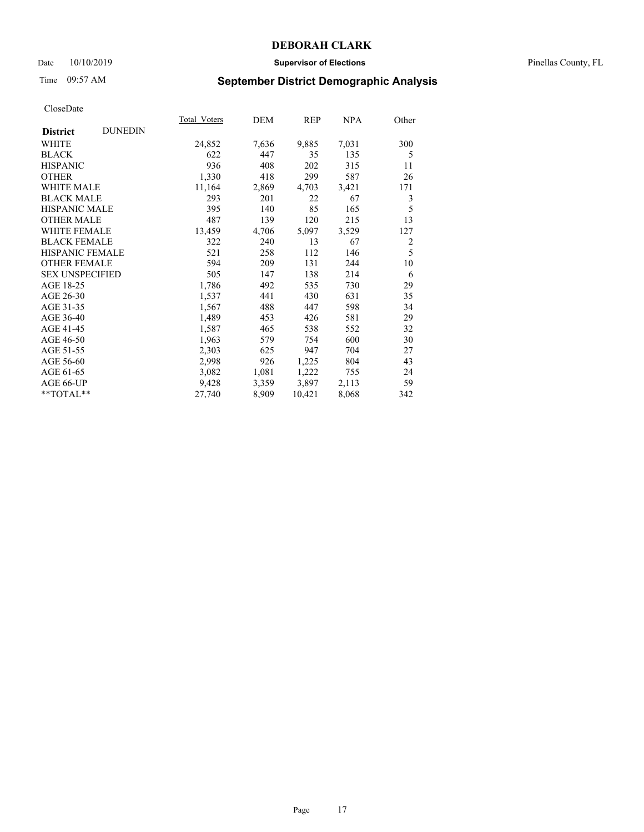### Date 10/10/2019 **Supervisor of Elections** Pinellas County, FL

# Time 09:57 AM **September District Demographic Analysis**

|                        |                | <b>Total Voters</b> | DEM   | REP    | <u>NPA</u> | Other          |
|------------------------|----------------|---------------------|-------|--------|------------|----------------|
| <b>District</b>        | <b>DUNEDIN</b> |                     |       |        |            |                |
| WHITE                  |                | 24,852              | 7,636 | 9,885  | 7,031      | 300            |
| <b>BLACK</b>           |                | 622                 | 447   | 35     | 135        | 5              |
| <b>HISPANIC</b>        |                | 936                 | 408   | 202    | 315        | 11             |
| <b>OTHER</b>           |                | 1,330               | 418   | 299    | 587        | 26             |
| <b>WHITE MALE</b>      |                | 11,164              | 2,869 | 4,703  | 3,421      | 171            |
| <b>BLACK MALE</b>      |                | 293                 | 201   | 22     | 67         | 3              |
| <b>HISPANIC MALE</b>   |                | 395                 | 140   | 85     | 165        | 5              |
| <b>OTHER MALE</b>      |                | 487                 | 139   | 120    | 215        | 13             |
| <b>WHITE FEMALE</b>    |                | 13,459              | 4,706 | 5,097  | 3,529      | 127            |
| <b>BLACK FEMALE</b>    |                | 322                 | 240   | 13     | 67         | $\overline{2}$ |
| HISPANIC FEMALE        |                | 521                 | 258   | 112    | 146        | 5              |
| <b>OTHER FEMALE</b>    |                | 594                 | 209   | 131    | 244        | 10             |
| <b>SEX UNSPECIFIED</b> |                | 505                 | 147   | 138    | 214        | 6              |
| AGE 18-25              |                | 1,786               | 492   | 535    | 730        | 29             |
| AGE 26-30              |                | 1,537               | 441   | 430    | 631        | 35             |
| AGE 31-35              |                | 1,567               | 488   | 447    | 598        | 34             |
| AGE 36-40              |                | 1,489               | 453   | 426    | 581        | 29             |
| AGE 41-45              |                | 1,587               | 465   | 538    | 552        | 32             |
| AGE 46-50              |                | 1,963               | 579   | 754    | 600        | 30             |
| AGE 51-55              |                | 2,303               | 625   | 947    | 704        | 27             |
| AGE 56-60              |                | 2,998               | 926   | 1,225  | 804        | 43             |
| AGE 61-65              |                | 3,082               | 1,081 | 1,222  | 755        | 24             |
| AGE 66-UP              |                | 9,428               | 3,359 | 3,897  | 2,113      | 59             |
| $*$ $TOTAL**$          |                | 27,740              | 8,909 | 10,421 | 8,068      | 342            |
|                        |                |                     |       |        |            |                |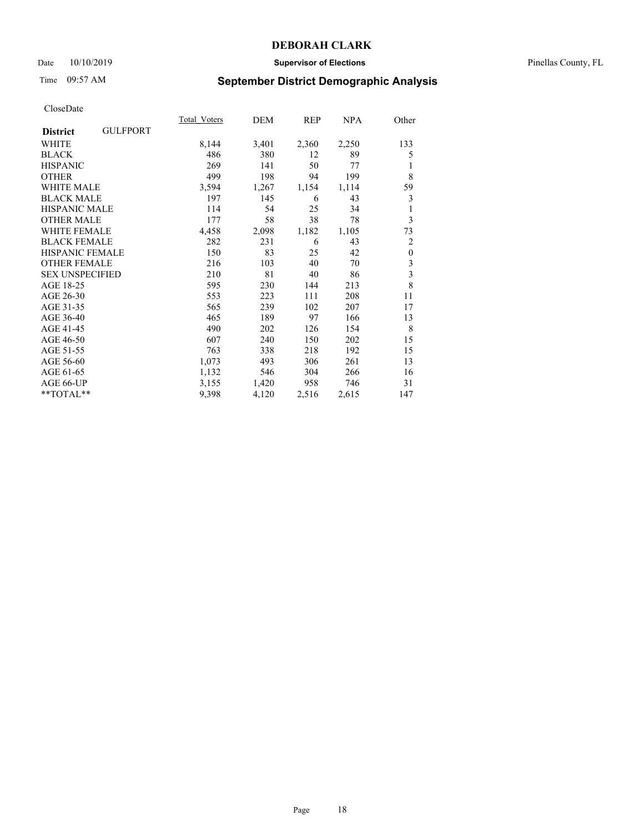### Date 10/10/2019 **Supervisor of Elections** Pinellas County, FL

# Time 09:57 AM **September District Demographic Analysis**

|                        |                 | Total Voters | DEM   | REP   | NPA   | Other                   |
|------------------------|-----------------|--------------|-------|-------|-------|-------------------------|
| <b>District</b>        | <b>GULFPORT</b> |              |       |       |       |                         |
| WHITE                  |                 | 8,144        | 3,401 | 2,360 | 2,250 | 133                     |
| <b>BLACK</b>           |                 | 486          | 380   | 12    | 89    | 5                       |
| <b>HISPANIC</b>        |                 | 269          | 141   | 50    | 77    | 1                       |
| <b>OTHER</b>           |                 | 499          | 198   | 94    | 199   | 8                       |
| WHITE MALE             |                 | 3,594        | 1,267 | 1,154 | 1,114 | 59                      |
| <b>BLACK MALE</b>      |                 | 197          | 145   | 6     | 43    | 3                       |
| <b>HISPANIC MALE</b>   |                 | 114          | 54    | 25    | 34    | 1                       |
| <b>OTHER MALE</b>      |                 | 177          | 58    | 38    | 78    | 3                       |
| <b>WHITE FEMALE</b>    |                 | 4,458        | 2,098 | 1,182 | 1,105 | 73                      |
| <b>BLACK FEMALE</b>    |                 | 282          | 231   | 6     | 43    | 2                       |
| <b>HISPANIC FEMALE</b> |                 | 150          | 83    | 25    | 42    | $\mathbf{0}$            |
| <b>OTHER FEMALE</b>    |                 | 216          | 103   | 40    | 70    | 3                       |
| <b>SEX UNSPECIFIED</b> |                 | 210          | 81    | 40    | 86    | $\overline{\mathbf{3}}$ |
| AGE 18-25              |                 | 595          | 230   | 144   | 213   | 8                       |
| AGE 26-30              |                 | 553          | 223   | 111   | 208   | 11                      |
| AGE 31-35              |                 | 565          | 239   | 102   | 207   | 17                      |
| AGE 36-40              |                 | 465          | 189   | 97    | 166   | 13                      |
| AGE 41-45              |                 | 490          | 202   | 126   | 154   | 8                       |
| AGE 46-50              |                 | 607          | 240   | 150   | 202   | 15                      |
| AGE 51-55              |                 | 763          | 338   | 218   | 192   | 15                      |
| AGE 56-60              |                 | 1,073        | 493   | 306   | 261   | 13                      |
| AGE 61-65              |                 | 1,132        | 546   | 304   | 266   | 16                      |
| AGE 66-UP              |                 | 3,155        | 1,420 | 958   | 746   | 31                      |
| **TOTAL**              |                 | 9,398        | 4,120 | 2,516 | 2,615 | 147                     |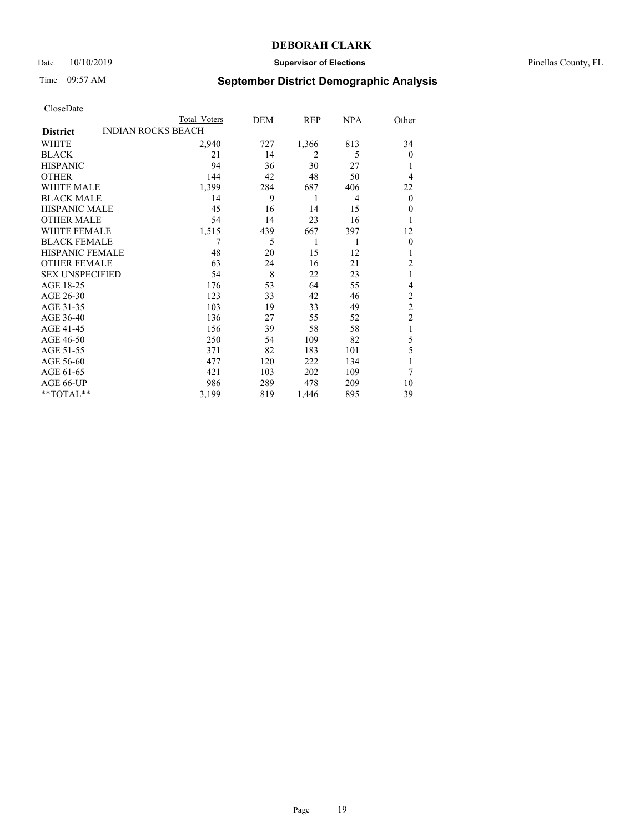### Date 10/10/2019 **Supervisor of Elections** Pinellas County, FL

# Time 09:57 AM **September District Demographic Analysis**

| CloseDate |  |
|-----------|--|
|-----------|--|

|                                              | Total Voters | DEM | REP   | <b>NPA</b> | Other          |
|----------------------------------------------|--------------|-----|-------|------------|----------------|
| <b>INDIAN ROCKS BEACH</b><br><b>District</b> |              |     |       |            |                |
| WHITE                                        | 2,940        | 727 | 1,366 | 813        | 34             |
| <b>BLACK</b>                                 | 21           | 14  | 2     | 5          | $\Omega$       |
| <b>HISPANIC</b>                              | 94           | 36  | 30    | 27         | 1              |
| <b>OTHER</b>                                 | 144          | 42  | 48    | 50         | $\overline{4}$ |
| <b>WHITE MALE</b>                            | 1,399        | 284 | 687   | 406        | 22             |
| <b>BLACK MALE</b>                            | 14           | 9   | 1     | 4          | $\mathbf{0}$   |
| <b>HISPANIC MALE</b>                         | 45           | 16  | 14    | 15         | $\overline{0}$ |
| <b>OTHER MALE</b>                            | 54           | 14  | 23    | 16         | 1              |
| <b>WHITE FEMALE</b>                          | 1,515        | 439 | 667   | 397        | 12             |
| <b>BLACK FEMALE</b>                          | 7            | 5   | 1     | 1          | $\overline{0}$ |
| <b>HISPANIC FEMALE</b>                       | 48           | 20  | 15    | 12         |                |
| <b>OTHER FEMALE</b>                          | 63           | 24  | 16    | 21         | 2              |
| <b>SEX UNSPECIFIED</b>                       | 54           | 8   | 22    | 23         | 1              |
| AGE 18-25                                    | 176          | 53  | 64    | 55         | 4              |
| AGE 26-30                                    | 123          | 33  | 42    | 46         | $\overline{2}$ |
| AGE 31-35                                    | 103          | 19  | 33    | 49         | $\overline{c}$ |
| AGE 36-40                                    | 136          | 27  | 55    | 52         | $\mathfrak{2}$ |
| AGE 41-45                                    | 156          | 39  | 58    | 58         | 1              |
| AGE 46-50                                    | 250          | 54  | 109   | 82         | 5              |
| AGE 51-55                                    | 371          | 82  | 183   | 101        | 5              |
| AGE 56-60                                    | 477          | 120 | 222   | 134        |                |
| AGE 61-65                                    | 421          | 103 | 202   | 109        | 7              |
| AGE 66-UP                                    | 986          | 289 | 478   | 209        | 10             |
| **TOTAL**                                    | 3,199        | 819 | 1,446 | 895        | 39             |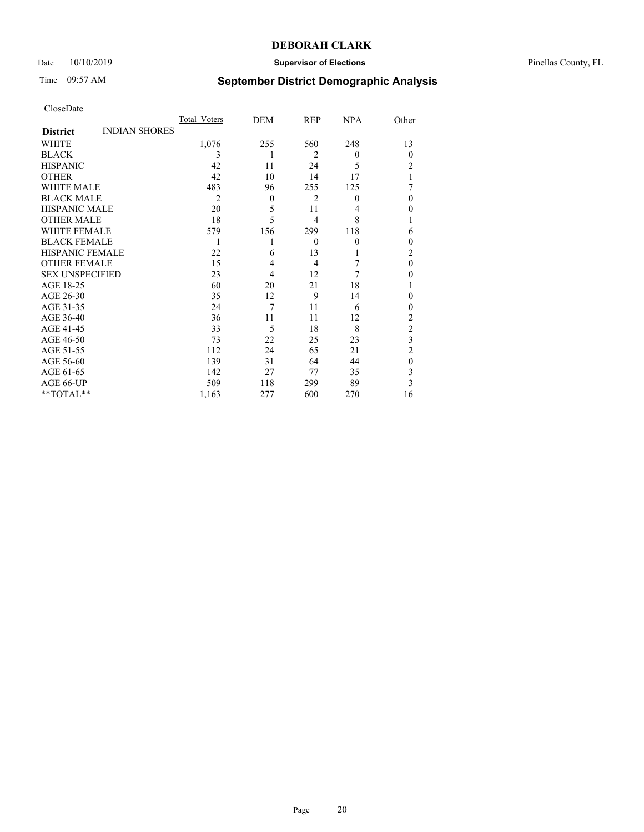## Date 10/10/2019 **Supervisor of Elections** Pinellas County, FL

# Time 09:57 AM **September District Demographic Analysis**

|                        |                      | Total Voters   | DEM      | REP            | <b>NPA</b>   | Other          |
|------------------------|----------------------|----------------|----------|----------------|--------------|----------------|
| <b>District</b>        | <b>INDIAN SHORES</b> |                |          |                |              |                |
| WHITE                  |                      | 1,076          | 255      | 560            | 248          | 13             |
| <b>BLACK</b>           |                      | 3              | 1        | $\overline{2}$ | $\theta$     | $\theta$       |
| <b>HISPANIC</b>        |                      | 42             | 11       | 24             | 5            | 2              |
| <b>OTHER</b>           |                      | 42             | 10       | 14             | 17           |                |
| WHITE MALE             |                      | 483            | 96       | 255            | 125          |                |
| <b>BLACK MALE</b>      |                      | $\overline{2}$ | $\Omega$ | $\overline{2}$ | $\mathbf{0}$ | $\theta$       |
| <b>HISPANIC MALE</b>   |                      | 20             | 5        | 11             | 4            | $\theta$       |
| <b>OTHER MALE</b>      |                      | 18             | 5        | 4              | 8            | 1              |
| WHITE FEMALE           |                      | 579            | 156      | 299            | 118          | 6              |
| <b>BLACK FEMALE</b>    |                      | 1              |          | $\theta$       | $\mathbf{0}$ | $\theta$       |
| <b>HISPANIC FEMALE</b> |                      | 22             | 6        | 13             |              | 2              |
| <b>OTHER FEMALE</b>    |                      | 15             | 4        | 4              | 7            | $\theta$       |
| <b>SEX UNSPECIFIED</b> |                      | 23             | 4        | 12             | 7            | $\theta$       |
| AGE 18-25              |                      | 60             | 20       | 21             | 18           |                |
| AGE 26-30              |                      | 35             | 12       | 9              | 14           | $\theta$       |
| AGE 31-35              |                      | 24             | 7        | 11             | 6            | $\theta$       |
| AGE 36-40              |                      | 36             | 11       | 11             | 12           | $\overline{2}$ |
| AGE 41-45              |                      | 33             | 5        | 18             | 8            | $\overline{c}$ |
| AGE 46-50              |                      | 73             | 22       | 25             | 23           | 3              |
| AGE 51-55              |                      | 112            | 24       | 65             | 21           | $\overline{2}$ |
| AGE 56-60              |                      | 139            | 31       | 64             | 44           | $\theta$       |
| AGE 61-65              |                      | 142            | 27       | 77             | 35           | 3              |
| AGE 66-UP              |                      | 509            | 118      | 299            | 89           | 3              |
| **TOTAL**              |                      | 1,163          | 277      | 600            | 270          | 16             |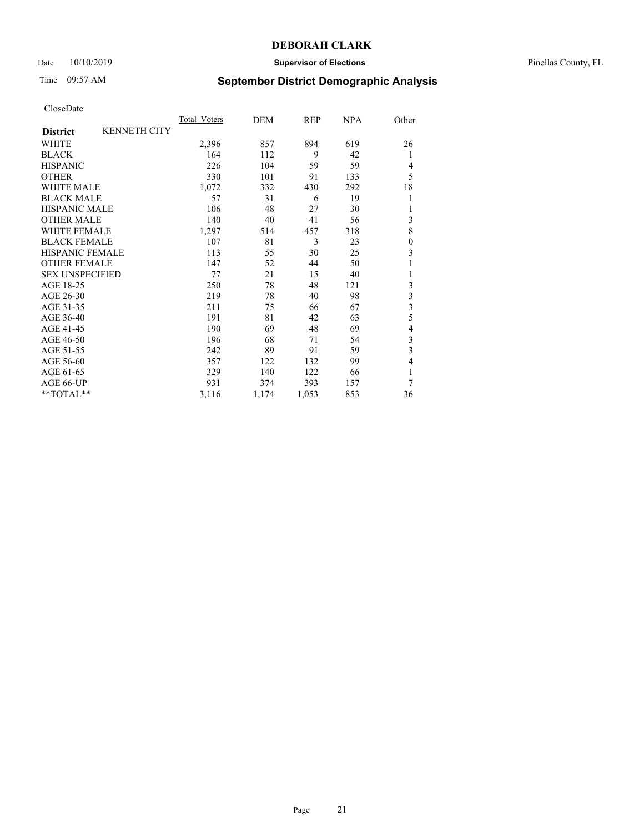## Date 10/10/2019 **Supervisor of Elections** Pinellas County, FL

# Time 09:57 AM **September District Demographic Analysis**

|                        |                     | Total Voters | DEM   | REP   | <b>NPA</b> | Other                   |
|------------------------|---------------------|--------------|-------|-------|------------|-------------------------|
| <b>District</b>        | <b>KENNETH CITY</b> |              |       |       |            |                         |
| WHITE                  |                     | 2,396        | 857   | 894   | 619        | 26                      |
| <b>BLACK</b>           |                     | 164          | 112   | 9     | 42         | 1                       |
| <b>HISPANIC</b>        |                     | 226          | 104   | 59    | 59         | 4                       |
| <b>OTHER</b>           |                     | 330          | 101   | 91    | 133        | 5                       |
| WHITE MALE             |                     | 1,072        | 332   | 430   | 292        | 18                      |
| <b>BLACK MALE</b>      |                     | 57           | 31    | 6     | 19         | 1                       |
| <b>HISPANIC MALE</b>   |                     | 106          | 48    | 27    | 30         | 1                       |
| <b>OTHER MALE</b>      |                     | 140          | 40    | 41    | 56         | 3                       |
| WHITE FEMALE           |                     | 1,297        | 514   | 457   | 318        | 8                       |
| <b>BLACK FEMALE</b>    |                     | 107          | 81    | 3     | 23         | $\overline{0}$          |
| <b>HISPANIC FEMALE</b> |                     | 113          | 55    | 30    | 25         | 3                       |
| <b>OTHER FEMALE</b>    |                     | 147          | 52    | 44    | 50         |                         |
| <b>SEX UNSPECIFIED</b> |                     | 77           | 21    | 15    | 40         |                         |
| AGE 18-25              |                     | 250          | 78    | 48    | 121        | 3                       |
| AGE 26-30              |                     | 219          | 78    | 40    | 98         | $\overline{\mathbf{3}}$ |
| AGE 31-35              |                     | 211          | 75    | 66    | 67         | 3                       |
| AGE 36-40              |                     | 191          | 81    | 42    | 63         | 5                       |
| AGE 41-45              |                     | 190          | 69    | 48    | 69         | 4                       |
| AGE 46-50              |                     | 196          | 68    | 71    | 54         | 3                       |
| AGE 51-55              |                     | 242          | 89    | 91    | 59         | 3                       |
| AGE 56-60              |                     | 357          | 122   | 132   | 99         | $\overline{4}$          |
| AGE 61-65              |                     | 329          | 140   | 122   | 66         | 1                       |
| AGE 66-UP              |                     | 931          | 374   | 393   | 157        | 7                       |
| **TOTAL**              |                     | 3,116        | 1,174 | 1,053 | 853        | 36                      |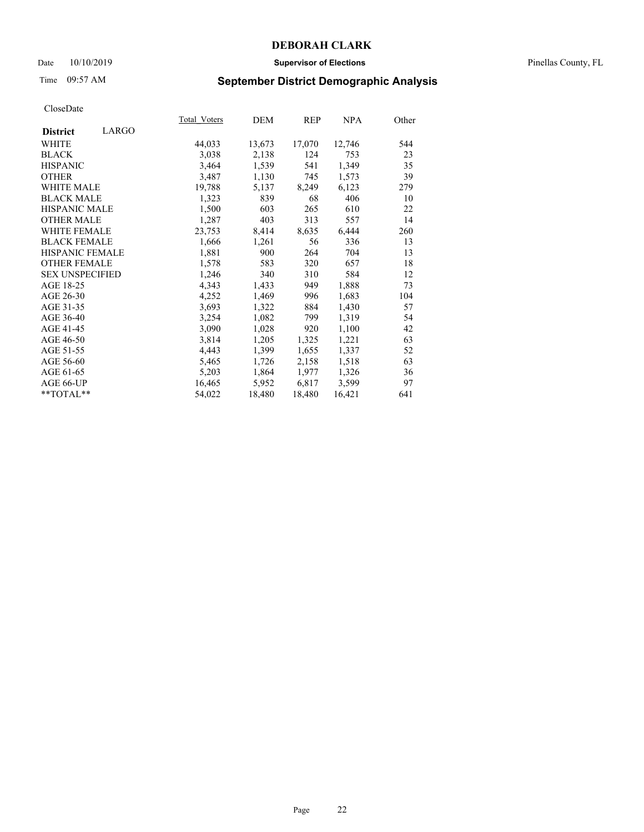### Date 10/10/2019 **Supervisor of Elections** Pinellas County, FL

# Time 09:57 AM **September District Demographic Analysis**

|                        |       | Total Voters | DEM    | REP    | NPA    | Other |
|------------------------|-------|--------------|--------|--------|--------|-------|
| <b>District</b>        | LARGO |              |        |        |        |       |
| WHITE                  |       | 44,033       | 13,673 | 17,070 | 12,746 | 544   |
| <b>BLACK</b>           |       | 3,038        | 2,138  | 124    | 753    | 23    |
| <b>HISPANIC</b>        |       | 3,464        | 1,539  | 541    | 1,349  | 35    |
| <b>OTHER</b>           |       | 3,487        | 1,130  | 745    | 1,573  | 39    |
| <b>WHITE MALE</b>      |       | 19,788       | 5,137  | 8,249  | 6,123  | 279   |
| <b>BLACK MALE</b>      |       | 1,323        | 839    | 68     | 406    | 10    |
| <b>HISPANIC MALE</b>   |       | 1,500        | 603    | 265    | 610    | 22    |
| <b>OTHER MALE</b>      |       | 1,287        | 403    | 313    | 557    | 14    |
| <b>WHITE FEMALE</b>    |       | 23,753       | 8,414  | 8,635  | 6,444  | 260   |
| <b>BLACK FEMALE</b>    |       | 1,666        | 1,261  | 56     | 336    | 13    |
| <b>HISPANIC FEMALE</b> |       | 1,881        | 900    | 264    | 704    | 13    |
| <b>OTHER FEMALE</b>    |       | 1,578        | 583    | 320    | 657    | 18    |
| <b>SEX UNSPECIFIED</b> |       | 1,246        | 340    | 310    | 584    | 12    |
| AGE 18-25              |       | 4,343        | 1,433  | 949    | 1,888  | 73    |
| AGE 26-30              |       | 4,252        | 1,469  | 996    | 1,683  | 104   |
| AGE 31-35              |       | 3,693        | 1,322  | 884    | 1,430  | 57    |
| AGE 36-40              |       | 3,254        | 1,082  | 799    | 1,319  | 54    |
| AGE 41-45              |       | 3,090        | 1,028  | 920    | 1,100  | 42    |
| AGE 46-50              |       | 3,814        | 1,205  | 1,325  | 1,221  | 63    |
| AGE 51-55              |       | 4,443        | 1,399  | 1,655  | 1,337  | 52    |
| AGE 56-60              |       | 5,465        | 1,726  | 2,158  | 1,518  | 63    |
| AGE 61-65              |       | 5,203        | 1,864  | 1,977  | 1,326  | 36    |
| AGE 66-UP              |       | 16,465       | 5,952  | 6,817  | 3,599  | 97    |
| $*$ TOTAL $*$          |       | 54,022       | 18,480 | 18,480 | 16,421 | 641   |
|                        |       |              |        |        |        |       |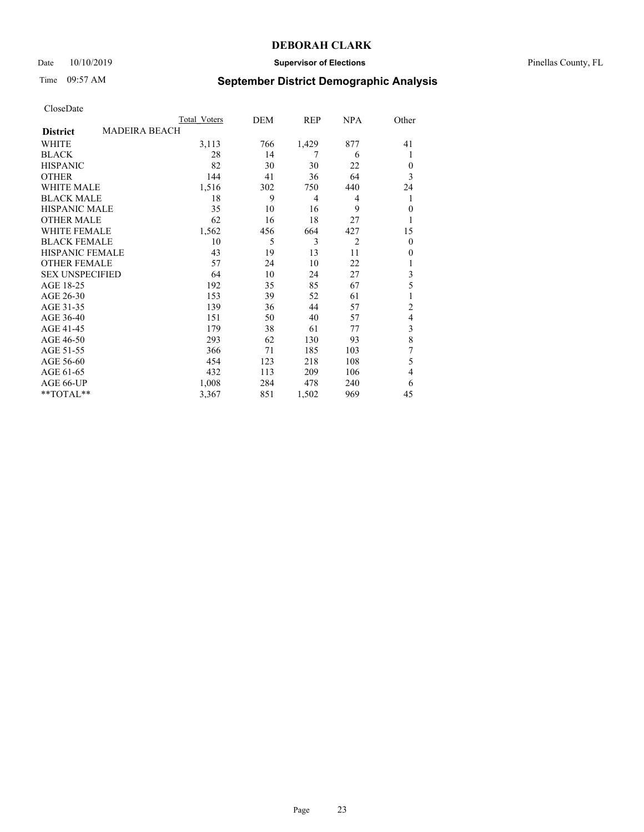## Date 10/10/2019 **Supervisor of Elections** Pinellas County, FL

# Time 09:57 AM **September District Demographic Analysis**

|                        |                      | Total Voters | DEM | REP   | <b>NPA</b>     | Other          |
|------------------------|----------------------|--------------|-----|-------|----------------|----------------|
| <b>District</b>        | <b>MADEIRA BEACH</b> |              |     |       |                |                |
| WHITE                  |                      | 3,113        | 766 | 1,429 | 877            | 41             |
| <b>BLACK</b>           |                      | 28           | 14  | 7     | 6              | 1              |
| <b>HISPANIC</b>        |                      | 82           | 30  | 30    | 22             | $\Omega$       |
| <b>OTHER</b>           |                      | 144          | 41  | 36    | 64             | 3              |
| WHITE MALE             |                      | 1,516        | 302 | 750   | 440            | 24             |
| <b>BLACK MALE</b>      |                      | 18           | 9   | 4     | 4              | 1              |
| <b>HISPANIC MALE</b>   |                      | 35           | 10  | 16    | 9              | $\theta$       |
| <b>OTHER MALE</b>      |                      | 62           | 16  | 18    | 27             | 1              |
| WHITE FEMALE           |                      | 1,562        | 456 | 664   | 427            | 15             |
| <b>BLACK FEMALE</b>    |                      | 10           | 5   | 3     | $\overline{2}$ | $\overline{0}$ |
| <b>HISPANIC FEMALE</b> |                      | 43           | 19  | 13    | 11             | $\Omega$       |
| <b>OTHER FEMALE</b>    |                      | 57           | 24  | 10    | 22             |                |
| <b>SEX UNSPECIFIED</b> |                      | 64           | 10  | 24    | 27             | 3              |
| AGE 18-25              |                      | 192          | 35  | 85    | 67             | 5              |
| AGE 26-30              |                      | 153          | 39  | 52    | 61             | 1              |
| AGE 31-35              |                      | 139          | 36  | 44    | 57             | $\overline{c}$ |
| AGE 36-40              |                      | 151          | 50  | 40    | 57             | $\overline{4}$ |
| AGE 41-45              |                      | 179          | 38  | 61    | 77             | 3              |
| AGE 46-50              |                      | 293          | 62  | 130   | 93             | 8              |
| AGE 51-55              |                      | 366          | 71  | 185   | 103            | 7              |
| AGE 56-60              |                      | 454          | 123 | 218   | 108            | 5              |
| AGE 61-65              |                      | 432          | 113 | 209   | 106            | $\overline{4}$ |
| AGE 66-UP              |                      | 1,008        | 284 | 478   | 240            | 6              |
| **TOTAL**              |                      | 3,367        | 851 | 1,502 | 969            | 45             |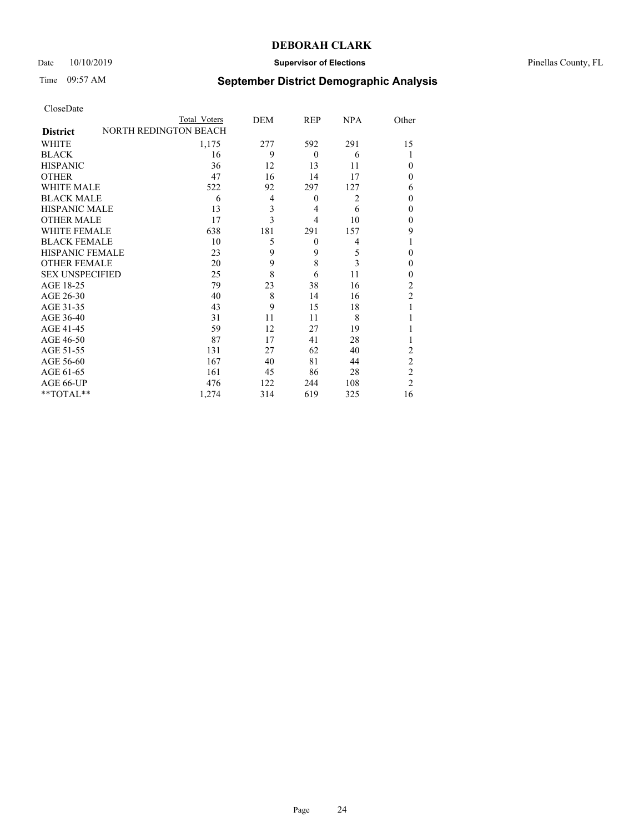## Date  $10/10/2019$  **Supervisor of Elections Supervisor of Elections** Pinellas County, FL

# Time 09:57 AM **September District Demographic Analysis**

|                        | Total Voters                 | DEM | REP            | <b>NPA</b>     | Other          |
|------------------------|------------------------------|-----|----------------|----------------|----------------|
| <b>District</b>        | <b>NORTH REDINGTON BEACH</b> |     |                |                |                |
| WHITE                  | 1,175                        | 277 | 592            | 291            | 15             |
| <b>BLACK</b>           | 16                           | 9   | $\theta$       | 6              |                |
| <b>HISPANIC</b>        | 36                           | 12  | 13             | 11             | $\theta$       |
| <b>OTHER</b>           | 47                           | 16  | 14             | 17             | 0              |
| <b>WHITE MALE</b>      | 522                          | 92  | 297            | 127            | 6              |
| <b>BLACK MALE</b>      | 6                            | 4   | $\theta$       | $\overline{2}$ | $\theta$       |
| <b>HISPANIC MALE</b>   | 13                           | 3   | 4              | 6              | 0              |
| <b>OTHER MALE</b>      | 17                           | 3   | $\overline{4}$ | 10             | 0              |
| <b>WHITE FEMALE</b>    | 638                          | 181 | 291            | 157            | 9              |
| <b>BLACK FEMALE</b>    | 10                           | 5   | $\theta$       | 4              |                |
| <b>HISPANIC FEMALE</b> | 23                           | 9   | 9              | 5              | $\theta$       |
| <b>OTHER FEMALE</b>    | 20                           | 9   | 8              | 3              | $\theta$       |
| <b>SEX UNSPECIFIED</b> | 25                           | 8   | 6              | 11             | $\theta$       |
| AGE 18-25              | 79                           | 23  | 38             | 16             | $\overline{2}$ |
| AGE 26-30              | 40                           | 8   | 14             | 16             | $\overline{2}$ |
| AGE 31-35              | 43                           | 9   | 15             | 18             |                |
| AGE 36-40              | 31                           | 11  | 11             | 8              |                |
| AGE 41-45              | 59                           | 12  | 27             | 19             |                |
| AGE 46-50              | 87                           | 17  | 41             | 28             |                |
| AGE 51-55              | 131                          | 27  | 62             | 40             | 2              |
| AGE 56-60              | 167                          | 40  | 81             | 44             | $\overline{c}$ |
| AGE 61-65              | 161                          | 45  | 86             | 28             | $\overline{c}$ |
| AGE 66-UP              | 476                          | 122 | 244            | 108            | $\overline{2}$ |
| **TOTAL**              | 1,274                        | 314 | 619            | 325            | 16             |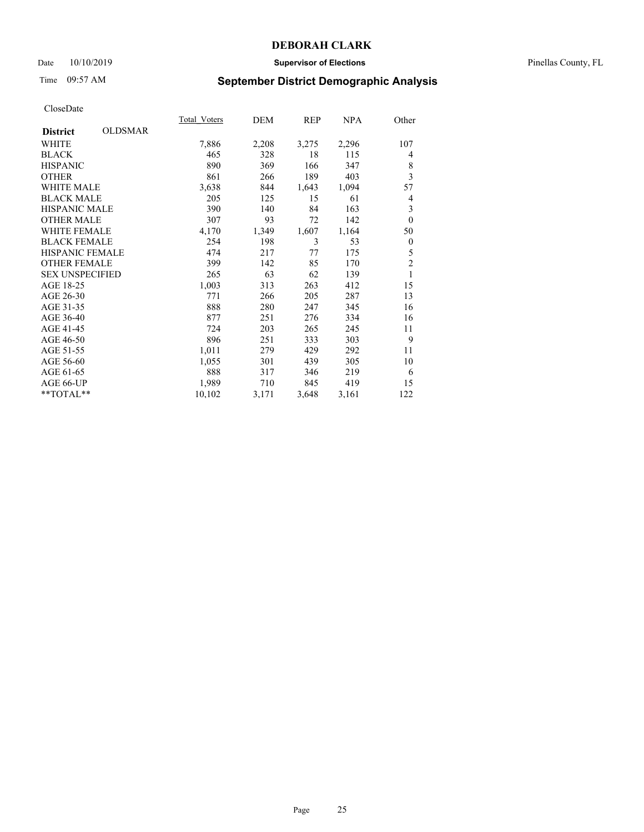### Date 10/10/2019 **Supervisor of Elections** Pinellas County, FL

# Time 09:57 AM **September District Demographic Analysis**

| <b>OLDSMAR</b><br><b>District</b><br>7,886<br>2,208<br>WHITE<br>3,275<br>2,296<br>465<br><b>BLACK</b><br>328<br>18<br>115<br>890<br><b>HISPANIC</b><br>369<br>166<br>347<br>189<br><b>OTHER</b><br>861<br>403<br>266<br><b>WHITE MALE</b><br>3,638<br>844<br>1,643<br>1,094<br><b>BLACK MALE</b><br>205<br>125<br>15<br>61<br><b>HISPANIC MALE</b><br>390<br>163<br>140<br>84<br><b>OTHER MALE</b><br>307<br>93<br>142<br>72<br><b>WHITE FEMALE</b><br>4,170<br>1,349<br>1,607<br>1,164<br><b>BLACK FEMALE</b><br>3<br>254<br>198<br>53<br><b>HISPANIC FEMALE</b><br>474<br>217<br>77<br>175<br><b>OTHER FEMALE</b><br>399<br>142<br>85<br>170<br><b>SEX UNSPECIFIED</b><br>265<br>63<br>62<br>139<br>AGE 18-25<br>1,003<br>313<br>263<br>412<br>AGE 26-30<br>205<br>771<br>266<br>287 | 107<br>4<br>8<br>3<br>57<br>4 |
|----------------------------------------------------------------------------------------------------------------------------------------------------------------------------------------------------------------------------------------------------------------------------------------------------------------------------------------------------------------------------------------------------------------------------------------------------------------------------------------------------------------------------------------------------------------------------------------------------------------------------------------------------------------------------------------------------------------------------------------------------------------------------------------|-------------------------------|
|                                                                                                                                                                                                                                                                                                                                                                                                                                                                                                                                                                                                                                                                                                                                                                                        |                               |
|                                                                                                                                                                                                                                                                                                                                                                                                                                                                                                                                                                                                                                                                                                                                                                                        |                               |
|                                                                                                                                                                                                                                                                                                                                                                                                                                                                                                                                                                                                                                                                                                                                                                                        |                               |
|                                                                                                                                                                                                                                                                                                                                                                                                                                                                                                                                                                                                                                                                                                                                                                                        |                               |
|                                                                                                                                                                                                                                                                                                                                                                                                                                                                                                                                                                                                                                                                                                                                                                                        |                               |
|                                                                                                                                                                                                                                                                                                                                                                                                                                                                                                                                                                                                                                                                                                                                                                                        |                               |
|                                                                                                                                                                                                                                                                                                                                                                                                                                                                                                                                                                                                                                                                                                                                                                                        |                               |
|                                                                                                                                                                                                                                                                                                                                                                                                                                                                                                                                                                                                                                                                                                                                                                                        | 3                             |
|                                                                                                                                                                                                                                                                                                                                                                                                                                                                                                                                                                                                                                                                                                                                                                                        | $\mathbf{0}$                  |
|                                                                                                                                                                                                                                                                                                                                                                                                                                                                                                                                                                                                                                                                                                                                                                                        | 50                            |
|                                                                                                                                                                                                                                                                                                                                                                                                                                                                                                                                                                                                                                                                                                                                                                                        | $\mathbf{0}$                  |
|                                                                                                                                                                                                                                                                                                                                                                                                                                                                                                                                                                                                                                                                                                                                                                                        | 5                             |
|                                                                                                                                                                                                                                                                                                                                                                                                                                                                                                                                                                                                                                                                                                                                                                                        | $\overline{c}$                |
|                                                                                                                                                                                                                                                                                                                                                                                                                                                                                                                                                                                                                                                                                                                                                                                        | 1                             |
|                                                                                                                                                                                                                                                                                                                                                                                                                                                                                                                                                                                                                                                                                                                                                                                        | 15                            |
|                                                                                                                                                                                                                                                                                                                                                                                                                                                                                                                                                                                                                                                                                                                                                                                        | 13                            |
| 888<br>AGE 31-35<br>280<br>247<br>345                                                                                                                                                                                                                                                                                                                                                                                                                                                                                                                                                                                                                                                                                                                                                  | 16                            |
| AGE 36-40<br>877<br>334<br>251<br>276                                                                                                                                                                                                                                                                                                                                                                                                                                                                                                                                                                                                                                                                                                                                                  | 16                            |
| AGE 41-45<br>724<br>265<br>203<br>245                                                                                                                                                                                                                                                                                                                                                                                                                                                                                                                                                                                                                                                                                                                                                  | 11                            |
| AGE 46-50<br>896<br>251<br>333<br>303                                                                                                                                                                                                                                                                                                                                                                                                                                                                                                                                                                                                                                                                                                                                                  | 9                             |
| AGE 51-55<br>1,011<br>279<br>429<br>292                                                                                                                                                                                                                                                                                                                                                                                                                                                                                                                                                                                                                                                                                                                                                | 11                            |
| AGE 56-60<br>439<br>305<br>1,055<br>301                                                                                                                                                                                                                                                                                                                                                                                                                                                                                                                                                                                                                                                                                                                                                | 10                            |
| 888<br>AGE 61-65<br>219<br>317<br>346                                                                                                                                                                                                                                                                                                                                                                                                                                                                                                                                                                                                                                                                                                                                                  | 6                             |
| 419<br>AGE 66-UP<br>1,989<br>710<br>845                                                                                                                                                                                                                                                                                                                                                                                                                                                                                                                                                                                                                                                                                                                                                | 15                            |
| $*$ TOTAL $*$<br>10,102<br>3,171<br>3,648<br>3,161                                                                                                                                                                                                                                                                                                                                                                                                                                                                                                                                                                                                                                                                                                                                     | 122                           |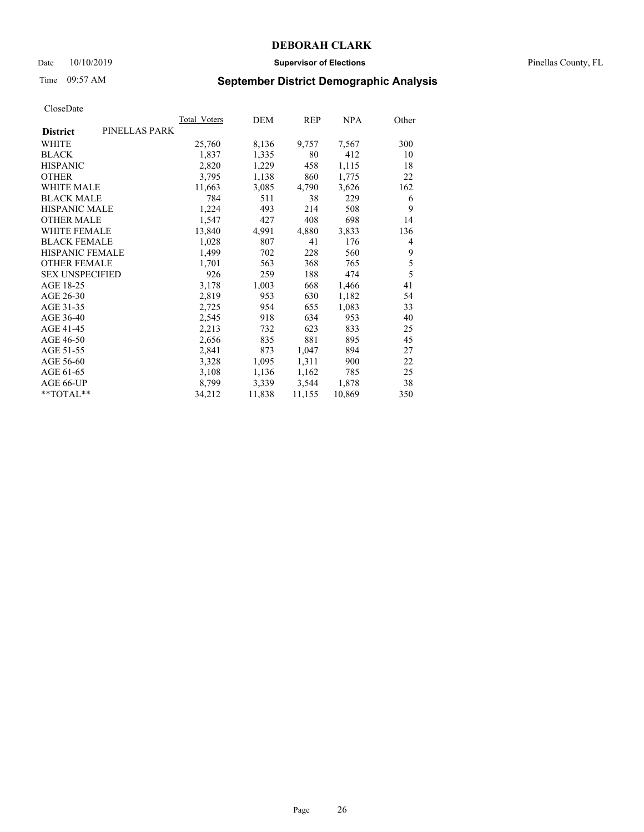### Date 10/10/2019 **Supervisor of Elections** Pinellas County, FL

# Time 09:57 AM **September District Demographic Analysis**

|                                  | Total Voters | DEM    | REP    | NPA    | Other |
|----------------------------------|--------------|--------|--------|--------|-------|
| PINELLAS PARK<br><b>District</b> |              |        |        |        |       |
| WHITE                            | 25,760       | 8,136  | 9,757  | 7,567  | 300   |
| <b>BLACK</b>                     | 1,837        | 1,335  | 80     | 412    | 10    |
| <b>HISPANIC</b>                  | 2,820        | 1,229  | 458    | 1,115  | 18    |
| <b>OTHER</b>                     | 3,795        | 1,138  | 860    | 1,775  | 22    |
| WHITE MALE                       | 11,663       | 3,085  | 4,790  | 3,626  | 162   |
| <b>BLACK MALE</b>                | 784          | 511    | 38     | 229    | 6     |
| <b>HISPANIC MALE</b>             | 1,224        | 493    | 214    | 508    | 9     |
| <b>OTHER MALE</b>                | 1,547        | 427    | 408    | 698    | 14    |
| <b>WHITE FEMALE</b>              | 13,840       | 4,991  | 4,880  | 3,833  | 136   |
| <b>BLACK FEMALE</b>              | 1,028        | 807    | 41     | 176    | 4     |
| <b>HISPANIC FEMALE</b>           | 1,499        | 702    | 228    | 560    | 9     |
| <b>OTHER FEMALE</b>              | 1,701        | 563    | 368    | 765    | 5     |
| <b>SEX UNSPECIFIED</b>           | 926          | 259    | 188    | 474    | 5     |
| AGE 18-25                        | 3,178        | 1,003  | 668    | 1,466  | 41    |
| AGE 26-30                        | 2,819        | 953    | 630    | 1,182  | 54    |
| AGE 31-35                        | 2,725        | 954    | 655    | 1,083  | 33    |
| AGE 36-40                        | 2,545        | 918    | 634    | 953    | 40    |
| AGE 41-45                        | 2,213        | 732    | 623    | 833    | 25    |
| AGE 46-50                        | 2,656        | 835    | 881    | 895    | 45    |
| AGE 51-55                        | 2,841        | 873    | 1,047  | 894    | 27    |
| AGE 56-60                        | 3,328        | 1,095  | 1,311  | 900    | 22    |
| AGE 61-65                        | 3,108        | 1,136  | 1,162  | 785    | 25    |
| AGE 66-UP                        | 8,799        | 3,339  | 3,544  | 1,878  | 38    |
| **TOTAL**                        | 34,212       | 11,838 | 11,155 | 10,869 | 350   |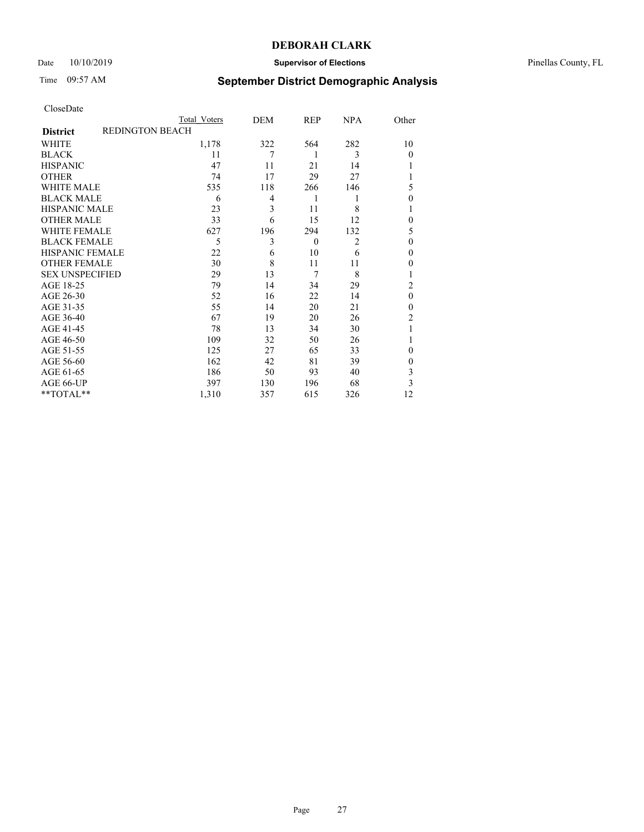## Date  $10/10/2019$  **Supervisor of Elections Supervisor of Elections** Pinellas County, FL

# Time 09:57 AM **September District Demographic Analysis**

| CloseDate |
|-----------|
|-----------|

|                        |                        | Total Voters | DEM | REP          | <b>NPA</b>     | Other          |
|------------------------|------------------------|--------------|-----|--------------|----------------|----------------|
| <b>District</b>        | <b>REDINGTON BEACH</b> |              |     |              |                |                |
| WHITE                  |                        | 1,178        | 322 | 564          | 282            | 10             |
| <b>BLACK</b>           |                        | 11           | 7   | 1            | 3              | $\Omega$       |
| <b>HISPANIC</b>        |                        | 47           | 11  | 21           | 14             |                |
| <b>OTHER</b>           |                        | 74           | 17  | 29           | 27             |                |
| <b>WHITE MALE</b>      |                        | 535          | 118 | 266          | 146            | 5              |
| <b>BLACK MALE</b>      |                        | 6            | 4   | 1            | 1              | $\Omega$       |
| <b>HISPANIC MALE</b>   |                        | 23           | 3   | 11           | 8              |                |
| <b>OTHER MALE</b>      |                        | 33           | 6   | 15           | 12             | $\mathbf{0}$   |
| <b>WHITE FEMALE</b>    |                        | 627          | 196 | 294          | 132            | 5              |
| <b>BLACK FEMALE</b>    |                        | 5            | 3   | $\mathbf{0}$ | $\overline{2}$ | $\theta$       |
| <b>HISPANIC FEMALE</b> |                        | 22           | 6   | 10           | 6              | $\Omega$       |
| <b>OTHER FEMALE</b>    |                        | 30           | 8   | 11           | 11             | $\Omega$       |
| <b>SEX UNSPECIFIED</b> |                        | 29           | 13  | 7            | 8              |                |
| AGE 18-25              |                        | 79           | 14  | 34           | 29             | $\overline{2}$ |
| AGE 26-30              |                        | 52           | 16  | 22           | 14             | $\mathbf{0}$   |
| AGE 31-35              |                        | 55           | 14  | 20           | 21             | $\theta$       |
| AGE 36-40              |                        | 67           | 19  | 20           | 26             | $\overline{2}$ |
| AGE 41-45              |                        | 78           | 13  | 34           | 30             |                |
| AGE 46-50              |                        | 109          | 32  | 50           | 26             |                |
| AGE 51-55              |                        | 125          | 27  | 65           | 33             | $\Omega$       |
| AGE 56-60              |                        | 162          | 42  | 81           | 39             | $\theta$       |
| AGE 61-65              |                        | 186          | 50  | 93           | 40             | 3              |
| AGE 66-UP              |                        | 397          | 130 | 196          | 68             | 3              |
| **TOTAL**              |                        | 1,310        | 357 | 615          | 326            | 12             |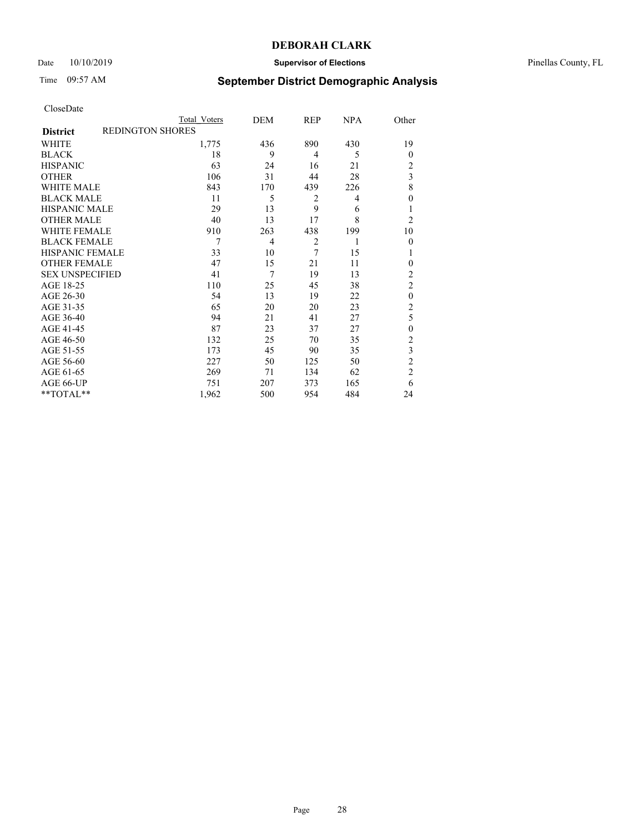## Date 10/10/2019 **Supervisor of Elections** Pinellas County, FL

# Time 09:57 AM **September District Demographic Analysis**

|                        | Total Voters            | DEM            | REP            | NPA | Other                   |
|------------------------|-------------------------|----------------|----------------|-----|-------------------------|
| <b>District</b>        | <b>REDINGTON SHORES</b> |                |                |     |                         |
| WHITE                  | 1,775                   | 436            | 890            | 430 | 19                      |
| <b>BLACK</b>           | 18                      | 9              | 4              | 5   | $\Omega$                |
| <b>HISPANIC</b>        | 63                      | 24             | 16             | 21  | 2                       |
| <b>OTHER</b>           | 106                     | 31             | 44             | 28  | $\overline{\mathbf{3}}$ |
| <b>WHITE MALE</b>      | 843                     | 170            | 439            | 226 | 8                       |
| <b>BLACK MALE</b>      | 11                      | 5              | 2              | 4   | $\Omega$                |
| <b>HISPANIC MALE</b>   | 29                      | 13             | 9              | 6   |                         |
| <b>OTHER MALE</b>      | 40                      | 13             | 17             | 8   | $\overline{2}$          |
| <b>WHITE FEMALE</b>    | 910                     | 263            | 438            | 199 | 10                      |
| <b>BLACK FEMALE</b>    | 7                       | $\overline{4}$ | $\overline{2}$ | 1   | $\overline{0}$          |
| <b>HISPANIC FEMALE</b> | 33                      | 10             | 7              | 15  |                         |
| <b>OTHER FEMALE</b>    | 47                      | 15             | 21             | 11  | $\Omega$                |
| <b>SEX UNSPECIFIED</b> | 41                      | 7              | 19             | 13  | $\overline{c}$          |
| AGE 18-25              | 110                     | 25             | 45             | 38  | $\overline{2}$          |
| AGE 26-30              | 54                      | 13             | 19             | 22  | $\theta$                |
| AGE 31-35              | 65                      | 20             | 20             | 23  | $\overline{c}$          |
| AGE 36-40              | 94                      | 21             | 41             | 27  | 5                       |
| AGE 41-45              | 87                      | 23             | 37             | 27  | $\theta$                |
| AGE 46-50              | 132                     | 25             | 70             | 35  | 2                       |
| AGE 51-55              | 173                     | 45             | 90             | 35  | 3                       |
| AGE 56-60              | 227                     | 50             | 125            | 50  | $\overline{c}$          |
| AGE 61-65              | 269                     | 71             | 134            | 62  | $\overline{c}$          |
| AGE 66-UP              | 751                     | 207            | 373            | 165 | 6                       |
| **TOTAL**              | 1,962                   | 500            | 954            | 484 | 24                      |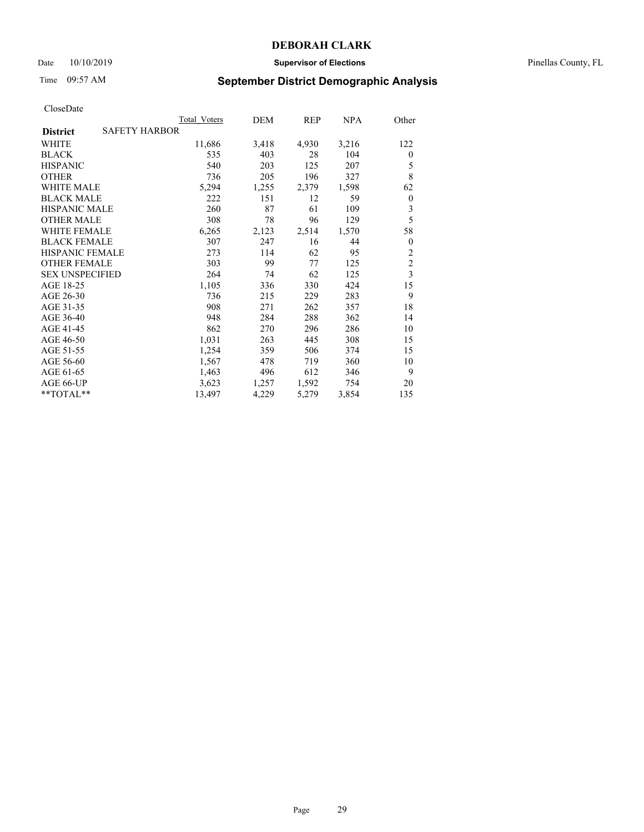### Date 10/10/2019 **Supervisor of Elections** Pinellas County, FL

# Time 09:57 AM **September District Demographic Analysis**

|                        |                      | Total Voters | DEM   | REP   | <u>NPA</u> | Other                   |
|------------------------|----------------------|--------------|-------|-------|------------|-------------------------|
| <b>District</b>        | <b>SAFETY HARBOR</b> |              |       |       |            |                         |
| WHITE                  |                      | 11,686       | 3,418 | 4,930 | 3,216      | 122                     |
| <b>BLACK</b>           |                      | 535          | 403   | 28    | 104        | $\theta$                |
| <b>HISPANIC</b>        |                      | 540          | 203   | 125   | 207        | 5                       |
| <b>OTHER</b>           |                      | 736          | 205   | 196   | 327        | 8                       |
| <b>WHITE MALE</b>      |                      | 5,294        | 1,255 | 2,379 | 1,598      | 62                      |
| <b>BLACK MALE</b>      |                      | 222          | 151   | 12    | 59         | $\boldsymbol{0}$        |
| <b>HISPANIC MALE</b>   |                      | 260          | 87    | 61    | 109        | 3                       |
| <b>OTHER MALE</b>      |                      | 308          | 78    | 96    | 129        | 5                       |
| <b>WHITE FEMALE</b>    |                      | 6,265        | 2,123 | 2,514 | 1,570      | 58                      |
| <b>BLACK FEMALE</b>    |                      | 307          | 247   | 16    | 44         | $\theta$                |
| <b>HISPANIC FEMALE</b> |                      | 273          | 114   | 62    | 95         | $\overline{c}$          |
| <b>OTHER FEMALE</b>    |                      | 303          | 99    | 77    | 125        | $\overline{c}$          |
| <b>SEX UNSPECIFIED</b> |                      | 264          | 74    | 62    | 125        | $\overline{\mathbf{3}}$ |
| AGE 18-25              |                      | 1,105        | 336   | 330   | 424        | 15                      |
| AGE 26-30              |                      | 736          | 215   | 229   | 283        | 9                       |
| AGE 31-35              |                      | 908          | 271   | 262   | 357        | 18                      |
| AGE 36-40              |                      | 948          | 284   | 288   | 362        | 14                      |
| AGE 41-45              |                      | 862          | 270   | 296   | 286        | 10                      |
| AGE 46-50              |                      | 1,031        | 263   | 445   | 308        | 15                      |
| AGE 51-55              |                      | 1,254        | 359   | 506   | 374        | 15                      |
| AGE 56-60              |                      | 1,567        | 478   | 719   | 360        | 10                      |
| AGE 61-65              |                      | 1,463        | 496   | 612   | 346        | 9                       |
| AGE 66-UP              |                      | 3,623        | 1,257 | 1,592 | 754        | 20                      |
| **TOTAL**              |                      | 13,497       | 4,229 | 5,279 | 3,854      | 135                     |
|                        |                      |              |       |       |            |                         |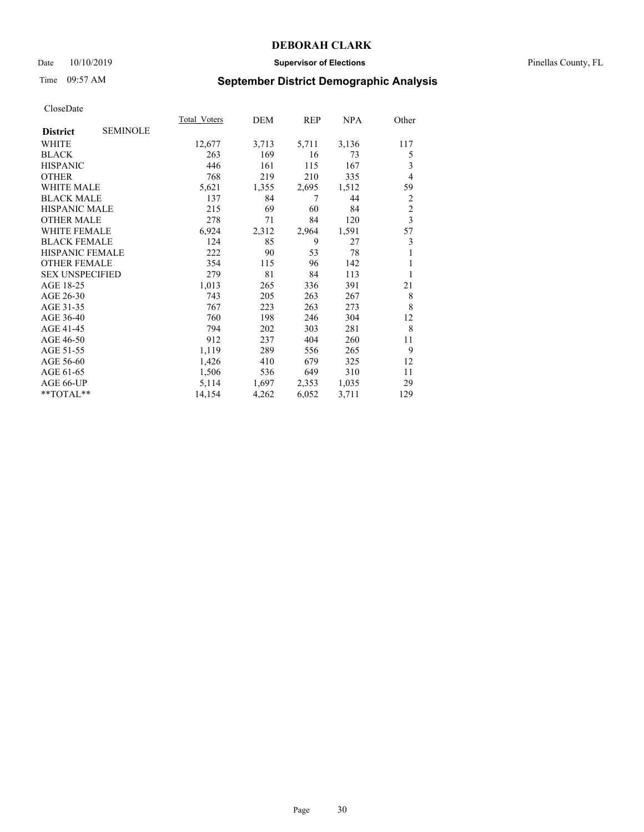### Date 10/10/2019 **Supervisor of Elections** Pinellas County, FL

## Time 09:57 AM **September District Demographic Analysis**

| Total Voters | DEM   | REP   | NPA   | Other                   |
|--------------|-------|-------|-------|-------------------------|
|              |       |       |       |                         |
| 12,677       | 3,713 | 5,711 | 3,136 | 117                     |
| 263          | 169   | 16    | 73    | 5                       |
| 446          | 161   | 115   | 167   | 3                       |
| 768          | 219   | 210   | 335   | $\overline{4}$          |
| 5,621        | 1,355 | 2,695 | 1,512 | 59                      |
| 137          | 84    | 7     | 44    | 2                       |
| 215          | 69    | 60    | 84    | $\overline{c}$          |
| 278          | 71    | 84    | 120   | $\overline{\mathbf{3}}$ |
| 6,924        | 2,312 | 2,964 | 1,591 | 57                      |
| 124          | 85    | 9     | 27    | 3                       |
| 222          | 90    | 53    | 78    | 1                       |
| 354          | 115   | 96    | 142   | 1                       |
| 279          | 81    | 84    | 113   | 1                       |
| 1,013        | 265   | 336   | 391   | 21                      |
| 743          | 205   | 263   | 267   | 8                       |
| 767          | 223   | 263   | 273   | 8                       |
| 760          | 198   | 246   | 304   | 12                      |
| 794          | 202   | 303   | 281   | 8                       |
| 912          | 237   | 404   | 260   | 11                      |
| 1,119        | 289   | 556   | 265   | 9                       |
| 1,426        | 410   | 679   | 325   | 12                      |
| 1,506        | 536   | 649   | 310   | 11                      |
| 5,114        | 1,697 | 2,353 | 1,035 | 29                      |
| 14,154       | 4,262 | 6,052 | 3,711 | 129                     |
|              |       |       |       |                         |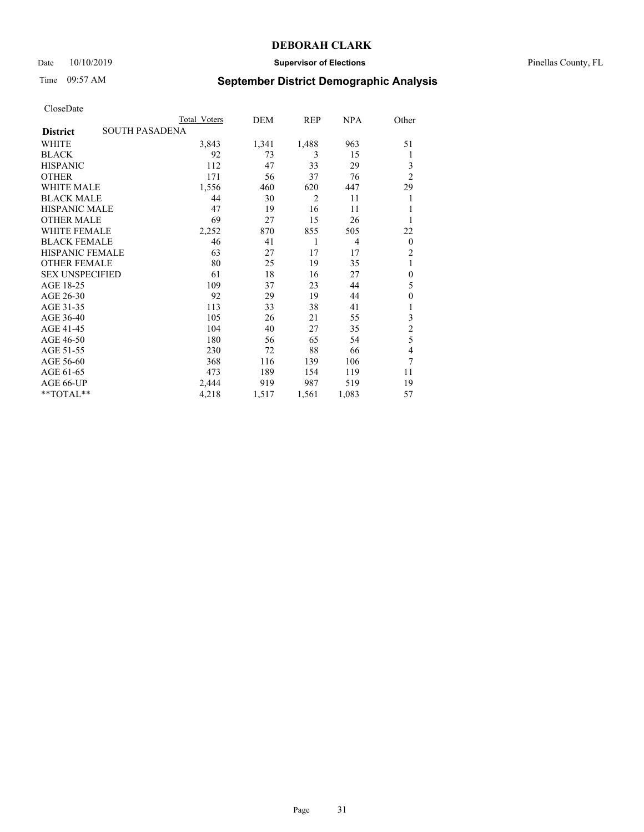### Date 10/10/2019 **Supervisor of Elections** Pinellas County, FL

# Time 09:57 AM **September District Demographic Analysis**

|                                          | Total Voters | DEM   | REP            | <b>NPA</b> | Other            |
|------------------------------------------|--------------|-------|----------------|------------|------------------|
| <b>SOUTH PASADENA</b><br><b>District</b> |              |       |                |            |                  |
| WHITE                                    | 3,843        | 1,341 | 1,488          | 963        | 51               |
| <b>BLACK</b>                             | 92           | 73    | 3              | 15         | 1                |
| <b>HISPANIC</b>                          | 112          | 47    | 33             | 29         | 3                |
| <b>OTHER</b>                             | 171          | 56    | 37             | 76         | $\overline{2}$   |
| WHITE MALE                               | 1,556        | 460   | 620            | 447        | 29               |
| <b>BLACK MALE</b>                        | 44           | 30    | $\overline{2}$ | 11         | 1                |
| <b>HISPANIC MALE</b>                     | 47           | 19    | 16             | 11         | 1                |
| <b>OTHER MALE</b>                        | 69           | 27    | 15             | 26         | 1                |
| <b>WHITE FEMALE</b>                      | 2,252        | 870   | 855            | 505        | 22               |
| <b>BLACK FEMALE</b>                      | 46           | 41    | 1              | 4          | $\mathbf{0}$     |
| <b>HISPANIC FEMALE</b>                   | 63           | 27    | 17             | 17         | $\overline{2}$   |
| <b>OTHER FEMALE</b>                      | 80           | 25    | 19             | 35         | 1                |
| <b>SEX UNSPECIFIED</b>                   | 61           | 18    | 16             | 27         | $\boldsymbol{0}$ |
| AGE 18-25                                | 109          | 37    | 23             | 44         | 5                |
| AGE 26-30                                | 92           | 29    | 19             | 44         | $\mathbf{0}$     |
| AGE 31-35                                | 113          | 33    | 38             | 41         | 1                |
| AGE 36-40                                | 105          | 26    | 21             | 55         | 3                |
| AGE 41-45                                | 104          | 40    | 27             | 35         | $\overline{c}$   |
| AGE 46-50                                | 180          | 56    | 65             | 54         | 5                |
| AGE 51-55                                | 230          | 72    | 88             | 66         | 4                |
| AGE 56-60                                | 368          | 116   | 139            | 106        | 7                |
| AGE 61-65                                | 473          | 189   | 154            | 119        | 11               |
| AGE 66-UP                                | 2,444        | 919   | 987            | 519        | 19               |
| **TOTAL**                                | 4,218        | 1,517 | 1,561          | 1,083      | 57               |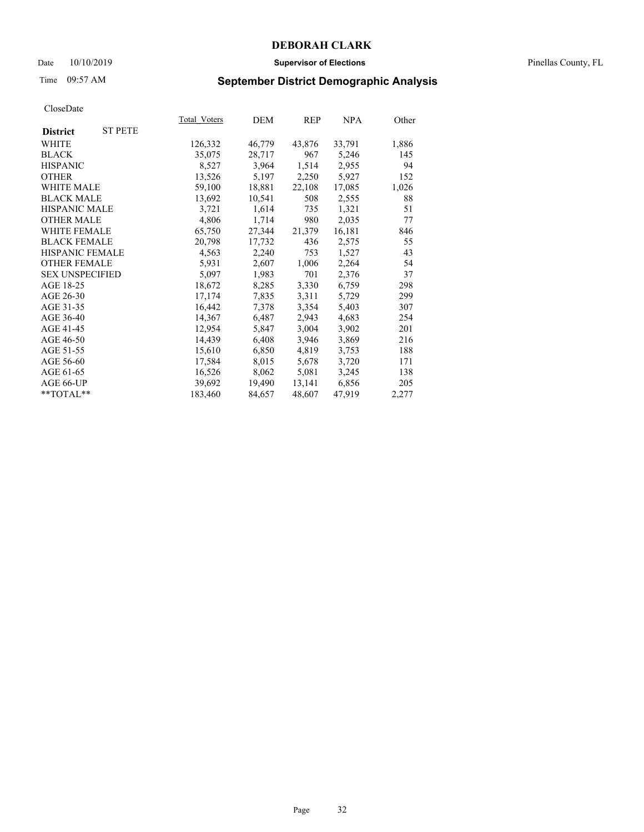### Date 10/10/2019 **Supervisor of Elections** Pinellas County, FL

# Time 09:57 AM **September District Demographic Analysis**

|                        |                | Total Voters | DEM    | REP    | NPA    | Other |
|------------------------|----------------|--------------|--------|--------|--------|-------|
| <b>District</b>        | <b>ST PETE</b> |              |        |        |        |       |
| WHITE                  |                | 126,332      | 46,779 | 43,876 | 33,791 | 1,886 |
| <b>BLACK</b>           |                | 35,075       | 28,717 | 967    | 5,246  | 145   |
| <b>HISPANIC</b>        |                | 8,527        | 3,964  | 1,514  | 2,955  | 94    |
| <b>OTHER</b>           |                | 13,526       | 5,197  | 2,250  | 5,927  | 152   |
| <b>WHITE MALE</b>      |                | 59,100       | 18,881 | 22,108 | 17,085 | 1,026 |
| <b>BLACK MALE</b>      |                | 13,692       | 10,541 | 508    | 2,555  | 88    |
| <b>HISPANIC MALE</b>   |                | 3,721        | 1,614  | 735    | 1,321  | 51    |
| <b>OTHER MALE</b>      |                | 4,806        | 1,714  | 980    | 2,035  | 77    |
| WHITE FEMALE           |                | 65,750       | 27,344 | 21,379 | 16,181 | 846   |
| <b>BLACK FEMALE</b>    |                | 20,798       | 17,732 | 436    | 2,575  | 55    |
| <b>HISPANIC FEMALE</b> |                | 4,563        | 2,240  | 753    | 1,527  | 43    |
| <b>OTHER FEMALE</b>    |                | 5,931        | 2,607  | 1,006  | 2,264  | 54    |
| <b>SEX UNSPECIFIED</b> |                | 5,097        | 1,983  | 701    | 2,376  | 37    |
| AGE 18-25              |                | 18,672       | 8,285  | 3,330  | 6,759  | 298   |
| AGE 26-30              |                | 17,174       | 7,835  | 3,311  | 5,729  | 299   |
| AGE 31-35              |                | 16,442       | 7,378  | 3,354  | 5,403  | 307   |
| AGE 36-40              |                | 14,367       | 6,487  | 2,943  | 4,683  | 254   |
| AGE 41-45              |                | 12,954       | 5,847  | 3,004  | 3,902  | 201   |
| AGE 46-50              |                | 14,439       | 6,408  | 3,946  | 3,869  | 216   |
| AGE 51-55              |                | 15,610       | 6,850  | 4,819  | 3,753  | 188   |
| AGE 56-60              |                | 17,584       | 8,015  | 5,678  | 3,720  | 171   |
| AGE 61-65              |                | 16,526       | 8,062  | 5,081  | 3,245  | 138   |
| AGE 66-UP              |                | 39,692       | 19,490 | 13,141 | 6,856  | 205   |
| **TOTAL**              |                | 183,460      | 84,657 | 48,607 | 47,919 | 2,277 |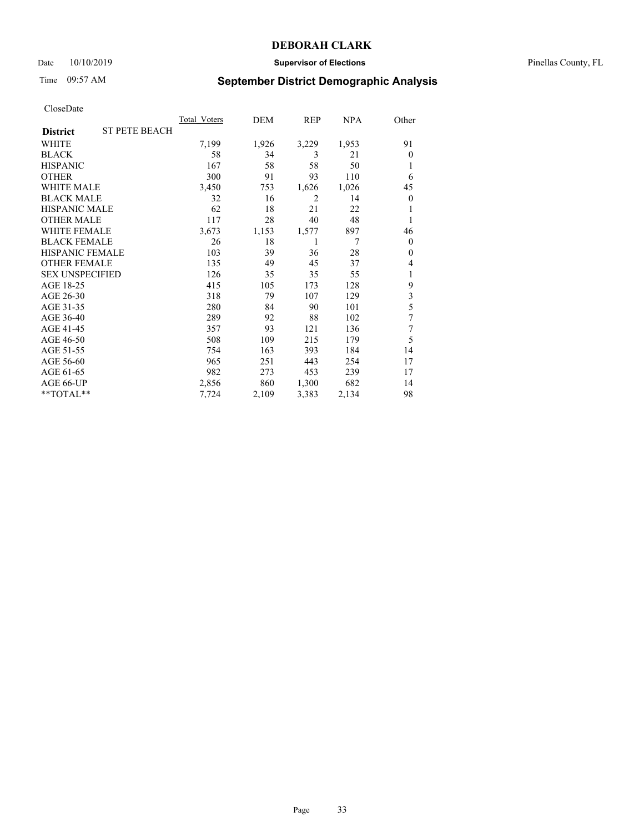### Date 10/10/2019 **Supervisor of Elections** Pinellas County, FL

# Time 09:57 AM **September District Demographic Analysis**

|                        |                      | Total Voters | DEM   | REP            | NPA   | Other            |
|------------------------|----------------------|--------------|-------|----------------|-------|------------------|
| <b>District</b>        | <b>ST PETE BEACH</b> |              |       |                |       |                  |
| WHITE                  |                      | 7,199        | 1,926 | 3,229          | 1,953 | 91               |
| <b>BLACK</b>           |                      | 58           | 34    | 3              | 21    | $\theta$         |
| <b>HISPANIC</b>        |                      | 167          | 58    | 58             | 50    | 1                |
| <b>OTHER</b>           |                      | 300          | 91    | 93             | 110   | 6                |
| <b>WHITE MALE</b>      |                      | 3,450        | 753   | 1,626          | 1,026 | 45               |
| <b>BLACK MALE</b>      |                      | 32           | 16    | $\overline{2}$ | 14    | $\boldsymbol{0}$ |
| <b>HISPANIC MALE</b>   |                      | 62           | 18    | 21             | 22    | 1                |
| <b>OTHER MALE</b>      |                      | 117          | 28    | 40             | 48    | 1                |
| <b>WHITE FEMALE</b>    |                      | 3,673        | 1,153 | 1,577          | 897   | 46               |
| <b>BLACK FEMALE</b>    |                      | 26           | 18    | 1              | 7     | $\mathbf{0}$     |
| <b>HISPANIC FEMALE</b> |                      | 103          | 39    | 36             | 28    | $\Omega$         |
| <b>OTHER FEMALE</b>    |                      | 135          | 49    | 45             | 37    | 4                |
| <b>SEX UNSPECIFIED</b> |                      | 126          | 35    | 35             | 55    | 1                |
| AGE 18-25              |                      | 415          | 105   | 173            | 128   | 9                |
| AGE 26-30              |                      | 318          | 79    | 107            | 129   | 3                |
| AGE 31-35              |                      | 280          | 84    | 90             | 101   | 5                |
| AGE 36-40              |                      | 289          | 92    | 88             | 102   | 7                |
| AGE 41-45              |                      | 357          | 93    | 121            | 136   | 7                |
| AGE 46-50              |                      | 508          | 109   | 215            | 179   | 5                |
| AGE 51-55              |                      | 754          | 163   | 393            | 184   | 14               |
| AGE 56-60              |                      | 965          | 251   | 443            | 254   | 17               |
| AGE 61-65              |                      | 982          | 273   | 453            | 239   | 17               |
| AGE 66-UP              |                      | 2,856        | 860   | 1,300          | 682   | 14               |
| **TOTAL**              |                      | 7,724        | 2,109 | 3,383          | 2,134 | 98               |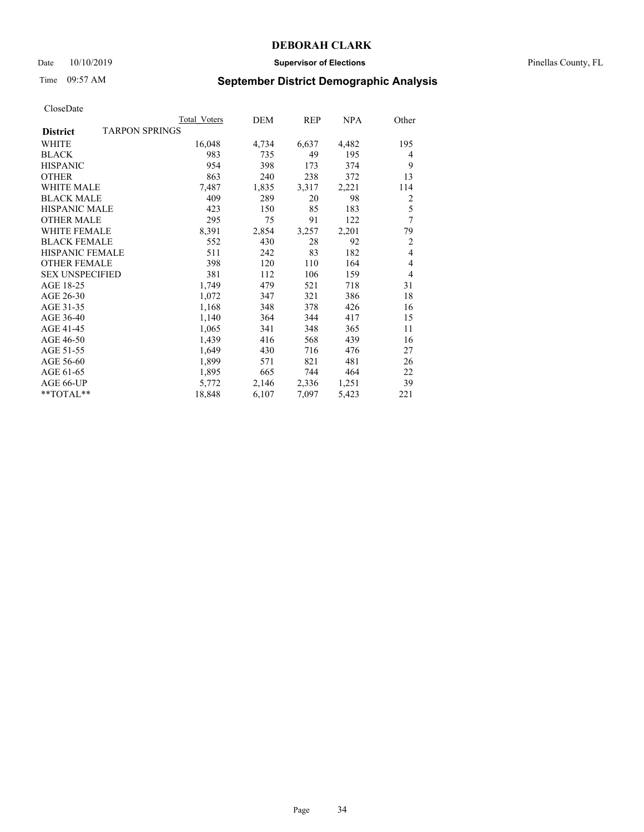### Date 10/10/2019 **Supervisor of Elections** Pinellas County, FL

# Time 09:57 AM **September District Demographic Analysis**

|                                          | Total Voters | DEM   | REP   | NPA   | Other          |
|------------------------------------------|--------------|-------|-------|-------|----------------|
| <b>TARPON SPRINGS</b><br><b>District</b> |              |       |       |       |                |
| WHITE                                    | 16,048       | 4,734 | 6,637 | 4,482 | 195            |
| <b>BLACK</b>                             | 983          | 735   | 49    | 195   | 4              |
| <b>HISPANIC</b>                          | 954          | 398   | 173   | 374   | 9              |
| <b>OTHER</b>                             | 863          | 240   | 238   | 372   | 13             |
| WHITE MALE                               | 7,487        | 1,835 | 3,317 | 2,221 | 114            |
| <b>BLACK MALE</b>                        | 409          | 289   | 20    | 98    | 2              |
| <b>HISPANIC MALE</b>                     | 423          | 150   | 85    | 183   | 5              |
| <b>OTHER MALE</b>                        | 295          | 75    | 91    | 122   | 7              |
| <b>WHITE FEMALE</b>                      | 8,391        | 2,854 | 3,257 | 2,201 | 79             |
| <b>BLACK FEMALE</b>                      | 552          | 430   | 28    | 92    | $\overline{2}$ |
| <b>HISPANIC FEMALE</b>                   | 511          | 242   | 83    | 182   | $\overline{4}$ |
| <b>OTHER FEMALE</b>                      | 398          | 120   | 110   | 164   | 4              |
| <b>SEX UNSPECIFIED</b>                   | 381          | 112   | 106   | 159   | $\overline{4}$ |
| AGE 18-25                                | 1,749        | 479   | 521   | 718   | 31             |
| AGE 26-30                                | 1,072        | 347   | 321   | 386   | 18             |
| AGE 31-35                                | 1,168        | 348   | 378   | 426   | 16             |
| AGE 36-40                                | 1,140        | 364   | 344   | 417   | 15             |
| AGE 41-45                                | 1,065        | 341   | 348   | 365   | 11             |
| AGE 46-50                                | 1,439        | 416   | 568   | 439   | 16             |
| AGE 51-55                                | 1,649        | 430   | 716   | 476   | 27             |
| AGE 56-60                                | 1,899        | 571   | 821   | 481   | 26             |
| AGE 61-65                                | 1,895        | 665   | 744   | 464   | 22             |
| AGE 66-UP                                | 5,772        | 2,146 | 2,336 | 1,251 | 39             |
| **TOTAL**                                | 18,848       | 6,107 | 7,097 | 5,423 | 221            |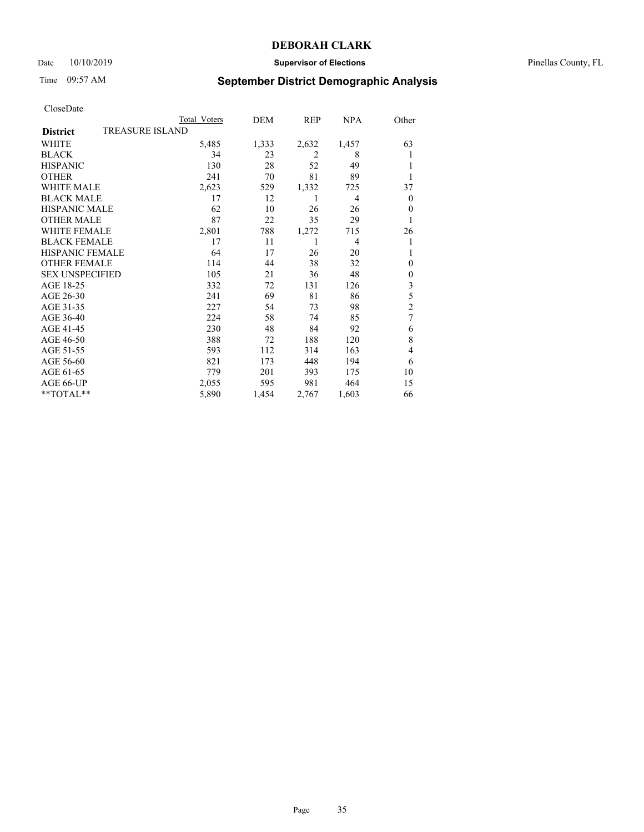### Date 10/10/2019 **Supervisor of Elections** Pinellas County, FL

# Time 09:57 AM **September District Demographic Analysis**

|                                           | Total Voters | DEM   | REP            | <b>NPA</b> | Other            |  |
|-------------------------------------------|--------------|-------|----------------|------------|------------------|--|
| <b>TREASURE ISLAND</b><br><b>District</b> |              |       |                |            |                  |  |
| WHITE                                     | 5,485        | 1,333 | 2,632          | 1,457      | 63               |  |
| <b>BLACK</b>                              | 34           | 23    | $\overline{2}$ | 8          | 1                |  |
| <b>HISPANIC</b>                           | 130          | 28    | 52             | 49         | 1                |  |
| <b>OTHER</b>                              | 241          | 70    | 81             | 89         |                  |  |
| WHITE MALE                                | 2,623        | 529   | 1,332          | 725        | 37               |  |
| <b>BLACK MALE</b>                         | 17           | 12    | 1              | 4          | $\boldsymbol{0}$ |  |
| <b>HISPANIC MALE</b>                      | 62           | 10    | 26             | 26         | $\mathbf{0}$     |  |
| <b>OTHER MALE</b>                         | 87           | 22    | 35             | 29         | 1                |  |
| <b>WHITE FEMALE</b>                       | 2,801        | 788   | 1,272          | 715        | 26               |  |
| <b>BLACK FEMALE</b>                       | 17           | 11    |                | 4          | 1                |  |
| <b>HISPANIC FEMALE</b>                    | 64           | 17    | 26             | 20         | 1                |  |
| <b>OTHER FEMALE</b>                       | 114          | 44    | 38             | 32         | $\theta$         |  |
| <b>SEX UNSPECIFIED</b>                    | 105          | 21    | 36             | 48         | $\mathbf{0}$     |  |
| AGE 18-25                                 | 332          | 72    | 131            | 126        | 3                |  |
| AGE 26-30                                 | 241          | 69    | 81             | 86         | 5                |  |
| AGE 31-35                                 | 227          | 54    | 73             | 98         | $\overline{2}$   |  |
| AGE 36-40                                 | 224          | 58    | 74             | 85         | 7                |  |
| AGE 41-45                                 | 230          | 48    | 84             | 92         | 6                |  |
| AGE 46-50                                 | 388          | 72    | 188            | 120        | 8                |  |
| AGE 51-55                                 | 593          | 112   | 314            | 163        | 4                |  |
| AGE 56-60                                 | 821          | 173   | 448            | 194        | 6                |  |
| AGE 61-65                                 | 779          | 201   | 393            | 175        | 10               |  |
| AGE 66-UP                                 | 2,055        | 595   | 981            | 464        | 15               |  |
| **TOTAL**                                 | 5,890        | 1,454 | 2,767          | 1,603      | 66               |  |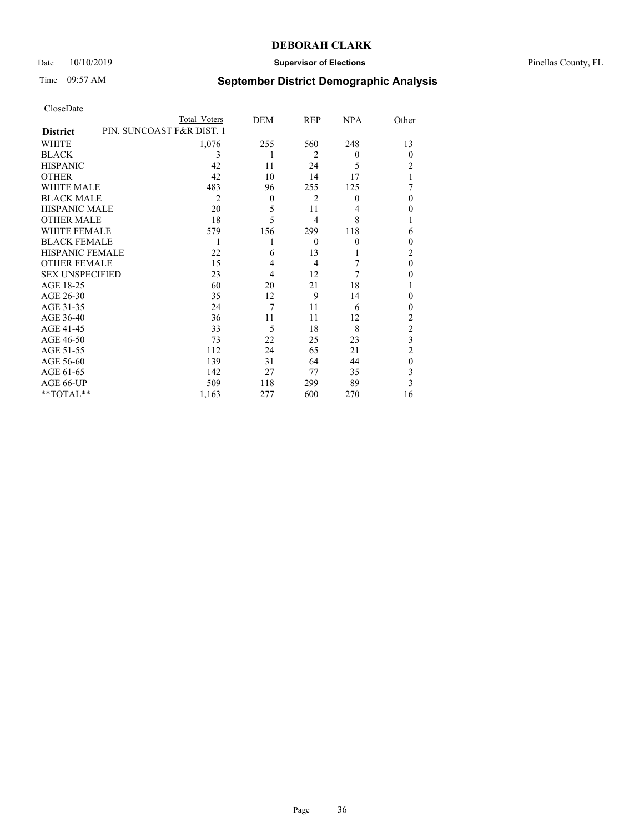## Date  $10/10/2019$  **Supervisor of Elections Supervisor of Elections** Pinellas County, FL

# Time 09:57 AM **September District Demographic Analysis**

|                                              | Total Voters | DEM      | <b>REP</b>     | <b>NPA</b> | Other          |
|----------------------------------------------|--------------|----------|----------------|------------|----------------|
| PIN. SUNCOAST F&R DIST. 1<br><b>District</b> |              |          |                |            |                |
| WHITE                                        | 1,076        | 255      | 560            | 248        | 13             |
| <b>BLACK</b>                                 | 3            | 1        | $\overline{2}$ | $\theta$   | $\Omega$       |
| <b>HISPANIC</b>                              | 42           | 11       | 24             | 5          | 2              |
| <b>OTHER</b>                                 | 42           | 10       | 14             | 17         |                |
| <b>WHITE MALE</b>                            | 483          | 96       | 255            | 125        |                |
| <b>BLACK MALE</b>                            | 2            | $\theta$ | $\overline{2}$ | $\theta$   | $\theta$       |
| <b>HISPANIC MALE</b>                         | 20           | 5        | 11             | 4          | 0              |
| <b>OTHER MALE</b>                            | 18           | 5        | 4              | 8          |                |
| <b>WHITE FEMALE</b>                          | 579          | 156      | 299            | 118        | 6              |
| <b>BLACK FEMALE</b>                          |              |          | $\theta$       | $\theta$   | $\theta$       |
| <b>HISPANIC FEMALE</b>                       | 22           | 6        | 13             |            | 2              |
| <b>OTHER FEMALE</b>                          | 15           | 4        | $\overline{4}$ | 7          | $\theta$       |
| <b>SEX UNSPECIFIED</b>                       | 23           | 4        | 12             | 7          | 0              |
| AGE 18-25                                    | 60           | 20       | 21             | 18         |                |
| AGE 26-30                                    | 35           | 12       | 9              | 14         | $\theta$       |
| AGE 31-35                                    | 24           | 7        | 11             | 6          | 0              |
| AGE 36-40                                    | 36           | 11       | 11             | 12         | $\overline{c}$ |
| AGE 41-45                                    | 33           | 5        | 18             | 8          | $\overline{c}$ |
| AGE 46-50                                    | 73           | 22       | 25             | 23         | 3              |
| AGE 51-55                                    | 112          | 24       | 65             | 21         | $\overline{2}$ |
| AGE 56-60                                    | 139          | 31       | 64             | 44         | $\theta$       |
| AGE 61-65                                    | 142          | 27       | 77             | 35         | 3              |
| AGE 66-UP                                    | 509          | 118      | 299            | 89         | 3              |
| **TOTAL**                                    | 1,163        | 277      | 600            | 270        | 16             |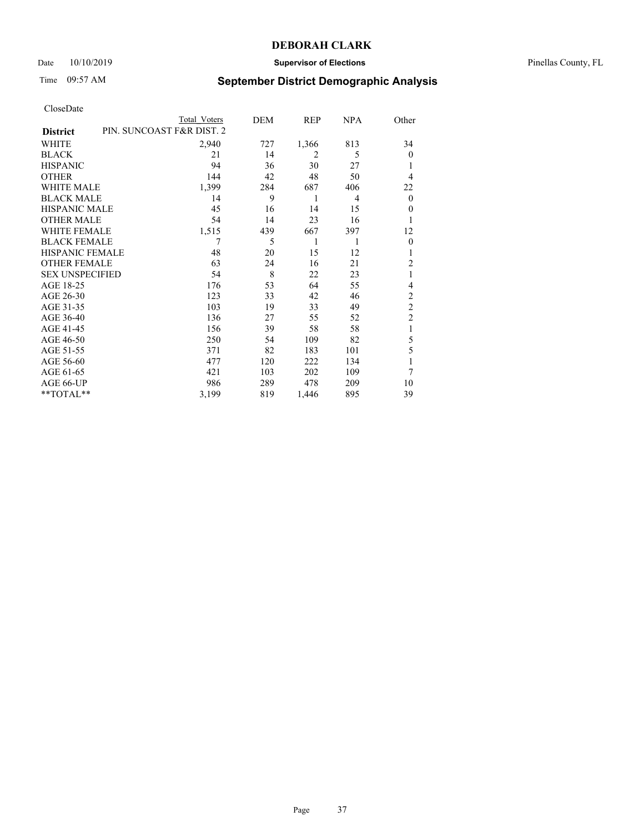### Date 10/10/2019 **Supervisor of Elections** Pinellas County, FL

# Time 09:57 AM **September District Demographic Analysis**

|                        | Total Voters              | DEM | REP            | <b>NPA</b> | Other          |
|------------------------|---------------------------|-----|----------------|------------|----------------|
| <b>District</b>        | PIN. SUNCOAST F&R DIST. 2 |     |                |            |                |
| WHITE                  | 2,940                     | 727 | 1,366          | 813        | 34             |
| <b>BLACK</b>           | 21                        | 14  | $\overline{2}$ | 5          | $\Omega$       |
| <b>HISPANIC</b>        | 94                        | 36  | 30             | 27         | 1              |
| <b>OTHER</b>           | 144                       | 42  | 48             | 50         | 4              |
| <b>WHITE MALE</b>      | 1,399                     | 284 | 687            | 406        | 22             |
| <b>BLACK MALE</b>      | 14                        | 9   | 1              | 4          | $\overline{0}$ |
| <b>HISPANIC MALE</b>   | 45                        | 16  | 14             | 15         | 0              |
| <b>OTHER MALE</b>      | 54                        | 14  | 23             | 16         |                |
| <b>WHITE FEMALE</b>    | 1,515                     | 439 | 667            | 397        | 12             |
| <b>BLACK FEMALE</b>    | 7                         | 5   | 1              | 1          | $\theta$       |
| <b>HISPANIC FEMALE</b> | 48                        | 20  | 15             | 12         | 1              |
| <b>OTHER FEMALE</b>    | 63                        | 24  | 16             | 21         | $\overline{2}$ |
| <b>SEX UNSPECIFIED</b> | 54                        | 8   | 22             | 23         | 1              |
| AGE 18-25              | 176                       | 53  | 64             | 55         | 4              |
| AGE 26-30              | 123                       | 33  | 42             | 46         | $\overline{c}$ |
| AGE 31-35              | 103                       | 19  | 33             | 49         | $\overline{c}$ |
| AGE 36-40              | 136                       | 27  | 55             | 52         | $\overline{2}$ |
| AGE 41-45              | 156                       | 39  | 58             | 58         | 1              |
| AGE 46-50              | 250                       | 54  | 109            | 82         | 5              |
| AGE 51-55              | 371                       | 82  | 183            | 101        | 5              |
| AGE 56-60              | 477                       | 120 | 222            | 134        |                |
| AGE 61-65              | 421                       | 103 | 202            | 109        | 7              |
| AGE 66-UP              | 986                       | 289 | 478            | 209        | 10             |
| **TOTAL**              | 3,199                     | 819 | 1,446          | 895        | 39             |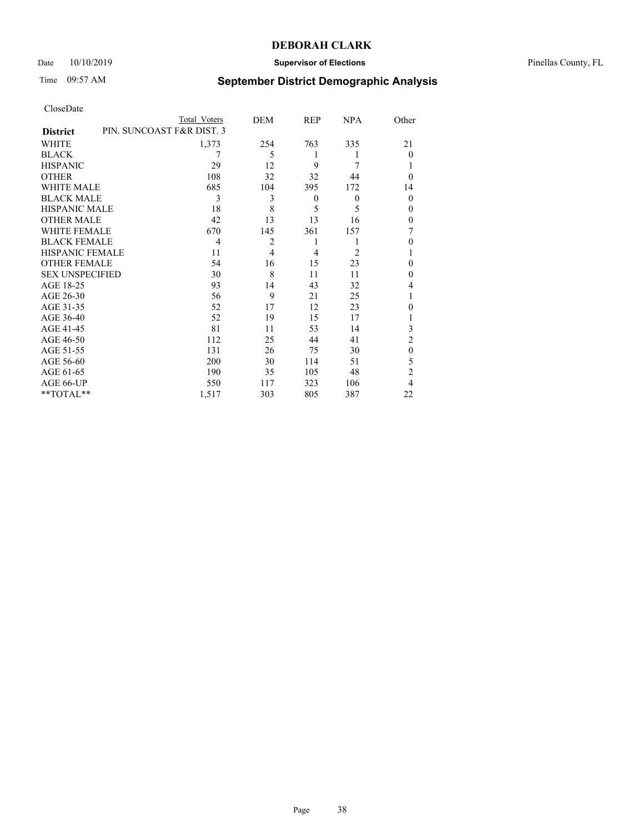### Date 10/10/2019 **Supervisor of Elections** Pinellas County, FL

## Time 09:57 AM **September District Demographic Analysis**

|                                              | Total Voters   | DEM            | REP      | <b>NPA</b>     | Other          |
|----------------------------------------------|----------------|----------------|----------|----------------|----------------|
| PIN. SUNCOAST F&R DIST. 3<br><b>District</b> |                |                |          |                |                |
| WHITE                                        | 1,373          | 254            | 763      | 335            | 21             |
| <b>BLACK</b>                                 | 7              | 5              | 1        | 1              | $\Omega$       |
| <b>HISPANIC</b>                              | 29             | 12             | 9        | 7              |                |
| <b>OTHER</b>                                 | 108            | 32             | 32       | 44             | $\Omega$       |
| <b>WHITE MALE</b>                            | 685            | 104            | 395      | 172            | 14             |
| <b>BLACK MALE</b>                            | 3              | 3              | $\theta$ | $\theta$       | $\theta$       |
| <b>HISPANIC MALE</b>                         | 18             | 8              | 5        | 5              | 0              |
| <b>OTHER MALE</b>                            | 42             | 13             | 13       | 16             | 0              |
| <b>WHITE FEMALE</b>                          | 670            | 145            | 361      | 157            |                |
| <b>BLACK FEMALE</b>                          | $\overline{4}$ | $\overline{2}$ | 1        | 1              | 0              |
| <b>HISPANIC FEMALE</b>                       | 11             | $\overline{4}$ | 4        | $\overline{2}$ |                |
| <b>OTHER FEMALE</b>                          | 54             | 16             | 15       | 23             | 0              |
| <b>SEX UNSPECIFIED</b>                       | 30             | 8              | 11       | 11             | $\Omega$       |
| AGE 18-25                                    | 93             | 14             | 43       | 32             | 4              |
| AGE 26-30                                    | 56             | 9              | 21       | 25             |                |
| AGE 31-35                                    | 52             | 17             | 12       | 23             | 0              |
| AGE 36-40                                    | 52             | 19             | 15       | 17             |                |
| AGE 41-45                                    | 81             | 11             | 53       | 14             | 3              |
| AGE 46-50                                    | 112            | 25             | 44       | 41             | $\overline{2}$ |
| AGE 51-55                                    | 131            | 26             | 75       | 30             | $\theta$       |
| AGE 56-60                                    | 200            | 30             | 114      | 51             | 5              |
| AGE 61-65                                    | 190            | 35             | 105      | 48             | $\overline{c}$ |
| AGE 66-UP                                    | 550            | 117            | 323      | 106            | 4              |
| **TOTAL**                                    | 1,517          | 303            | 805      | 387            | 22             |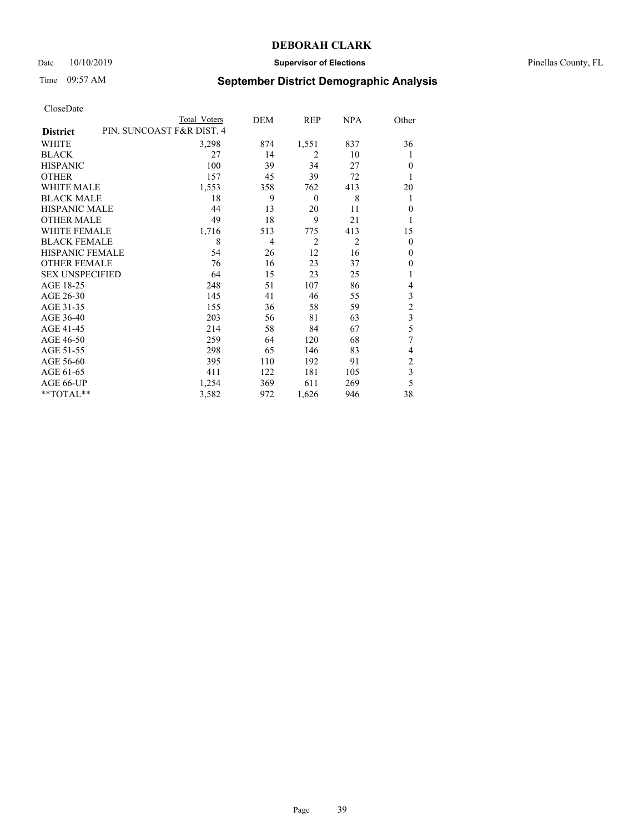### Date 10/10/2019 **Supervisor of Elections** Pinellas County, FL

## Time 09:57 AM **September District Demographic Analysis**

|                                              | Total Voters | DEM            | REP            | <b>NPA</b>     | Other          |
|----------------------------------------------|--------------|----------------|----------------|----------------|----------------|
| PIN. SUNCOAST F&R DIST. 4<br><b>District</b> |              |                |                |                |                |
| WHITE                                        | 3,298        | 874            | 1,551          | 837            | 36             |
| <b>BLACK</b>                                 | 27           | 14             | $\overline{2}$ | 10             | 1              |
| <b>HISPANIC</b>                              | 100          | 39             | 34             | 27             | $\theta$       |
| <b>OTHER</b>                                 | 157          | 45             | 39             | 72             | 1              |
| <b>WHITE MALE</b>                            | 1,553        | 358            | 762            | 413            | 20             |
| <b>BLACK MALE</b>                            | 18           | 9              | $\theta$       | 8              | 1              |
| HISPANIC MALE                                | 44           | 13             | 20             | 11             | $\theta$       |
| <b>OTHER MALE</b>                            | 49           | 18             | 9              | 21             |                |
| <b>WHITE FEMALE</b>                          | 1,716        | 513            | 775            | 413            | 15             |
| <b>BLACK FEMALE</b>                          | 8            | $\overline{4}$ | $\overline{2}$ | $\overline{2}$ | $\theta$       |
| <b>HISPANIC FEMALE</b>                       | 54           | 26             | 12             | 16             | $\theta$       |
| <b>OTHER FEMALE</b>                          | 76           | 16             | 23             | 37             | 0              |
| <b>SEX UNSPECIFIED</b>                       | 64           | 15             | 23             | 25             | 1              |
| AGE 18-25                                    | 248          | 51             | 107            | 86             | 4              |
| AGE 26-30                                    | 145          | 41             | 46             | 55             | 3              |
| AGE 31-35                                    | 155          | 36             | 58             | 59             | $\overline{c}$ |
| AGE 36-40                                    | 203          | 56             | 81             | 63             | 3              |
| AGE 41-45                                    | 214          | 58             | 84             | 67             | 5              |
| AGE 46-50                                    | 259          | 64             | 120            | 68             | 7              |
| AGE 51-55                                    | 298          | 65             | 146            | 83             | 4              |
| AGE 56-60                                    | 395          | 110            | 192            | 91             | $\overline{c}$ |
| AGE 61-65                                    | 411          | 122            | 181            | 105            | 3              |
| AGE 66-UP                                    | 1,254        | 369            | 611            | 269            | 5              |
| **TOTAL**                                    | 3,582        | 972            | 1,626          | 946            | 38             |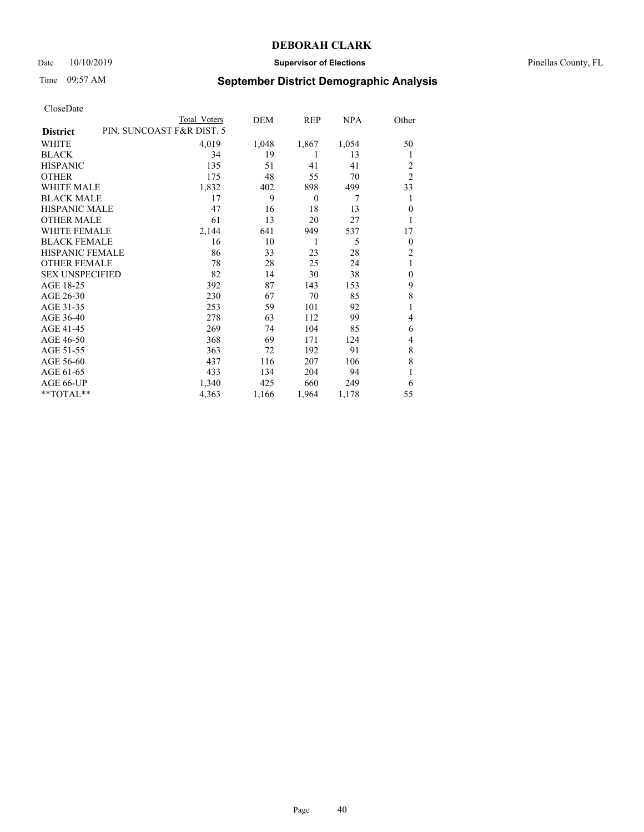### Date 10/10/2019 **Supervisor of Elections** Pinellas County, FL

## Time 09:57 AM **September District Demographic Analysis**

|                        | Total Voters              | DEM   | REP      | NPA   | Other          |
|------------------------|---------------------------|-------|----------|-------|----------------|
| <b>District</b>        | PIN. SUNCOAST F&R DIST. 5 |       |          |       |                |
| WHITE                  | 4,019                     | 1,048 | 1,867    | 1,054 | 50             |
| <b>BLACK</b>           | 34                        | 19    | 1        | 13    | 1              |
| <b>HISPANIC</b>        | 135                       | 51    | 41       | 41    | 2              |
| <b>OTHER</b>           | 175                       | 48    | 55       | 70    | $\overline{2}$ |
| <b>WHITE MALE</b>      | 1,832                     | 402   | 898      | 499   | 33             |
| <b>BLACK MALE</b>      | 17                        | 9     | $\theta$ | 7     | 1              |
| <b>HISPANIC MALE</b>   | 47                        | 16    | 18       | 13    | $\theta$       |
| <b>OTHER MALE</b>      | 61                        | 13    | 20       | 27    | 1              |
| <b>WHITE FEMALE</b>    | 2,144                     | 641   | 949      | 537   | 17             |
| <b>BLACK FEMALE</b>    | 16                        | 10    | 1        | 5     | $\theta$       |
| <b>HISPANIC FEMALE</b> | 86                        | 33    | 23       | 28    | $\overline{2}$ |
| <b>OTHER FEMALE</b>    | 78                        | 28    | 25       | 24    | 1              |
| <b>SEX UNSPECIFIED</b> | 82                        | 14    | 30       | 38    | $\mathbf{0}$   |
| AGE 18-25              | 392                       | 87    | 143      | 153   | 9              |
| AGE 26-30              | 230                       | 67    | 70       | 85    | 8              |
| AGE 31-35              | 253                       | 59    | 101      | 92    |                |
| AGE 36-40              | 278                       | 63    | 112      | 99    | 4              |
| AGE 41-45              | 269                       | 74    | 104      | 85    | 6              |
| AGE 46-50              | 368                       | 69    | 171      | 124   | 4              |
| AGE 51-55              | 363                       | 72    | 192      | 91    | 8              |
| AGE 56-60              | 437                       | 116   | 207      | 106   | 8              |
| AGE 61-65              | 433                       | 134   | 204      | 94    | 1              |
| AGE 66-UP              | 1,340                     | 425   | 660      | 249   | 6              |
| **TOTAL**              | 4,363                     | 1,166 | 1,964    | 1,178 | 55             |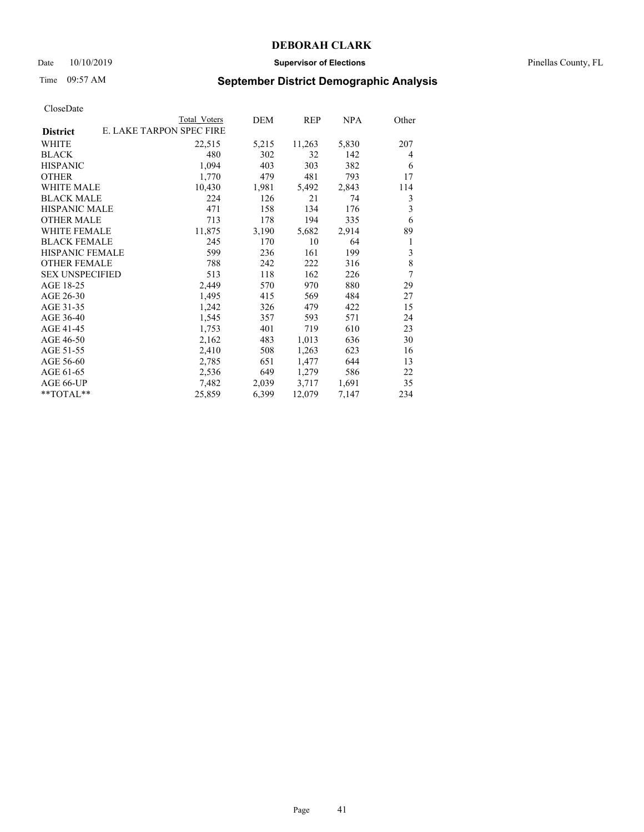### Date 10/10/2019 **Supervisor of Elections** Pinellas County, FL

# Time 09:57 AM **September District Demographic Analysis**

|                        | Total Voters             | DEM   | REP    | NPA   | Other |
|------------------------|--------------------------|-------|--------|-------|-------|
| <b>District</b>        | E. LAKE TARPON SPEC FIRE |       |        |       |       |
| WHITE                  | 22,515                   | 5,215 | 11,263 | 5,830 | 207   |
| <b>BLACK</b>           | 480                      | 302   | 32     | 142   | 4     |
| <b>HISPANIC</b>        | 1,094                    | 403   | 303    | 382   | 6     |
| <b>OTHER</b>           | 1,770                    | 479   | 481    | 793   | 17    |
| WHITE MALE             | 10,430                   | 1,981 | 5,492  | 2,843 | 114   |
| <b>BLACK MALE</b>      | 224                      | 126   | 21     | 74    | 3     |
| <b>HISPANIC MALE</b>   | 471                      | 158   | 134    | 176   | 3     |
| <b>OTHER MALE</b>      | 713                      | 178   | 194    | 335   | 6     |
| WHITE FEMALE           | 11,875                   | 3,190 | 5,682  | 2,914 | 89    |
| <b>BLACK FEMALE</b>    | 245                      | 170   | 10     | 64    | 1     |
| HISPANIC FEMALE        | 599                      | 236   | 161    | 199   | 3     |
| <b>OTHER FEMALE</b>    | 788                      | 242   | 222    | 316   | 8     |
| <b>SEX UNSPECIFIED</b> | 513                      | 118   | 162    | 226   | 7     |
| AGE 18-25              | 2,449                    | 570   | 970    | 880   | 29    |
| AGE 26-30              | 1,495                    | 415   | 569    | 484   | 27    |
| AGE 31-35              | 1,242                    | 326   | 479    | 422   | 15    |
| AGE 36-40              | 1,545                    | 357   | 593    | 571   | 24    |
| AGE 41-45              | 1,753                    | 401   | 719    | 610   | 23    |
| AGE 46-50              | 2,162                    | 483   | 1,013  | 636   | 30    |
| AGE 51-55              | 2,410                    | 508   | 1,263  | 623   | 16    |
| AGE 56-60              | 2,785                    | 651   | 1,477  | 644   | 13    |
| AGE 61-65              | 2,536                    | 649   | 1,279  | 586   | 22    |
| AGE 66-UP              | 7,482                    | 2,039 | 3,717  | 1,691 | 35    |
| **TOTAL**              | 25,859                   | 6,399 | 12,079 | 7,147 | 234   |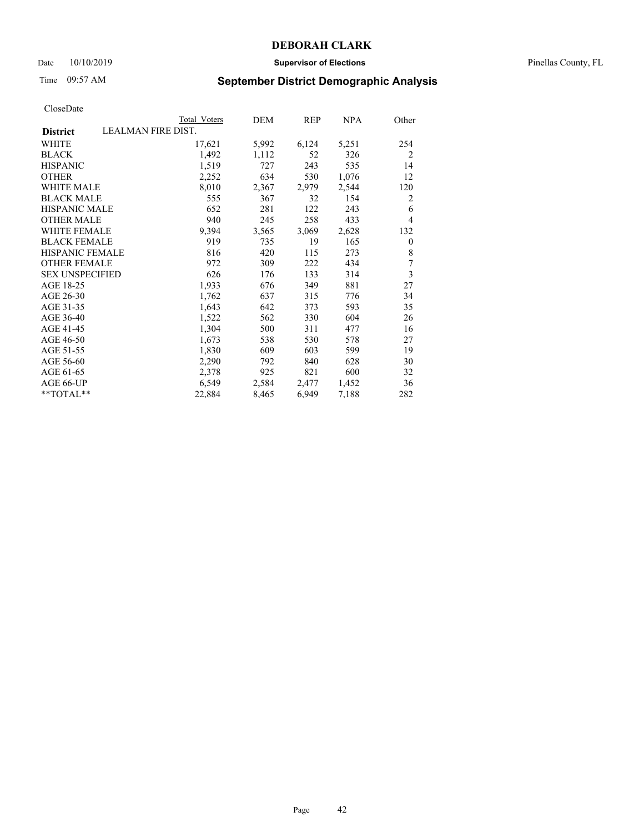### Date 10/10/2019 **Supervisor of Elections** Pinellas County, FL

# Time 09:57 AM **September District Demographic Analysis**

|                        | Total Voters       | DEM   | <b>REP</b> | NPA   | Other          |
|------------------------|--------------------|-------|------------|-------|----------------|
| <b>District</b>        | LEALMAN FIRE DIST. |       |            |       |                |
| WHITE                  | 17,621             | 5,992 | 6,124      | 5,251 | 254            |
| <b>BLACK</b>           | 1,492              | 1,112 | 52         | 326   | $\overline{2}$ |
| <b>HISPANIC</b>        | 1,519              | 727   | 243        | 535   | 14             |
| <b>OTHER</b>           | 2,252              | 634   | 530        | 1,076 | 12             |
| WHITE MALE             | 8,010              | 2,367 | 2,979      | 2,544 | 120            |
| <b>BLACK MALE</b>      | 555                | 367   | 32         | 154   | $\overline{2}$ |
| <b>HISPANIC MALE</b>   | 652                | 281   | 122        | 243   | 6              |
| <b>OTHER MALE</b>      | 940                | 245   | 258        | 433   | 4              |
| <b>WHITE FEMALE</b>    | 9,394              | 3,565 | 3,069      | 2,628 | 132            |
| <b>BLACK FEMALE</b>    | 919                | 735   | 19         | 165   | $\overline{0}$ |
| HISPANIC FEMALE        | 816                | 420   | 115        | 273   | 8              |
| <b>OTHER FEMALE</b>    | 972                | 309   | 222        | 434   | 7              |
| <b>SEX UNSPECIFIED</b> | 626                | 176   | 133        | 314   | $\overline{3}$ |
| AGE 18-25              | 1,933              | 676   | 349        | 881   | 27             |
| AGE 26-30              | 1,762              | 637   | 315        | 776   | 34             |
| AGE 31-35              | 1,643              | 642   | 373        | 593   | 35             |
| AGE 36-40              | 1,522              | 562   | 330        | 604   | 26             |
| AGE 41-45              | 1,304              | 500   | 311        | 477   | 16             |
| AGE 46-50              | 1,673              | 538   | 530        | 578   | 27             |
| AGE 51-55              | 1,830              | 609   | 603        | 599   | 19             |
| AGE 56-60              | 2,290              | 792   | 840        | 628   | 30             |
| AGE 61-65              | 2,378              | 925   | 821        | 600   | 32             |
| AGE 66-UP              | 6,549              | 2,584 | 2,477      | 1,452 | 36             |
| **TOTAL**              | 22,884             | 8,465 | 6,949      | 7,188 | 282            |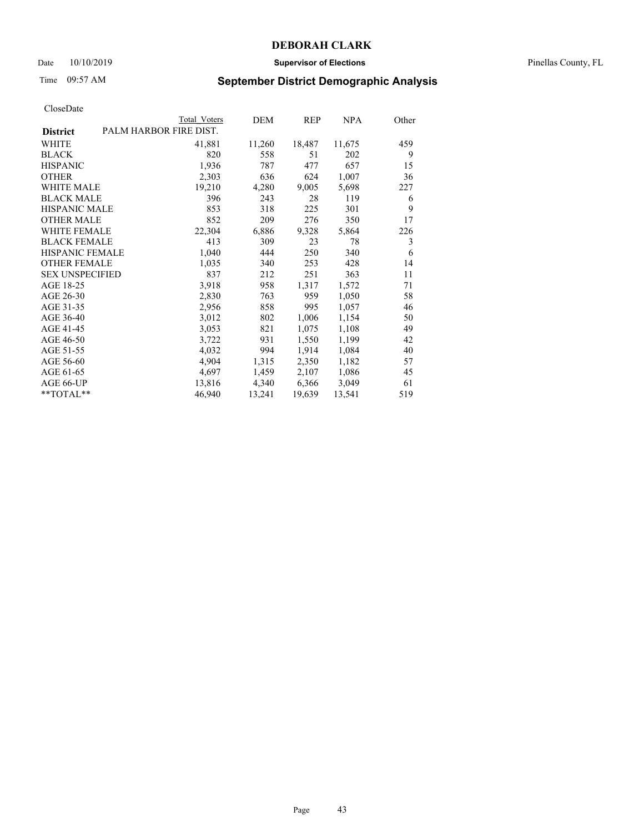### Date 10/10/2019 **Supervisor of Elections** Pinellas County, FL

# Time 09:57 AM **September District Demographic Analysis**

|                        | Total Voters           | DEM    | REP    | NPA    | Other |
|------------------------|------------------------|--------|--------|--------|-------|
| <b>District</b>        | PALM HARBOR FIRE DIST. |        |        |        |       |
| WHITE                  | 41,881                 | 11,260 | 18,487 | 11,675 | 459   |
| <b>BLACK</b>           | 820                    | 558    | 51     | 202    | 9     |
| <b>HISPANIC</b>        | 1,936                  | 787    | 477    | 657    | 15    |
| <b>OTHER</b>           | 2,303                  | 636    | 624    | 1,007  | 36    |
| WHITE MALE             | 19,210                 | 4,280  | 9,005  | 5,698  | 227   |
| <b>BLACK MALE</b>      | 396                    | 243    | 28     | 119    | 6     |
| <b>HISPANIC MALE</b>   | 853                    | 318    | 225    | 301    | 9     |
| <b>OTHER MALE</b>      | 852                    | 209    | 276    | 350    | 17    |
| <b>WHITE FEMALE</b>    | 22,304                 | 6,886  | 9,328  | 5,864  | 226   |
| <b>BLACK FEMALE</b>    | 413                    | 309    | 23     | 78     | 3     |
| <b>HISPANIC FEMALE</b> | 1,040                  | 444    | 250    | 340    | 6     |
| <b>OTHER FEMALE</b>    | 1,035                  | 340    | 253    | 428    | 14    |
| <b>SEX UNSPECIFIED</b> | 837                    | 212    | 251    | 363    | 11    |
| AGE 18-25              | 3,918                  | 958    | 1,317  | 1,572  | 71    |
| AGE 26-30              | 2,830                  | 763    | 959    | 1,050  | 58    |
| AGE 31-35              | 2,956                  | 858    | 995    | 1,057  | 46    |
| AGE 36-40              | 3,012                  | 802    | 1,006  | 1,154  | 50    |
| AGE 41-45              | 3,053                  | 821    | 1,075  | 1,108  | 49    |
| AGE 46-50              | 3,722                  | 931    | 1,550  | 1,199  | 42    |
| AGE 51-55              | 4,032                  | 994    | 1,914  | 1,084  | 40    |
| AGE 56-60              | 4,904                  | 1,315  | 2,350  | 1,182  | 57    |
| AGE 61-65              | 4,697                  | 1,459  | 2,107  | 1,086  | 45    |
| AGE 66-UP              | 13,816                 | 4,340  | 6,366  | 3,049  | 61    |
| $*$ $TOTAL**$          | 46,940                 | 13,241 | 19,639 | 13,541 | 519   |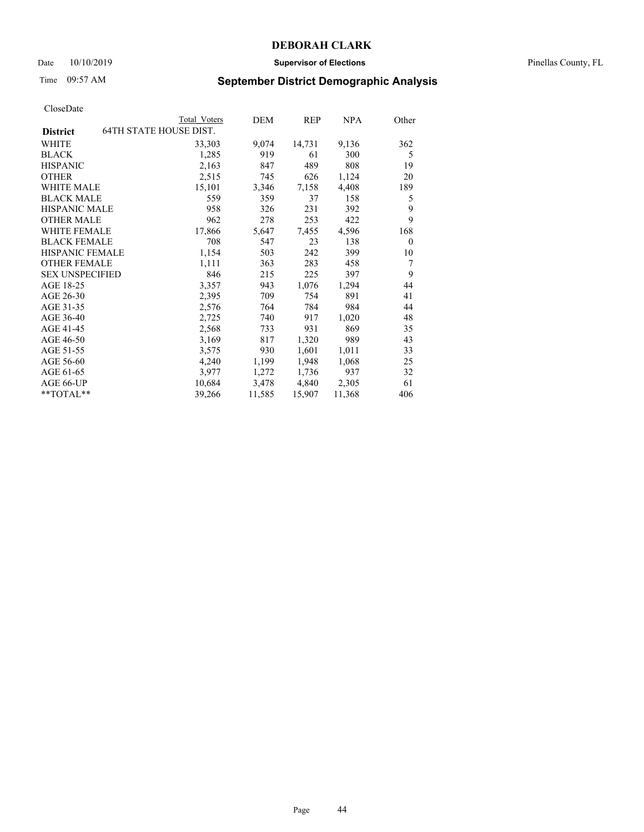### Date 10/10/2019 **Supervisor of Elections** Pinellas County, FL

# Time 09:57 AM **September District Demographic Analysis**

|                        | Total Voters           | DEM    | REP    | NPA    | Other    |
|------------------------|------------------------|--------|--------|--------|----------|
| <b>District</b>        | 64TH STATE HOUSE DIST. |        |        |        |          |
| WHITE                  | 33,303                 | 9,074  | 14,731 | 9,136  | 362      |
| <b>BLACK</b>           | 1,285                  | 919    | 61     | 300    | 5        |
| <b>HISPANIC</b>        | 2,163                  | 847    | 489    | 808    | 19       |
| <b>OTHER</b>           | 2,515                  | 745    | 626    | 1,124  | 20       |
| WHITE MALE             | 15,101                 | 3,346  | 7,158  | 4,408  | 189      |
| <b>BLACK MALE</b>      | 559                    | 359    | 37     | 158    | 5        |
| <b>HISPANIC MALE</b>   | 958                    | 326    | 231    | 392    | 9        |
| <b>OTHER MALE</b>      | 962                    | 278    | 253    | 422    | 9        |
| <b>WHITE FEMALE</b>    | 17,866                 | 5,647  | 7,455  | 4,596  | 168      |
| <b>BLACK FEMALE</b>    | 708                    | 547    | 23     | 138    | $\theta$ |
| <b>HISPANIC FEMALE</b> | 1,154                  | 503    | 242    | 399    | 10       |
| <b>OTHER FEMALE</b>    | 1,111                  | 363    | 283    | 458    | 7        |
| <b>SEX UNSPECIFIED</b> | 846                    | 215    | 225    | 397    | 9        |
| AGE 18-25              | 3,357                  | 943    | 1,076  | 1,294  | 44       |
| AGE 26-30              | 2,395                  | 709    | 754    | 891    | 41       |
| AGE 31-35              | 2,576                  | 764    | 784    | 984    | 44       |
| AGE 36-40              | 2,725                  | 740    | 917    | 1,020  | 48       |
| AGE 41-45              | 2,568                  | 733    | 931    | 869    | 35       |
| AGE 46-50              | 3,169                  | 817    | 1,320  | 989    | 43       |
| AGE 51-55              | 3,575                  | 930    | 1,601  | 1,011  | 33       |
| AGE 56-60              | 4,240                  | 1,199  | 1,948  | 1,068  | 25       |
| AGE 61-65              | 3,977                  | 1,272  | 1,736  | 937    | 32       |
| AGE 66-UP              | 10,684                 | 3,478  | 4,840  | 2,305  | 61       |
| $*$ $TOTAL**$          | 39,266                 | 11,585 | 15,907 | 11,368 | 406      |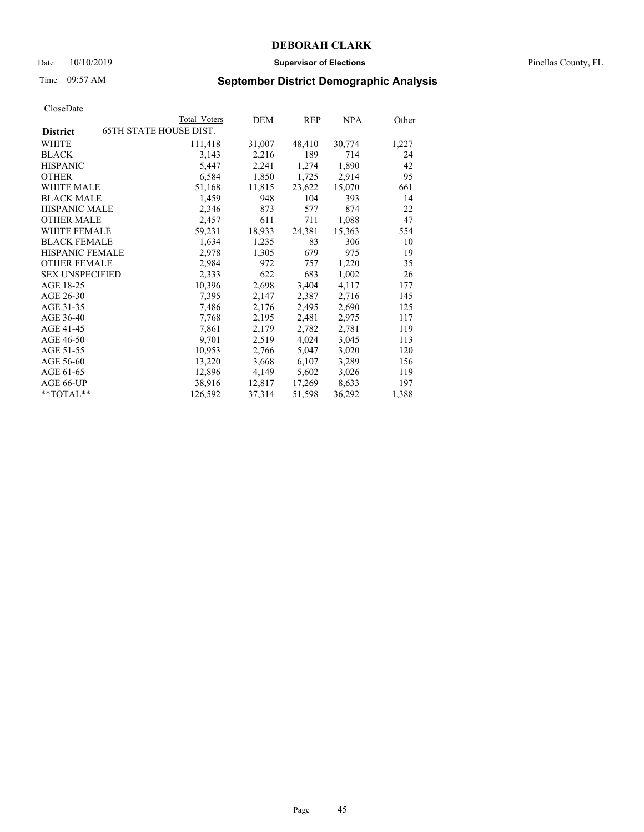### Date 10/10/2019 **Supervisor of Elections** Pinellas County, FL

# Time 09:57 AM **September District Demographic Analysis**

|                                                  | Total Voters | DEM    | <b>REP</b> | NPA    | Other |
|--------------------------------------------------|--------------|--------|------------|--------|-------|
| <b>65TH STATE HOUSE DIST.</b><br><b>District</b> |              |        |            |        |       |
| WHITE                                            | 111,418      | 31,007 | 48,410     | 30,774 | 1,227 |
| <b>BLACK</b>                                     | 3,143        | 2,216  | 189        | 714    | 24    |
| <b>HISPANIC</b>                                  | 5,447        | 2,241  | 1,274      | 1,890  | 42    |
| <b>OTHER</b>                                     | 6,584        | 1,850  | 1,725      | 2,914  | 95    |
| WHITE MALE                                       | 51,168       | 11,815 | 23,622     | 15,070 | 661   |
| <b>BLACK MALE</b>                                | 1,459        | 948    | 104        | 393    | 14    |
| <b>HISPANIC MALE</b>                             | 2,346        | 873    | 577        | 874    | 22    |
| <b>OTHER MALE</b>                                | 2,457        | 611    | 711        | 1,088  | 47    |
| <b>WHITE FEMALE</b>                              | 59,231       | 18,933 | 24,381     | 15,363 | 554   |
| <b>BLACK FEMALE</b>                              | 1,634        | 1,235  | 83         | 306    | 10    |
| <b>HISPANIC FEMALE</b>                           | 2,978        | 1,305  | 679        | 975    | 19    |
| <b>OTHER FEMALE</b>                              | 2,984        | 972    | 757        | 1,220  | 35    |
| <b>SEX UNSPECIFIED</b>                           | 2,333        | 622    | 683        | 1,002  | 26    |
| AGE 18-25                                        | 10,396       | 2,698  | 3,404      | 4,117  | 177   |
| AGE 26-30                                        | 7,395        | 2,147  | 2,387      | 2,716  | 145   |
| AGE 31-35                                        | 7,486        | 2,176  | 2,495      | 2,690  | 125   |
| AGE 36-40                                        | 7,768        | 2,195  | 2,481      | 2,975  | 117   |
| AGE 41-45                                        | 7,861        | 2,179  | 2,782      | 2,781  | 119   |
| AGE 46-50                                        | 9,701        | 2,519  | 4,024      | 3,045  | 113   |
| AGE 51-55                                        | 10,953       | 2,766  | 5,047      | 3,020  | 120   |
| AGE 56-60                                        | 13,220       | 3,668  | 6,107      | 3,289  | 156   |
| AGE 61-65                                        | 12,896       | 4,149  | 5,602      | 3,026  | 119   |
| AGE 66-UP                                        | 38,916       | 12,817 | 17,269     | 8,633  | 197   |
| $*$ TOTAL $*$                                    | 126,592      | 37,314 | 51,598     | 36,292 | 1,388 |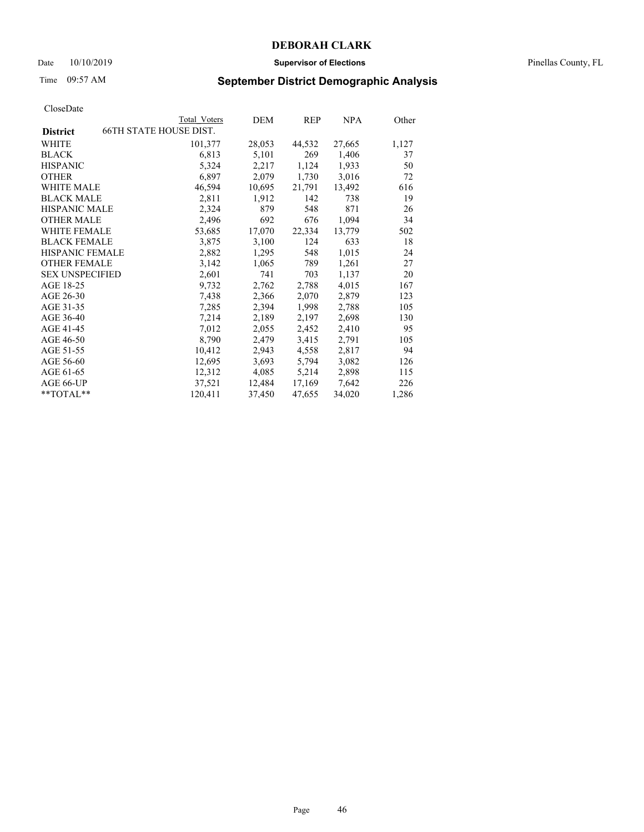### Date 10/10/2019 **Supervisor of Elections** Pinellas County, FL

# Time 09:57 AM **September District Demographic Analysis**

|                                                  | Total Voters | DEM    | <b>REP</b> | NPA    | Other |
|--------------------------------------------------|--------------|--------|------------|--------|-------|
| <b>66TH STATE HOUSE DIST.</b><br><b>District</b> |              |        |            |        |       |
| WHITE                                            | 101,377      | 28,053 | 44,532     | 27,665 | 1,127 |
| <b>BLACK</b>                                     | 6,813        | 5,101  | 269        | 1,406  | 37    |
| <b>HISPANIC</b>                                  | 5,324        | 2,217  | 1,124      | 1,933  | 50    |
| <b>OTHER</b>                                     | 6,897        | 2,079  | 1,730      | 3,016  | 72    |
| WHITE MALE                                       | 46,594       | 10,695 | 21,791     | 13,492 | 616   |
| <b>BLACK MALE</b>                                | 2,811        | 1,912  | 142        | 738    | 19    |
| <b>HISPANIC MALE</b>                             | 2,324        | 879    | 548        | 871    | 26    |
| <b>OTHER MALE</b>                                | 2,496        | 692    | 676        | 1,094  | 34    |
| <b>WHITE FEMALE</b>                              | 53,685       | 17,070 | 22,334     | 13,779 | 502   |
| <b>BLACK FEMALE</b>                              | 3,875        | 3,100  | 124        | 633    | 18    |
| <b>HISPANIC FEMALE</b>                           | 2,882        | 1,295  | 548        | 1,015  | 24    |
| <b>OTHER FEMALE</b>                              | 3,142        | 1,065  | 789        | 1,261  | 27    |
| <b>SEX UNSPECIFIED</b>                           | 2,601        | 741    | 703        | 1,137  | 20    |
| AGE 18-25                                        | 9,732        | 2,762  | 2,788      | 4,015  | 167   |
| AGE 26-30                                        | 7,438        | 2,366  | 2,070      | 2,879  | 123   |
| AGE 31-35                                        | 7,285        | 2,394  | 1,998      | 2,788  | 105   |
| AGE 36-40                                        | 7,214        | 2,189  | 2,197      | 2,698  | 130   |
| AGE 41-45                                        | 7,012        | 2,055  | 2,452      | 2,410  | 95    |
| AGE 46-50                                        | 8,790        | 2,479  | 3,415      | 2,791  | 105   |
| AGE 51-55                                        | 10,412       | 2,943  | 4,558      | 2,817  | 94    |
| AGE 56-60                                        | 12,695       | 3,693  | 5,794      | 3,082  | 126   |
| AGE 61-65                                        | 12,312       | 4,085  | 5,214      | 2,898  | 115   |
| AGE 66-UP                                        | 37,521       | 12,484 | 17,169     | 7,642  | 226   |
| $*$ $TOTAL**$                                    | 120,411      | 37,450 | 47,655     | 34,020 | 1,286 |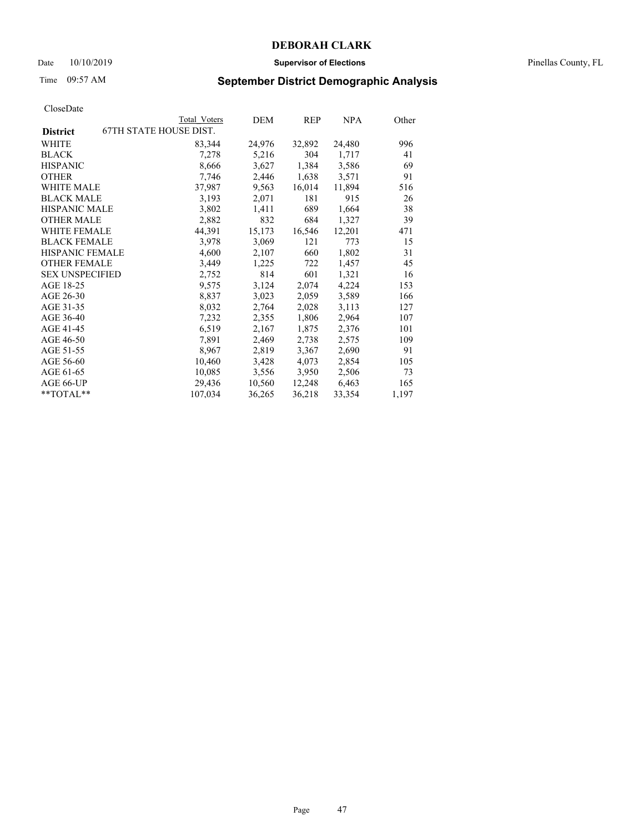### Date 10/10/2019 **Supervisor of Elections** Pinellas County, FL

# Time 09:57 AM **September District Demographic Analysis**

|                        |                        | Total Voters | DEM    | REP    | NPA    | Other |
|------------------------|------------------------|--------------|--------|--------|--------|-------|
| <b>District</b>        | 67TH STATE HOUSE DIST. |              |        |        |        |       |
| WHITE                  |                        | 83,344       | 24,976 | 32,892 | 24,480 | 996   |
| <b>BLACK</b>           |                        | 7,278        | 5,216  | 304    | 1,717  | 41    |
| <b>HISPANIC</b>        |                        | 8,666        | 3,627  | 1,384  | 3,586  | 69    |
| <b>OTHER</b>           |                        | 7,746        | 2,446  | 1,638  | 3,571  | 91    |
| <b>WHITE MALE</b>      |                        | 37,987       | 9,563  | 16,014 | 11,894 | 516   |
| <b>BLACK MALE</b>      |                        | 3,193        | 2,071  | 181    | 915    | 26    |
| <b>HISPANIC MALE</b>   |                        | 3,802        | 1,411  | 689    | 1,664  | 38    |
| <b>OTHER MALE</b>      |                        | 2,882        | 832    | 684    | 1,327  | 39    |
| <b>WHITE FEMALE</b>    |                        | 44,391       | 15,173 | 16,546 | 12,201 | 471   |
| <b>BLACK FEMALE</b>    |                        | 3,978        | 3,069  | 121    | 773    | 15    |
| <b>HISPANIC FEMALE</b> |                        | 4,600        | 2,107  | 660    | 1,802  | 31    |
| <b>OTHER FEMALE</b>    |                        | 3,449        | 1,225  | 722    | 1,457  | 45    |
| <b>SEX UNSPECIFIED</b> |                        | 2,752        | 814    | 601    | 1,321  | 16    |
| AGE 18-25              |                        | 9,575        | 3,124  | 2,074  | 4,224  | 153   |
| AGE 26-30              |                        | 8,837        | 3,023  | 2,059  | 3,589  | 166   |
| AGE 31-35              |                        | 8,032        | 2,764  | 2,028  | 3,113  | 127   |
| AGE 36-40              |                        | 7,232        | 2,355  | 1,806  | 2,964  | 107   |
| AGE 41-45              |                        | 6,519        | 2,167  | 1,875  | 2,376  | 101   |
| AGE 46-50              |                        | 7,891        | 2,469  | 2,738  | 2,575  | 109   |
| AGE 51-55              |                        | 8,967        | 2,819  | 3,367  | 2,690  | 91    |
| AGE 56-60              |                        | 10,460       | 3,428  | 4,073  | 2,854  | 105   |
| AGE 61-65              |                        | 10,085       | 3,556  | 3,950  | 2,506  | 73    |
| AGE 66-UP              |                        | 29,436       | 10,560 | 12,248 | 6,463  | 165   |
| $*$ $TOTAL**$          |                        | 107,034      | 36,265 | 36,218 | 33,354 | 1,197 |
|                        |                        |              |        |        |        |       |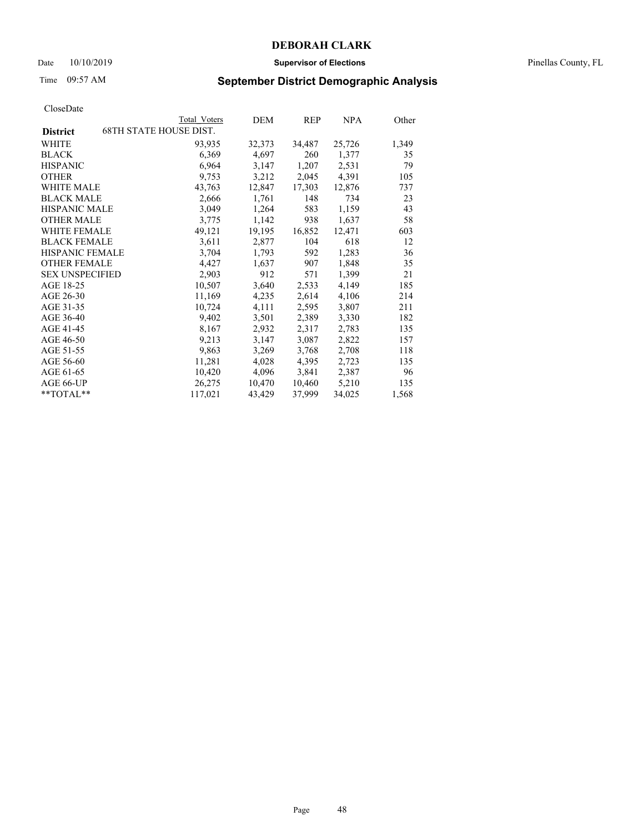### Date 10/10/2019 **Supervisor of Elections** Pinellas County, FL

# Time 09:57 AM **September District Demographic Analysis**

|                        |                               | Total Voters | DEM    | REP    | NPA    | Other |
|------------------------|-------------------------------|--------------|--------|--------|--------|-------|
| <b>District</b>        | <b>68TH STATE HOUSE DIST.</b> |              |        |        |        |       |
| WHITE                  |                               | 93,935       | 32,373 | 34,487 | 25,726 | 1,349 |
| <b>BLACK</b>           |                               | 6,369        | 4,697  | 260    | 1,377  | 35    |
| <b>HISPANIC</b>        |                               | 6,964        | 3,147  | 1,207  | 2,531  | 79    |
| <b>OTHER</b>           |                               | 9,753        | 3,212  | 2,045  | 4,391  | 105   |
| WHITE MALE             |                               | 43,763       | 12,847 | 17,303 | 12,876 | 737   |
| <b>BLACK MALE</b>      |                               | 2,666        | 1,761  | 148    | 734    | 23    |
| <b>HISPANIC MALE</b>   |                               | 3,049        | 1,264  | 583    | 1,159  | 43    |
| <b>OTHER MALE</b>      |                               | 3,775        | 1,142  | 938    | 1,637  | 58    |
| <b>WHITE FEMALE</b>    |                               | 49,121       | 19,195 | 16,852 | 12,471 | 603   |
| <b>BLACK FEMALE</b>    |                               | 3,611        | 2,877  | 104    | 618    | 12    |
| <b>HISPANIC FEMALE</b> |                               | 3,704        | 1,793  | 592    | 1,283  | 36    |
| <b>OTHER FEMALE</b>    |                               | 4,427        | 1,637  | 907    | 1,848  | 35    |
| <b>SEX UNSPECIFIED</b> |                               | 2,903        | 912    | 571    | 1,399  | 21    |
| AGE 18-25              |                               | 10,507       | 3,640  | 2,533  | 4,149  | 185   |
| AGE 26-30              |                               | 11,169       | 4,235  | 2,614  | 4,106  | 214   |
| AGE 31-35              |                               | 10,724       | 4,111  | 2,595  | 3,807  | 211   |
| AGE 36-40              |                               | 9,402        | 3,501  | 2,389  | 3,330  | 182   |
| AGE 41-45              |                               | 8,167        | 2,932  | 2,317  | 2,783  | 135   |
| AGE 46-50              |                               | 9,213        | 3,147  | 3,087  | 2,822  | 157   |
| AGE 51-55              |                               | 9,863        | 3,269  | 3,768  | 2,708  | 118   |
| AGE 56-60              |                               | 11,281       | 4,028  | 4,395  | 2,723  | 135   |
| AGE 61-65              |                               | 10,420       | 4,096  | 3,841  | 2,387  | 96    |
| AGE 66-UP              |                               | 26,275       | 10,470 | 10,460 | 5,210  | 135   |
| **TOTAL**              |                               | 117,021      | 43,429 | 37,999 | 34,025 | 1,568 |
|                        |                               |              |        |        |        |       |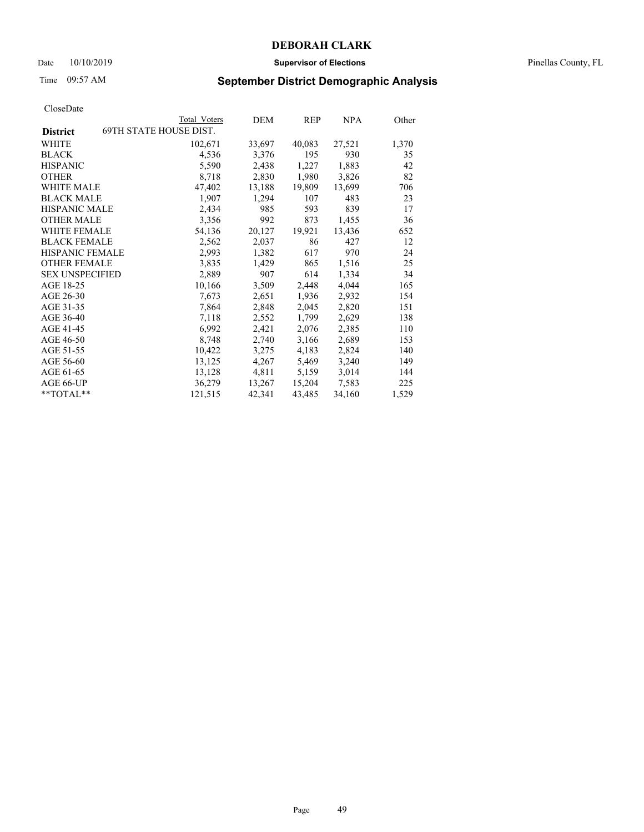### Date 10/10/2019 **Supervisor of Elections** Pinellas County, FL

# Time 09:57 AM **September District Demographic Analysis**

|                                                  | Total Voters | DEM    | <b>REP</b> | NPA    | Other |
|--------------------------------------------------|--------------|--------|------------|--------|-------|
| <b>69TH STATE HOUSE DIST.</b><br><b>District</b> |              |        |            |        |       |
| WHITE                                            | 102,671      | 33,697 | 40,083     | 27,521 | 1,370 |
| <b>BLACK</b>                                     | 4,536        | 3,376  | 195        | 930    | 35    |
| <b>HISPANIC</b>                                  | 5,590        | 2,438  | 1,227      | 1,883  | 42    |
| <b>OTHER</b>                                     | 8,718        | 2,830  | 1,980      | 3,826  | 82    |
| WHITE MALE                                       | 47,402       | 13,188 | 19,809     | 13,699 | 706   |
| <b>BLACK MALE</b>                                | 1,907        | 1,294  | 107        | 483    | 23    |
| <b>HISPANIC MALE</b>                             | 2,434        | 985    | 593        | 839    | 17    |
| <b>OTHER MALE</b>                                | 3,356        | 992    | 873        | 1,455  | 36    |
| <b>WHITE FEMALE</b>                              | 54,136       | 20,127 | 19,921     | 13,436 | 652   |
| <b>BLACK FEMALE</b>                              | 2,562        | 2,037  | 86         | 427    | 12    |
| HISPANIC FEMALE                                  | 2,993        | 1,382  | 617        | 970    | 24    |
| <b>OTHER FEMALE</b>                              | 3,835        | 1,429  | 865        | 1,516  | 25    |
| <b>SEX UNSPECIFIED</b>                           | 2,889        | 907    | 614        | 1,334  | 34    |
| AGE 18-25                                        | 10,166       | 3,509  | 2,448      | 4,044  | 165   |
| AGE 26-30                                        | 7,673        | 2,651  | 1,936      | 2,932  | 154   |
| AGE 31-35                                        | 7,864        | 2,848  | 2,045      | 2,820  | 151   |
| AGE 36-40                                        | 7,118        | 2,552  | 1,799      | 2,629  | 138   |
| AGE 41-45                                        | 6,992        | 2,421  | 2,076      | 2,385  | 110   |
| AGE 46-50                                        | 8,748        | 2,740  | 3,166      | 2,689  | 153   |
| AGE 51-55                                        | 10,422       | 3,275  | 4,183      | 2,824  | 140   |
| AGE 56-60                                        | 13,125       | 4,267  | 5,469      | 3,240  | 149   |
| AGE 61-65                                        | 13,128       | 4,811  | 5,159      | 3,014  | 144   |
| AGE 66-UP                                        | 36,279       | 13,267 | 15,204     | 7,583  | 225   |
| $*$ TOTAL $*$                                    | 121,515      | 42,341 | 43,485     | 34,160 | 1,529 |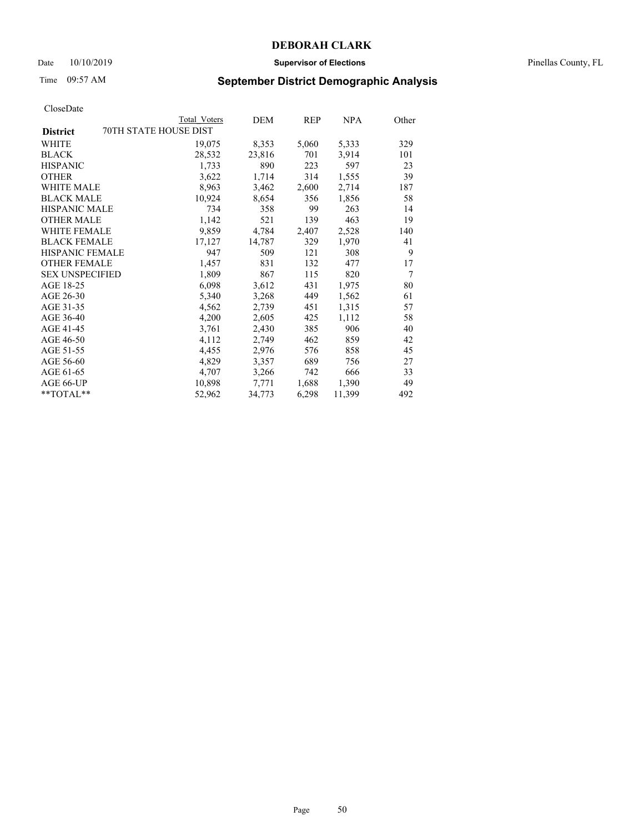### Date 10/10/2019 **Supervisor of Elections** Pinellas County, FL

# Time 09:57 AM **September District Demographic Analysis**

|                                          | Total Voters | DEM    | REP   | NPA    | Other |
|------------------------------------------|--------------|--------|-------|--------|-------|
| 70TH STATE HOUSE DIST<br><b>District</b> |              |        |       |        |       |
| <b>WHITE</b>                             | 19,075       | 8,353  | 5,060 | 5,333  | 329   |
| <b>BLACK</b>                             | 28,532       | 23,816 | 701   | 3,914  | 101   |
| <b>HISPANIC</b>                          | 1,733        | 890    | 223   | 597    | 23    |
| <b>OTHER</b>                             | 3,622        | 1,714  | 314   | 1,555  | 39    |
| WHITE MALE                               | 8,963        | 3,462  | 2,600 | 2,714  | 187   |
| <b>BLACK MALE</b>                        | 10,924       | 8,654  | 356   | 1,856  | 58    |
| <b>HISPANIC MALE</b>                     | 734          | 358    | 99    | 263    | 14    |
| <b>OTHER MALE</b>                        | 1,142        | 521    | 139   | 463    | 19    |
| WHITE FEMALE                             | 9,859        | 4,784  | 2,407 | 2,528  | 140   |
| <b>BLACK FEMALE</b>                      | 17,127       | 14,787 | 329   | 1,970  | 41    |
| <b>HISPANIC FEMALE</b>                   | 947          | 509    | 121   | 308    | 9     |
| <b>OTHER FEMALE</b>                      | 1,457        | 831    | 132   | 477    | 17    |
| <b>SEX UNSPECIFIED</b>                   | 1,809        | 867    | 115   | 820    | 7     |
| AGE 18-25                                | 6,098        | 3,612  | 431   | 1,975  | 80    |
| AGE 26-30                                | 5,340        | 3,268  | 449   | 1,562  | 61    |
| AGE 31-35                                | 4,562        | 2,739  | 451   | 1,315  | 57    |
| AGE 36-40                                | 4,200        | 2,605  | 425   | 1,112  | 58    |
| AGE 41-45                                | 3,761        | 2,430  | 385   | 906    | 40    |
| AGE 46-50                                | 4,112        | 2,749  | 462   | 859    | 42    |
| AGE 51-55                                | 4,455        | 2,976  | 576   | 858    | 45    |
| AGE 56-60                                | 4,829        | 3,357  | 689   | 756    | 27    |
| AGE 61-65                                | 4,707        | 3,266  | 742   | 666    | 33    |
| AGE 66-UP                                | 10,898       | 7,771  | 1,688 | 1,390  | 49    |
| $*$ $TOTAL**$                            | 52,962       | 34,773 | 6,298 | 11,399 | 492   |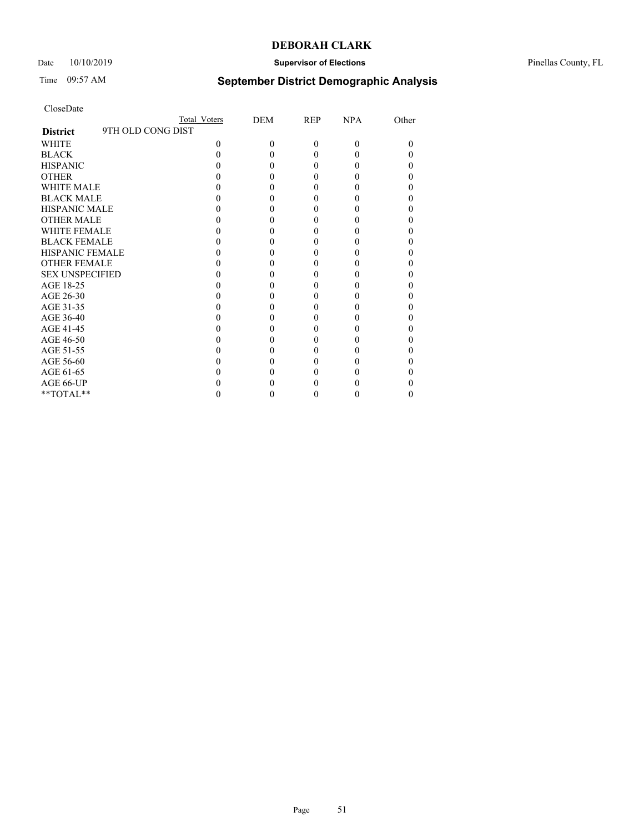## Date  $10/10/2019$  **Supervisor of Elections Supervisor of Elections** Pinellas County, FL

# Time 09:57 AM **September District Demographic Analysis**

|                                      | Total Voters | DEM      | <b>REP</b> | <b>NPA</b> | Other |
|--------------------------------------|--------------|----------|------------|------------|-------|
| 9TH OLD CONG DIST<br><b>District</b> |              |          |            |            |       |
| <b>WHITE</b>                         | 0            | $\Omega$ | $\theta$   | $\Omega$   | 0     |
| <b>BLACK</b>                         |              |          | 0          | $\theta$   |       |
| <b>HISPANIC</b>                      |              |          | $\theta$   | 0          |       |
| <b>OTHER</b>                         |              |          |            |            |       |
| <b>WHITE MALE</b>                    |              |          |            |            |       |
| <b>BLACK MALE</b>                    |              |          |            |            |       |
| <b>HISPANIC MALE</b>                 |              |          |            |            |       |
| <b>OTHER MALE</b>                    |              |          | 0          |            |       |
| <b>WHITE FEMALE</b>                  |              |          |            |            |       |
| <b>BLACK FEMALE</b>                  |              |          | 0          | 0          |       |
| <b>HISPANIC FEMALE</b>               |              |          |            |            |       |
| <b>OTHER FEMALE</b>                  |              |          |            |            |       |
| <b>SEX UNSPECIFIED</b>               |              |          |            |            |       |
| AGE 18-25                            |              |          |            |            |       |
| AGE 26-30                            |              |          |            |            |       |
| AGE 31-35                            |              |          |            |            |       |
| AGE 36-40                            |              |          | $\theta$   | 0          |       |
| AGE 41-45                            |              |          |            |            |       |
| AGE 46-50                            |              |          |            |            |       |
| AGE 51-55                            |              |          |            |            |       |
| AGE 56-60                            |              |          |            |            |       |
| AGE 61-65                            |              |          |            |            |       |
| AGE 66-UP                            |              |          |            |            |       |
| **TOTAL**                            |              |          | $_{0}$     | $\theta$   | 0     |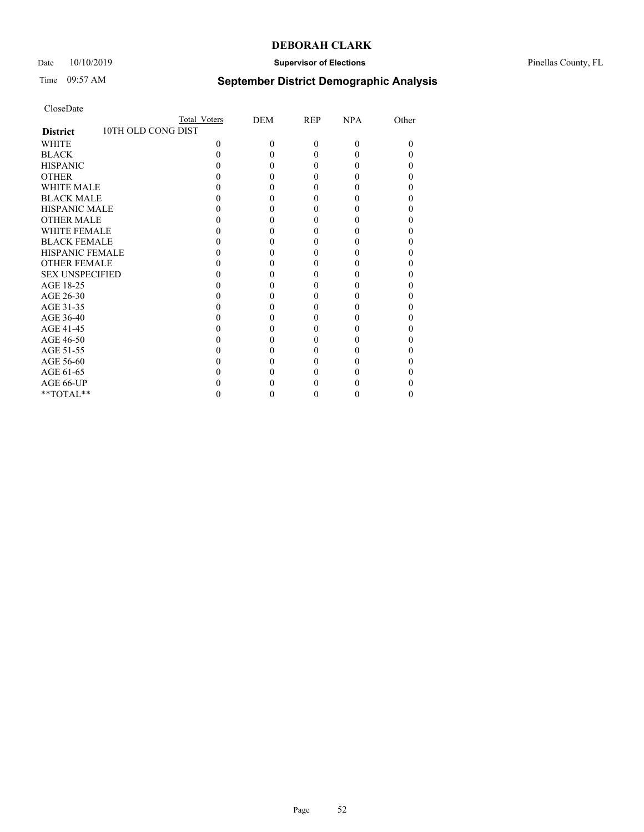## Date 10/10/2019 **Supervisor of Elections** Pinellas County, FL

# Time 09:57 AM **September District Demographic Analysis**

|                                       | Total Voters | DEM | REP      | NPA      | Other |
|---------------------------------------|--------------|-----|----------|----------|-------|
| 10TH OLD CONG DIST<br><b>District</b> |              |     |          |          |       |
| <b>WHITE</b>                          | 0            | 0   | $\Omega$ | $\theta$ | 0     |
| <b>BLACK</b>                          |              |     | 0        | 0        |       |
| <b>HISPANIC</b>                       |              |     | 0        |          |       |
| <b>OTHER</b>                          |              |     |          |          |       |
| <b>WHITE MALE</b>                     |              |     |          |          |       |
| <b>BLACK MALE</b>                     |              |     |          |          |       |
| <b>HISPANIC MALE</b>                  |              |     |          |          |       |
| <b>OTHER MALE</b>                     |              |     | 0        |          |       |
| <b>WHITE FEMALE</b>                   |              |     |          |          |       |
| <b>BLACK FEMALE</b>                   |              |     | 0        |          |       |
| <b>HISPANIC FEMALE</b>                |              |     |          |          |       |
| <b>OTHER FEMALE</b>                   |              |     |          |          |       |
| <b>SEX UNSPECIFIED</b>                |              |     |          |          |       |
| AGE 18-25                             |              |     |          |          |       |
| AGE 26-30                             |              |     | 0        |          |       |
| AGE 31-35                             |              |     |          |          |       |
| AGE 36-40                             |              |     | 0        |          |       |
| AGE 41-45                             |              |     |          |          |       |
| AGE 46-50                             |              |     | 0        |          |       |
| AGE 51-55                             |              |     |          |          |       |
| AGE 56-60                             |              |     |          |          |       |
| AGE 61-65                             |              |     |          |          |       |
| AGE 66-UP                             |              |     |          |          |       |
| **TOTAL**                             |              |     | 0        | 0        |       |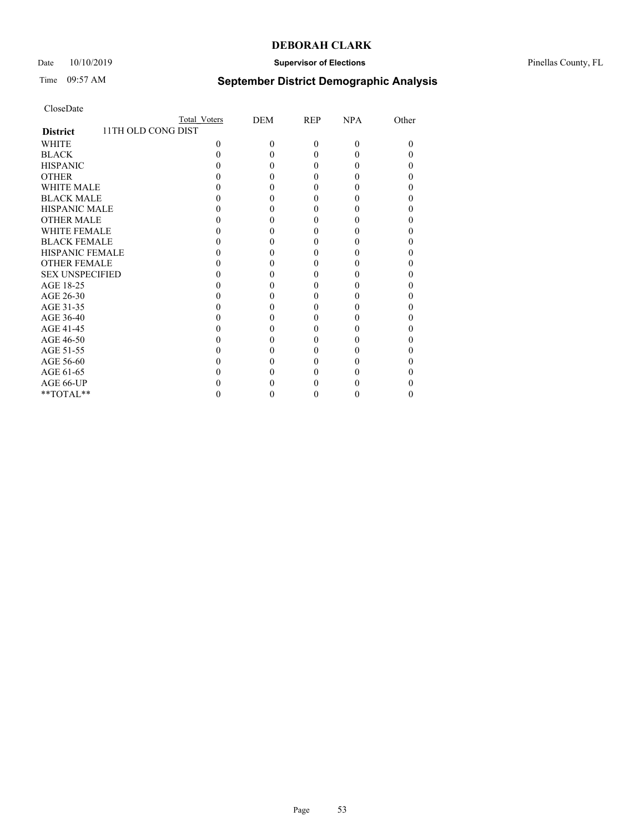## Date 10/10/2019 **Supervisor of Elections** Pinellas County, FL

# Time 09:57 AM **September District Demographic Analysis**

|                                       | Total Voters | DEM | <b>REP</b> | <b>NPA</b> | Other |
|---------------------------------------|--------------|-----|------------|------------|-------|
| 11TH OLD CONG DIST<br><b>District</b> |              |     |            |            |       |
| <b>WHITE</b>                          | 0            | 0   | $\Omega$   | $\Omega$   | 0     |
| <b>BLACK</b>                          |              |     | 0          | $\theta$   |       |
| <b>HISPANIC</b>                       |              |     | 0          | $\theta$   |       |
| <b>OTHER</b>                          |              |     |            |            |       |
| <b>WHITE MALE</b>                     |              |     |            |            |       |
| <b>BLACK MALE</b>                     |              |     |            |            |       |
| <b>HISPANIC MALE</b>                  |              |     |            |            |       |
| <b>OTHER MALE</b>                     |              |     |            |            |       |
| <b>WHITE FEMALE</b>                   |              |     |            |            |       |
| <b>BLACK FEMALE</b>                   |              |     | 0          | 0          |       |
| <b>HISPANIC FEMALE</b>                |              |     |            |            |       |
| <b>OTHER FEMALE</b>                   |              |     |            |            |       |
| <b>SEX UNSPECIFIED</b>                |              |     |            |            |       |
| AGE 18-25                             |              |     |            |            |       |
| AGE 26-30                             |              |     |            |            |       |
| AGE 31-35                             |              |     |            |            |       |
| AGE 36-40                             |              |     | 0          | 0          |       |
| AGE 41-45                             |              |     |            |            |       |
| AGE 46-50                             |              |     |            |            |       |
| AGE 51-55                             |              |     |            |            |       |
| AGE 56-60                             |              |     |            |            |       |
| AGE 61-65                             |              |     |            |            |       |
| AGE 66-UP                             |              |     |            |            |       |
| **TOTAL**                             |              |     | 0          | $\theta$   | 0     |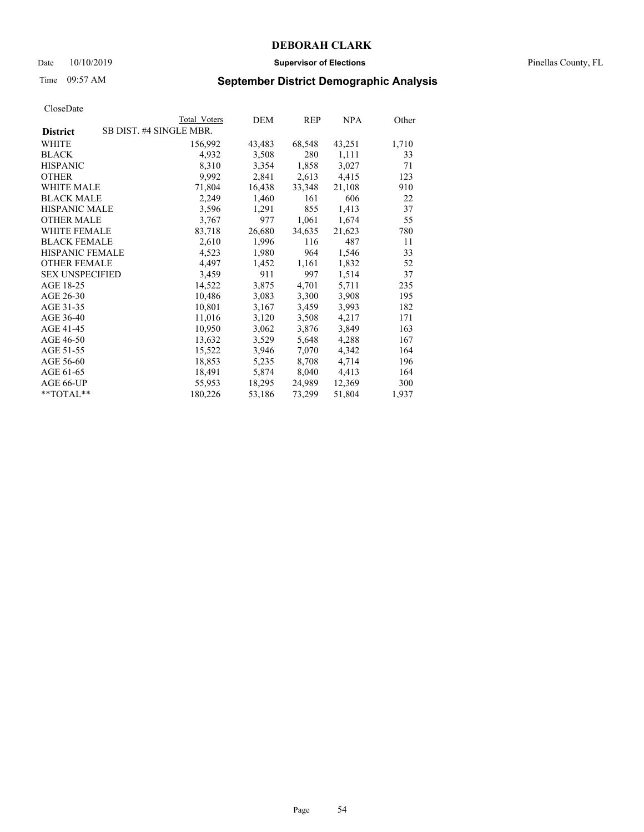### Date 10/10/2019 **Supervisor of Elections** Pinellas County, FL

# Time 09:57 AM **September District Demographic Analysis**

|                                            | Total Voters | DEM    | REP    | NPA    | Other |
|--------------------------------------------|--------------|--------|--------|--------|-------|
| SB DIST. #4 SINGLE MBR.<br><b>District</b> |              |        |        |        |       |
| WHITE                                      | 156,992      | 43,483 | 68,548 | 43,251 | 1,710 |
| <b>BLACK</b>                               | 4,932        | 3,508  | 280    | 1,111  | 33    |
| <b>HISPANIC</b>                            | 8,310        | 3,354  | 1,858  | 3,027  | 71    |
| <b>OTHER</b>                               | 9,992        | 2,841  | 2,613  | 4,415  | 123   |
| WHITE MALE                                 | 71,804       | 16,438 | 33,348 | 21,108 | 910   |
| <b>BLACK MALE</b>                          | 2,249        | 1,460  | 161    | 606    | 22    |
| <b>HISPANIC MALE</b>                       | 3,596        | 1,291  | 855    | 1,413  | 37    |
| <b>OTHER MALE</b>                          | 3,767        | 977    | 1,061  | 1,674  | 55    |
| <b>WHITE FEMALE</b>                        | 83,718       | 26,680 | 34,635 | 21,623 | 780   |
| <b>BLACK FEMALE</b>                        | 2,610        | 1,996  | 116    | 487    | 11    |
| <b>HISPANIC FEMALE</b>                     | 4,523        | 1,980  | 964    | 1,546  | 33    |
| <b>OTHER FEMALE</b>                        | 4,497        | 1,452  | 1,161  | 1,832  | 52    |
| <b>SEX UNSPECIFIED</b>                     | 3,459        | 911    | 997    | 1,514  | 37    |
| AGE 18-25                                  | 14,522       | 3,875  | 4,701  | 5,711  | 235   |
| AGE 26-30                                  | 10,486       | 3,083  | 3,300  | 3,908  | 195   |
| AGE 31-35                                  | 10,801       | 3,167  | 3,459  | 3,993  | 182   |
| AGE 36-40                                  | 11,016       | 3,120  | 3,508  | 4,217  | 171   |
| AGE 41-45                                  | 10,950       | 3,062  | 3,876  | 3,849  | 163   |
| AGE 46-50                                  | 13,632       | 3,529  | 5,648  | 4,288  | 167   |
| AGE 51-55                                  | 15,522       | 3,946  | 7,070  | 4,342  | 164   |
| AGE 56-60                                  | 18,853       | 5,235  | 8,708  | 4,714  | 196   |
| AGE 61-65                                  | 18,491       | 5,874  | 8,040  | 4,413  | 164   |
| AGE 66-UP                                  | 55,953       | 18,295 | 24,989 | 12,369 | 300   |
| $*$ $TOTAL**$                              | 180,226      | 53,186 | 73,299 | 51,804 | 1,937 |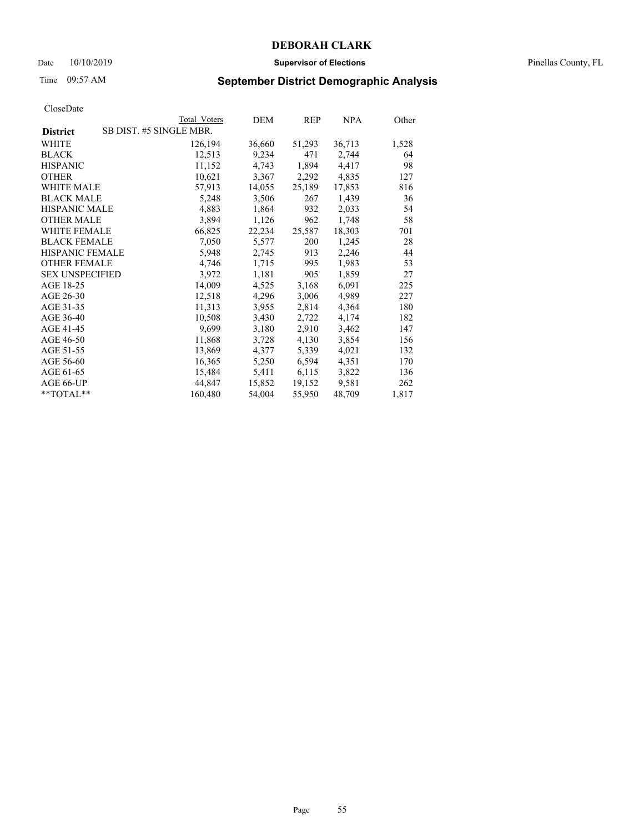### Date 10/10/2019 **Supervisor of Elections** Pinellas County, FL

# Time 09:57 AM **September District Demographic Analysis**

| Total Voters            | DEM    | REP    | NPA    | Other |
|-------------------------|--------|--------|--------|-------|
| SB DIST. #5 SINGLE MBR. |        |        |        |       |
| 126,194                 | 36,660 | 51,293 | 36,713 | 1,528 |
| 12,513                  | 9,234  | 471    | 2,744  | 64    |
| 11,152                  | 4,743  | 1,894  | 4,417  | 98    |
| 10,621                  | 3,367  | 2,292  | 4,835  | 127   |
| 57,913                  | 14,055 | 25,189 | 17,853 | 816   |
| 5,248                   | 3,506  | 267    | 1,439  | 36    |
| 4,883                   | 1,864  | 932    | 2,033  | 54    |
| 3,894                   | 1,126  | 962    | 1,748  | 58    |
| 66,825                  | 22,234 | 25,587 | 18,303 | 701   |
| 7,050                   | 5,577  | 200    | 1,245  | 28    |
| 5,948                   | 2,745  | 913    | 2,246  | 44    |
| 4,746                   | 1,715  | 995    | 1,983  | 53    |
| 3,972                   | 1,181  | 905    | 1,859  | 27    |
| 14,009                  | 4,525  | 3,168  | 6,091  | 225   |
| 12,518                  | 4,296  | 3,006  | 4,989  | 227   |
| 11,313                  | 3,955  | 2,814  | 4,364  | 180   |
| 10,508                  | 3,430  | 2,722  | 4,174  | 182   |
| 9,699                   | 3,180  | 2,910  | 3,462  | 147   |
| 11,868                  | 3,728  | 4,130  | 3,854  | 156   |
| 13,869                  | 4,377  | 5,339  | 4,021  | 132   |
| 16,365                  | 5,250  | 6,594  | 4,351  | 170   |
| 15,484                  | 5,411  | 6,115  | 3,822  | 136   |
| 44,847                  | 15,852 | 19,152 | 9,581  | 262   |
| 160,480                 | 54,004 | 55,950 | 48,709 | 1,817 |
|                         |        |        |        |       |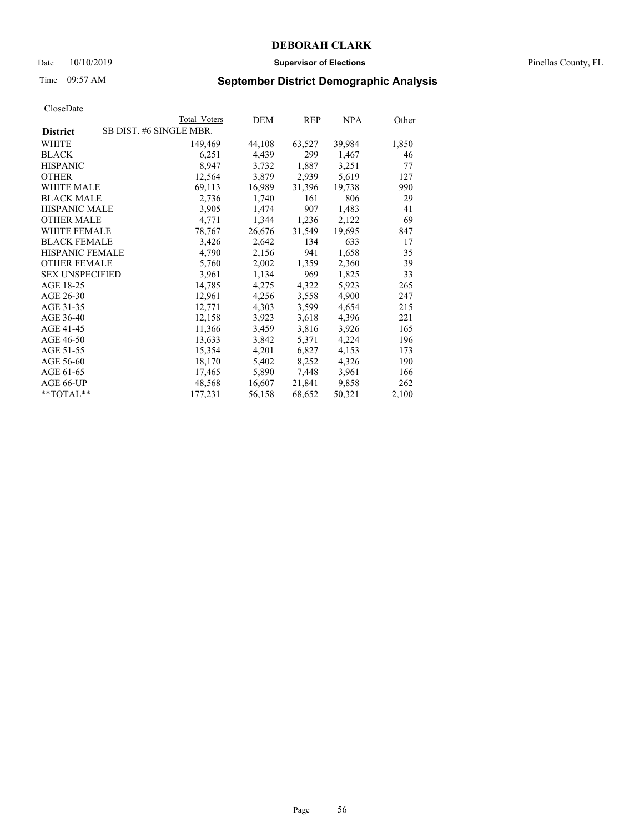### Date 10/10/2019 **Supervisor of Elections** Pinellas County, FL

# Time 09:57 AM **September District Demographic Analysis**

|                        | Total Voters            | DEM    | REP    | NPA    | Other |
|------------------------|-------------------------|--------|--------|--------|-------|
| <b>District</b>        | SB DIST. #6 SINGLE MBR. |        |        |        |       |
| WHITE                  | 149,469                 | 44,108 | 63,527 | 39,984 | 1,850 |
| <b>BLACK</b>           | 6,251                   | 4,439  | 299    | 1,467  | 46    |
| <b>HISPANIC</b>        | 8,947                   | 3,732  | 1,887  | 3,251  | 77    |
| <b>OTHER</b>           | 12,564                  | 3,879  | 2,939  | 5,619  | 127   |
| WHITE MALE             | 69,113                  | 16,989 | 31,396 | 19,738 | 990   |
| <b>BLACK MALE</b>      | 2,736                   | 1,740  | 161    | 806    | 29    |
| <b>HISPANIC MALE</b>   | 3,905                   | 1,474  | 907    | 1,483  | 41    |
| <b>OTHER MALE</b>      | 4,771                   | 1,344  | 1,236  | 2,122  | 69    |
| <b>WHITE FEMALE</b>    | 78,767                  | 26,676 | 31,549 | 19,695 | 847   |
| <b>BLACK FEMALE</b>    | 3,426                   | 2,642  | 134    | 633    | 17    |
| <b>HISPANIC FEMALE</b> | 4,790                   | 2,156  | 941    | 1,658  | 35    |
| <b>OTHER FEMALE</b>    | 5,760                   | 2,002  | 1,359  | 2,360  | 39    |
| <b>SEX UNSPECIFIED</b> | 3,961                   | 1,134  | 969    | 1,825  | 33    |
| AGE 18-25              | 14,785                  | 4,275  | 4,322  | 5,923  | 265   |
| AGE 26-30              | 12,961                  | 4,256  | 3,558  | 4,900  | 247   |
| AGE 31-35              | 12,771                  | 4,303  | 3,599  | 4,654  | 215   |
| AGE 36-40              | 12,158                  | 3,923  | 3,618  | 4,396  | 221   |
| AGE 41-45              | 11,366                  | 3,459  | 3,816  | 3,926  | 165   |
| AGE 46-50              | 13,633                  | 3,842  | 5,371  | 4,224  | 196   |
| AGE 51-55              | 15,354                  | 4,201  | 6,827  | 4,153  | 173   |
| AGE 56-60              | 18,170                  | 5,402  | 8,252  | 4,326  | 190   |
| AGE 61-65              | 17,465                  | 5,890  | 7,448  | 3,961  | 166   |
| AGE 66-UP              | 48,568                  | 16,607 | 21,841 | 9,858  | 262   |
| **TOTAL**              | 177,231                 | 56,158 | 68,652 | 50,321 | 2,100 |
|                        |                         |        |        |        |       |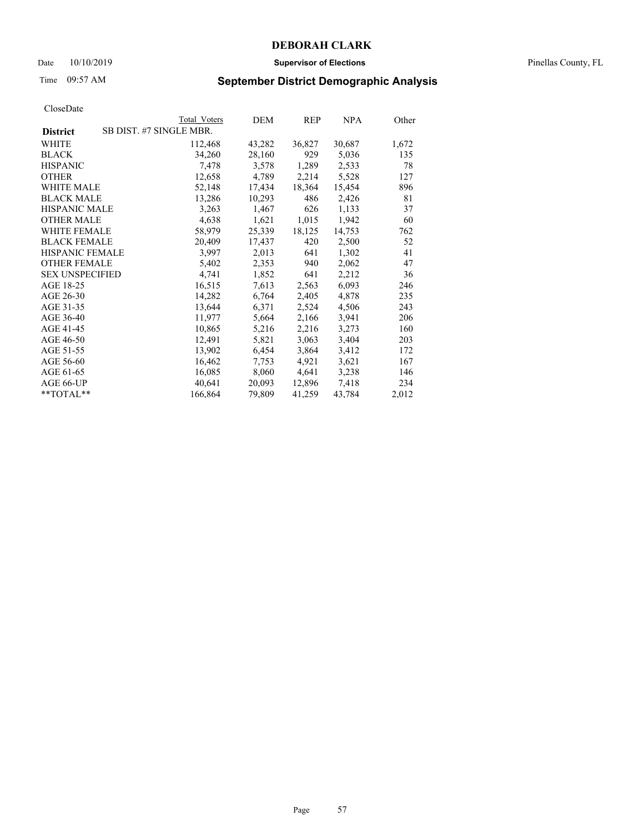### Date 10/10/2019 **Supervisor of Elections** Pinellas County, FL

# Time 09:57 AM **September District Demographic Analysis**

|                                            | Total Voters | DEM    | REP    | NPA    | Other |
|--------------------------------------------|--------------|--------|--------|--------|-------|
| SB DIST. #7 SINGLE MBR.<br><b>District</b> |              |        |        |        |       |
| WHITE                                      | 112,468      | 43,282 | 36,827 | 30,687 | 1,672 |
| <b>BLACK</b>                               | 34,260       | 28,160 | 929    | 5,036  | 135   |
| <b>HISPANIC</b>                            | 7,478        | 3,578  | 1,289  | 2,533  | 78    |
| <b>OTHER</b>                               | 12,658       | 4,789  | 2,214  | 5,528  | 127   |
| <b>WHITE MALE</b>                          | 52,148       | 17,434 | 18,364 | 15,454 | 896   |
| <b>BLACK MALE</b>                          | 13,286       | 10,293 | 486    | 2,426  | 81    |
| <b>HISPANIC MALE</b>                       | 3,263        | 1,467  | 626    | 1,133  | 37    |
| <b>OTHER MALE</b>                          | 4,638        | 1,621  | 1,015  | 1,942  | 60    |
| <b>WHITE FEMALE</b>                        | 58,979       | 25,339 | 18,125 | 14,753 | 762   |
| <b>BLACK FEMALE</b>                        | 20,409       | 17,437 | 420    | 2,500  | 52    |
| <b>HISPANIC FEMALE</b>                     | 3,997        | 2,013  | 641    | 1,302  | 41    |
| <b>OTHER FEMALE</b>                        | 5,402        | 2,353  | 940    | 2,062  | 47    |
| <b>SEX UNSPECIFIED</b>                     | 4,741        | 1,852  | 641    | 2,212  | 36    |
| AGE 18-25                                  | 16,515       | 7,613  | 2,563  | 6,093  | 246   |
| AGE 26-30                                  | 14,282       | 6,764  | 2,405  | 4,878  | 235   |
| AGE 31-35                                  | 13,644       | 6,371  | 2,524  | 4,506  | 243   |
| AGE 36-40                                  | 11,977       | 5,664  | 2,166  | 3,941  | 206   |
| AGE 41-45                                  | 10,865       | 5,216  | 2,216  | 3,273  | 160   |
| AGE 46-50                                  | 12,491       | 5,821  | 3,063  | 3,404  | 203   |
| AGE 51-55                                  | 13,902       | 6,454  | 3,864  | 3,412  | 172   |
| AGE 56-60                                  | 16,462       | 7,753  | 4,921  | 3,621  | 167   |
| AGE 61-65                                  | 16,085       | 8,060  | 4,641  | 3,238  | 146   |
| AGE 66-UP                                  | 40,641       | 20,093 | 12,896 | 7,418  | 234   |
| $*$ $TOTAL**$                              | 166,864      | 79,809 | 41,259 | 43,784 | 2,012 |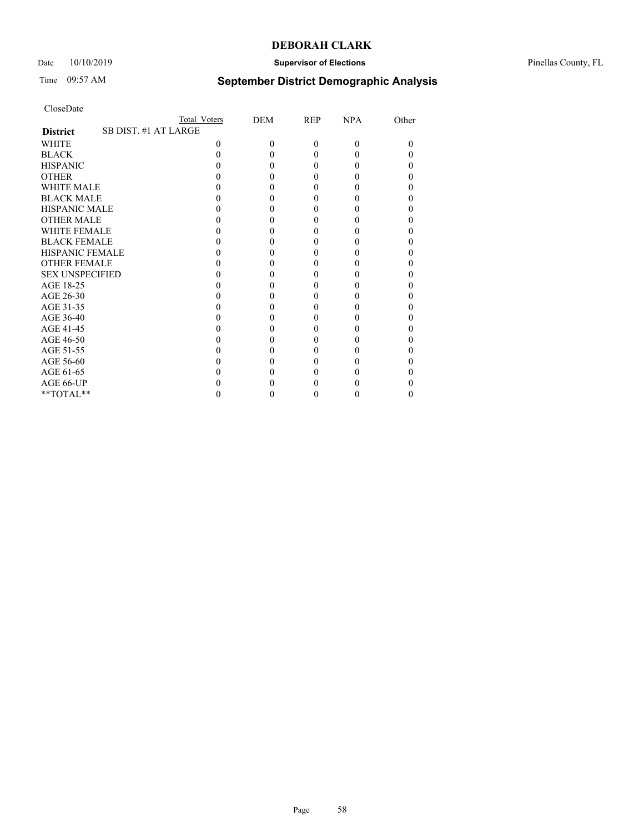## Date 10/10/2019 **Supervisor of Elections** Pinellas County, FL

# Time 09:57 AM **September District Demographic Analysis**

|                                         | Total Voters | DEM      | REP      | <b>NPA</b> | Other |
|-----------------------------------------|--------------|----------|----------|------------|-------|
| SB DIST. #1 AT LARGE<br><b>District</b> |              |          |          |            |       |
| <b>WHITE</b>                            | 0            | $\Omega$ | $\theta$ | $\Omega$   | 0     |
| <b>BLACK</b>                            |              |          | 0        | $\theta$   |       |
| <b>HISPANIC</b>                         |              |          | 0        | $\theta$   |       |
| <b>OTHER</b>                            |              |          |          |            |       |
| <b>WHITE MALE</b>                       |              |          |          |            |       |
| <b>BLACK MALE</b>                       |              |          |          |            |       |
| <b>HISPANIC MALE</b>                    |              |          |          |            |       |
| <b>OTHER MALE</b>                       |              |          | 0        |            |       |
| <b>WHITE FEMALE</b>                     |              |          |          |            |       |
| <b>BLACK FEMALE</b>                     |              |          | $\theta$ | 0          |       |
| <b>HISPANIC FEMALE</b>                  |              |          |          |            |       |
| <b>OTHER FEMALE</b>                     |              |          |          |            |       |
| <b>SEX UNSPECIFIED</b>                  |              |          |          |            |       |
| AGE 18-25                               |              |          |          |            |       |
| AGE 26-30                               |              |          | 0        |            |       |
| AGE 31-35                               |              |          |          |            |       |
| AGE 36-40                               |              |          | $\theta$ | 0          |       |
| AGE 41-45                               |              |          |          |            |       |
| AGE 46-50                               |              |          |          |            |       |
| AGE 51-55                               |              |          |          |            |       |
| AGE 56-60                               |              |          |          |            |       |
| AGE 61-65                               |              |          |          |            |       |
| AGE 66-UP                               |              |          |          |            |       |
| **TOTAL**                               |              |          | 0        | $\theta$   | 0     |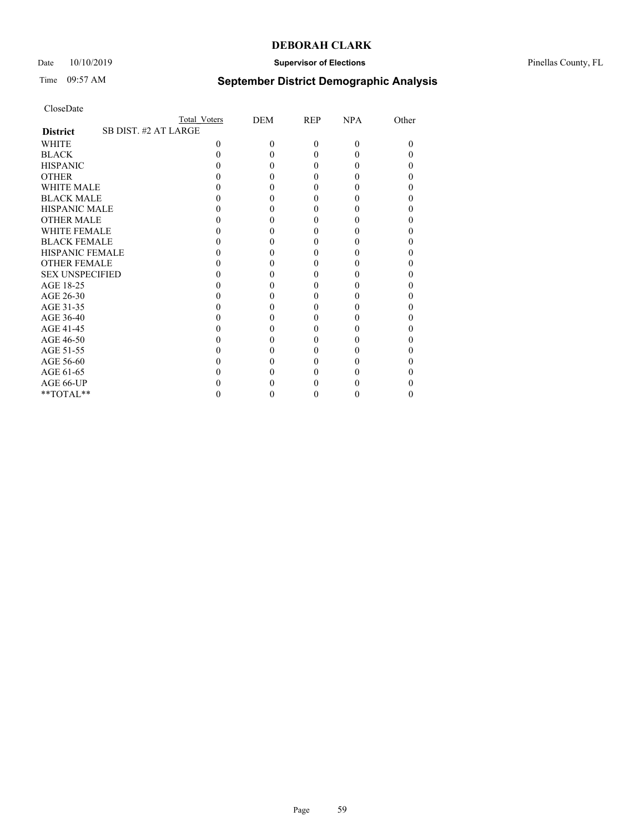## Date 10/10/2019 **Supervisor of Elections** Pinellas County, FL

# Time 09:57 AM **September District Demographic Analysis**

|                        | Total Voters         | DEM      | REP      | <b>NPA</b> | Other |
|------------------------|----------------------|----------|----------|------------|-------|
| <b>District</b>        | SB DIST. #2 AT LARGE |          |          |            |       |
| <b>WHITE</b>           | 0                    | $\Omega$ | $\theta$ | $\Omega$   | 0     |
| <b>BLACK</b>           |                      |          | 0        | $\theta$   |       |
| <b>HISPANIC</b>        |                      |          | 0        | $\theta$   |       |
| <b>OTHER</b>           |                      |          |          |            |       |
| WHITE MALE             |                      |          |          |            |       |
| <b>BLACK MALE</b>      |                      |          |          |            |       |
| <b>HISPANIC MALE</b>   |                      |          |          |            |       |
| <b>OTHER MALE</b>      |                      |          | 0        |            |       |
| <b>WHITE FEMALE</b>    |                      |          |          |            |       |
| <b>BLACK FEMALE</b>    |                      |          | $\theta$ | 0          |       |
| <b>HISPANIC FEMALE</b> |                      |          |          |            |       |
| <b>OTHER FEMALE</b>    |                      |          |          |            |       |
| <b>SEX UNSPECIFIED</b> |                      |          |          |            |       |
| AGE 18-25              |                      |          |          |            |       |
| AGE 26-30              |                      |          | 0        |            |       |
| AGE 31-35              |                      |          |          |            |       |
| AGE 36-40              |                      |          | $\theta$ | 0          |       |
| AGE 41-45              |                      |          |          |            |       |
| AGE 46-50              |                      |          |          |            |       |
| AGE 51-55              |                      |          |          |            |       |
| AGE 56-60              |                      |          |          |            |       |
| AGE 61-65              |                      |          |          |            |       |
| AGE 66-UP              |                      |          |          |            |       |
| **TOTAL**              |                      |          | 0        | $\theta$   | 0     |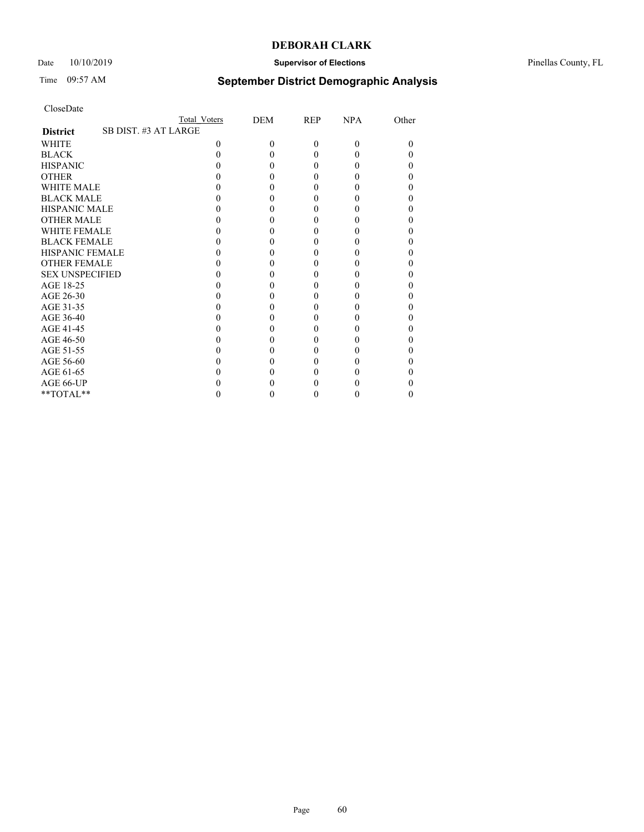### Date 10/10/2019 **Supervisor of Elections** Pinellas County, FL

# Time 09:57 AM **September District Demographic Analysis**

|                                         | Total Voters | DEM      | REP      | <b>NPA</b> | Other |
|-----------------------------------------|--------------|----------|----------|------------|-------|
| SB DIST. #3 AT LARGE<br><b>District</b> |              |          |          |            |       |
| <b>WHITE</b>                            | 0            | $\Omega$ | $\theta$ | $\Omega$   | 0     |
| <b>BLACK</b>                            |              |          | 0        | $\theta$   |       |
| <b>HISPANIC</b>                         |              |          | 0        | $\theta$   |       |
| <b>OTHER</b>                            |              |          |          |            |       |
| WHITE MALE                              |              |          |          |            |       |
| <b>BLACK MALE</b>                       |              |          |          |            |       |
| <b>HISPANIC MALE</b>                    |              |          |          |            |       |
| <b>OTHER MALE</b>                       |              |          | 0        |            |       |
| <b>WHITE FEMALE</b>                     |              |          |          |            |       |
| <b>BLACK FEMALE</b>                     |              |          | $\theta$ | 0          |       |
| <b>HISPANIC FEMALE</b>                  |              |          |          |            |       |
| <b>OTHER FEMALE</b>                     |              |          |          |            |       |
| <b>SEX UNSPECIFIED</b>                  |              |          |          |            |       |
| AGE 18-25                               |              |          |          |            |       |
| AGE 26-30                               |              |          | 0        |            |       |
| AGE 31-35                               |              |          |          |            |       |
| AGE 36-40                               |              |          | $\theta$ | 0          |       |
| AGE 41-45                               |              |          |          |            |       |
| AGE 46-50                               |              |          |          |            |       |
| AGE 51-55                               |              |          |          |            |       |
| AGE 56-60                               |              |          |          |            |       |
| AGE 61-65                               |              |          |          |            |       |
| AGE 66-UP                               |              |          |          |            |       |
| **TOTAL**                               |              |          | 0        | $\theta$   | 0     |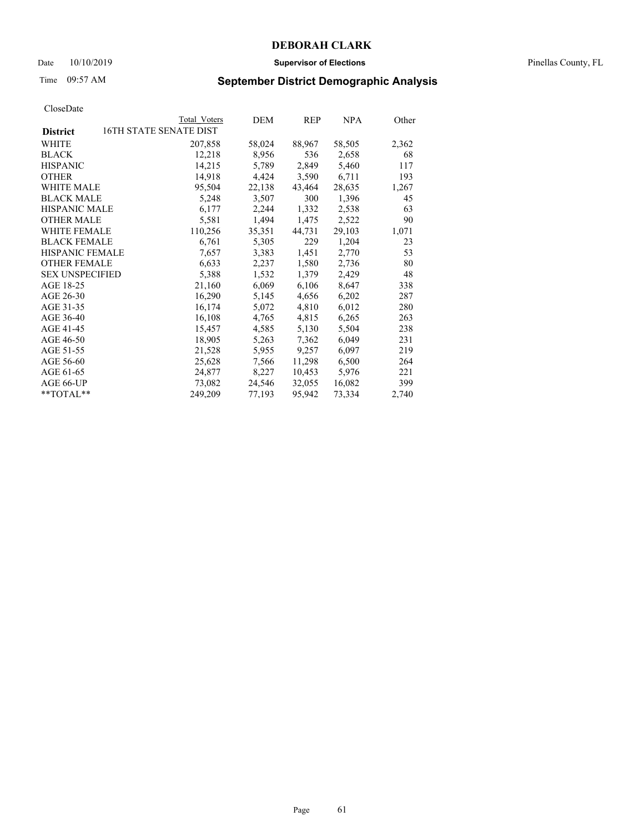### Date 10/10/2019 **Supervisor of Elections** Pinellas County, FL

# Time 09:57 AM **September District Demographic Analysis**

|                        | Total Voters           | DEM    | REP    | NPA    | Other |
|------------------------|------------------------|--------|--------|--------|-------|
| <b>District</b>        | 16TH STATE SENATE DIST |        |        |        |       |
| WHITE                  | 207,858                | 58,024 | 88,967 | 58,505 | 2,362 |
| <b>BLACK</b>           | 12,218                 | 8,956  | 536    | 2,658  | 68    |
| <b>HISPANIC</b>        | 14,215                 | 5,789  | 2,849  | 5,460  | 117   |
| <b>OTHER</b>           | 14,918                 | 4,424  | 3,590  | 6,711  | 193   |
| <b>WHITE MALE</b>      | 95,504                 | 22,138 | 43,464 | 28,635 | 1,267 |
| <b>BLACK MALE</b>      | 5,248                  | 3,507  | 300    | 1,396  | 45    |
| <b>HISPANIC MALE</b>   | 6,177                  | 2,244  | 1,332  | 2,538  | 63    |
| <b>OTHER MALE</b>      | 5,581                  | 1,494  | 1,475  | 2,522  | 90    |
| WHITE FEMALE           | 110,256                | 35,351 | 44,731 | 29,103 | 1,071 |
| <b>BLACK FEMALE</b>    | 6,761                  | 5,305  | 229    | 1,204  | 23    |
| <b>HISPANIC FEMALE</b> | 7,657                  | 3,383  | 1,451  | 2,770  | 53    |
| <b>OTHER FEMALE</b>    | 6,633                  | 2,237  | 1,580  | 2,736  | 80    |
| <b>SEX UNSPECIFIED</b> | 5,388                  | 1,532  | 1,379  | 2,429  | 48    |
| AGE 18-25              | 21,160                 | 6,069  | 6,106  | 8,647  | 338   |
| AGE 26-30              | 16,290                 | 5,145  | 4,656  | 6,202  | 287   |
| AGE 31-35              | 16,174                 | 5,072  | 4,810  | 6,012  | 280   |
| AGE 36-40              | 16,108                 | 4,765  | 4,815  | 6,265  | 263   |
| AGE 41-45              | 15,457                 | 4,585  | 5,130  | 5,504  | 238   |
| AGE 46-50              | 18,905                 | 5,263  | 7,362  | 6,049  | 231   |
| AGE 51-55              | 21,528                 | 5,955  | 9,257  | 6,097  | 219   |
| AGE 56-60              | 25,628                 | 7,566  | 11,298 | 6,500  | 264   |
| AGE 61-65              | 24,877                 | 8,227  | 10,453 | 5,976  | 221   |
| AGE 66-UP              | 73,082                 | 24,546 | 32,055 | 16,082 | 399   |
| $*$ TOTAL $*$          | 249,209                | 77,193 | 95,942 | 73,334 | 2,740 |
|                        |                        |        |        |        |       |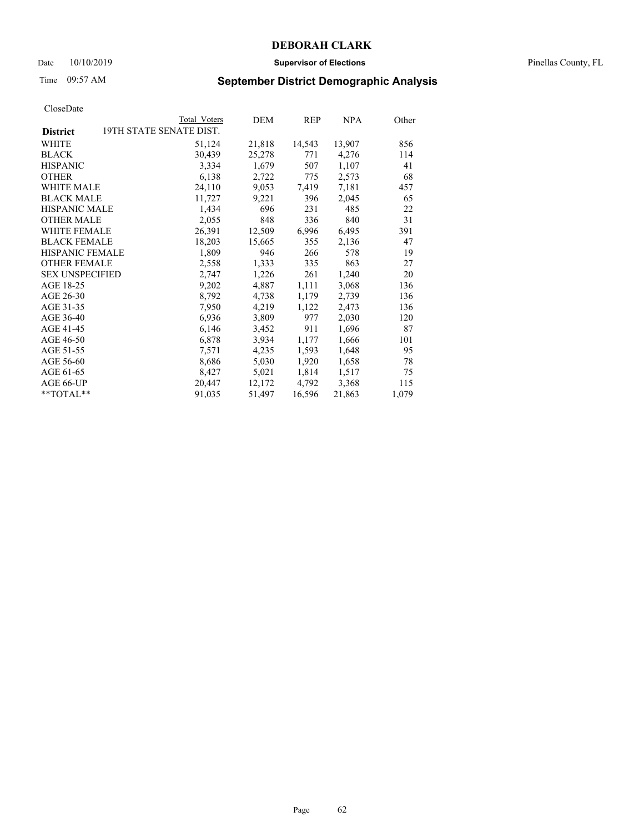### Date 10/10/2019 **Supervisor of Elections** Pinellas County, FL

# Time 09:57 AM **September District Demographic Analysis**

|                        | Total Voters            | DEM    | <b>REP</b> | NPA    | Other |
|------------------------|-------------------------|--------|------------|--------|-------|
| <b>District</b>        | 19TH STATE SENATE DIST. |        |            |        |       |
| WHITE                  | 51,124                  | 21,818 | 14,543     | 13,907 | 856   |
| <b>BLACK</b>           | 30,439                  | 25,278 | 771        | 4,276  | 114   |
| <b>HISPANIC</b>        | 3,334                   | 1,679  | 507        | 1,107  | 41    |
| <b>OTHER</b>           | 6,138                   | 2,722  | 775        | 2,573  | 68    |
| WHITE MALE             | 24,110                  | 9,053  | 7,419      | 7,181  | 457   |
| <b>BLACK MALE</b>      | 11,727                  | 9,221  | 396        | 2,045  | 65    |
| <b>HISPANIC MALE</b>   | 1,434                   | 696    | 231        | 485    | 22    |
| <b>OTHER MALE</b>      | 2,055                   | 848    | 336        | 840    | 31    |
| <b>WHITE FEMALE</b>    | 26,391                  | 12,509 | 6,996      | 6,495  | 391   |
| <b>BLACK FEMALE</b>    | 18,203                  | 15,665 | 355        | 2,136  | 47    |
| HISPANIC FEMALE        | 1,809                   | 946    | 266        | 578    | 19    |
| <b>OTHER FEMALE</b>    | 2,558                   | 1,333  | 335        | 863    | 27    |
| <b>SEX UNSPECIFIED</b> | 2,747                   | 1,226  | 261        | 1,240  | 20    |
| AGE 18-25              | 9,202                   | 4,887  | 1,111      | 3,068  | 136   |
| AGE 26-30              | 8,792                   | 4,738  | 1,179      | 2,739  | 136   |
| AGE 31-35              | 7,950                   | 4,219  | 1,122      | 2,473  | 136   |
| AGE 36-40              | 6,936                   | 3,809  | 977        | 2,030  | 120   |
| AGE 41-45              | 6,146                   | 3,452  | 911        | 1,696  | 87    |
| AGE 46-50              | 6,878                   | 3,934  | 1,177      | 1,666  | 101   |
| AGE 51-55              | 7,571                   | 4,235  | 1,593      | 1,648  | 95    |
| AGE 56-60              | 8,686                   | 5,030  | 1,920      | 1,658  | 78    |
| AGE 61-65              | 8,427                   | 5,021  | 1,814      | 1,517  | 75    |
| AGE 66-UP              | 20,447                  | 12,172 | 4,792      | 3,368  | 115   |
| $*$ $TOTAL**$          | 91,035                  | 51,497 | 16,596     | 21,863 | 1,079 |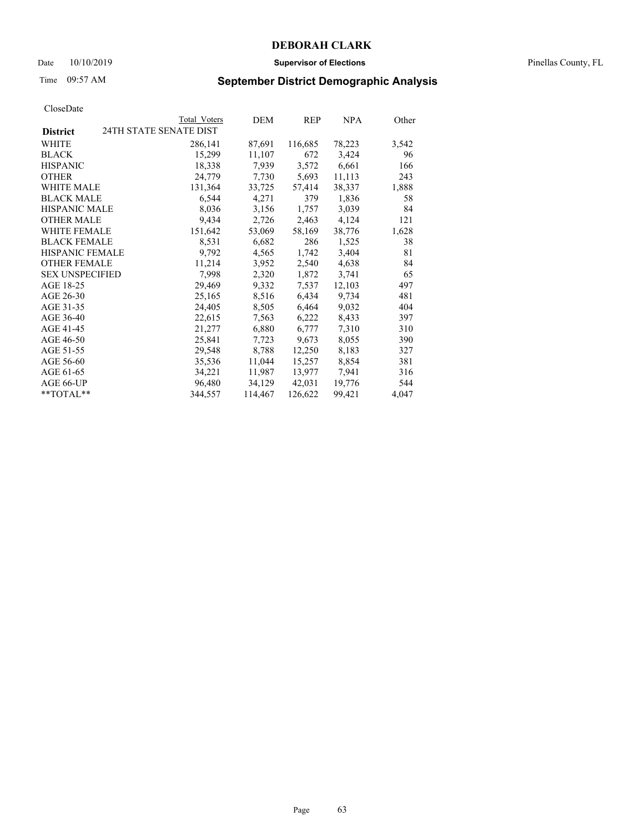### Date 10/10/2019 **Supervisor of Elections** Pinellas County, FL

# Time 09:57 AM **September District Demographic Analysis**

|                                           | Total Voters | DEM     | REP     | <b>NPA</b> | Other |
|-------------------------------------------|--------------|---------|---------|------------|-------|
| 24TH STATE SENATE DIST<br><b>District</b> |              |         |         |            |       |
| <b>WHITE</b>                              | 286,141      | 87,691  | 116,685 | 78,223     | 3,542 |
| <b>BLACK</b>                              | 15,299       | 11,107  | 672     | 3,424      | 96    |
| <b>HISPANIC</b>                           | 18,338       | 7,939   | 3,572   | 6,661      | 166   |
| <b>OTHER</b>                              | 24,779       | 7,730   | 5,693   | 11,113     | 243   |
| <b>WHITE MALE</b>                         | 131,364      | 33,725  | 57,414  | 38,337     | 1,888 |
| <b>BLACK MALE</b>                         | 6,544        | 4,271   | 379     | 1,836      | 58    |
| <b>HISPANIC MALE</b>                      | 8,036        | 3,156   | 1,757   | 3,039      | 84    |
| <b>OTHER MALE</b>                         | 9,434        | 2,726   | 2,463   | 4,124      | 121   |
| <b>WHITE FEMALE</b>                       | 151,642      | 53,069  | 58,169  | 38,776     | 1,628 |
| <b>BLACK FEMALE</b>                       | 8,531        | 6,682   | 286     | 1,525      | 38    |
| <b>HISPANIC FEMALE</b>                    | 9,792        | 4,565   | 1,742   | 3,404      | 81    |
| <b>OTHER FEMALE</b>                       | 11,214       | 3,952   | 2,540   | 4,638      | 84    |
| <b>SEX UNSPECIFIED</b>                    | 7,998        | 2,320   | 1,872   | 3,741      | 65    |
| AGE 18-25                                 | 29,469       | 9,332   | 7,537   | 12,103     | 497   |
| AGE 26-30                                 | 25,165       | 8,516   | 6,434   | 9,734      | 481   |
| AGE 31-35                                 | 24,405       | 8,505   | 6,464   | 9,032      | 404   |
| AGE 36-40                                 | 22,615       | 7,563   | 6,222   | 8,433      | 397   |
| AGE 41-45                                 | 21,277       | 6,880   | 6,777   | 7,310      | 310   |
| AGE 46-50                                 | 25,841       | 7,723   | 9,673   | 8,055      | 390   |
| AGE 51-55                                 | 29,548       | 8,788   | 12,250  | 8,183      | 327   |
| AGE 56-60                                 | 35,536       | 11,044  | 15,257  | 8,854      | 381   |
| AGE 61-65                                 | 34,221       | 11,987  | 13,977  | 7,941      | 316   |
| AGE 66-UP                                 | 96,480       | 34,129  | 42,031  | 19,776     | 544   |
| **TOTAL**                                 | 344,557      | 114,467 | 126,622 | 99,421     | 4,047 |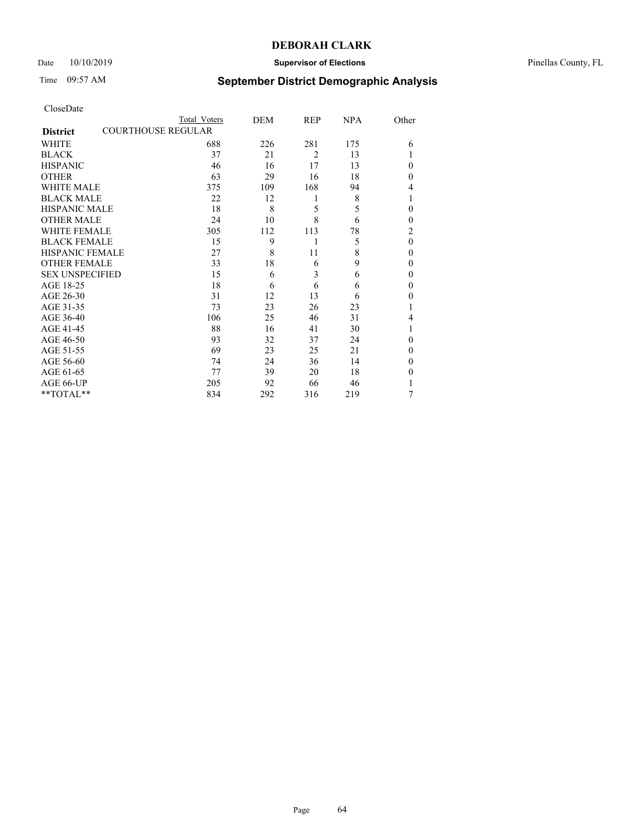## Date 10/10/2019 **Supervisor of Elections** Pinellas County, FL

# Time 09:57 AM **September District Demographic Analysis**

| CloseDate |
|-----------|
|-----------|

|                        | Total Voters              | DEM | REP            | <b>NPA</b> | Other          |
|------------------------|---------------------------|-----|----------------|------------|----------------|
| <b>District</b>        | <b>COURTHOUSE REGULAR</b> |     |                |            |                |
| WHITE                  | 688                       | 226 | 281            | 175        | 6              |
| <b>BLACK</b>           | 37                        | 21  | $\overline{2}$ | 13         |                |
| <b>HISPANIC</b>        | 46                        | 16  | 17             | 13         | 0              |
| <b>OTHER</b>           | 63                        | 29  | 16             | 18         | 0              |
| <b>WHITE MALE</b>      | 375                       | 109 | 168            | 94         | 4              |
| <b>BLACK MALE</b>      | 22                        | 12  | 1              | 8          | 1              |
| <b>HISPANIC MALE</b>   | 18                        | 8   | 5              | 5          | 0              |
| <b>OTHER MALE</b>      | 24                        | 10  | 8              | 6          | 0              |
| <b>WHITE FEMALE</b>    | 305                       | 112 | 113            | 78         | $\overline{2}$ |
| <b>BLACK FEMALE</b>    | 15                        | 9   | 1              | 5          | $\theta$       |
| <b>HISPANIC FEMALE</b> | 27                        | 8   | 11             | 8          | $\theta$       |
| <b>OTHER FEMALE</b>    | 33                        | 18  | 6              | 9          | 0              |
| <b>SEX UNSPECIFIED</b> | 15                        | 6   | 3              | 6          | $\theta$       |
| AGE 18-25              | 18                        | 6   | 6              | 6          | 0              |
| AGE 26-30              | 31                        | 12  | 13             | 6          | 0              |
| AGE 31-35              | 73                        | 23  | 26             | 23         |                |
| AGE 36-40              | 106                       | 25  | 46             | 31         | 4              |
| AGE 41-45              | 88                        | 16  | 41             | 30         |                |
| AGE 46-50              | 93                        | 32  | 37             | 24         | 0              |
| AGE 51-55              | 69                        | 23  | 25             | 21         | $\theta$       |
| AGE 56-60              | 74                        | 24  | 36             | 14         | 0              |
| AGE 61-65              | 77                        | 39  | 20             | 18         | 0              |
| AGE 66-UP              | 205                       | 92  | 66             | 46         |                |
| **TOTAL**              | 834                       | 292 | 316            | 219        | 7              |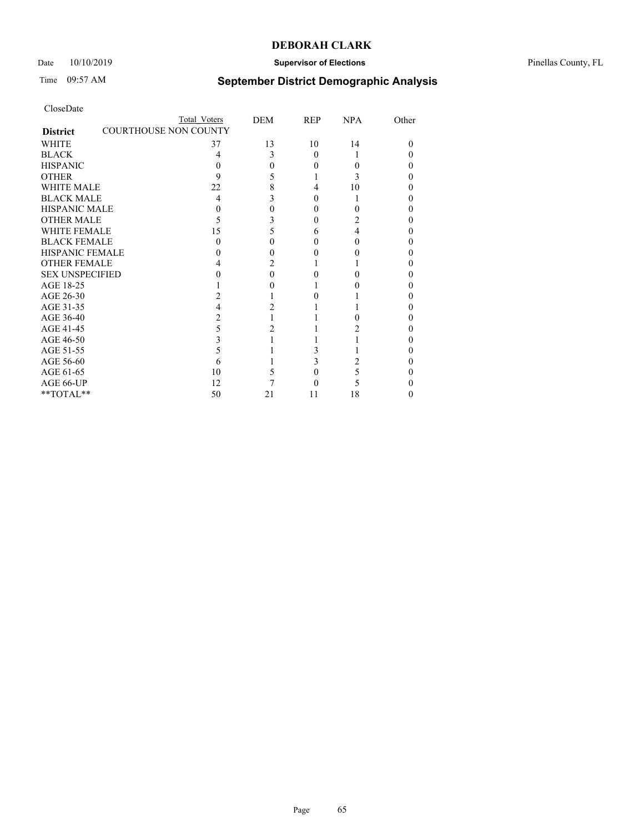## Date  $10/10/2019$  **Supervisor of Elections Supervisor of Elections** Pinellas County, FL

# Time 09:57 AM **September District Demographic Analysis**

|                                                 | Total Voters | DEM | <b>REP</b> | <b>NPA</b> | Other |
|-------------------------------------------------|--------------|-----|------------|------------|-------|
| <b>COURTHOUSE NON COUNTY</b><br><b>District</b> |              |     |            |            |       |
| WHITE                                           | 37           | 13  | 10         | 14         | 0     |
| <b>BLACK</b>                                    | 4            | 3   | $\Omega$   |            |       |
| <b>HISPANIC</b>                                 | 0            |     | 0          | 0          |       |
| <b>OTHER</b>                                    | 9            |     |            |            |       |
| <b>WHITE MALE</b>                               | 22           | 8   | 4          | 10         |       |
| <b>BLACK MALE</b>                               | 4            |     |            |            |       |
| <b>HISPANIC MALE</b>                            |              |     |            |            |       |
| <b>OTHER MALE</b>                               | 5            |     | 0          | 2          |       |
| <b>WHITE FEMALE</b>                             | 15           |     | h          | 4          |       |
| <b>BLACK FEMALE</b>                             |              |     |            | 0          |       |
| <b>HISPANIC FEMALE</b>                          |              |     |            |            |       |
| <b>OTHER FEMALE</b>                             |              |     |            |            |       |
| <b>SEX UNSPECIFIED</b>                          |              |     |            |            |       |
| AGE 18-25                                       |              |     |            |            |       |
| AGE 26-30                                       |              |     |            |            |       |
| AGE 31-35                                       |              |     |            |            |       |
| AGE 36-40                                       |              |     |            |            |       |
| AGE 41-45                                       | 5            |     |            |            |       |
| AGE 46-50                                       | 3            |     |            |            |       |
| AGE 51-55                                       | 5            |     |            |            |       |
| AGE 56-60                                       | 6            |     |            |            |       |
| AGE 61-65                                       | 10           |     |            | 5          |       |
| AGE 66-UP                                       | 12           |     |            |            |       |
| **TOTAL**                                       | 50           | 21  | 11         | 18         | 0     |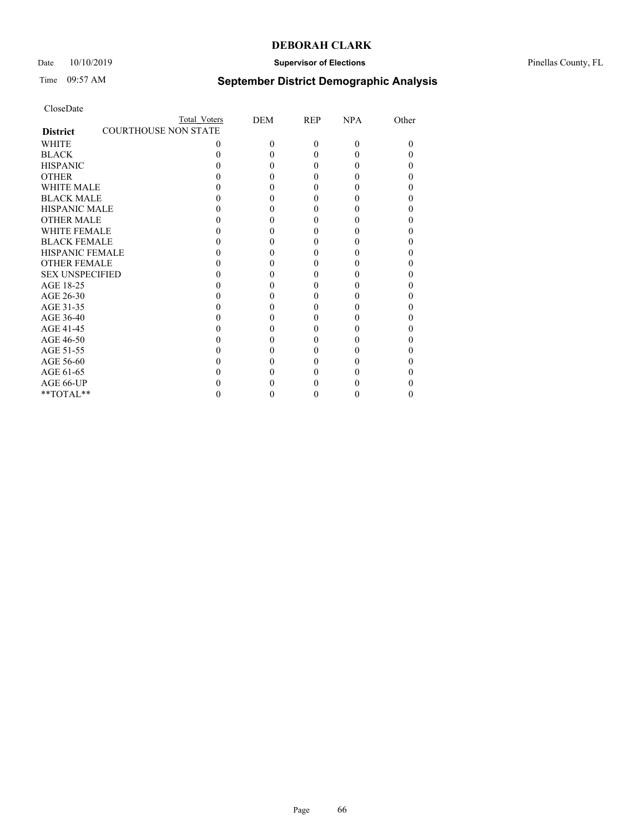## Date  $10/10/2019$  **Supervisor of Elections Supervisor of Elections** Pinellas County, FL

# Time 09:57 AM **September District Demographic Analysis**

|                                                | Total Voters | DEM      | <b>REP</b> | NPA      | Other |
|------------------------------------------------|--------------|----------|------------|----------|-------|
| <b>COURTHOUSE NON STATE</b><br><b>District</b> |              |          |            |          |       |
| WHITE                                          | 0            | $\Omega$ | 0          | $\Omega$ |       |
| <b>BLACK</b>                                   |              |          |            | 0        |       |
| <b>HISPANIC</b>                                |              |          | 0          |          |       |
| <b>OTHER</b>                                   |              |          |            |          |       |
| <b>WHITE MALE</b>                              |              |          |            |          |       |
| <b>BLACK MALE</b>                              |              |          |            |          |       |
| <b>HISPANIC MALE</b>                           |              |          |            |          |       |
| <b>OTHER MALE</b>                              |              |          |            |          |       |
| <b>WHITE FEMALE</b>                            |              |          |            |          |       |
| <b>BLACK FEMALE</b>                            |              |          |            |          |       |
| <b>HISPANIC FEMALE</b>                         |              |          |            |          |       |
| <b>OTHER FEMALE</b>                            |              |          |            |          |       |
| <b>SEX UNSPECIFIED</b>                         |              |          |            |          |       |
| AGE 18-25                                      |              |          |            |          |       |
| AGE 26-30                                      |              |          |            |          |       |
| AGE 31-35                                      |              |          |            |          |       |
| AGE 36-40                                      |              |          |            |          |       |
| AGE 41-45                                      |              |          |            |          |       |
| AGE 46-50                                      |              |          |            |          |       |
| AGE 51-55                                      |              |          |            |          |       |
| AGE 56-60                                      |              |          |            |          |       |
| AGE 61-65                                      |              |          |            |          |       |
| AGE 66-UP                                      |              |          |            |          |       |
| **TOTAL**                                      |              |          |            |          |       |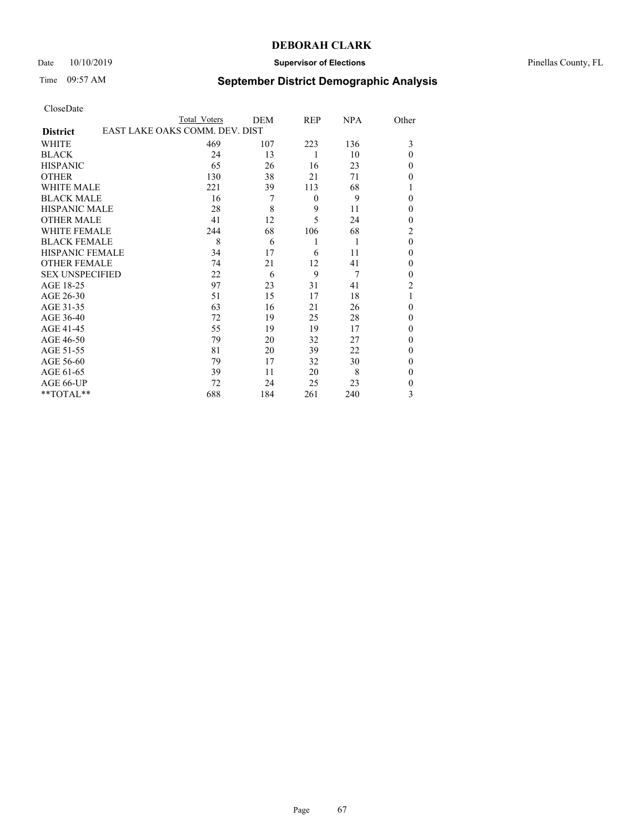### Date 10/10/2019 **Supervisor of Elections** Pinellas County, FL

# Time 09:57 AM **September District Demographic Analysis**

|                                                   | Total Voters | DEM | REP      | NPA | Other          |
|---------------------------------------------------|--------------|-----|----------|-----|----------------|
| EAST LAKE OAKS COMM. DEV. DIST<br><b>District</b> |              |     |          |     |                |
| WHITE                                             | 469          | 107 | 223      | 136 | 3              |
| <b>BLACK</b>                                      | 24           | 13  | 1        | 10  | $\theta$       |
| <b>HISPANIC</b>                                   | 65           | 26  | 16       | 23  | $\theta$       |
| <b>OTHER</b>                                      | 130          | 38  | 21       | 71  | $\theta$       |
| <b>WHITE MALE</b>                                 | 221          | 39  | 113      | 68  | 1              |
| <b>BLACK MALE</b>                                 | 16           | 7   | $\theta$ | 9   | $\theta$       |
| <b>HISPANIC MALE</b>                              | 28           | 8   | 9        | 11  | $\theta$       |
| <b>OTHER MALE</b>                                 | 41           | 12  | 5        | 24  | $\mathbf{0}$   |
| <b>WHITE FEMALE</b>                               | 244          | 68  | 106      | 68  | $\overline{2}$ |
| <b>BLACK FEMALE</b>                               | 8            | 6   | 1        | 1   | $\theta$       |
| <b>HISPANIC FEMALE</b>                            | 34           | 17  | 6        | 11  | $\theta$       |
| <b>OTHER FEMALE</b>                               | 74           | 21  | 12       | 41  | $\theta$       |
| <b>SEX UNSPECIFIED</b>                            | 22           | 6   | 9        | 7   | $\theta$       |
| AGE 18-25                                         | 97           | 23  | 31       | 41  | $\overline{2}$ |
| AGE 26-30                                         | 51           | 15  | 17       | 18  | 1              |
| AGE 31-35                                         | 63           | 16  | 21       | 26  | $\theta$       |
| AGE 36-40                                         | 72           | 19  | 25       | 28  | $\theta$       |
| AGE 41-45                                         | 55           | 19  | 19       | 17  | $\theta$       |
| AGE 46-50                                         | 79           | 20  | 32       | 27  | $\mathbf{0}$   |
| AGE 51-55                                         | 81           | 20  | 39       | 22  | $\theta$       |
| AGE 56-60                                         | 79           | 17  | 32       | 30  | $\theta$       |
| AGE 61-65                                         | 39           | 11  | 20       | 8   | $\theta$       |
| AGE 66-UP                                         | 72           | 24  | 25       | 23  | $\mathbf{0}$   |
| **TOTAL**                                         | 688          | 184 | 261      | 240 | 3              |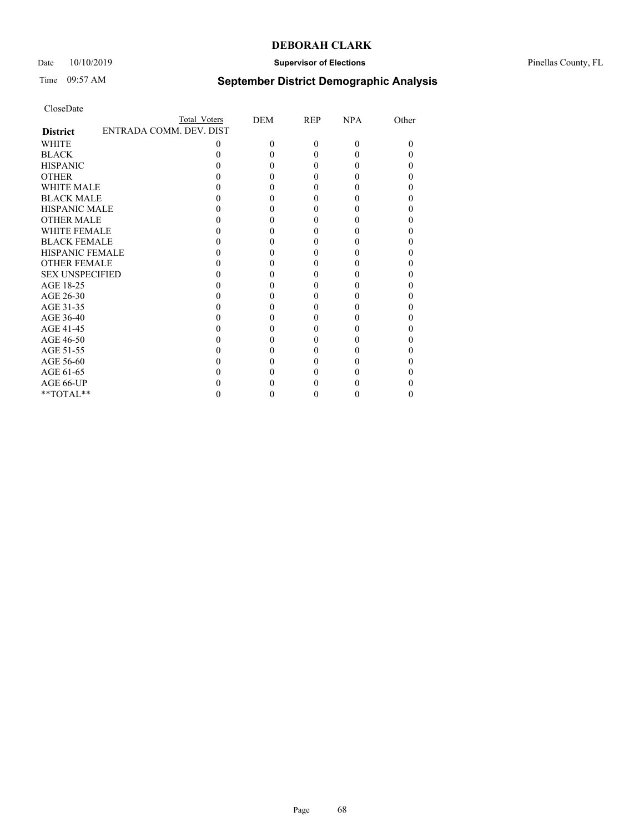## Date  $10/10/2019$  **Supervisor of Elections Supervisor of Elections** Pinellas County, FL

# Time 09:57 AM **September District Demographic Analysis**

|                        |                         | Total Voters | DEM      | <b>REP</b> | <b>NPA</b> | Other |
|------------------------|-------------------------|--------------|----------|------------|------------|-------|
| <b>District</b>        | ENTRADA COMM. DEV. DIST |              |          |            |            |       |
| WHITE                  |                         | 0            | $\Omega$ | $\Omega$   | 0          |       |
| <b>BLACK</b>           |                         |              |          |            |            |       |
| <b>HISPANIC</b>        |                         |              | 0        |            |            |       |
| <b>OTHER</b>           |                         |              |          |            |            |       |
| <b>WHITE MALE</b>      |                         |              |          |            |            |       |
| <b>BLACK MALE</b>      |                         |              |          |            |            |       |
| <b>HISPANIC MALE</b>   |                         |              |          |            |            |       |
| <b>OTHER MALE</b>      |                         |              |          |            |            |       |
| <b>WHITE FEMALE</b>    |                         |              |          |            |            |       |
| <b>BLACK FEMALE</b>    |                         |              |          |            |            |       |
| <b>HISPANIC FEMALE</b> |                         |              |          |            |            |       |
| <b>OTHER FEMALE</b>    |                         |              |          |            |            |       |
| <b>SEX UNSPECIFIED</b> |                         |              |          |            |            |       |
| AGE 18-25              |                         |              |          |            |            |       |
| AGE 26-30              |                         |              |          |            |            |       |
| AGE 31-35              |                         |              |          |            |            |       |
| AGE 36-40              |                         |              |          |            |            |       |
| AGE 41-45              |                         |              |          |            |            |       |
| AGE 46-50              |                         |              |          |            |            |       |
| AGE 51-55              |                         |              |          |            |            |       |
| AGE 56-60              |                         |              |          |            |            |       |
| AGE 61-65              |                         |              |          |            |            |       |
| AGE 66-UP              |                         |              |          |            |            |       |
| **TOTAL**              |                         |              |          |            |            |       |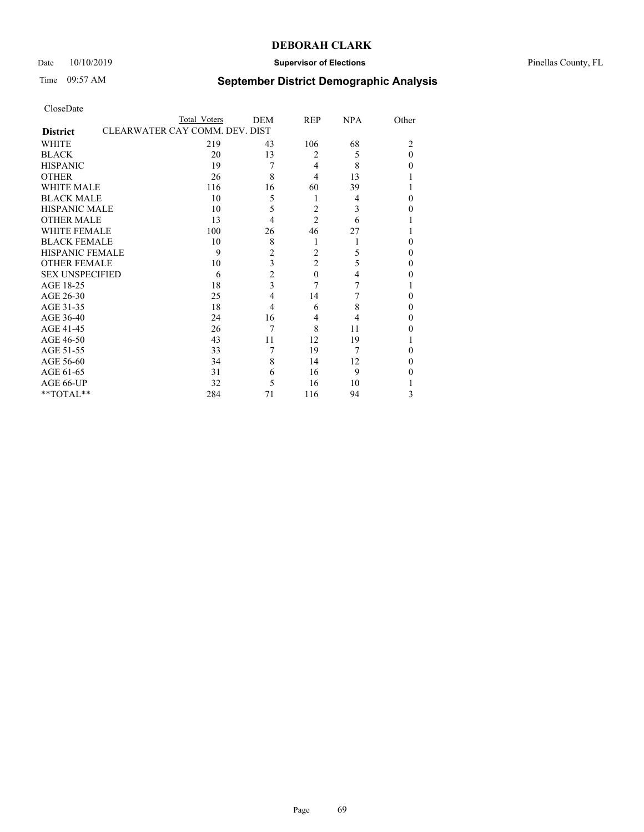## Date  $10/10/2019$  **Supervisor of Elections Supervisor of Elections** Pinellas County, FL

# Time 09:57 AM **September District Demographic Analysis**

|                        | Total Voters                   | DEM            | REP            | <b>NPA</b> | Other          |
|------------------------|--------------------------------|----------------|----------------|------------|----------------|
| <b>District</b>        | CLEARWATER CAY COMM. DEV. DIST |                |                |            |                |
| WHITE                  | 219                            | 43             | 106            | 68         | $\overline{c}$ |
| <b>BLACK</b>           | 20                             | 13             | $\overline{2}$ | 5          | 0              |
| <b>HISPANIC</b>        | 19                             | 7              | $\overline{4}$ | 8          | 0              |
| <b>OTHER</b>           | 26                             | 8              | 4              | 13         |                |
| WHITE MALE             | 116                            | 16             | 60             | 39         |                |
| <b>BLACK MALE</b>      | 10                             | 5              | 1              | 4          | 0              |
| <b>HISPANIC MALE</b>   | 10                             | 5              | $\overline{2}$ | 3          | 0              |
| <b>OTHER MALE</b>      | 13                             | 4              | $\overline{2}$ | 6          |                |
| WHITE FEMALE           | 100                            | 26             | 46             | 27         |                |
| <b>BLACK FEMALE</b>    | 10                             | 8              | 1              |            | 0              |
| <b>HISPANIC FEMALE</b> | 9                              | $\overline{2}$ | $\overline{2}$ | 5          | 0              |
| <b>OTHER FEMALE</b>    | 10                             | 3              | 2              | 5          | 0              |
| <b>SEX UNSPECIFIED</b> | 6                              | $\overline{c}$ | $\theta$       | 4          | 0              |
| AGE 18-25              | 18                             | $\overline{3}$ | 7              | 7          |                |
| AGE 26-30              | 25                             | 4              | 14             | 7          | 0              |
| AGE 31-35              | 18                             | 4              | 6              | 8          | 0              |
| AGE 36-40              | 24                             | 16             | 4              | 4          | 0              |
| AGE 41-45              | 26                             |                | 8              | 11         |                |
| AGE 46-50              | 43                             | 11             | 12             | 19         |                |
| AGE 51-55              | 33                             |                | 19             | 7          | 0              |
| AGE 56-60              | 34                             | 8              | 14             | 12         | 0              |
| AGE 61-65              | 31                             | 6              | 16             | 9          | 0              |
| AGE 66-UP              | 32                             | 5              | 16             | 10         |                |
| **TOTAL**              | 284                            | 71             | 116            | 94         | 3              |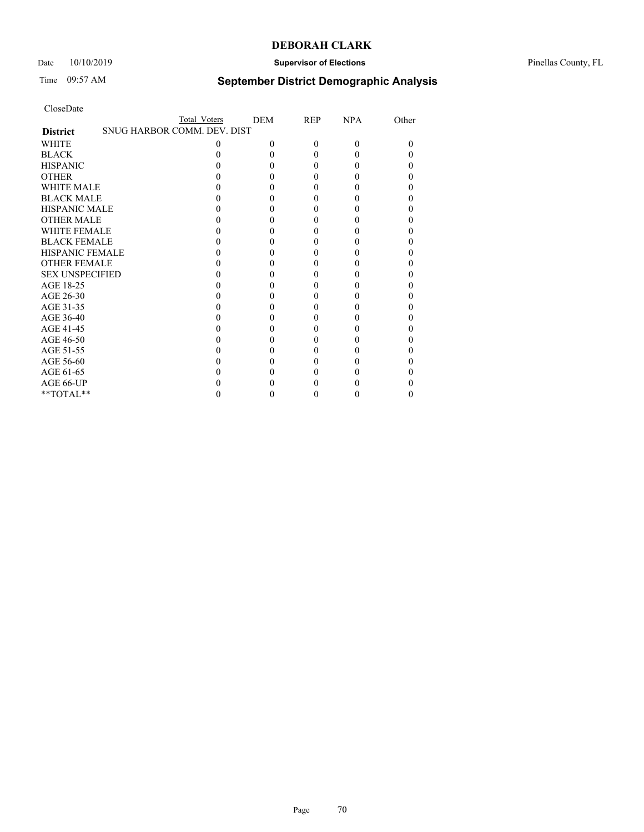## Date  $10/10/2019$  **Supervisor of Elections Supervisor of Elections** Pinellas County, FL

# Time 09:57 AM **September District Demographic Analysis**

|                        | Total Voters                |   | <b>DEM</b> | <b>REP</b> | <b>NPA</b> | Other |
|------------------------|-----------------------------|---|------------|------------|------------|-------|
| <b>District</b>        | SNUG HARBOR COMM. DEV. DIST |   |            |            |            |       |
| WHITE                  |                             | 0 | 0          | $\Omega$   | 0          |       |
| <b>BLACK</b>           |                             |   |            |            |            |       |
| <b>HISPANIC</b>        |                             |   |            | 0          | 0          |       |
| <b>OTHER</b>           |                             |   |            |            |            |       |
| <b>WHITE MALE</b>      |                             |   |            |            |            |       |
| <b>BLACK MALE</b>      |                             |   |            |            |            |       |
| <b>HISPANIC MALE</b>   |                             |   |            |            |            |       |
| <b>OTHER MALE</b>      |                             |   |            |            |            |       |
| <b>WHITE FEMALE</b>    |                             |   |            |            |            |       |
| <b>BLACK FEMALE</b>    |                             |   |            |            |            |       |
| <b>HISPANIC FEMALE</b> |                             |   |            |            |            |       |
| <b>OTHER FEMALE</b>    |                             |   |            |            |            |       |
| <b>SEX UNSPECIFIED</b> |                             |   |            |            |            |       |
| AGE 18-25              |                             |   |            |            |            |       |
| AGE 26-30              |                             |   |            |            |            |       |
| AGE 31-35              |                             |   |            |            |            |       |
| AGE 36-40              |                             |   |            |            |            |       |
| AGE 41-45              |                             |   |            |            |            |       |
| AGE 46-50              |                             |   |            | 0          | 0          |       |
| AGE 51-55              |                             |   |            |            |            |       |
| AGE 56-60              |                             |   |            |            |            |       |
| AGE 61-65              |                             |   |            |            |            |       |
| AGE 66-UP              |                             |   |            |            |            |       |
| **TOTAL**              |                             |   |            |            |            |       |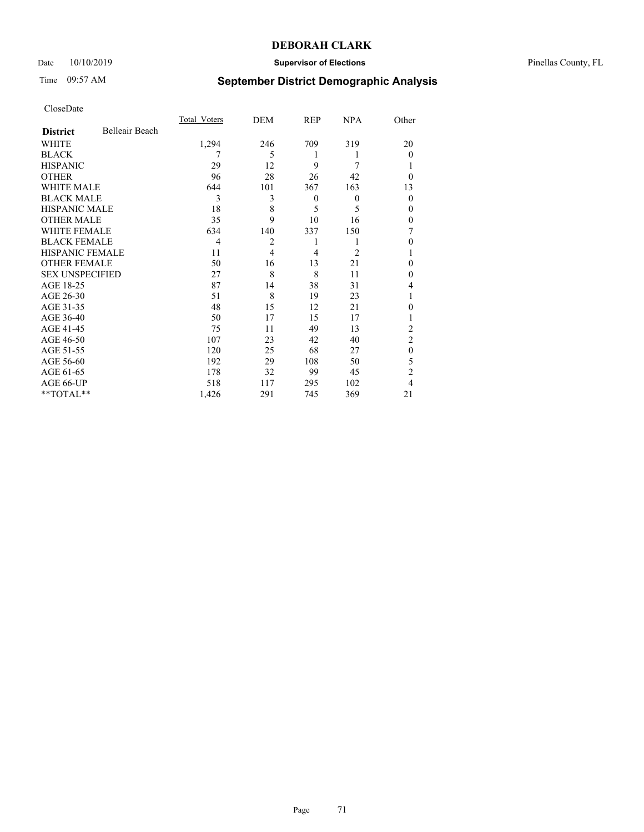### Date 10/10/2019 **Supervisor of Elections** Pinellas County, FL

## Time 09:57 AM **September District Demographic Analysis**

|                        |                | Total Voters   | DEM            | REP      | <b>NPA</b>     | Other          |
|------------------------|----------------|----------------|----------------|----------|----------------|----------------|
| <b>District</b>        | Belleair Beach |                |                |          |                |                |
| WHITE                  |                | 1,294          | 246            | 709      | 319            | 20             |
| <b>BLACK</b>           |                | 7              | 5              | 1        | 1              | $\theta$       |
| <b>HISPANIC</b>        |                | 29             | 12             | 9        | 7              | 1              |
| <b>OTHER</b>           |                | 96             | 28             | 26       | 42             | $\Omega$       |
| WHITE MALE             |                | 644            | 101            | 367      | 163            | 13             |
| <b>BLACK MALE</b>      |                | 3              | 3              | $\theta$ | $\mathbf{0}$   | $\theta$       |
| <b>HISPANIC MALE</b>   |                | 18             | 8              | 5        | 5              | $\theta$       |
| <b>OTHER MALE</b>      |                | 35             | 9              | 10       | 16             | $\theta$       |
| WHITE FEMALE           |                | 634            | 140            | 337      | 150            |                |
| <b>BLACK FEMALE</b>    |                | $\overline{4}$ | 2              | 1        | 1              | $\theta$       |
| <b>HISPANIC FEMALE</b> |                | 11             | $\overline{4}$ | 4        | $\overline{2}$ | 1              |
| <b>OTHER FEMALE</b>    |                | 50             | 16             | 13       | 21             | 0              |
| <b>SEX UNSPECIFIED</b> |                | 27             | 8              | 8        | 11             | $\theta$       |
| AGE 18-25              |                | 87             | 14             | 38       | 31             | 4              |
| AGE 26-30              |                | 51             | 8              | 19       | 23             | 1              |
| AGE 31-35              |                | 48             | 15             | 12       | 21             | $\Omega$       |
| AGE 36-40              |                | 50             | 17             | 15       | 17             | 1              |
| AGE 41-45              |                | 75             | 11             | 49       | 13             | 2              |
| AGE 46-50              |                | 107            | 23             | 42       | 40             | $\overline{2}$ |
| AGE 51-55              |                | 120            | 25             | 68       | 27             | $\theta$       |
| AGE 56-60              |                | 192            | 29             | 108      | 50             | 5              |
| AGE 61-65              |                | 178            | 32             | 99       | 45             | $\overline{2}$ |
| AGE 66-UP              |                | 518            | 117            | 295      | 102            | 4              |
| **TOTAL**              |                | 1,426          | 291            | 745      | 369            | 21             |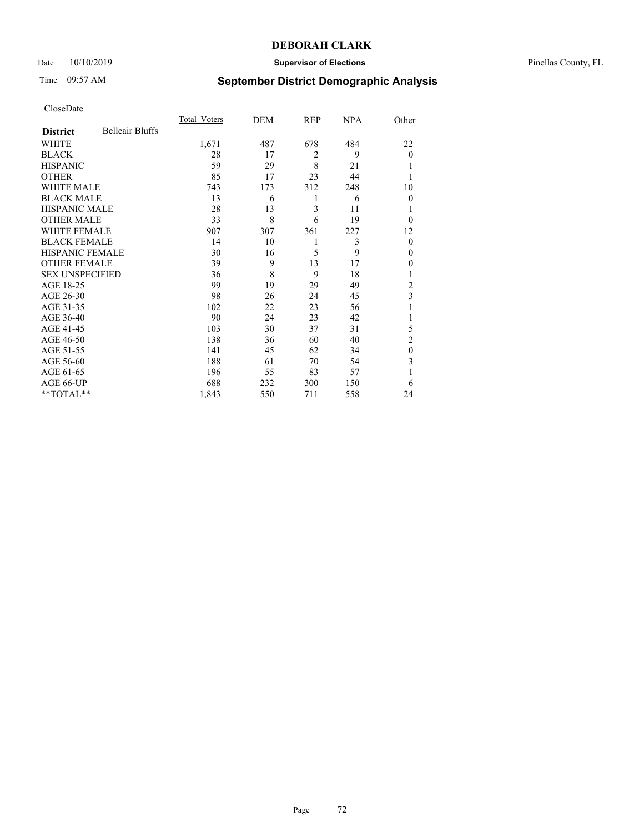## Date 10/10/2019 **Supervisor of Elections** Pinellas County, FL

# Time 09:57 AM **September District Demographic Analysis**

|                        |                        | Total Voters | DEM | <b>REP</b>     | <b>NPA</b> | Other          |
|------------------------|------------------------|--------------|-----|----------------|------------|----------------|
| <b>District</b>        | <b>Belleair Bluffs</b> |              |     |                |            |                |
| WHITE                  |                        | 1,671        | 487 | 678            | 484        | 22             |
| <b>BLACK</b>           |                        | 28           | 17  | $\overline{2}$ | 9          | $\Omega$       |
| <b>HISPANIC</b>        |                        | 59           | 29  | 8              | 21         |                |
| <b>OTHER</b>           |                        | 85           | 17  | 23             | 44         |                |
| <b>WHITE MALE</b>      |                        | 743          | 173 | 312            | 248        | 10             |
| <b>BLACK MALE</b>      |                        | 13           | 6   | 1              | 6          | $\Omega$       |
| <b>HISPANIC MALE</b>   |                        | 28           | 13  | 3              | 11         |                |
| <b>OTHER MALE</b>      |                        | 33           | 8   | 6              | 19         | $\Omega$       |
| <b>WHITE FEMALE</b>    |                        | 907          | 307 | 361            | 227        | 12             |
| <b>BLACK FEMALE</b>    |                        | 14           | 10  | 1              | 3          | $\theta$       |
| <b>HISPANIC FEMALE</b> |                        | 30           | 16  | 5              | 9          | $\Omega$       |
| <b>OTHER FEMALE</b>    |                        | 39           | 9   | 13             | 17         | $\overline{0}$ |
| <b>SEX UNSPECIFIED</b> |                        | 36           | 8   | 9              | 18         |                |
| AGE 18-25              |                        | 99           | 19  | 29             | 49         | 2              |
| AGE 26-30              |                        | 98           | 26  | 24             | 45         | 3              |
| AGE 31-35              |                        | 102          | 22  | 23             | 56         |                |
| AGE 36-40              |                        | 90           | 24  | 23             | 42         |                |
| AGE 41-45              |                        | 103          | 30  | 37             | 31         | 5              |
| AGE 46-50              |                        | 138          | 36  | 60             | 40         | $\overline{2}$ |
| AGE 51-55              |                        | 141          | 45  | 62             | 34         | $\theta$       |
| AGE 56-60              |                        | 188          | 61  | 70             | 54         | 3              |
| AGE 61-65              |                        | 196          | 55  | 83             | 57         |                |
| AGE 66-UP              |                        | 688          | 232 | 300            | 150        | 6              |
| **TOTAL**              |                        | 1,843        | 550 | 711            | 558        | 24             |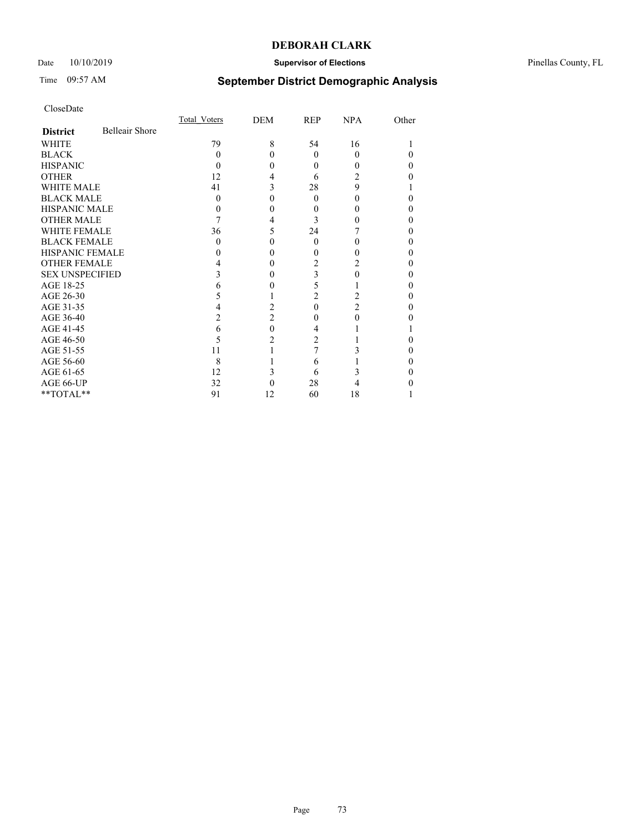## Date  $10/10/2019$  **Supervisor of Elections Supervisor of Elections** Pinellas County, FL

# Time 09:57 AM **September District Demographic Analysis**

|                        |                       | Total Voters | DEM            | REP            | NPA      | Other |
|------------------------|-----------------------|--------------|----------------|----------------|----------|-------|
| <b>District</b>        | <b>Belleair Shore</b> |              |                |                |          |       |
| WHITE                  |                       | 79           | 8              | 54             | 16       |       |
| <b>BLACK</b>           |                       | 0            | 0              | $\theta$       | $\Omega$ |       |
| <b>HISPANIC</b>        |                       | 0            | 0              | $\theta$       | 0        |       |
| <b>OTHER</b>           |                       | 12           | 4              | 6              | 2        |       |
| <b>WHITE MALE</b>      |                       | 41           | 3              | 28             | 9        |       |
| <b>BLACK MALE</b>      |                       | 0            |                | 0              | 0        |       |
| <b>HISPANIC MALE</b>   |                       |              | 0              | 0              |          |       |
| <b>OTHER MALE</b>      |                       |              | 4              | 3              |          |       |
| <b>WHITE FEMALE</b>    |                       | 36           | 5              | 24             |          |       |
| <b>BLACK FEMALE</b>    |                       | 0            | 0              | $\theta$       | 0        |       |
| <b>HISPANIC FEMALE</b> |                       |              | 0              | 0              |          |       |
| <b>OTHER FEMALE</b>    |                       |              | 0              | 2              |          |       |
| <b>SEX UNSPECIFIED</b> |                       |              | 0              | 3              |          |       |
| AGE 18-25              |                       |              |                | 5              |          |       |
| AGE 26-30              |                       | 5            |                | $\overline{2}$ | 2        |       |
| AGE 31-35              |                       |              | 2              | 0              | 2        |       |
| AGE 36-40              |                       | 2            | $\overline{c}$ | 0              | 0        |       |
| AGE 41-45              |                       | 6            | 0              | 4              |          |       |
| AGE 46-50              |                       | 5            | 2              | 2              |          |       |
| AGE 51-55              |                       | 11           |                | 7              |          |       |
| AGE 56-60              |                       | 8            |                | 6              |          |       |
| AGE 61-65              |                       | 12           | 3              | 6              |          |       |
| AGE 66-UP              |                       | 32           |                | 28             |          |       |
| **TOTAL**              |                       | 91           | 12             | 60             | 18       |       |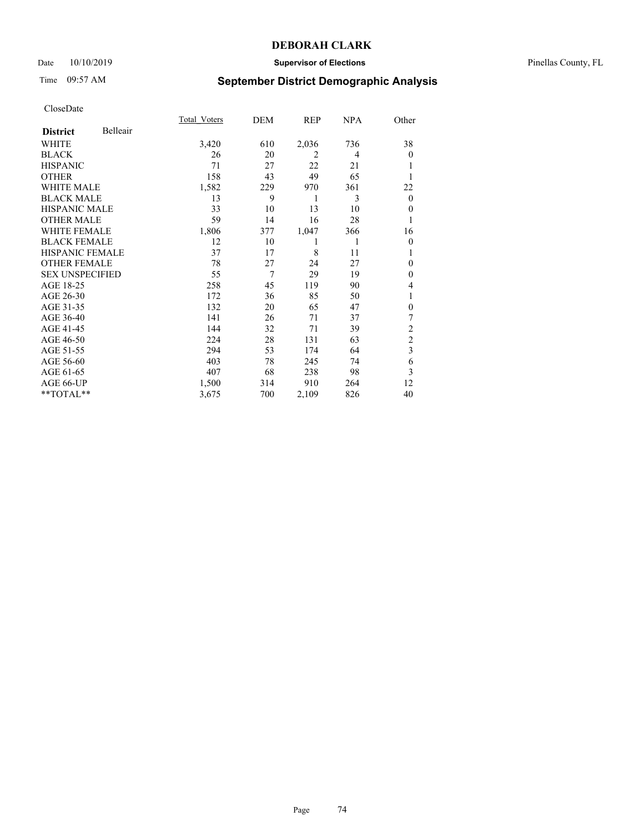## Date 10/10/2019 **Supervisor of Elections** Pinellas County, FL

# Time 09:57 AM **September District Demographic Analysis**

|                        |          | Total Voters | DEM | REP            | NPA | Other            |
|------------------------|----------|--------------|-----|----------------|-----|------------------|
| <b>District</b>        | Belleair |              |     |                |     |                  |
| WHITE                  |          | 3,420        | 610 | 2,036          | 736 | 38               |
| <b>BLACK</b>           |          | 26           | 20  | $\overline{2}$ | 4   | $\overline{0}$   |
| <b>HISPANIC</b>        |          | 71           | 27  | 22             | 21  |                  |
| <b>OTHER</b>           |          | 158          | 43  | 49             | 65  |                  |
| <b>WHITE MALE</b>      |          | 1,582        | 229 | 970            | 361 | 22               |
| <b>BLACK MALE</b>      |          | 13           | 9   | 1              | 3   | $\theta$         |
| <b>HISPANIC MALE</b>   |          | 33           | 10  | 13             | 10  | $\mathbf{0}$     |
| <b>OTHER MALE</b>      |          | 59           | 14  | 16             | 28  | 1                |
| WHITE FEMALE           |          | 1,806        | 377 | 1,047          | 366 | 16               |
| <b>BLACK FEMALE</b>    |          | 12           | 10  | 1              | 1   | $\theta$         |
| <b>HISPANIC FEMALE</b> |          | 37           | 17  | 8              | 11  | 1                |
| <b>OTHER FEMALE</b>    |          | 78           | 27  | 24             | 27  | $\theta$         |
| <b>SEX UNSPECIFIED</b> |          | 55           | 7   | 29             | 19  | $\mathbf{0}$     |
| AGE 18-25              |          | 258          | 45  | 119            | 90  | 4                |
| AGE 26-30              |          | 172          | 36  | 85             | 50  | 1                |
| AGE 31-35              |          | 132          | 20  | 65             | 47  | $\boldsymbol{0}$ |
| AGE 36-40              |          | 141          | 26  | 71             | 37  | 7                |
| AGE 41-45              |          | 144          | 32  | 71             | 39  | $\overline{c}$   |
| AGE 46-50              |          | 224          | 28  | 131            | 63  | $\overline{2}$   |
| AGE 51-55              |          | 294          | 53  | 174            | 64  | 3                |
| AGE 56-60              |          | 403          | 78  | 245            | 74  | 6                |
| AGE 61-65              |          | 407          | 68  | 238            | 98  | 3                |
| AGE 66-UP              |          | 1,500        | 314 | 910            | 264 | 12               |
| **TOTAL**              |          | 3,675        | 700 | 2,109          | 826 | 40               |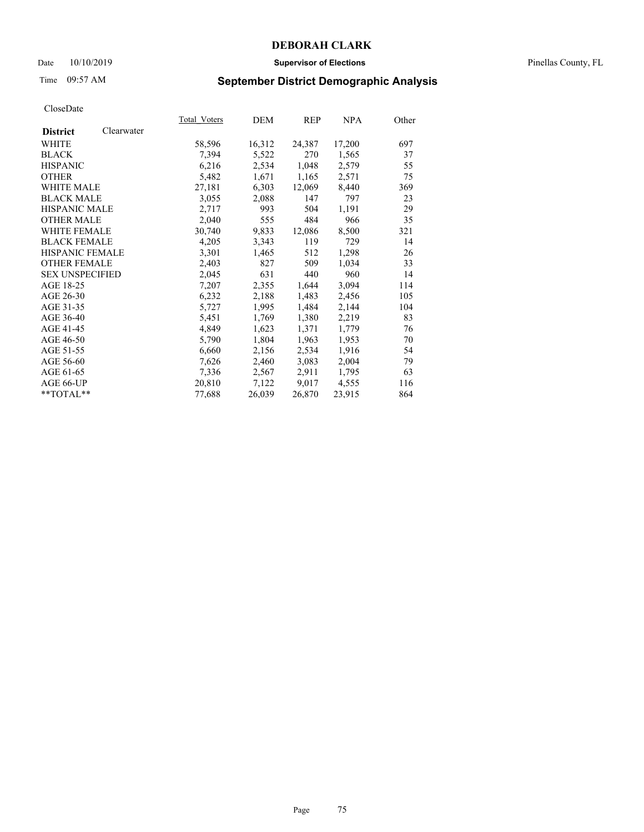## Date 10/10/2019 **Supervisor of Elections** Pinellas County, FL

# Time 09:57 AM **September District Demographic Analysis**

|                        |            | <b>Total Voters</b> | DEM    | REP    | <u>NPA</u> | Other |
|------------------------|------------|---------------------|--------|--------|------------|-------|
| <b>District</b>        | Clearwater |                     |        |        |            |       |
| WHITE                  |            | 58,596              | 16,312 | 24,387 | 17,200     | 697   |
| <b>BLACK</b>           |            | 7,394               | 5,522  | 270    | 1,565      | 37    |
| <b>HISPANIC</b>        |            | 6,216               | 2,534  | 1,048  | 2,579      | 55    |
| <b>OTHER</b>           |            | 5,482               | 1,671  | 1,165  | 2,571      | 75    |
| <b>WHITE MALE</b>      |            | 27,181              | 6,303  | 12,069 | 8,440      | 369   |
| <b>BLACK MALE</b>      |            | 3,055               | 2,088  | 147    | 797        | 23    |
| <b>HISPANIC MALE</b>   |            | 2,717               | 993    | 504    | 1,191      | 29    |
| <b>OTHER MALE</b>      |            | 2,040               | 555    | 484    | 966        | 35    |
| <b>WHITE FEMALE</b>    |            | 30,740              | 9,833  | 12,086 | 8,500      | 321   |
| <b>BLACK FEMALE</b>    |            | 4,205               | 3,343  | 119    | 729        | 14    |
| <b>HISPANIC FEMALE</b> |            | 3,301               | 1,465  | 512    | 1,298      | 26    |
| <b>OTHER FEMALE</b>    |            | 2,403               | 827    | 509    | 1,034      | 33    |
| <b>SEX UNSPECIFIED</b> |            | 2,045               | 631    | 440    | 960        | 14    |
| AGE 18-25              |            | 7,207               | 2,355  | 1,644  | 3,094      | 114   |
| AGE 26-30              |            | 6,232               | 2,188  | 1,483  | 2,456      | 105   |
| AGE 31-35              |            | 5,727               | 1,995  | 1,484  | 2,144      | 104   |
| AGE 36-40              |            | 5,451               | 1,769  | 1,380  | 2,219      | 83    |
| AGE 41-45              |            | 4,849               | 1,623  | 1,371  | 1,779      | 76    |
| AGE 46-50              |            | 5,790               | 1,804  | 1,963  | 1,953      | 70    |
| AGE 51-55              |            | 6,660               | 2,156  | 2,534  | 1,916      | 54    |
| AGE 56-60              |            | 7,626               | 2,460  | 3,083  | 2,004      | 79    |
| AGE 61-65              |            | 7,336               | 2,567  | 2,911  | 1,795      | 63    |
| AGE 66-UP              |            | 20,810              | 7,122  | 9,017  | 4,555      | 116   |
| $*$ $TOTAL**$          |            | 77,688              | 26,039 | 26,870 | 23,915     | 864   |
|                        |            |                     |        |        |            |       |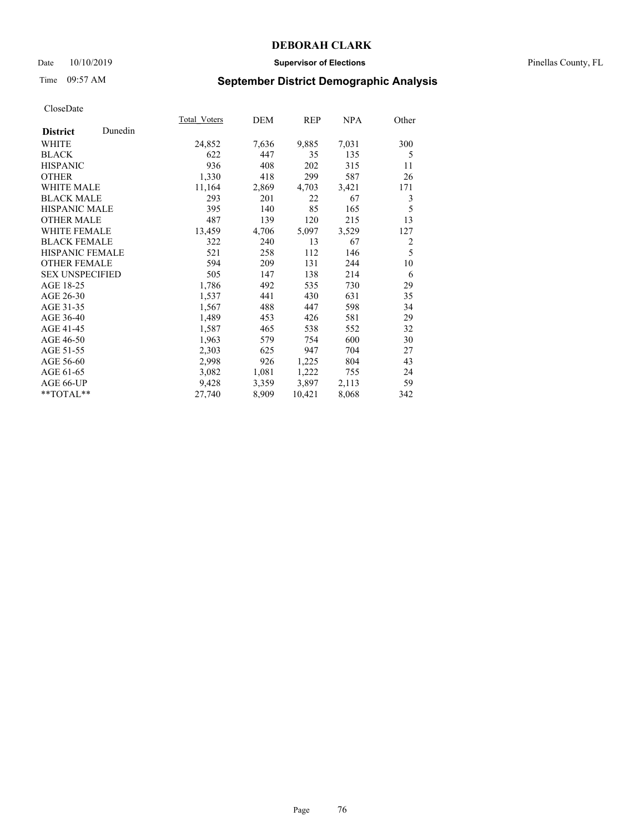## Date 10/10/2019 **Supervisor of Elections** Pinellas County, FL

# Time 09:57 AM **September District Demographic Analysis**

|                        |         | Total Voters | DEM   | REP    | NPA   | Other          |
|------------------------|---------|--------------|-------|--------|-------|----------------|
| <b>District</b>        | Dunedin |              |       |        |       |                |
| WHITE                  |         | 24,852       | 7,636 | 9,885  | 7,031 | 300            |
| <b>BLACK</b>           |         | 622          | 447   | 35     | 135   | 5              |
| <b>HISPANIC</b>        |         | 936          | 408   | 202    | 315   | 11             |
| <b>OTHER</b>           |         | 1,330        | 418   | 299    | 587   | 26             |
| <b>WHITE MALE</b>      |         | 11,164       | 2,869 | 4,703  | 3,421 | 171            |
| <b>BLACK MALE</b>      |         | 293          | 201   | 22     | 67    | 3              |
| <b>HISPANIC MALE</b>   |         | 395          | 140   | 85     | 165   | 5              |
| <b>OTHER MALE</b>      |         | 487          | 139   | 120    | 215   | 13             |
| <b>WHITE FEMALE</b>    |         | 13,459       | 4,706 | 5,097  | 3,529 | 127            |
| <b>BLACK FEMALE</b>    |         | 322          | 240   | 13     | 67    | $\overline{2}$ |
| <b>HISPANIC FEMALE</b> |         | 521          | 258   | 112    | 146   | 5              |
| <b>OTHER FEMALE</b>    |         | 594          | 209   | 131    | 244   | 10             |
| <b>SEX UNSPECIFIED</b> |         | 505          | 147   | 138    | 214   | 6              |
| AGE 18-25              |         | 1,786        | 492   | 535    | 730   | 29             |
| AGE 26-30              |         | 1,537        | 441   | 430    | 631   | 35             |
| AGE 31-35              |         | 1,567        | 488   | 447    | 598   | 34             |
| AGE 36-40              |         | 1,489        | 453   | 426    | 581   | 29             |
| AGE 41-45              |         | 1,587        | 465   | 538    | 552   | 32             |
| AGE 46-50              |         | 1,963        | 579   | 754    | 600   | 30             |
| AGE 51-55              |         | 2,303        | 625   | 947    | 704   | 27             |
| AGE 56-60              |         | 2,998        | 926   | 1,225  | 804   | 43             |
| AGE 61-65              |         | 3,082        | 1,081 | 1,222  | 755   | 24             |
| AGE 66-UP              |         | 9,428        | 3,359 | 3,897  | 2,113 | 59             |
| **TOTAL**              |         | 27,740       | 8,909 | 10,421 | 8,068 | 342            |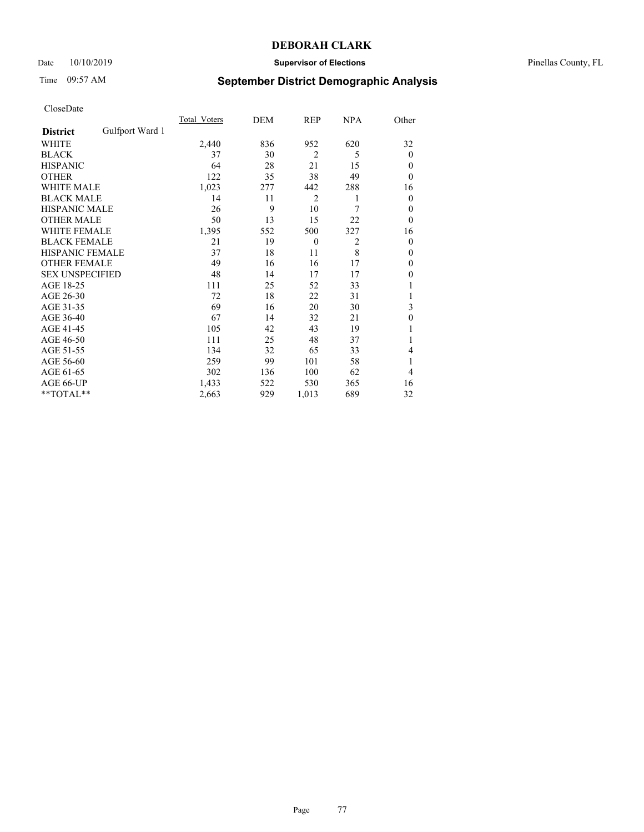## Date 10/10/2019 **Supervisor of Elections** Pinellas County, FL

# Time 09:57 AM **September District Demographic Analysis**

|                        |                 | Total Voters | DEM | <b>REP</b>     | <b>NPA</b> | Other          |
|------------------------|-----------------|--------------|-----|----------------|------------|----------------|
| <b>District</b>        | Gulfport Ward 1 |              |     |                |            |                |
| WHITE                  |                 | 2,440        | 836 | 952            | 620        | 32             |
| <b>BLACK</b>           |                 | 37           | 30  | $\overline{2}$ | 5          | $\overline{0}$ |
| <b>HISPANIC</b>        |                 | 64           | 28  | 21             | 15         | $\Omega$       |
| <b>OTHER</b>           |                 | 122          | 35  | 38             | 49         | $\Omega$       |
| WHITE MALE             |                 | 1,023        | 277 | 442            | 288        | 16             |
| <b>BLACK MALE</b>      |                 | 14           | 11  | $\overline{2}$ | 1          | $\overline{0}$ |
| <b>HISPANIC MALE</b>   |                 | 26           | 9   | 10             | 7          | $\overline{0}$ |
| <b>OTHER MALE</b>      |                 | 50           | 13  | 15             | 22         | $\theta$       |
| WHITE FEMALE           |                 | 1,395        | 552 | 500            | 327        | 16             |
| <b>BLACK FEMALE</b>    |                 | 21           | 19  | $\overline{0}$ | 2          | $\theta$       |
| <b>HISPANIC FEMALE</b> |                 | 37           | 18  | 11             | 8          | $\Omega$       |
| <b>OTHER FEMALE</b>    |                 | 49           | 16  | 16             | 17         | $\overline{0}$ |
| <b>SEX UNSPECIFIED</b> |                 | 48           | 14  | 17             | 17         | $\theta$       |
| AGE 18-25              |                 | 111          | 25  | 52             | 33         |                |
| AGE 26-30              |                 | 72           | 18  | 22             | 31         | 1              |
| AGE 31-35              |                 | 69           | 16  | 20             | 30         | 3              |
| AGE 36-40              |                 | 67           | 14  | 32             | 21         | $\theta$       |
| AGE 41-45              |                 | 105          | 42  | 43             | 19         |                |
| AGE 46-50              |                 | 111          | 25  | 48             | 37         |                |
| AGE 51-55              |                 | 134          | 32  | 65             | 33         | 4              |
| AGE 56-60              |                 | 259          | 99  | 101            | 58         | 1              |
| AGE 61-65              |                 | 302          | 136 | 100            | 62         | 4              |
| AGE 66-UP              |                 | 1,433        | 522 | 530            | 365        | 16             |
| **TOTAL**              |                 | 2,663        | 929 | 1,013          | 689        | 32             |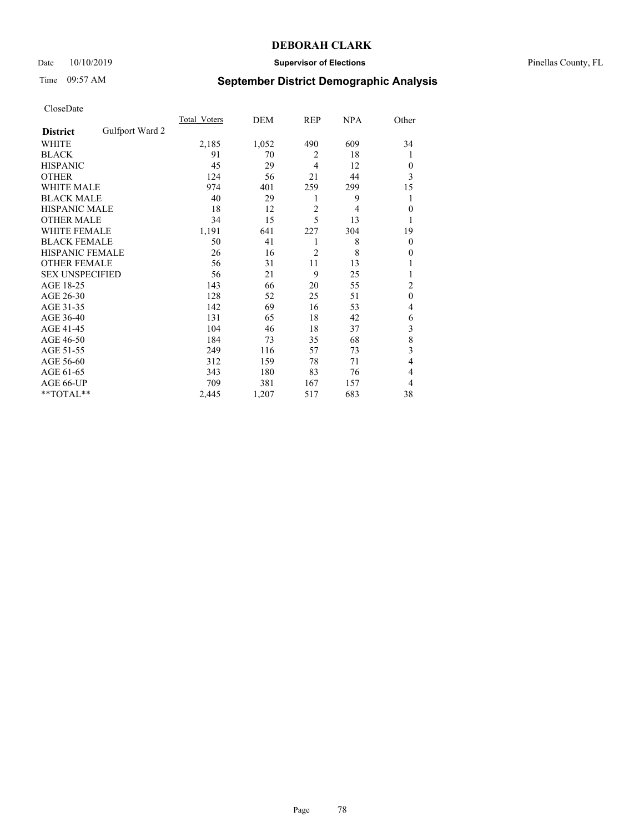## Date 10/10/2019 **Supervisor of Elections** Pinellas County, FL

# Time 09:57 AM **September District Demographic Analysis**

|                        |                 | Total Voters | DEM   | REP            | <b>NPA</b> | Other          |
|------------------------|-----------------|--------------|-------|----------------|------------|----------------|
| <b>District</b>        | Gulfport Ward 2 |              |       |                |            |                |
| WHITE                  |                 | 2,185        | 1,052 | 490            | 609        | 34             |
| <b>BLACK</b>           |                 | 91           | 70    | 2              | 18         | 1              |
| <b>HISPANIC</b>        |                 | 45           | 29    | $\overline{4}$ | 12         | $\Omega$       |
| <b>OTHER</b>           |                 | 124          | 56    | 21             | 44         | 3              |
| WHITE MALE             |                 | 974          | 401   | 259            | 299        | 15             |
| <b>BLACK MALE</b>      |                 | 40           | 29    | 1              | 9          | 1              |
| <b>HISPANIC MALE</b>   |                 | 18           | 12    | $\overline{2}$ | 4          | $\overline{0}$ |
| <b>OTHER MALE</b>      |                 | 34           | 15    | 5              | 13         | 1              |
| WHITE FEMALE           |                 | 1,191        | 641   | 227            | 304        | 19             |
| <b>BLACK FEMALE</b>    |                 | 50           | 41    | 1              | 8          | $\overline{0}$ |
| <b>HISPANIC FEMALE</b> |                 | 26           | 16    | $\overline{2}$ | 8          | $\Omega$       |
| <b>OTHER FEMALE</b>    |                 | 56           | 31    | 11             | 13         |                |
| <b>SEX UNSPECIFIED</b> |                 | 56           | 21    | 9              | 25         |                |
| AGE 18-25              |                 | 143          | 66    | 20             | 55         | $\overline{2}$ |
| AGE 26-30              |                 | 128          | 52    | 25             | 51         | $\mathbf{0}$   |
| AGE 31-35              |                 | 142          | 69    | 16             | 53         | 4              |
| AGE 36-40              |                 | 131          | 65    | 18             | 42         | 6              |
| AGE 41-45              |                 | 104          | 46    | 18             | 37         | 3              |
| AGE 46-50              |                 | 184          | 73    | 35             | 68         | 8              |
| AGE 51-55              |                 | 249          | 116   | 57             | 73         | 3              |
| AGE 56-60              |                 | 312          | 159   | 78             | 71         | 4              |
| AGE 61-65              |                 | 343          | 180   | 83             | 76         | 4              |
| AGE 66-UP              |                 | 709          | 381   | 167            | 157        | 4              |
| **TOTAL**              |                 | 2,445        | 1,207 | 517            | 683        | 38             |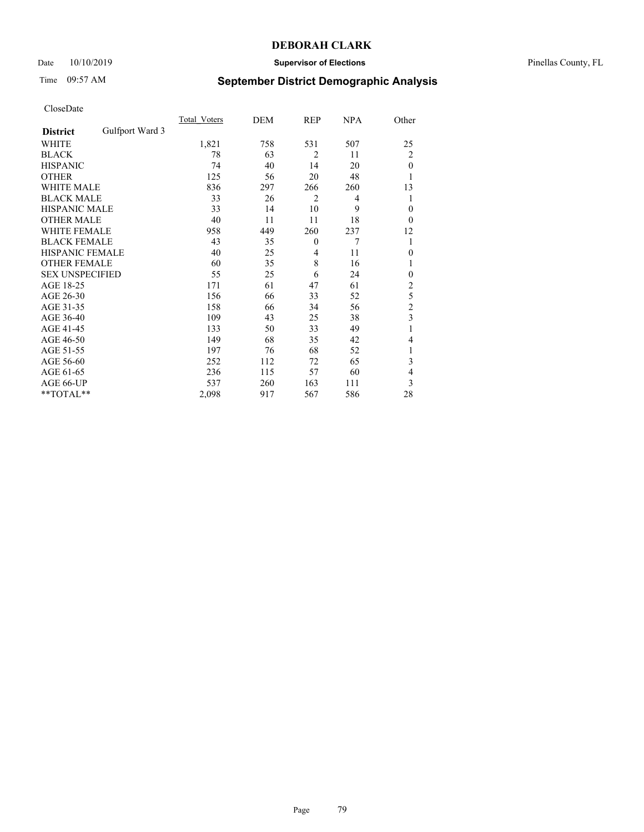## Date 10/10/2019 **Supervisor of Elections** Pinellas County, FL

# Time 09:57 AM **September District Demographic Analysis**

|                        |                 | Total Voters | DEM | <b>REP</b>     | <b>NPA</b> | Other          |
|------------------------|-----------------|--------------|-----|----------------|------------|----------------|
| <b>District</b>        | Gulfport Ward 3 |              |     |                |            |                |
| WHITE                  |                 | 1,821        | 758 | 531            | 507        | 25             |
| <b>BLACK</b>           |                 | 78           | 63  | $\overline{2}$ | 11         | $\overline{c}$ |
| <b>HISPANIC</b>        |                 | 74           | 40  | 14             | 20         | $\mathbf{0}$   |
| <b>OTHER</b>           |                 | 125          | 56  | 20             | 48         | 1              |
| <b>WHITE MALE</b>      |                 | 836          | 297 | 266            | 260        | 13             |
| <b>BLACK MALE</b>      |                 | 33           | 26  | $\overline{2}$ | 4          | 1              |
| <b>HISPANIC MALE</b>   |                 | 33           | 14  | 10             | 9          | $\theta$       |
| <b>OTHER MALE</b>      |                 | 40           | 11  | 11             | 18         | $\theta$       |
| WHITE FEMALE           |                 | 958          | 449 | 260            | 237        | 12             |
| <b>BLACK FEMALE</b>    |                 | 43           | 35  | $\theta$       | 7          | 1              |
| <b>HISPANIC FEMALE</b> |                 | 40           | 25  | 4              | 11         | $\theta$       |
| <b>OTHER FEMALE</b>    |                 | 60           | 35  | 8              | 16         | 1              |
| <b>SEX UNSPECIFIED</b> |                 | 55           | 25  | 6              | 24         | 0              |
| AGE 18-25              |                 | 171          | 61  | 47             | 61         | $\overline{c}$ |
| AGE 26-30              |                 | 156          | 66  | 33             | 52         | 5              |
| AGE 31-35              |                 | 158          | 66  | 34             | 56         | $\overline{c}$ |
| AGE 36-40              |                 | 109          | 43  | 25             | 38         | 3              |
| AGE 41-45              |                 | 133          | 50  | 33             | 49         | 1              |
| AGE 46-50              |                 | 149          | 68  | 35             | 42         | 4              |
| AGE 51-55              |                 | 197          | 76  | 68             | 52         | 1              |
| AGE 56-60              |                 | 252          | 112 | 72             | 65         | 3              |
| AGE 61-65              |                 | 236          | 115 | 57             | 60         | 4              |
| AGE 66-UP              |                 | 537          | 260 | 163            | 111        | 3              |
| **TOTAL**              |                 | 2,098        | 917 | 567            | 586        | 28             |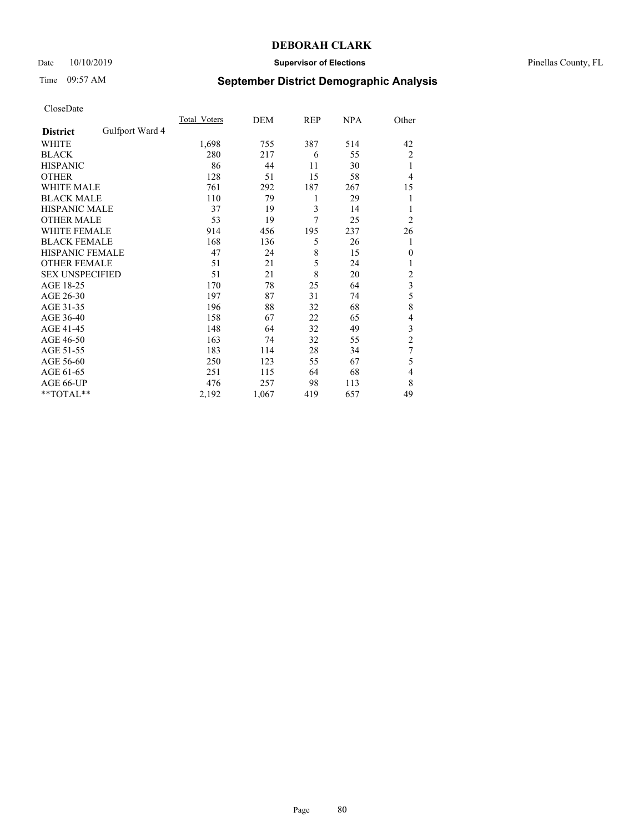## Date 10/10/2019 **Supervisor of Elections** Pinellas County, FL

# Time 09:57 AM **September District Demographic Analysis**

|                        |                 | Total Voters | DEM   | REP | <b>NPA</b> | Other                   |
|------------------------|-----------------|--------------|-------|-----|------------|-------------------------|
| <b>District</b>        | Gulfport Ward 4 |              |       |     |            |                         |
| WHITE                  |                 | 1,698        | 755   | 387 | 514        | 42                      |
| <b>BLACK</b>           |                 | 280          | 217   | 6   | 55         | $\overline{2}$          |
| <b>HISPANIC</b>        |                 | 86           | 44    | 11  | 30         | 1                       |
| <b>OTHER</b>           |                 | 128          | 51    | 15  | 58         | 4                       |
| WHITE MALE             |                 | 761          | 292   | 187 | 267        | 15                      |
| <b>BLACK MALE</b>      |                 | 110          | 79    | 1   | 29         | 1                       |
| <b>HISPANIC MALE</b>   |                 | 37           | 19    | 3   | 14         | 1                       |
| <b>OTHER MALE</b>      |                 | 53           | 19    | 7   | 25         | $\overline{2}$          |
| WHITE FEMALE           |                 | 914          | 456   | 195 | 237        | 26                      |
| <b>BLACK FEMALE</b>    |                 | 168          | 136   | 5   | 26         | 1                       |
| <b>HISPANIC FEMALE</b> |                 | 47           | 24    | 8   | 15         | $\theta$                |
| <b>OTHER FEMALE</b>    |                 | 51           | 21    | 5   | 24         |                         |
| <b>SEX UNSPECIFIED</b> |                 | 51           | 21    | 8   | 20         | $\overline{2}$          |
| AGE 18-25              |                 | 170          | 78    | 25  | 64         | $\overline{\mathbf{3}}$ |
| AGE 26-30              |                 | 197          | 87    | 31  | 74         | 5                       |
| AGE 31-35              |                 | 196          | 88    | 32  | 68         | 8                       |
| AGE 36-40              |                 | 158          | 67    | 22  | 65         | 4                       |
| AGE 41-45              |                 | 148          | 64    | 32  | 49         | 3                       |
| AGE 46-50              |                 | 163          | 74    | 32  | 55         | 2                       |
| AGE 51-55              |                 | 183          | 114   | 28  | 34         | 7                       |
| AGE 56-60              |                 | 250          | 123   | 55  | 67         | 5                       |
| AGE 61-65              |                 | 251          | 115   | 64  | 68         | $\overline{4}$          |
| AGE 66-UP              |                 | 476          | 257   | 98  | 113        | 8                       |
| **TOTAL**              |                 | 2,192        | 1,067 | 419 | 657        | 49                      |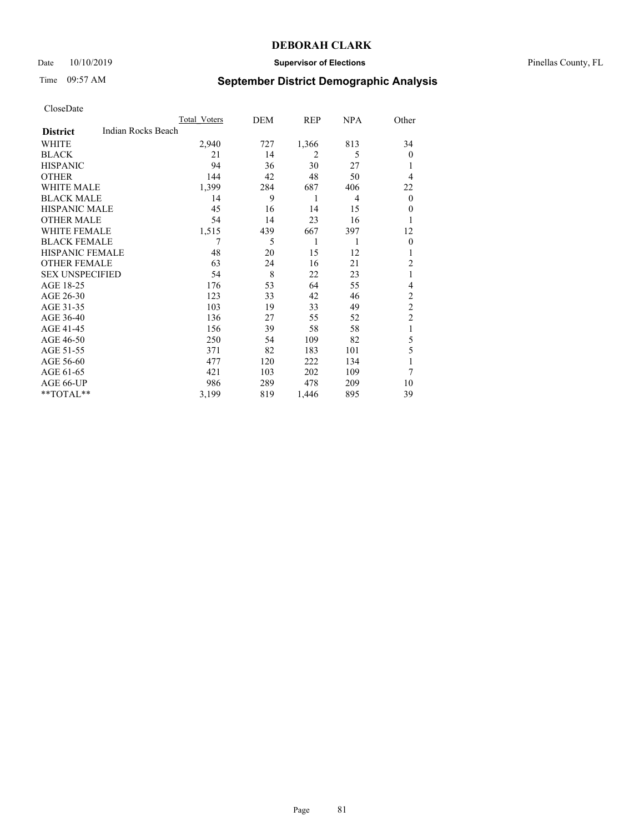## Date 10/10/2019 **Supervisor of Elections** Pinellas County, FL

# Time 09:57 AM **September District Demographic Analysis**

|                        |                    | Total Voters | DEM | <b>REP</b>     | <b>NPA</b> | Other          |
|------------------------|--------------------|--------------|-----|----------------|------------|----------------|
| <b>District</b>        | Indian Rocks Beach |              |     |                |            |                |
| WHITE                  |                    | 2,940        | 727 | 1,366          | 813        | 34             |
| <b>BLACK</b>           |                    | 21           | 14  | $\overline{2}$ | 5          | $\overline{0}$ |
| <b>HISPANIC</b>        |                    | 94           | 36  | 30             | 27         |                |
| <b>OTHER</b>           |                    | 144          | 42  | 48             | 50         | $\overline{4}$ |
| WHITE MALE             |                    | 1,399        | 284 | 687            | 406        | 22             |
| <b>BLACK MALE</b>      |                    | 14           | 9   | 1              | 4          | $\overline{0}$ |
| <b>HISPANIC MALE</b>   |                    | 45           | 16  | 14             | 15         | $\overline{0}$ |
| <b>OTHER MALE</b>      |                    | 54           | 14  | 23             | 16         |                |
| WHITE FEMALE           |                    | 1,515        | 439 | 667            | 397        | 12             |
| <b>BLACK FEMALE</b>    |                    | 7            | 5   | 1              | 1          | $\theta$       |
| <b>HISPANIC FEMALE</b> |                    | 48           | 20  | 15             | 12         |                |
| <b>OTHER FEMALE</b>    |                    | 63           | 24  | 16             | 21         | $\overline{2}$ |
| <b>SEX UNSPECIFIED</b> |                    | 54           | 8   | 22             | 23         | 1              |
| AGE 18-25              |                    | 176          | 53  | 64             | 55         | 4              |
| AGE 26-30              |                    | 123          | 33  | 42             | 46         | $\overline{2}$ |
| AGE 31-35              |                    | 103          | 19  | 33             | 49         | $\overline{c}$ |
| AGE 36-40              |                    | 136          | 27  | 55             | 52         | $\overline{2}$ |
| AGE 41-45              |                    | 156          | 39  | 58             | 58         | 1              |
| AGE 46-50              |                    | 250          | 54  | 109            | 82         | 5              |
| AGE 51-55              |                    | 371          | 82  | 183            | 101        | 5              |
| AGE 56-60              |                    | 477          | 120 | 222            | 134        | 1              |
| AGE 61-65              |                    | 421          | 103 | 202            | 109        | 7              |
| AGE 66-UP              |                    | 986          | 289 | 478            | 209        | 10             |
| $*$ TOTAL $*$          |                    | 3,199        | 819 | 1,446          | 895        | 39             |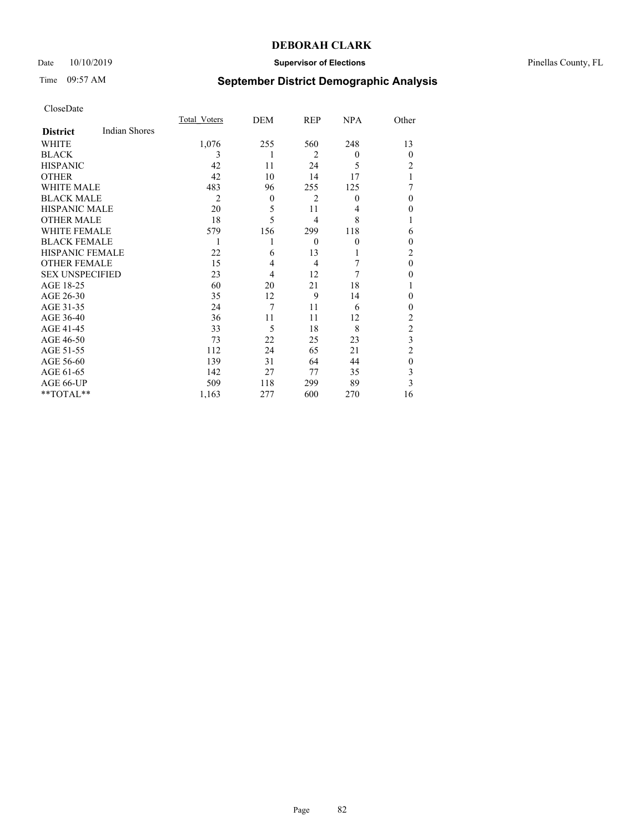## Date 10/10/2019 **Supervisor of Elections** Pinellas County, FL

# Time 09:57 AM **September District Demographic Analysis**

|                        |                      | Total Voters | DEM      | REP            | NPA              | Other          |
|------------------------|----------------------|--------------|----------|----------------|------------------|----------------|
| <b>District</b>        | <b>Indian Shores</b> |              |          |                |                  |                |
| WHITE                  |                      | 1,076        | 255      | 560            | 248              | 13             |
| <b>BLACK</b>           |                      | 3            | 1        | $\overline{2}$ | $\theta$         | $\theta$       |
| <b>HISPANIC</b>        |                      | 42           | 11       | 24             | 5                | 2              |
| <b>OTHER</b>           |                      | 42           | 10       | 14             | 17               |                |
| WHITE MALE             |                      | 483          | 96       | 255            | 125              |                |
| <b>BLACK MALE</b>      |                      | 2            | $\theta$ | $\overline{c}$ | $\boldsymbol{0}$ | $\theta$       |
| <b>HISPANIC MALE</b>   |                      | 20           | 5        | 11             | 4                | 0              |
| <b>OTHER MALE</b>      |                      | 18           | 5        | 4              | 8                | 1              |
| <b>WHITE FEMALE</b>    |                      | 579          | 156      | 299            | 118              | 6              |
| <b>BLACK FEMALE</b>    |                      |              |          | $\theta$       | $\mathbf{0}$     | 0              |
| <b>HISPANIC FEMALE</b> |                      | 22           | 6        | 13             | 1                | 2              |
| <b>OTHER FEMALE</b>    |                      | 15           | 4        | $\overline{4}$ | 7                | $\theta$       |
| <b>SEX UNSPECIFIED</b> |                      | 23           | 4        | 12             | 7                | $\theta$       |
| AGE 18-25              |                      | 60           | 20       | 21             | 18               |                |
| AGE 26-30              |                      | 35           | 12       | 9              | 14               | 0              |
| AGE 31-35              |                      | 24           | 7        | 11             | 6                | 0              |
| AGE 36-40              |                      | 36           | 11       | 11             | 12               | $\overline{2}$ |
| AGE 41-45              |                      | 33           | 5        | 18             | 8                | $\overline{c}$ |
| AGE 46-50              |                      | 73           | 22       | 25             | 23               | 3              |
| AGE 51-55              |                      | 112          | 24       | 65             | 21               | $\overline{2}$ |
| AGE 56-60              |                      | 139          | 31       | 64             | 44               | $\theta$       |
| AGE 61-65              |                      | 142          | 27       | 77             | 35               | 3              |
| AGE 66-UP              |                      | 509          | 118      | 299            | 89               | 3              |
| **TOTAL**              |                      | 1,163        | 277      | 600            | 270              | 16             |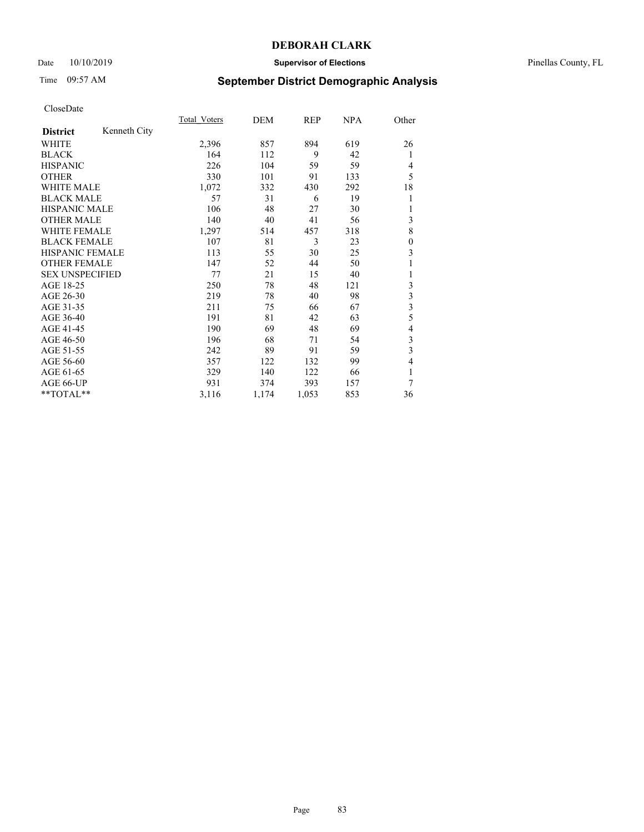## Date 10/10/2019 **Supervisor of Elections** Pinellas County, FL

# Time 09:57 AM **September District Demographic Analysis**

|                        |              | Total Voters | DEM   | REP   | NPA | Other          |
|------------------------|--------------|--------------|-------|-------|-----|----------------|
| <b>District</b>        | Kenneth City |              |       |       |     |                |
| <b>WHITE</b>           |              | 2,396        | 857   | 894   | 619 | 26             |
| <b>BLACK</b>           |              | 164          | 112   | 9     | 42  | 1              |
| <b>HISPANIC</b>        |              | 226          | 104   | 59    | 59  | 4              |
| <b>OTHER</b>           |              | 330          | 101   | 91    | 133 | 5              |
| <b>WHITE MALE</b>      |              | 1,072        | 332   | 430   | 292 | 18             |
| <b>BLACK MALE</b>      |              | 57           | 31    | 6     | 19  | 1              |
| <b>HISPANIC MALE</b>   |              | 106          | 48    | 27    | 30  | 1              |
| <b>OTHER MALE</b>      |              | 140          | 40    | 41    | 56  | 3              |
| WHITE FEMALE           |              | 1,297        | 514   | 457   | 318 | 8              |
| <b>BLACK FEMALE</b>    |              | 107          | 81    | 3     | 23  | $\mathbf{0}$   |
| <b>HISPANIC FEMALE</b> |              | 113          | 55    | 30    | 25  | 3              |
| <b>OTHER FEMALE</b>    |              | 147          | 52    | 44    | 50  | 1              |
| <b>SEX UNSPECIFIED</b> |              | 77           | 21    | 15    | 40  | 1              |
| AGE 18-25              |              | 250          | 78    | 48    | 121 | 3              |
| AGE 26-30              |              | 219          | 78    | 40    | 98  | $\mathfrak{Z}$ |
| AGE 31-35              |              | 211          | 75    | 66    | 67  | 3              |
| AGE 36-40              |              | 191          | 81    | 42    | 63  | 5              |
| AGE 41-45              |              | 190          | 69    | 48    | 69  | 4              |
| AGE 46-50              |              | 196          | 68    | 71    | 54  | 3              |
| AGE 51-55              |              | 242          | 89    | 91    | 59  | $\mathfrak{Z}$ |
| AGE 56-60              |              | 357          | 122   | 132   | 99  | 4              |
| AGE 61-65              |              | 329          | 140   | 122   | 66  | 1              |
| AGE 66-UP              |              | 931          | 374   | 393   | 157 | 7              |
| **TOTAL**              |              | 3,116        | 1,174 | 1,053 | 853 | 36             |
|                        |              |              |       |       |     |                |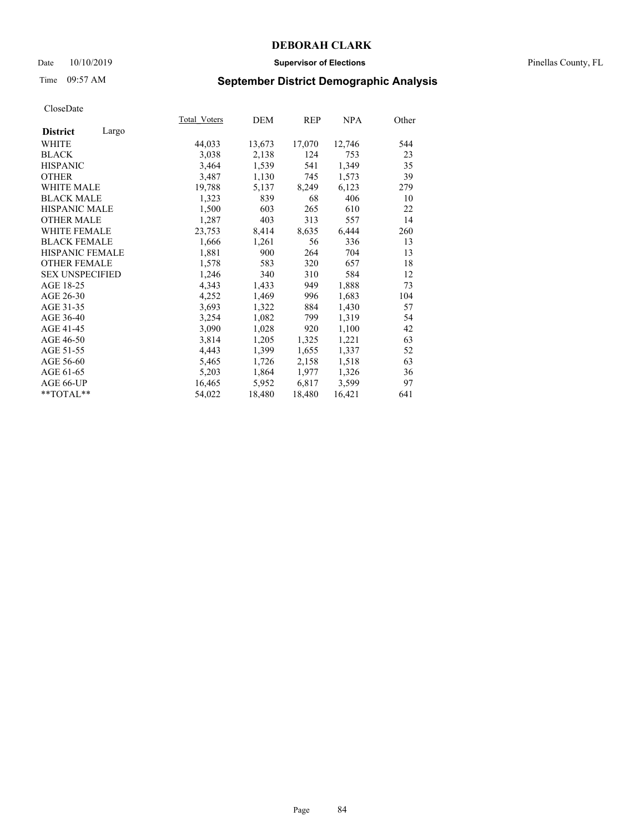## Date  $10/10/2019$  **Supervisor of Elections Supervisor of Elections** Pinellas County, FL

# Time 09:57 AM **September District Demographic Analysis**

|                        |       | Total Voters | DEM    | REP    | NPA    | Other |
|------------------------|-------|--------------|--------|--------|--------|-------|
| <b>District</b>        | Largo |              |        |        |        |       |
| WHITE                  |       | 44,033       | 13,673 | 17,070 | 12,746 | 544   |
| <b>BLACK</b>           |       | 3,038        | 2,138  | 124    | 753    | 23    |
| <b>HISPANIC</b>        |       | 3,464        | 1,539  | 541    | 1,349  | 35    |
| <b>OTHER</b>           |       | 3,487        | 1,130  | 745    | 1,573  | 39    |
| WHITE MALE             |       | 19,788       | 5,137  | 8,249  | 6,123  | 279   |
| <b>BLACK MALE</b>      |       | 1,323        | 839    | 68     | 406    | 10    |
| <b>HISPANIC MALE</b>   |       | 1,500        | 603    | 265    | 610    | 22    |
| <b>OTHER MALE</b>      |       | 1,287        | 403    | 313    | 557    | 14    |
| <b>WHITE FEMALE</b>    |       | 23,753       | 8,414  | 8,635  | 6,444  | 260   |
| <b>BLACK FEMALE</b>    |       | 1,666        | 1,261  | 56     | 336    | 13    |
| <b>HISPANIC FEMALE</b> |       | 1,881        | 900    | 264    | 704    | 13    |
| <b>OTHER FEMALE</b>    |       | 1,578        | 583    | 320    | 657    | 18    |
| <b>SEX UNSPECIFIED</b> |       | 1,246        | 340    | 310    | 584    | 12    |
| AGE 18-25              |       | 4,343        | 1,433  | 949    | 1,888  | 73    |
| AGE 26-30              |       | 4,252        | 1,469  | 996    | 1,683  | 104   |
| AGE 31-35              |       | 3,693        | 1,322  | 884    | 1,430  | 57    |
| AGE 36-40              |       | 3,254        | 1,082  | 799    | 1,319  | 54    |
| AGE 41-45              |       | 3,090        | 1,028  | 920    | 1,100  | 42    |
| AGE 46-50              |       | 3,814        | 1,205  | 1,325  | 1,221  | 63    |
| AGE 51-55              |       | 4,443        | 1,399  | 1,655  | 1,337  | 52    |
| AGE 56-60              |       | 5,465        | 1,726  | 2,158  | 1,518  | 63    |
| AGE 61-65              |       | 5,203        | 1,864  | 1,977  | 1,326  | 36    |
| AGE 66-UP              |       | 16,465       | 5,952  | 6,817  | 3,599  | 97    |
| $*$ $TOTAL**$          |       | 54,022       | 18,480 | 18,480 | 16,421 | 641   |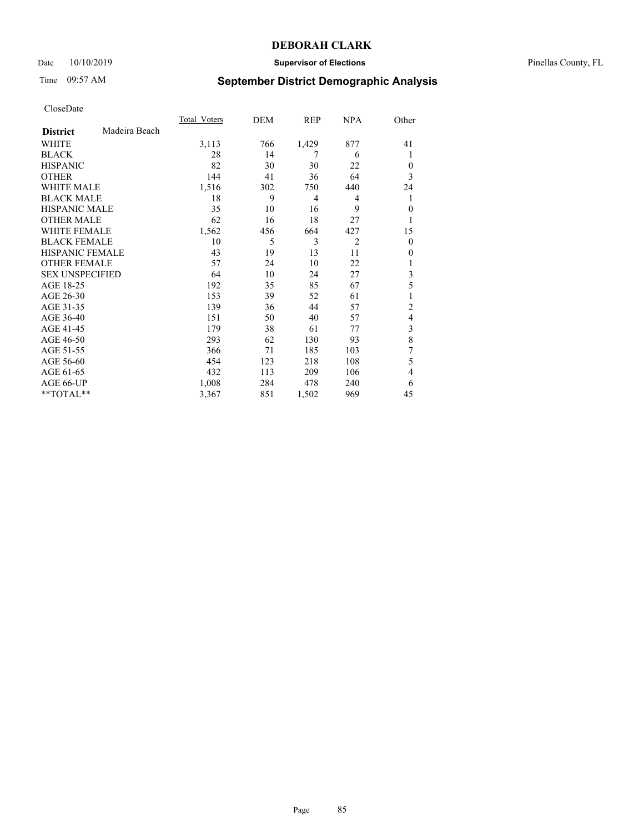## Date 10/10/2019 **Supervisor of Elections** Pinellas County, FL

# Time 09:57 AM **September District Demographic Analysis**

|                        |               | Total Voters | DEM | REP   | <b>NPA</b>     | Other          |
|------------------------|---------------|--------------|-----|-------|----------------|----------------|
| <b>District</b>        | Madeira Beach |              |     |       |                |                |
| WHITE                  |               | 3,113        | 766 | 1,429 | 877            | 41             |
| <b>BLACK</b>           |               | 28           | 14  | 7     | 6              | 1              |
| <b>HISPANIC</b>        |               | 82           | 30  | 30    | 22             | $\Omega$       |
| <b>OTHER</b>           |               | 144          | 41  | 36    | 64             | 3              |
| WHITE MALE             |               | 1,516        | 302 | 750   | 440            | 24             |
| <b>BLACK MALE</b>      |               | 18           | 9   | 4     | 4              | 1              |
| <b>HISPANIC MALE</b>   |               | 35           | 10  | 16    | 9              | $\theta$       |
| <b>OTHER MALE</b>      |               | 62           | 16  | 18    | 27             | 1              |
| WHITE FEMALE           |               | 1,562        | 456 | 664   | 427            | 15             |
| <b>BLACK FEMALE</b>    |               | 10           | 5   | 3     | $\overline{2}$ | $\overline{0}$ |
| <b>HISPANIC FEMALE</b> |               | 43           | 19  | 13    | 11             | $\Omega$       |
| <b>OTHER FEMALE</b>    |               | 57           | 24  | 10    | 22             |                |
| <b>SEX UNSPECIFIED</b> |               | 64           | 10  | 24    | 27             | 3              |
| AGE 18-25              |               | 192          | 35  | 85    | 67             | 5              |
| AGE 26-30              |               | 153          | 39  | 52    | 61             | 1              |
| AGE 31-35              |               | 139          | 36  | 44    | 57             | $\overline{c}$ |
| AGE 36-40              |               | 151          | 50  | 40    | 57             | $\overline{4}$ |
| AGE 41-45              |               | 179          | 38  | 61    | 77             | 3              |
| AGE 46-50              |               | 293          | 62  | 130   | 93             | 8              |
| AGE 51-55              |               | 366          | 71  | 185   | 103            | 7              |
| AGE 56-60              |               | 454          | 123 | 218   | 108            | 5              |
| AGE 61-65              |               | 432          | 113 | 209   | 106            | $\overline{4}$ |
| AGE 66-UP              |               | 1,008        | 284 | 478   | 240            | 6              |
| **TOTAL**              |               | 3,367        | 851 | 1,502 | 969            | 45             |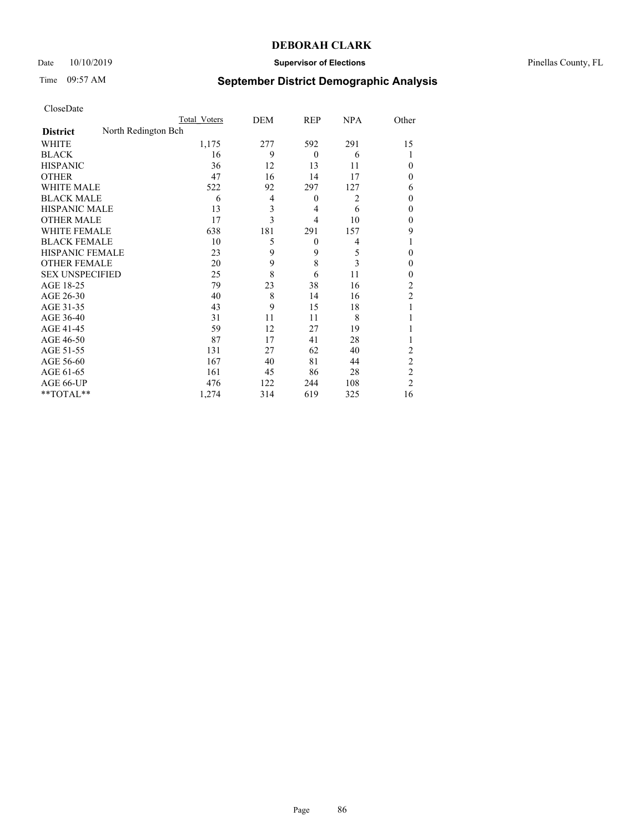## Date 10/10/2019 **Supervisor of Elections** Pinellas County, FL

# Time 09:57 AM **September District Demographic Analysis**

|                        |                     | Total Voters | DEM            | <b>REP</b>     | <b>NPA</b>     | Other          |
|------------------------|---------------------|--------------|----------------|----------------|----------------|----------------|
| <b>District</b>        | North Redington Bch |              |                |                |                |                |
| WHITE                  |                     | 1,175        | 277            | 592            | 291            | 15             |
| <b>BLACK</b>           |                     | 16           | 9              | $\theta$       | 6              |                |
| <b>HISPANIC</b>        |                     | 36           | 12             | 13             | 11             | 0              |
| <b>OTHER</b>           |                     | 47           | 16             | 14             | 17             | 0              |
| <b>WHITE MALE</b>      |                     | 522          | 92             | 297            | 127            | 6              |
| <b>BLACK MALE</b>      |                     | 6            | $\overline{4}$ | $\overline{0}$ | $\overline{2}$ | 0              |
| <b>HISPANIC MALE</b>   |                     | 13           | 3              | 4              | 6              | 0              |
| <b>OTHER MALE</b>      |                     | 17           | 3              | 4              | 10             | 0              |
| WHITE FEMALE           |                     | 638          | 181            | 291            | 157            | 9              |
| <b>BLACK FEMALE</b>    |                     | 10           | 5              | $\theta$       | 4              | 1              |
| <b>HISPANIC FEMALE</b> |                     | 23           | 9              | 9              | 5              | 0              |
| <b>OTHER FEMALE</b>    |                     | 20           | 9              | 8              | 3              | $\theta$       |
| <b>SEX UNSPECIFIED</b> |                     | 25           | 8              | 6              | 11             | 0              |
| AGE 18-25              |                     | 79           | 23             | 38             | 16             | $\overline{2}$ |
| AGE 26-30              |                     | 40           | 8              | 14             | 16             | $\overline{2}$ |
| AGE 31-35              |                     | 43           | 9              | 15             | 18             |                |
| AGE 36-40              |                     | 31           | 11             | 11             | 8              |                |
| AGE 41-45              |                     | 59           | 12             | 27             | 19             |                |
| AGE 46-50              |                     | 87           | 17             | 41             | 28             |                |
| AGE 51-55              |                     | 131          | 27             | 62             | 40             | 2              |
| AGE 56-60              |                     | 167          | 40             | 81             | 44             | $\overline{2}$ |
| AGE 61-65              |                     | 161          | 45             | 86             | 28             | $\overline{c}$ |
| AGE 66-UP              |                     | 476          | 122            | 244            | 108            | $\overline{2}$ |
| $*$ TOTAL $*$          |                     | 1,274        | 314            | 619            | 325            | 16             |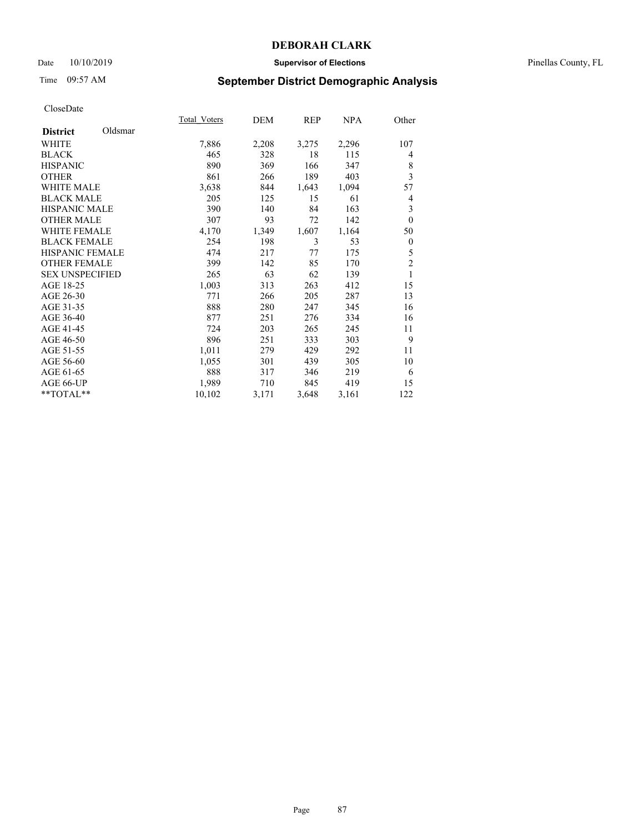## Date 10/10/2019 **Supervisor of Elections** Pinellas County, FL

# Time 09:57 AM **September District Demographic Analysis**

|                        |         | Total Voters | DEM   | REP   | NPA   | Other          |
|------------------------|---------|--------------|-------|-------|-------|----------------|
| <b>District</b>        | Oldsmar |              |       |       |       |                |
| WHITE                  |         | 7,886        | 2,208 | 3,275 | 2,296 | 107            |
| <b>BLACK</b>           |         | 465          | 328   | 18    | 115   | 4              |
| <b>HISPANIC</b>        |         | 890          | 369   | 166   | 347   | 8              |
| <b>OTHER</b>           |         | 861          | 266   | 189   | 403   | 3              |
| WHITE MALE             |         | 3,638        | 844   | 1,643 | 1,094 | 57             |
| <b>BLACK MALE</b>      |         | 205          | 125   | 15    | 61    | 4              |
| <b>HISPANIC MALE</b>   |         | 390          | 140   | 84    | 163   | 3              |
| <b>OTHER MALE</b>      |         | 307          | 93    | 72    | 142   | $\mathbf{0}$   |
| <b>WHITE FEMALE</b>    |         | 4,170        | 1,349 | 1,607 | 1,164 | 50             |
| <b>BLACK FEMALE</b>    |         | 254          | 198   | 3     | 53    | $\mathbf{0}$   |
| HISPANIC FEMALE        |         | 474          | 217   | 77    | 175   | 5              |
| <b>OTHER FEMALE</b>    |         | 399          | 142   | 85    | 170   | $\overline{c}$ |
| <b>SEX UNSPECIFIED</b> |         | 265          | 63    | 62    | 139   | 1              |
| AGE 18-25              |         | 1,003        | 313   | 263   | 412   | 15             |
| AGE 26-30              |         | 771          | 266   | 205   | 287   | 13             |
| AGE 31-35              |         | 888          | 280   | 247   | 345   | 16             |
| AGE 36-40              |         | 877          | 251   | 276   | 334   | 16             |
| AGE 41-45              |         | 724          | 203   | 265   | 245   | 11             |
| AGE 46-50              |         | 896          | 251   | 333   | 303   | 9              |
| AGE 51-55              |         | 1,011        | 279   | 429   | 292   | 11             |
| AGE 56-60              |         | 1,055        | 301   | 439   | 305   | 10             |
| AGE 61-65              |         | 888          | 317   | 346   | 219   | 6              |
| AGE 66-UP              |         | 1,989        | 710   | 845   | 419   | 15             |
| **TOTAL**              |         | 10,102       | 3,171 | 3,648 | 3,161 | 122            |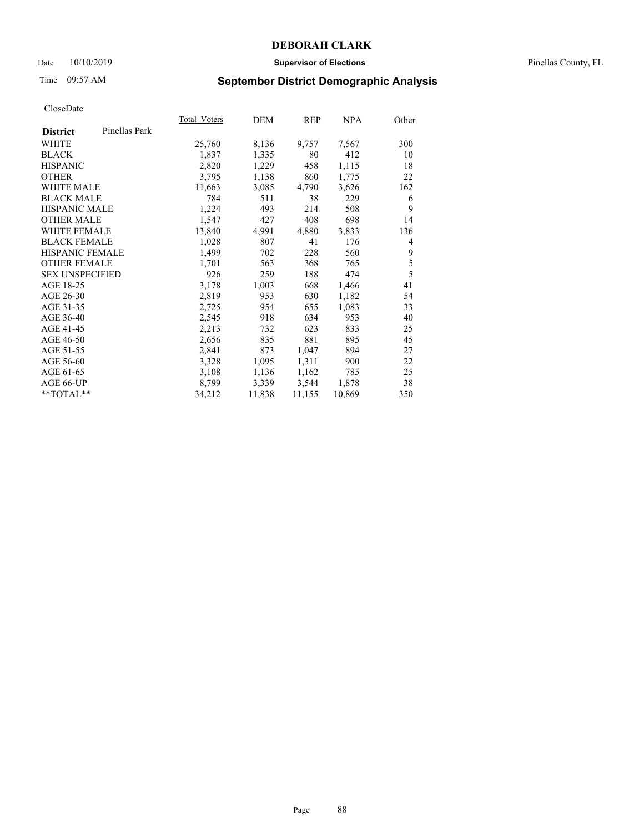## Date 10/10/2019 **Supervisor of Elections** Pinellas County, FL

# Time 09:57 AM **September District Demographic Analysis**

|                        |               | <b>Total Voters</b> | DEM    | REP    | <u>NPA</u> | Other |
|------------------------|---------------|---------------------|--------|--------|------------|-------|
| <b>District</b>        | Pinellas Park |                     |        |        |            |       |
| WHITE                  |               | 25,760              | 8,136  | 9,757  | 7,567      | 300   |
| <b>BLACK</b>           |               | 1,837               | 1,335  | 80     | 412        | 10    |
| <b>HISPANIC</b>        |               | 2,820               | 1,229  | 458    | 1,115      | 18    |
| <b>OTHER</b>           |               | 3,795               | 1,138  | 860    | 1,775      | 22    |
| WHITE MALE             |               | 11,663              | 3,085  | 4,790  | 3,626      | 162   |
| <b>BLACK MALE</b>      |               | 784                 | 511    | 38     | 229        | 6     |
| <b>HISPANIC MALE</b>   |               | 1,224               | 493    | 214    | 508        | 9     |
| <b>OTHER MALE</b>      |               | 1,547               | 427    | 408    | 698        | 14    |
| <b>WHITE FEMALE</b>    |               | 13,840              | 4,991  | 4,880  | 3,833      | 136   |
| <b>BLACK FEMALE</b>    |               | 1,028               | 807    | 41     | 176        | 4     |
| HISPANIC FEMALE        |               | 1,499               | 702    | 228    | 560        | 9     |
| <b>OTHER FEMALE</b>    |               | 1,701               | 563    | 368    | 765        | 5     |
| <b>SEX UNSPECIFIED</b> |               | 926                 | 259    | 188    | 474        | 5     |
| AGE 18-25              |               | 3,178               | 1,003  | 668    | 1,466      | 41    |
| AGE 26-30              |               | 2,819               | 953    | 630    | 1,182      | 54    |
| AGE 31-35              |               | 2,725               | 954    | 655    | 1,083      | 33    |
| AGE 36-40              |               | 2,545               | 918    | 634    | 953        | 40    |
| AGE 41-45              |               | 2,213               | 732    | 623    | 833        | 25    |
| AGE 46-50              |               | 2,656               | 835    | 881    | 895        | 45    |
| AGE 51-55              |               | 2,841               | 873    | 1,047  | 894        | 27    |
| AGE 56-60              |               | 3,328               | 1,095  | 1,311  | 900        | 22    |
| AGE 61-65              |               | 3,108               | 1,136  | 1,162  | 785        | 25    |
| AGE 66-UP              |               | 8,799               | 3,339  | 3,544  | 1,878      | 38    |
| $*$ $TOTAL**$          |               | 34,212              | 11,838 | 11,155 | 10,869     | 350   |
|                        |               |                     |        |        |            |       |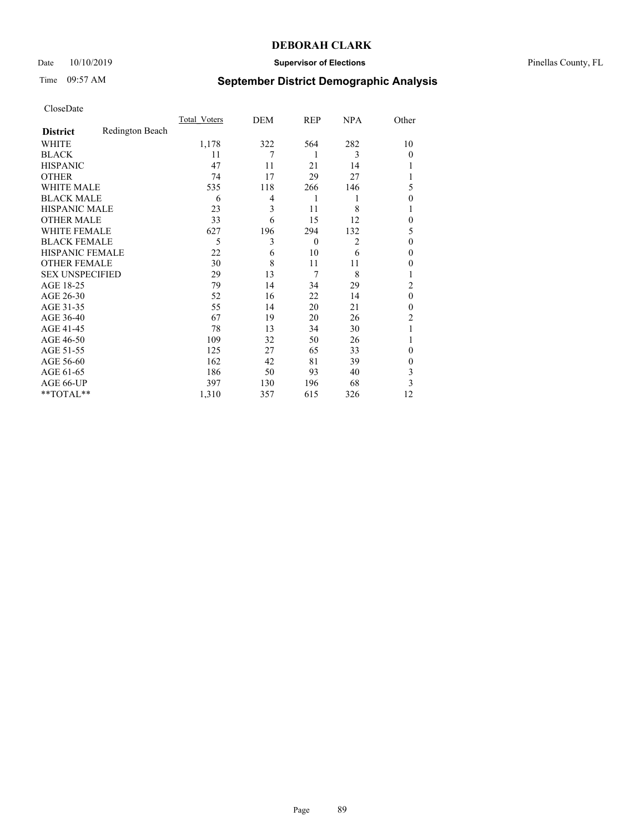## Date 10/10/2019 **Supervisor of Elections** Pinellas County, FL

# Time 09:57 AM **September District Demographic Analysis**

|                        |                 | Total Voters | DEM | REP      | <b>NPA</b>     | Other          |
|------------------------|-----------------|--------------|-----|----------|----------------|----------------|
| <b>District</b>        | Redington Beach |              |     |          |                |                |
| WHITE                  |                 | 1,178        | 322 | 564      | 282            | 10             |
| <b>BLACK</b>           |                 | 11           | 7   | 1        | 3              | $\Omega$       |
| <b>HISPANIC</b>        |                 | 47           | 11  | 21       | 14             |                |
| <b>OTHER</b>           |                 | 74           | 17  | 29       | 27             |                |
| WHITE MALE             |                 | 535          | 118 | 266      | 146            | 5              |
| <b>BLACK MALE</b>      |                 | 6            | 4   | 1        | 1              | $\Omega$       |
| <b>HISPANIC MALE</b>   |                 | 23           | 3   | 11       | 8              |                |
| <b>OTHER MALE</b>      |                 | 33           | 6   | 15       | 12             | $\theta$       |
| WHITE FEMALE           |                 | 627          | 196 | 294      | 132            | 5              |
| <b>BLACK FEMALE</b>    |                 | 5            | 3   | $\theta$ | $\overline{2}$ | $\Omega$       |
| <b>HISPANIC FEMALE</b> |                 | 22           | 6   | 10       | 6              | $\theta$       |
| <b>OTHER FEMALE</b>    |                 | 30           | 8   | 11       | 11             | $\theta$       |
| <b>SEX UNSPECIFIED</b> |                 | 29           | 13  | 7        | 8              |                |
| AGE 18-25              |                 | 79           | 14  | 34       | 29             | $\overline{2}$ |
| AGE 26-30              |                 | 52           | 16  | 22       | 14             | $\mathbf{0}$   |
| AGE 31-35              |                 | 55           | 14  | 20       | 21             | $\theta$       |
| AGE 36-40              |                 | 67           | 19  | 20       | 26             | $\overline{2}$ |
| AGE 41-45              |                 | 78           | 13  | 34       | 30             |                |
| AGE 46-50              |                 | 109          | 32  | 50       | 26             | 1              |
| AGE 51-55              |                 | 125          | 27  | 65       | 33             | $\Omega$       |
| AGE 56-60              |                 | 162          | 42  | 81       | 39             | $\Omega$       |
| AGE 61-65              |                 | 186          | 50  | 93       | 40             | 3              |
| AGE 66-UP              |                 | 397          | 130 | 196      | 68             | 3              |
| **TOTAL**              |                 | 1,310        | 357 | 615      | 326            | 12             |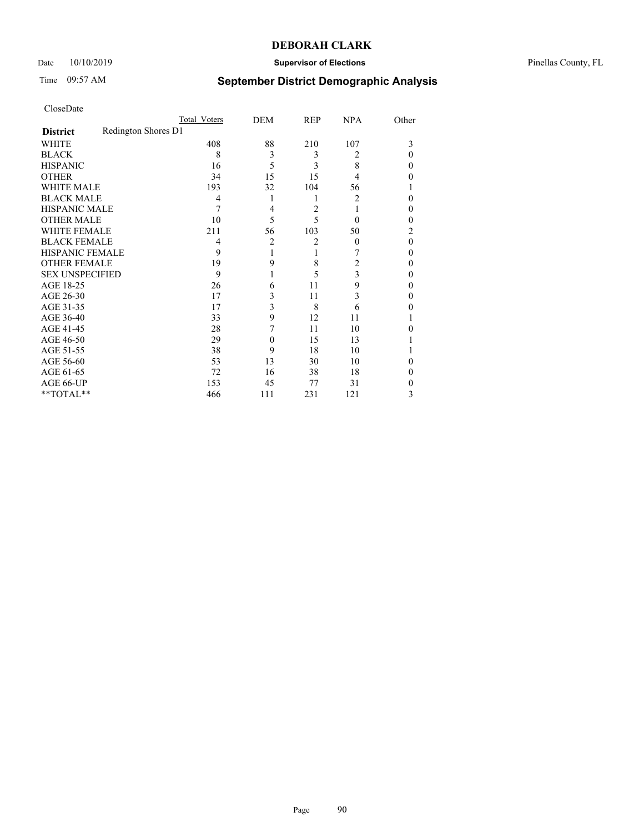## Date 10/10/2019 **Supervisor of Elections** Pinellas County, FL

# Time 09:57 AM **September District Demographic Analysis**

|                        |                     | Total Voters | DEM            | REP | <b>NPA</b> | Other |
|------------------------|---------------------|--------------|----------------|-----|------------|-------|
| <b>District</b>        | Redington Shores D1 |              |                |     |            |       |
| WHITE                  |                     | 408          | 88             | 210 | 107        | 3     |
| <b>BLACK</b>           |                     | 8            | 3              | 3   | 2          | 0     |
| <b>HISPANIC</b>        |                     | 16           | 5              | 3   | 8          | 0     |
| <b>OTHER</b>           |                     | 34           | 15             | 15  | 4          | 0     |
| WHITE MALE             |                     | 193          | 32             | 104 | 56         |       |
| <b>BLACK MALE</b>      |                     | 4            | 1              | 1   | 2          | 0     |
| <b>HISPANIC MALE</b>   |                     | 7            | 4              | 2   |            | 0     |
| <b>OTHER MALE</b>      |                     | 10           | 5              | 5   | $\theta$   | 0     |
| WHITE FEMALE           |                     | 211          | 56             | 103 | 50         | 2     |
| <b>BLACK FEMALE</b>    |                     | 4            | $\overline{2}$ | 2   | $\theta$   | 0     |
| <b>HISPANIC FEMALE</b> |                     | 9            |                | 1   | 7          | 0     |
| <b>OTHER FEMALE</b>    |                     | 19           | 9              | 8   | 2          | 0     |
| <b>SEX UNSPECIFIED</b> |                     | 9            |                | 5   | 3          | 0     |
| AGE 18-25              |                     | 26           | 6              | 11  | 9          | 0     |
| AGE 26-30              |                     | 17           | 3              | 11  | 3          | 0     |
| AGE 31-35              |                     | 17           | 3              | 8   | 6          | 0     |
| AGE 36-40              |                     | 33           | 9              | 12  | 11         |       |
| AGE 41-45              |                     | 28           | 7              | 11  | 10         | 0     |
| AGE 46-50              |                     | 29           | 0              | 15  | 13         |       |
| AGE 51-55              |                     | 38           | 9              | 18  | 10         |       |
| AGE 56-60              |                     | 53           | 13             | 30  | 10         | 0     |
| AGE 61-65              |                     | 72           | 16             | 38  | 18         | 0     |
| AGE 66-UP              |                     | 153          | 45             | 77  | 31         | 0     |
| **TOTAL**              |                     | 466          | 111            | 231 | 121        | 3     |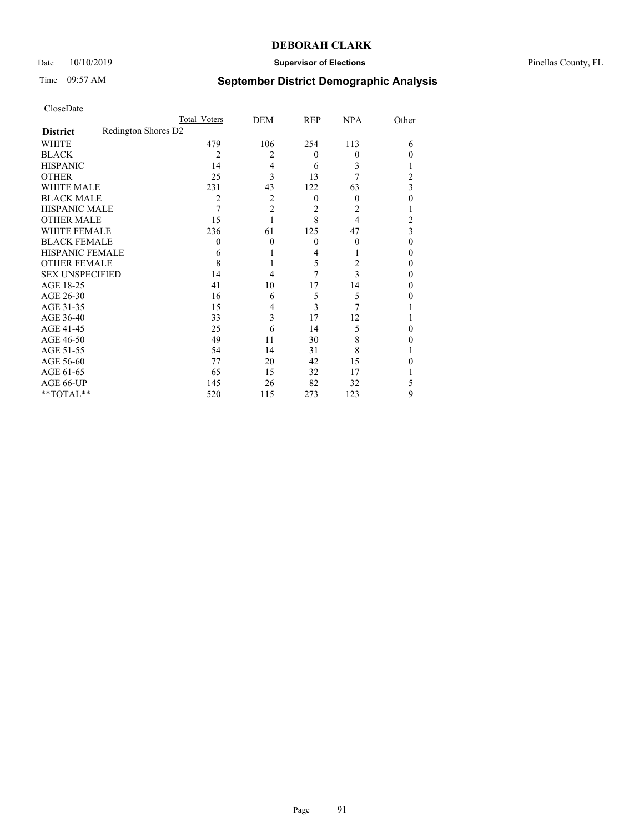## Date 10/10/2019 **Supervisor of Elections** Pinellas County, FL

# Time 09:57 AM **September District Demographic Analysis**

|                        |                     | Total Voters   | DEM            | REP      | <b>NPA</b> | Other    |
|------------------------|---------------------|----------------|----------------|----------|------------|----------|
| <b>District</b>        | Redington Shores D2 |                |                |          |            |          |
| WHITE                  |                     | 479            | 106            | 254      | 113        | 6        |
| <b>BLACK</b>           |                     | 2              | $\overline{c}$ | $\theta$ | $\Omega$   | 0        |
| <b>HISPANIC</b>        |                     | 14             | 4              | 6        | 3          |          |
| <b>OTHER</b>           |                     | 25             | 3              | 13       | 7          | 2        |
| WHITE MALE             |                     | 231            | 43             | 122      | 63         | 3        |
| <b>BLACK MALE</b>      |                     | $\overline{c}$ | $\overline{c}$ | $\theta$ | $\theta$   | $\theta$ |
| <b>HISPANIC MALE</b>   |                     | 7              | $\overline{2}$ | 2        | 2          |          |
| <b>OTHER MALE</b>      |                     | 15             |                | 8        | 4          | 2        |
| WHITE FEMALE           |                     | 236            | 61             | 125      | 47         | 3        |
| <b>BLACK FEMALE</b>    |                     | 0              | $\theta$       | $\theta$ | $\theta$   | $\theta$ |
| <b>HISPANIC FEMALE</b> |                     | 6              |                | 4        |            | 0        |
| <b>OTHER FEMALE</b>    |                     | 8              |                | 5        | 2          | 0        |
| <b>SEX UNSPECIFIED</b> |                     | 14             | 4              | 7        | 3          | 0        |
| AGE 18-25              |                     | 41             | 10             | 17       | 14         | 0        |
| AGE 26-30              |                     | 16             | 6              | 5        | 5          | 0        |
| AGE 31-35              |                     | 15             | 4              | 3        | 7          |          |
| AGE 36-40              |                     | 33             | 3              | 17       | 12         |          |
| AGE 41-45              |                     | 25             | 6              | 14       | 5          | 0        |
| AGE 46-50              |                     | 49             | 11             | 30       | 8          | 0        |
| AGE 51-55              |                     | 54             | 14             | 31       | 8          |          |
| AGE 56-60              |                     | 77             | 20             | 42       | 15         | 0        |
| AGE 61-65              |                     | 65             | 15             | 32       | 17         |          |
| AGE 66-UP              |                     | 145            | 26             | 82       | 32         | 5        |
| **TOTAL**              |                     | 520            | 115            | 273      | 123        | 9        |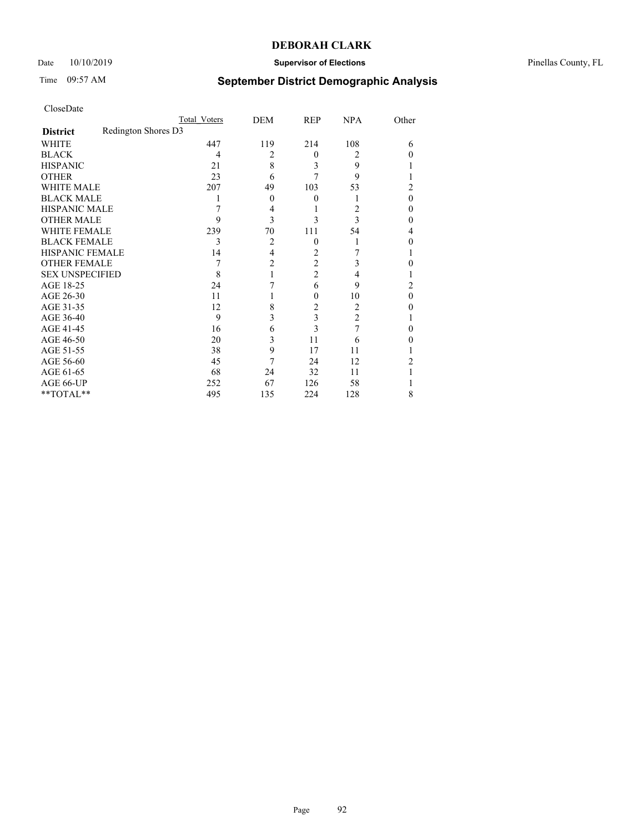## Date 10/10/2019 **Supervisor of Elections** Pinellas County, FL

# Time 09:57 AM **September District Demographic Analysis**

| CloseDate |  |
|-----------|--|
|-----------|--|

|                        |                     | Total Voters | DEM      | REP            | <b>NPA</b>     | Other |
|------------------------|---------------------|--------------|----------|----------------|----------------|-------|
| <b>District</b>        | Redington Shores D3 |              |          |                |                |       |
| WHITE                  |                     | 447          | 119      | 214            | 108            | 6     |
| <b>BLACK</b>           |                     | 4            | 2        | $\theta$       | 2              | 0     |
| <b>HISPANIC</b>        |                     | 21           | 8        | 3              | 9              |       |
| <b>OTHER</b>           |                     | 23           | 6        | 7              | 9              |       |
| <b>WHITE MALE</b>      |                     | 207          | 49       | 103            | 53             | 2     |
| <b>BLACK MALE</b>      |                     |              | $\theta$ | 0              | 1              | 0     |
| <b>HISPANIC MALE</b>   |                     |              | 4        |                | 2              | 0     |
| <b>OTHER MALE</b>      |                     | 9            | 3        | 3              | 3              | 0     |
| WHITE FEMALE           |                     | 239          | 70       | 111            | 54             | 4     |
| <b>BLACK FEMALE</b>    |                     | 3            | 2        | $\theta$       | 1              | 0     |
| <b>HISPANIC FEMALE</b> |                     | 14           | 4        | 2              |                |       |
| <b>OTHER FEMALE</b>    |                     |              | 2        | 2              | 3              | 0     |
| <b>SEX UNSPECIFIED</b> |                     | 8            |          | $\overline{2}$ | 4              |       |
| AGE 18-25              |                     | 24           |          | 6              | 9              | 2     |
| AGE 26-30              |                     | 11           |          | $\mathbf{0}$   | 10             | 0     |
| AGE 31-35              |                     | 12           | 8        | 2              | 2              |       |
| AGE 36-40              |                     | 9            | 3        | 3              | $\overline{2}$ |       |
| AGE 41-45              |                     | 16           | 6        | 3              | 7              | 0     |
| AGE 46-50              |                     | 20           | 3        | 11             | 6              | 0     |
| AGE 51-55              |                     | 38           | 9        | 17             | 11             |       |
| AGE 56-60              |                     | 45           |          | 24             | 12             | 2     |
| AGE 61-65              |                     | 68           | 24       | 32             | 11             |       |
| AGE 66-UP              |                     | 252          | 67       | 126            | 58             |       |
| **TOTAL**              |                     | 495          | 135      | 224            | 128            | 8     |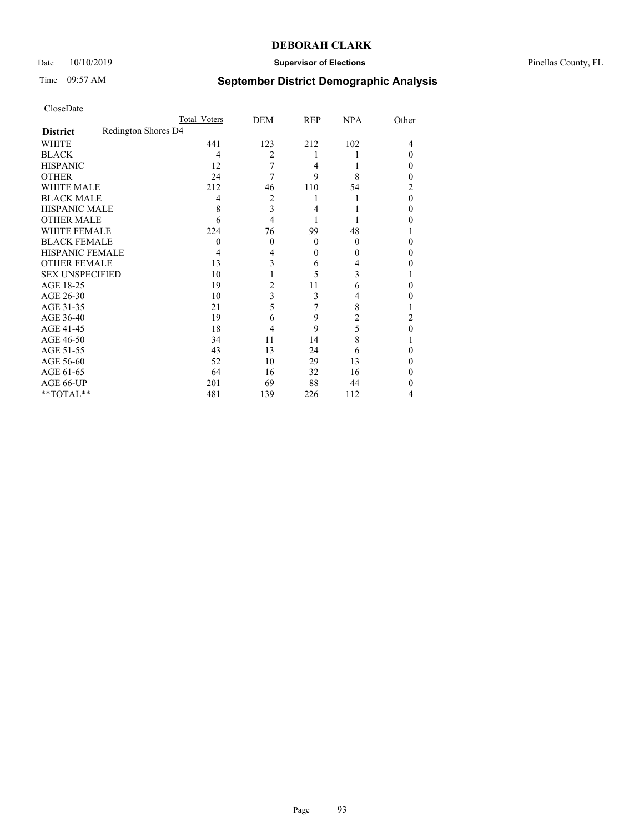## Date  $10/10/2019$  **Supervisor of Elections Supervisor of Elections** Pinellas County, FL

# Time 09:57 AM **September District Demographic Analysis**

|                        |                     | Total Voters | DEM            | <b>REP</b> | <b>NPA</b> | Other |
|------------------------|---------------------|--------------|----------------|------------|------------|-------|
| <b>District</b>        | Redington Shores D4 |              |                |            |            |       |
| WHITE                  |                     | 441          | 123            | 212        | 102        | 4     |
| <b>BLACK</b>           |                     | 4            | $\overline{2}$ | 1          |            | 0     |
| <b>HISPANIC</b>        |                     | 12           | 7              | 4          |            | 0     |
| <b>OTHER</b>           |                     | 24           | 7              | 9          | 8          | 0     |
| WHITE MALE             |                     | 212          | 46             | 110        | 54         | 2     |
| <b>BLACK MALE</b>      |                     | 4            | 2              | 1          |            | 0     |
| <b>HISPANIC MALE</b>   |                     | 8            | 3              | 4          |            | 0     |
| <b>OTHER MALE</b>      |                     | 6            | 4              | 1          |            | 0     |
| <b>WHITE FEMALE</b>    |                     | 224          | 76             | 99         | 48         |       |
| <b>BLACK FEMALE</b>    |                     | 0            | $\theta$       | $\theta$   | $\Omega$   | 0     |
| HISPANIC FEMALE        |                     | 4            | 4              | $\theta$   | $\Omega$   | 0     |
| <b>OTHER FEMALE</b>    |                     | 13           | 3              | 6          | 4          | 0     |
| <b>SEX UNSPECIFIED</b> |                     | 10           |                | 5          | 3          |       |
| AGE 18-25              |                     | 19           | 2              | 11         | 6          | 0     |
| AGE 26-30              |                     | 10           | 3              | 3          | 4          | 0     |
| AGE 31-35              |                     | 21           | 5              | 7          | 8          |       |
| AGE 36-40              |                     | 19           | 6              | 9          | 2          | 2     |
| AGE 41-45              |                     | 18           | 4              | 9          | 5          | 0     |
| AGE 46-50              |                     | 34           | 11             | 14         | 8          |       |
| AGE 51-55              |                     | 43           | 13             | 24         | 6          | 0     |
| AGE 56-60              |                     | 52           | 10             | 29         | 13         | 0     |
| AGE 61-65              |                     | 64           | 16             | 32         | 16         | 0     |
| AGE 66-UP              |                     | 201          | 69             | 88         | 44         | 0     |
| **TOTAL**              |                     | 481          | 139            | 226        | 112        | 4     |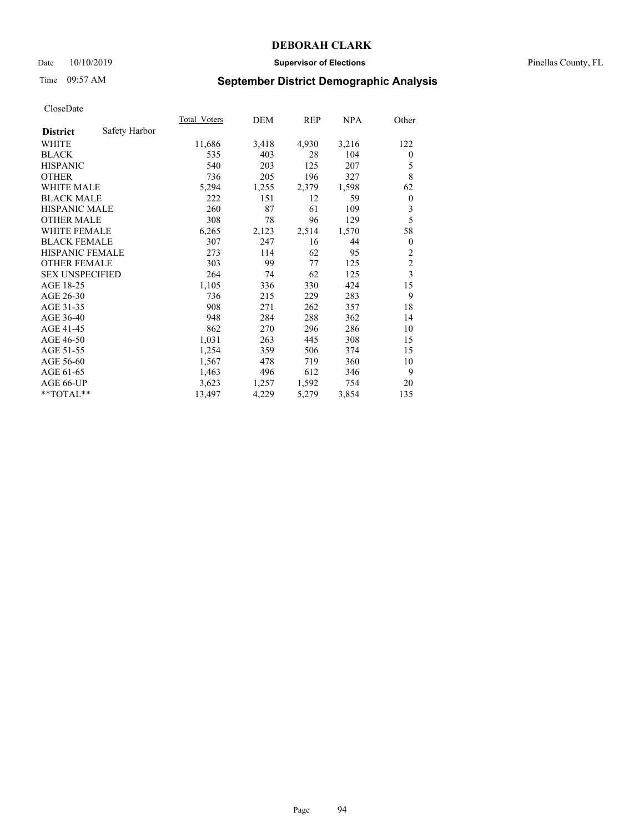## Date 10/10/2019 **Supervisor of Elections** Pinellas County, FL

# Time 09:57 AM **September District Demographic Analysis**

|                        |               | Total Voters | DEM   | REP   | NPA   | Other                   |
|------------------------|---------------|--------------|-------|-------|-------|-------------------------|
| <b>District</b>        | Safety Harbor |              |       |       |       |                         |
| WHITE                  |               | 11,686       | 3,418 | 4,930 | 3,216 | 122                     |
| <b>BLACK</b>           |               | 535          | 403   | 28    | 104   | $\overline{0}$          |
| <b>HISPANIC</b>        |               | 540          | 203   | 125   | 207   | 5                       |
| <b>OTHER</b>           |               | 736          | 205   | 196   | 327   | 8                       |
| <b>WHITE MALE</b>      |               | 5,294        | 1,255 | 2,379 | 1,598 | 62                      |
| <b>BLACK MALE</b>      |               | 222          | 151   | 12    | 59    | $\boldsymbol{0}$        |
| <b>HISPANIC MALE</b>   |               | 260          | 87    | 61    | 109   | 3                       |
| <b>OTHER MALE</b>      |               | 308          | 78    | 96    | 129   | 5                       |
| <b>WHITE FEMALE</b>    |               | 6,265        | 2,123 | 2,514 | 1,570 | 58                      |
| <b>BLACK FEMALE</b>    |               | 307          | 247   | 16    | 44    | $\theta$                |
| <b>HISPANIC FEMALE</b> |               | 273          | 114   | 62    | 95    | $\overline{c}$          |
| <b>OTHER FEMALE</b>    |               | 303          | 99    | 77    | 125   | $\overline{c}$          |
| <b>SEX UNSPECIFIED</b> |               | 264          | 74    | 62    | 125   | $\overline{\mathbf{3}}$ |
| AGE 18-25              |               | 1,105        | 336   | 330   | 424   | 15                      |
| AGE 26-30              |               | 736          | 215   | 229   | 283   | 9                       |
| AGE 31-35              |               | 908          | 271   | 262   | 357   | 18                      |
| AGE 36-40              |               | 948          | 284   | 288   | 362   | 14                      |
| AGE 41-45              |               | 862          | 270   | 296   | 286   | 10                      |
| AGE 46-50              |               | 1,031        | 263   | 445   | 308   | 15                      |
| AGE 51-55              |               | 1,254        | 359   | 506   | 374   | 15                      |
| AGE 56-60              |               | 1,567        | 478   | 719   | 360   | 10                      |
| AGE 61-65              |               | 1,463        | 496   | 612   | 346   | 9                       |
| AGE 66-UP              |               | 3,623        | 1,257 | 1,592 | 754   | 20                      |
| **TOTAL**              |               | 13,497       | 4,229 | 5,279 | 3,854 | 135                     |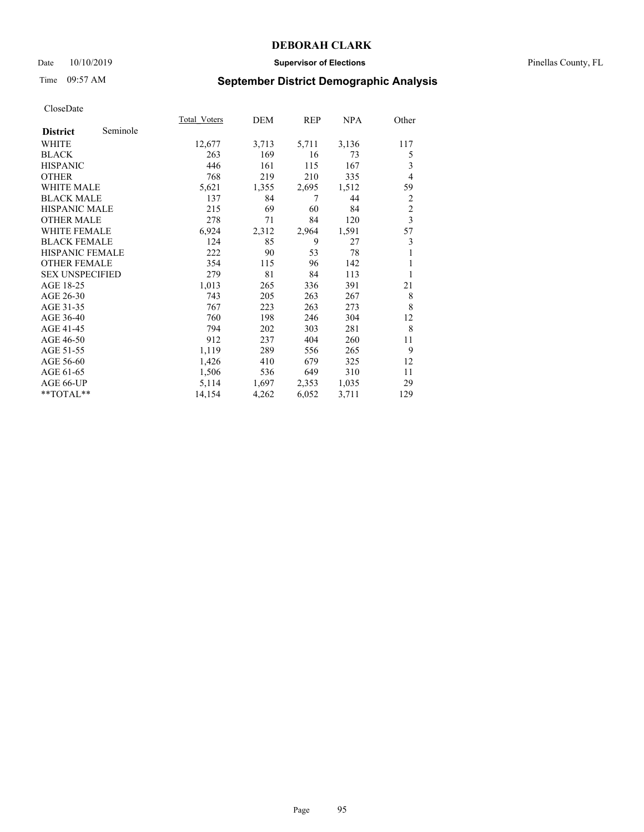## Date 10/10/2019 **Supervisor of Elections** Pinellas County, FL

# Time 09:57 AM **September District Demographic Analysis**

| Total Voters | DEM   | REP   | NPA   | Other                   |
|--------------|-------|-------|-------|-------------------------|
|              |       |       |       |                         |
| 12,677       | 3,713 | 5,711 | 3,136 | 117                     |
| 263          | 169   | 16    | 73    | 5                       |
| 446          | 161   | 115   | 167   | 3                       |
| 768          | 219   | 210   | 335   | $\overline{4}$          |
| 5,621        | 1,355 | 2,695 | 1,512 | 59                      |
| 137          | 84    | 7     | 44    | 2                       |
| 215          | 69    | 60    | 84    | $\overline{c}$          |
| 278          | 71    | 84    | 120   | $\overline{\mathbf{3}}$ |
| 6,924        | 2,312 | 2,964 | 1,591 | 57                      |
| 124          | 85    | 9     | 27    | 3                       |
| 222          | 90    | 53    | 78    | 1                       |
| 354          | 115   | 96    | 142   | 1                       |
| 279          | 81    | 84    | 113   | 1                       |
| 1,013        | 265   | 336   | 391   | 21                      |
| 743          | 205   | 263   | 267   | 8                       |
| 767          | 223   | 263   | 273   | 8                       |
| 760          | 198   | 246   | 304   | 12                      |
| 794          | 202   | 303   | 281   | 8                       |
| 912          | 237   | 404   | 260   | 11                      |
| 1,119        | 289   | 556   | 265   | 9                       |
| 1,426        | 410   | 679   | 325   | 12                      |
| 1,506        | 536   | 649   | 310   | 11                      |
| 5,114        | 1,697 | 2,353 | 1,035 | 29                      |
| 14,154       | 4,262 | 6,052 | 3,711 | 129                     |
|              |       |       |       |                         |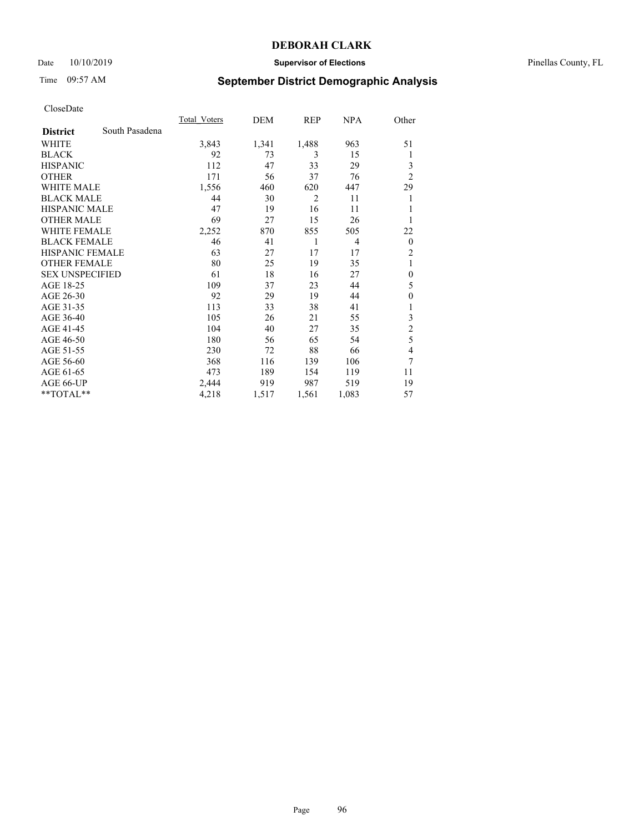## Date 10/10/2019 **Supervisor of Elections** Pinellas County, FL

# Time 09:57 AM **September District Demographic Analysis**

|                        |                | Total Voters | DEM   | REP            | NPA   | Other            |
|------------------------|----------------|--------------|-------|----------------|-------|------------------|
| <b>District</b>        | South Pasadena |              |       |                |       |                  |
| WHITE                  |                | 3,843        | 1,341 | 1,488          | 963   | 51               |
| <b>BLACK</b>           |                | 92           | 73    | 3              | 15    | 1                |
| <b>HISPANIC</b>        |                | 112          | 47    | 33             | 29    | 3                |
| <b>OTHER</b>           |                | 171          | 56    | 37             | 76    | $\overline{2}$   |
| <b>WHITE MALE</b>      |                | 1,556        | 460   | 620            | 447   | 29               |
| <b>BLACK MALE</b>      |                | 44           | 30    | $\overline{2}$ | 11    | 1                |
| <b>HISPANIC MALE</b>   |                | 47           | 19    | 16             | 11    | 1                |
| <b>OTHER MALE</b>      |                | 69           | 27    | 15             | 26    | 1                |
| <b>WHITE FEMALE</b>    |                | 2,252        | 870   | 855            | 505   | 22               |
| <b>BLACK FEMALE</b>    |                | 46           | 41    | 1              | 4     | $\mathbf{0}$     |
| <b>HISPANIC FEMALE</b> |                | 63           | 27    | 17             | 17    | $\overline{c}$   |
| <b>OTHER FEMALE</b>    |                | 80           | 25    | 19             | 35    | 1                |
| <b>SEX UNSPECIFIED</b> |                | 61           | 18    | 16             | 27    | $\boldsymbol{0}$ |
| AGE 18-25              |                | 109          | 37    | 23             | 44    | 5                |
| AGE 26-30              |                | 92           | 29    | 19             | 44    | $\theta$         |
| AGE 31-35              |                | 113          | 33    | 38             | 41    | 1                |
| AGE 36-40              |                | 105          | 26    | 21             | 55    | 3                |
| AGE 41-45              |                | 104          | 40    | 27             | 35    | $\overline{c}$   |
| AGE 46-50              |                | 180          | 56    | 65             | 54    | 5                |
| AGE 51-55              |                | 230          | 72    | 88             | 66    | 4                |
| AGE 56-60              |                | 368          | 116   | 139            | 106   | 7                |
| AGE 61-65              |                | 473          | 189   | 154            | 119   | 11               |
| AGE 66-UP              |                | 2,444        | 919   | 987            | 519   | 19               |
| **TOTAL**              |                | 4,218        | 1,517 | 1,561          | 1,083 | 57               |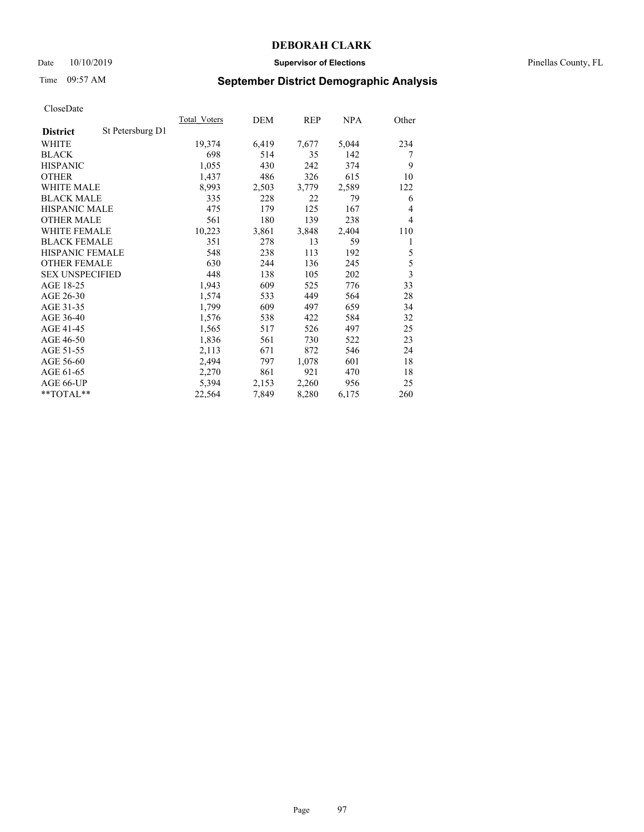## Date 10/10/2019 **Supervisor of Elections** Pinellas County, FL

# Time 09:57 AM **September District Demographic Analysis**

|                        |                  | <b>Total Voters</b> | DEM   | REP   | <u>NPA</u> | Other |
|------------------------|------------------|---------------------|-------|-------|------------|-------|
| <b>District</b>        | St Petersburg D1 |                     |       |       |            |       |
| WHITE                  |                  | 19,374              | 6,419 | 7,677 | 5,044      | 234   |
| <b>BLACK</b>           |                  | 698                 | 514   | 35    | 142        | 7     |
| <b>HISPANIC</b>        |                  | 1,055               | 430   | 242   | 374        | 9     |
| <b>OTHER</b>           |                  | 1,437               | 486   | 326   | 615        | 10    |
| <b>WHITE MALE</b>      |                  | 8,993               | 2,503 | 3,779 | 2,589      | 122   |
| <b>BLACK MALE</b>      |                  | 335                 | 228   | 22    | 79         | 6     |
| <b>HISPANIC MALE</b>   |                  | 475                 | 179   | 125   | 167        | 4     |
| <b>OTHER MALE</b>      |                  | 561                 | 180   | 139   | 238        | 4     |
| <b>WHITE FEMALE</b>    |                  | 10,223              | 3,861 | 3,848 | 2,404      | 110   |
| <b>BLACK FEMALE</b>    |                  | 351                 | 278   | 13    | 59         | 1     |
| HISPANIC FEMALE        |                  | 548                 | 238   | 113   | 192        | 5     |
| <b>OTHER FEMALE</b>    |                  | 630                 | 244   | 136   | 245        | 5     |
| <b>SEX UNSPECIFIED</b> |                  | 448                 | 138   | 105   | 202        | 3     |
| AGE 18-25              |                  | 1,943               | 609   | 525   | 776        | 33    |
| AGE 26-30              |                  | 1,574               | 533   | 449   | 564        | 28    |
| AGE 31-35              |                  | 1,799               | 609   | 497   | 659        | 34    |
| AGE 36-40              |                  | 1,576               | 538   | 422   | 584        | 32    |
| AGE 41-45              |                  | 1,565               | 517   | 526   | 497        | 25    |
| AGE 46-50              |                  | 1,836               | 561   | 730   | 522        | 23    |
| AGE 51-55              |                  | 2,113               | 671   | 872   | 546        | 24    |
| AGE 56-60              |                  | 2,494               | 797   | 1,078 | 601        | 18    |
| AGE 61-65              |                  | 2,270               | 861   | 921   | 470        | 18    |
| AGE 66-UP              |                  | 5,394               | 2,153 | 2,260 | 956        | 25    |
| $*$ $TOTAL**$          |                  | 22,564              | 7,849 | 8,280 | 6,175      | 260   |
|                        |                  |                     |       |       |            |       |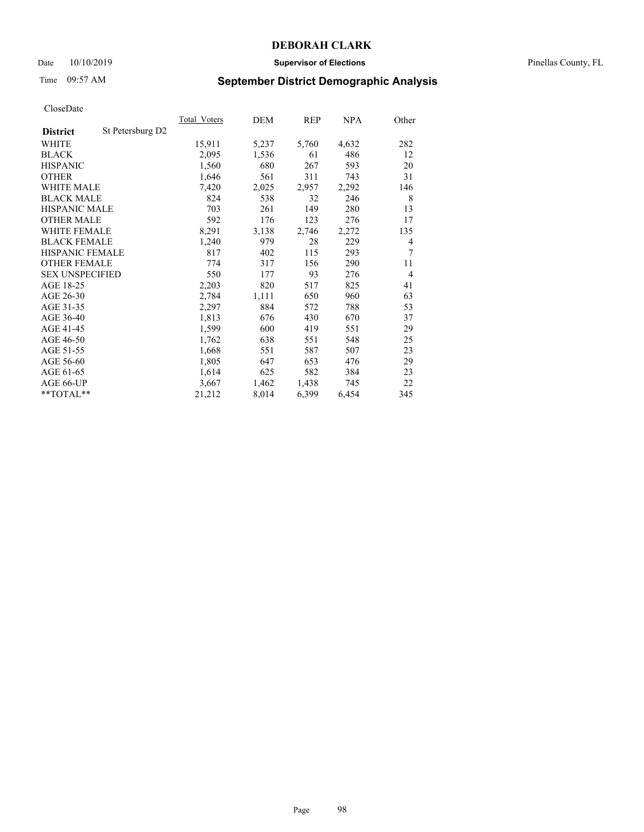## Date 10/10/2019 **Supervisor of Elections** Pinellas County, FL

# Time 09:57 AM **September District Demographic Analysis**

| <b>Total Voters</b> | DEM   | REP   | <u>NPA</u> | Other          |
|---------------------|-------|-------|------------|----------------|
|                     |       |       |            |                |
| 15,911              | 5,237 | 5,760 | 4,632      | 282            |
| 2,095               | 1,536 | 61    | 486        | 12             |
| 1,560               | 680   | 267   | 593        | 20             |
| 1,646               | 561   | 311   | 743        | 31             |
| 7,420               | 2,025 | 2,957 | 2,292      | 146            |
| 824                 | 538   | 32    | 246        | 8              |
| 703                 | 261   | 149   | 280        | 13             |
| 592                 | 176   | 123   | 276        | 17             |
| 8,291               | 3,138 | 2,746 | 2,272      | 135            |
| 1,240               | 979   | 28    | 229        | 4              |
| 817                 | 402   | 115   | 293        | 7              |
| 774                 | 317   | 156   | 290        | 11             |
| 550                 | 177   | 93    | 276        | $\overline{4}$ |
| 2,203               | 820   | 517   | 825        | 41             |
| 2,784               | 1,111 | 650   | 960        | 63             |
| 2,297               | 884   | 572   | 788        | 53             |
| 1,813               | 676   | 430   | 670        | 37             |
| 1,599               | 600   | 419   | 551        | 29             |
| 1,762               | 638   | 551   | 548        | 25             |
| 1,668               | 551   | 587   | 507        | 23             |
| 1,805               | 647   | 653   | 476        | 29             |
| 1,614               | 625   | 582   | 384        | 23             |
| 3,667               | 1,462 | 1,438 | 745        | 22             |
| 21,212              | 8,014 | 6,399 | 6,454      | 345            |
|                     |       |       |            |                |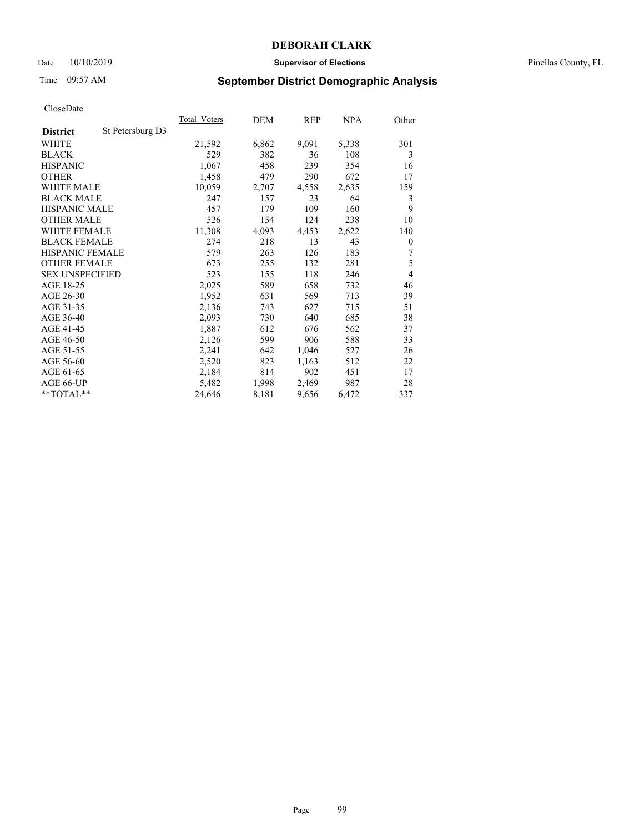## Date 10/10/2019 **Supervisor of Elections** Pinellas County, FL

## Time 09:57 AM **September District Demographic Analysis**

| St Petersburg D3<br><b>District</b><br>6,862<br>WHITE<br>21,592<br>9,091<br>5,338<br>529<br><b>BLACK</b><br>382<br>108<br>36<br><b>HISPANIC</b><br>1,067<br>458<br>239<br>354<br>290<br>672<br><b>OTHER</b><br>1,458<br>479 |                |
|-----------------------------------------------------------------------------------------------------------------------------------------------------------------------------------------------------------------------------|----------------|
|                                                                                                                                                                                                                             |                |
|                                                                                                                                                                                                                             | 301            |
|                                                                                                                                                                                                                             | 3              |
|                                                                                                                                                                                                                             | 16             |
|                                                                                                                                                                                                                             | 17             |
| <b>WHITE MALE</b><br>10,059<br>2,707<br>4,558<br>2,635                                                                                                                                                                      | 159            |
| <b>BLACK MALE</b><br>64<br>247<br>157<br>23                                                                                                                                                                                 | 3              |
| <b>HISPANIC MALE</b><br>109<br>160<br>457<br>179                                                                                                                                                                            | 9              |
| 526<br>154<br>124<br>238<br><b>OTHER MALE</b>                                                                                                                                                                               | 10             |
| 11,308<br><b>WHITE FEMALE</b><br>4,093<br>4,453<br>2,622                                                                                                                                                                    | 140            |
| <b>BLACK FEMALE</b><br>274<br>218<br>13<br>43                                                                                                                                                                               | $\theta$       |
| HISPANIC FEMALE<br>579<br>263<br>126<br>183                                                                                                                                                                                 | 7              |
| <b>OTHER FEMALE</b><br>281<br>673<br>255<br>132                                                                                                                                                                             | 5              |
| <b>SEX UNSPECIFIED</b><br>523<br>118<br>155<br>246                                                                                                                                                                          | $\overline{4}$ |
| AGE 18-25<br>2,025<br>658<br>732<br>589                                                                                                                                                                                     | 46             |
| AGE 26-30<br>631<br>1,952<br>569<br>713                                                                                                                                                                                     | 39             |
| AGE 31-35<br>2,136<br>743<br>627<br>715                                                                                                                                                                                     | 51             |
| AGE 36-40<br>730<br>640<br>685<br>2,093                                                                                                                                                                                     | 38             |
| AGE 41-45<br>1,887<br>612<br>676<br>562                                                                                                                                                                                     | 37             |
| AGE 46-50<br>906<br>588<br>2,126<br>599                                                                                                                                                                                     | 33             |
| AGE 51-55<br>2,241<br>642<br>1,046<br>527                                                                                                                                                                                   | 26             |
| AGE 56-60<br>2,520<br>823<br>1,163<br>512                                                                                                                                                                                   | 22             |
| 902<br>AGE 61-65<br>2,184<br>814<br>451                                                                                                                                                                                     | 17             |
| AGE 66-UP<br>5,482<br>1,998<br>2,469<br>987                                                                                                                                                                                 | 28             |
| $*$ $TOTAL**$<br>24,646<br>8,181<br>9,656<br>6,472                                                                                                                                                                          | 337            |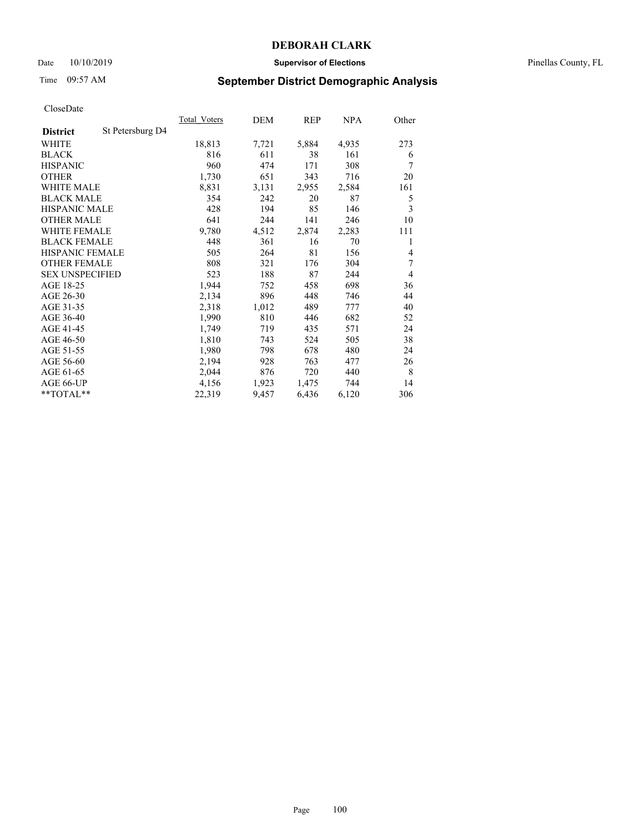## Date 10/10/2019 **Supervisor of Elections** Pinellas County, FL

# Time 09:57 AM **September District Demographic Analysis**

|                        |                  | Total Voters | DEM   | REP   | NPA   | Other |
|------------------------|------------------|--------------|-------|-------|-------|-------|
| <b>District</b>        | St Petersburg D4 |              |       |       |       |       |
| WHITE                  |                  | 18,813       | 7,721 | 5,884 | 4,935 | 273   |
| <b>BLACK</b>           |                  | 816          | 611   | 38    | 161   | 6     |
| <b>HISPANIC</b>        |                  | 960          | 474   | 171   | 308   | 7     |
| <b>OTHER</b>           |                  | 1,730        | 651   | 343   | 716   | 20    |
| <b>WHITE MALE</b>      |                  | 8,831        | 3,131 | 2,955 | 2,584 | 161   |
| <b>BLACK MALE</b>      |                  | 354          | 242   | 20    | 87    | 5     |
| <b>HISPANIC MALE</b>   |                  | 428          | 194   | 85    | 146   | 3     |
| <b>OTHER MALE</b>      |                  | 641          | 244   | 141   | 246   | 10    |
| <b>WHITE FEMALE</b>    |                  | 9,780        | 4,512 | 2,874 | 2,283 | 111   |
| <b>BLACK FEMALE</b>    |                  | 448          | 361   | 16    | 70    | 1     |
| <b>HISPANIC FEMALE</b> |                  | 505          | 264   | 81    | 156   | 4     |
| <b>OTHER FEMALE</b>    |                  | 808          | 321   | 176   | 304   | 7     |
| <b>SEX UNSPECIFIED</b> |                  | 523          | 188   | 87    | 244   | 4     |
| AGE 18-25              |                  | 1,944        | 752   | 458   | 698   | 36    |
| AGE 26-30              |                  | 2,134        | 896   | 448   | 746   | 44    |
| AGE 31-35              |                  | 2,318        | 1,012 | 489   | 777   | 40    |
| AGE 36-40              |                  | 1,990        | 810   | 446   | 682   | 52    |
| AGE 41-45              |                  | 1,749        | 719   | 435   | 571   | 24    |
| AGE 46-50              |                  | 1,810        | 743   | 524   | 505   | 38    |
| AGE 51-55              |                  | 1,980        | 798   | 678   | 480   | 24    |
| AGE 56-60              |                  | 2,194        | 928   | 763   | 477   | 26    |
| AGE 61-65              |                  | 2,044        | 876   | 720   | 440   | 8     |
| AGE 66-UP              |                  | 4,156        | 1,923 | 1,475 | 744   | 14    |
| $*$ TOTAL $*$          |                  | 22,319       | 9,457 | 6,436 | 6,120 | 306   |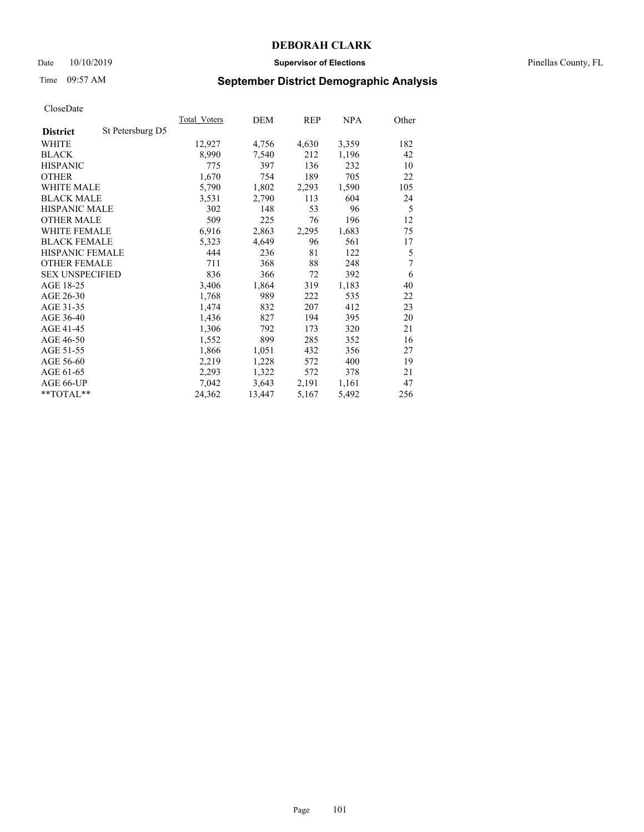## Date 10/10/2019 **Supervisor of Elections** Pinellas County, FL

# Time 09:57 AM **September District Demographic Analysis**

|                        |                  | Total Voters | DEM    | REP   | NPA   | Other |
|------------------------|------------------|--------------|--------|-------|-------|-------|
| <b>District</b>        | St Petersburg D5 |              |        |       |       |       |
| WHITE                  |                  | 12,927       | 4,756  | 4,630 | 3,359 | 182   |
| <b>BLACK</b>           |                  | 8,990        | 7,540  | 212   | 1,196 | 42    |
| <b>HISPANIC</b>        |                  | 775          | 397    | 136   | 232   | 10    |
| <b>OTHER</b>           |                  | 1,670        | 754    | 189   | 705   | 22    |
| WHITE MALE             |                  | 5,790        | 1,802  | 2,293 | 1,590 | 105   |
| <b>BLACK MALE</b>      |                  | 3,531        | 2,790  | 113   | 604   | 24    |
| <b>HISPANIC MALE</b>   |                  | 302          | 148    | 53    | 96    | 5     |
| <b>OTHER MALE</b>      |                  | 509          | 225    | 76    | 196   | 12    |
| <b>WHITE FEMALE</b>    |                  | 6,916        | 2,863  | 2,295 | 1,683 | 75    |
| <b>BLACK FEMALE</b>    |                  | 5,323        | 4,649  | 96    | 561   | 17    |
| <b>HISPANIC FEMALE</b> |                  | 444          | 236    | 81    | 122   | 5     |
| <b>OTHER FEMALE</b>    |                  | 711          | 368    | 88    | 248   | 7     |
| <b>SEX UNSPECIFIED</b> |                  | 836          | 366    | 72    | 392   | 6     |
| AGE 18-25              |                  | 3,406        | 1,864  | 319   | 1,183 | 40    |
| AGE 26-30              |                  | 1,768        | 989    | 222   | 535   | 22    |
| AGE 31-35              |                  | 1,474        | 832    | 207   | 412   | 23    |
| AGE 36-40              |                  | 1,436        | 827    | 194   | 395   | 20    |
| AGE 41-45              |                  | 1,306        | 792    | 173   | 320   | 21    |
| AGE 46-50              |                  | 1,552        | 899    | 285   | 352   | 16    |
| AGE 51-55              |                  | 1,866        | 1,051  | 432   | 356   | 27    |
| AGE 56-60              |                  | 2,219        | 1,228  | 572   | 400   | 19    |
| AGE 61-65              |                  | 2,293        | 1,322  | 572   | 378   | 21    |
| AGE 66-UP              |                  | 7,042        | 3,643  | 2,191 | 1,161 | 47    |
| **TOTAL**              |                  | 24,362       | 13,447 | 5,167 | 5,492 | 256   |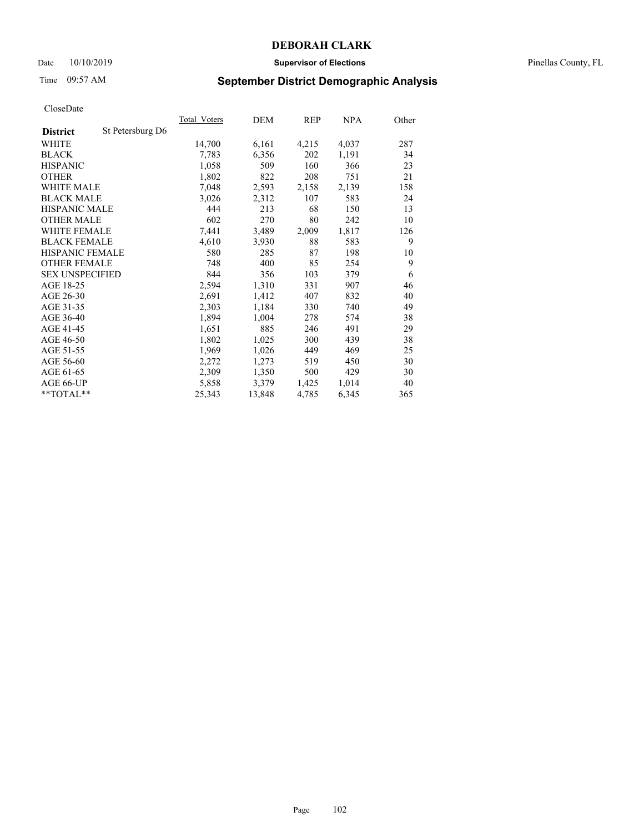## Date 10/10/2019 **Supervisor of Elections** Pinellas County, FL

# Time 09:57 AM **September District Demographic Analysis**

| Total Voters | DEM    | REP   | NPA   | Other |
|--------------|--------|-------|-------|-------|
|              |        |       |       |       |
| 14,700       | 6,161  | 4,215 | 4,037 | 287   |
| 7,783        | 6,356  | 202   | 1,191 | 34    |
| 1,058        | 509    | 160   | 366   | 23    |
| 1,802        | 822    | 208   | 751   | 21    |
| 7,048        | 2,593  | 2,158 | 2,139 | 158   |
| 3,026        | 2,312  | 107   | 583   | 24    |
| 444          | 213    | 68    | 150   | 13    |
| 602          | 270    | 80    | 242   | 10    |
| 7,441        | 3,489  | 2,009 | 1,817 | 126   |
| 4,610        | 3,930  | 88    | 583   | 9     |
| 580          | 285    | 87    | 198   | 10    |
| 748          | 400    | 85    | 254   | 9     |
| 844          | 356    | 103   | 379   | 6     |
| 2,594        | 1,310  | 331   | 907   | 46    |
| 2,691        | 1,412  | 407   | 832   | 40    |
| 2,303        | 1,184  | 330   | 740   | 49    |
| 1,894        | 1,004  | 278   | 574   | 38    |
| 1,651        | 885    | 246   | 491   | 29    |
| 1,802        | 1,025  | 300   | 439   | 38    |
| 1,969        | 1,026  | 449   | 469   | 25    |
| 2,272        | 1,273  | 519   | 450   | 30    |
| 2,309        | 1,350  | 500   | 429   | 30    |
| 5,858        | 3,379  | 1,425 | 1,014 | 40    |
| 25,343       | 13,848 | 4,785 | 6,345 | 365   |
|              |        |       |       |       |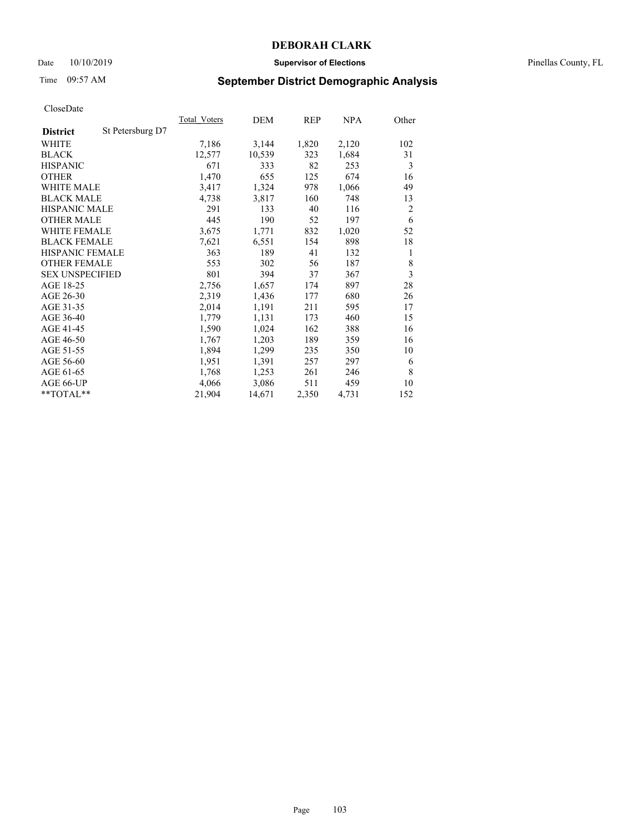## Date 10/10/2019 **Supervisor of Elections** Pinellas County, FL

# Time 09:57 AM **September District Demographic Analysis**

| Total Voters | DEM    | REP   | <u>NPA</u> | Other          |
|--------------|--------|-------|------------|----------------|
|              |        |       |            |                |
| 7,186        | 3,144  | 1,820 | 2,120      | 102            |
| 12,577       | 10,539 | 323   | 1,684      | 31             |
| 671          | 333    | 82    | 253        | 3              |
| 1,470        | 655    | 125   | 674        | 16             |
| 3,417        | 1,324  | 978   | 1,066      | 49             |
| 4,738        | 3,817  | 160   | 748        | 13             |
| 291          | 133    | 40    | 116        | $\overline{2}$ |
| 445          | 190    | 52    | 197        | 6              |
| 3,675        | 1,771  | 832   | 1,020      | 52             |
| 7,621        | 6,551  | 154   | 898        | 18             |
| 363          | 189    | 41    | 132        | 1              |
| 553          | 302    | 56    | 187        | 8              |
| 801          | 394    | 37    | 367        | 3              |
| 2,756        | 1,657  | 174   | 897        | 28             |
| 2,319        | 1,436  | 177   | 680        | 26             |
| 2,014        | 1,191  | 211   | 595        | 17             |
| 1,779        | 1,131  | 173   | 460        | 15             |
| 1,590        | 1,024  | 162   | 388        | 16             |
| 1,767        | 1,203  | 189   | 359        | 16             |
| 1,894        | 1,299  | 235   | 350        | 10             |
| 1,951        | 1,391  | 257   | 297        | 6              |
| 1,768        | 1,253  | 261   | 246        | 8              |
| 4,066        | 3,086  | 511   | 459        | 10             |
| 21,904       | 14,671 | 2,350 | 4,731      | 152            |
|              |        |       |            |                |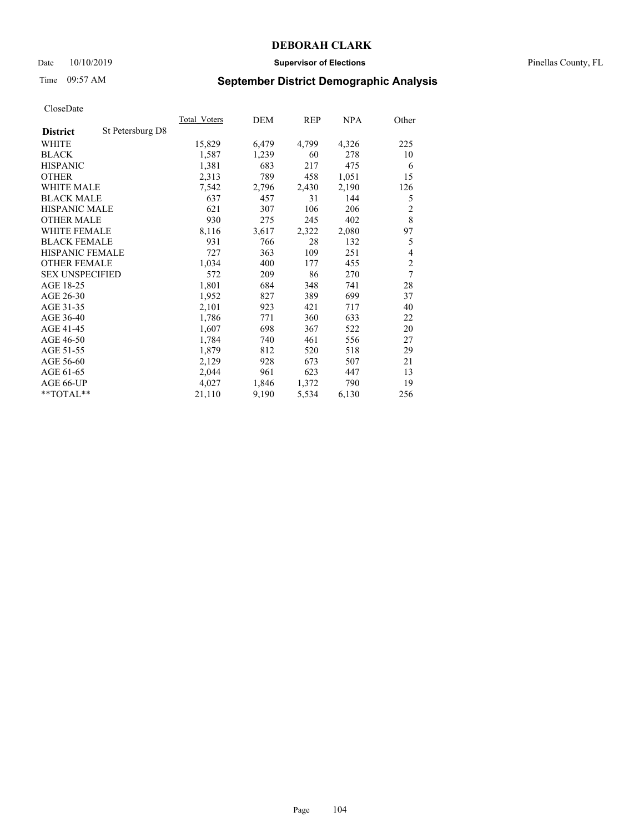## Date 10/10/2019 **Supervisor of Elections** Pinellas County, FL

# Time 09:57 AM **September District Demographic Analysis**

| St Petersburg D8<br><b>District</b><br>4,799<br>WHITE<br>15,829<br>6,479<br>4,326<br><b>BLACK</b><br>1,587<br>1,239<br>60<br>278<br><b>HISPANIC</b><br>1,381<br>683<br>217<br>475<br>2,313<br>789<br>458<br>1,051<br><b>OTHER</b><br><b>WHITE MALE</b><br>7,542<br>2,796<br>2,430<br>2,190<br><b>BLACK MALE</b><br>637<br>457<br>31<br>144<br><b>HISPANIC MALE</b><br>621<br>106<br>307<br>206<br>930<br>245<br>402<br><b>OTHER MALE</b><br>275<br>2,080<br><b>WHITE FEMALE</b><br>8,116<br>3,617<br>2,322<br><b>BLACK FEMALE</b><br>931<br>28<br>132<br>766<br>HISPANIC FEMALE<br>727<br>363<br>109<br>251<br><b>OTHER FEMALE</b><br>1,034<br>400<br>177<br>455<br><b>SEX UNSPECIFIED</b><br>572<br>209<br>86<br>270<br>AGE 18-25<br>1,801<br>684<br>348<br>741<br>AGE 26-30<br>1,952<br>827<br>389<br>699<br>421<br>AGE 31-35<br>2,101<br>923<br>717<br>AGE 36-40<br>360<br>633<br>1,786<br>771<br>AGE 41-45<br>698<br>522<br>1,607<br>367<br>AGE 46-50<br>740<br>461<br>556<br>1,784<br>AGE 51-55<br>1,879<br>520<br>518<br>812<br>AGE 56-60<br>2,129<br>928<br>673<br>507<br>AGE 61-65<br>2,044<br>961<br>623<br>447 |           | <b>Total Voters</b> | DEM   | REP   | <u>NPA</u> | Other          |
|--------------------------------------------------------------------------------------------------------------------------------------------------------------------------------------------------------------------------------------------------------------------------------------------------------------------------------------------------------------------------------------------------------------------------------------------------------------------------------------------------------------------------------------------------------------------------------------------------------------------------------------------------------------------------------------------------------------------------------------------------------------------------------------------------------------------------------------------------------------------------------------------------------------------------------------------------------------------------------------------------------------------------------------------------------------------------------------------------------------------------|-----------|---------------------|-------|-------|------------|----------------|
|                                                                                                                                                                                                                                                                                                                                                                                                                                                                                                                                                                                                                                                                                                                                                                                                                                                                                                                                                                                                                                                                                                                          |           |                     |       |       |            |                |
|                                                                                                                                                                                                                                                                                                                                                                                                                                                                                                                                                                                                                                                                                                                                                                                                                                                                                                                                                                                                                                                                                                                          |           |                     |       |       |            | 225            |
|                                                                                                                                                                                                                                                                                                                                                                                                                                                                                                                                                                                                                                                                                                                                                                                                                                                                                                                                                                                                                                                                                                                          |           |                     |       |       |            | 10             |
|                                                                                                                                                                                                                                                                                                                                                                                                                                                                                                                                                                                                                                                                                                                                                                                                                                                                                                                                                                                                                                                                                                                          |           |                     |       |       |            | 6              |
|                                                                                                                                                                                                                                                                                                                                                                                                                                                                                                                                                                                                                                                                                                                                                                                                                                                                                                                                                                                                                                                                                                                          |           |                     |       |       |            | 15             |
|                                                                                                                                                                                                                                                                                                                                                                                                                                                                                                                                                                                                                                                                                                                                                                                                                                                                                                                                                                                                                                                                                                                          |           |                     |       |       |            | 126            |
|                                                                                                                                                                                                                                                                                                                                                                                                                                                                                                                                                                                                                                                                                                                                                                                                                                                                                                                                                                                                                                                                                                                          |           |                     |       |       |            | 5              |
|                                                                                                                                                                                                                                                                                                                                                                                                                                                                                                                                                                                                                                                                                                                                                                                                                                                                                                                                                                                                                                                                                                                          |           |                     |       |       |            | $\overline{2}$ |
|                                                                                                                                                                                                                                                                                                                                                                                                                                                                                                                                                                                                                                                                                                                                                                                                                                                                                                                                                                                                                                                                                                                          |           |                     |       |       |            | 8              |
|                                                                                                                                                                                                                                                                                                                                                                                                                                                                                                                                                                                                                                                                                                                                                                                                                                                                                                                                                                                                                                                                                                                          |           |                     |       |       |            | 97             |
|                                                                                                                                                                                                                                                                                                                                                                                                                                                                                                                                                                                                                                                                                                                                                                                                                                                                                                                                                                                                                                                                                                                          |           |                     |       |       |            | 5              |
|                                                                                                                                                                                                                                                                                                                                                                                                                                                                                                                                                                                                                                                                                                                                                                                                                                                                                                                                                                                                                                                                                                                          |           |                     |       |       |            | 4              |
|                                                                                                                                                                                                                                                                                                                                                                                                                                                                                                                                                                                                                                                                                                                                                                                                                                                                                                                                                                                                                                                                                                                          |           |                     |       |       |            | $\overline{c}$ |
|                                                                                                                                                                                                                                                                                                                                                                                                                                                                                                                                                                                                                                                                                                                                                                                                                                                                                                                                                                                                                                                                                                                          |           |                     |       |       |            | 7              |
|                                                                                                                                                                                                                                                                                                                                                                                                                                                                                                                                                                                                                                                                                                                                                                                                                                                                                                                                                                                                                                                                                                                          |           |                     |       |       |            | 28             |
|                                                                                                                                                                                                                                                                                                                                                                                                                                                                                                                                                                                                                                                                                                                                                                                                                                                                                                                                                                                                                                                                                                                          |           |                     |       |       |            | 37             |
|                                                                                                                                                                                                                                                                                                                                                                                                                                                                                                                                                                                                                                                                                                                                                                                                                                                                                                                                                                                                                                                                                                                          |           |                     |       |       |            | 40             |
|                                                                                                                                                                                                                                                                                                                                                                                                                                                                                                                                                                                                                                                                                                                                                                                                                                                                                                                                                                                                                                                                                                                          |           |                     |       |       |            | 22             |
|                                                                                                                                                                                                                                                                                                                                                                                                                                                                                                                                                                                                                                                                                                                                                                                                                                                                                                                                                                                                                                                                                                                          |           |                     |       |       |            | 20             |
|                                                                                                                                                                                                                                                                                                                                                                                                                                                                                                                                                                                                                                                                                                                                                                                                                                                                                                                                                                                                                                                                                                                          |           |                     |       |       |            | 27             |
|                                                                                                                                                                                                                                                                                                                                                                                                                                                                                                                                                                                                                                                                                                                                                                                                                                                                                                                                                                                                                                                                                                                          |           |                     |       |       |            | 29             |
|                                                                                                                                                                                                                                                                                                                                                                                                                                                                                                                                                                                                                                                                                                                                                                                                                                                                                                                                                                                                                                                                                                                          |           |                     |       |       |            | 21             |
|                                                                                                                                                                                                                                                                                                                                                                                                                                                                                                                                                                                                                                                                                                                                                                                                                                                                                                                                                                                                                                                                                                                          |           |                     |       |       |            | 13             |
|                                                                                                                                                                                                                                                                                                                                                                                                                                                                                                                                                                                                                                                                                                                                                                                                                                                                                                                                                                                                                                                                                                                          | AGE 66-UP | 4,027               | 1,846 | 1,372 | 790        | 19             |
| $*$ $TOTAL**$<br>21,110<br>5,534<br>9,190<br>6,130                                                                                                                                                                                                                                                                                                                                                                                                                                                                                                                                                                                                                                                                                                                                                                                                                                                                                                                                                                                                                                                                       |           |                     |       |       |            | 256            |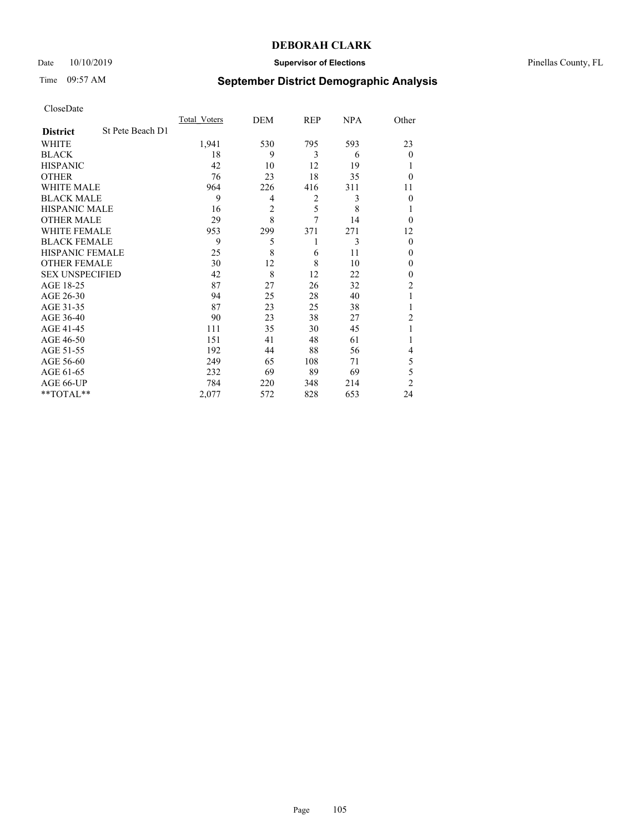## Date 10/10/2019 **Supervisor of Elections** Pinellas County, FL

# Time 09:57 AM **September District Demographic Analysis**

|                        |                  | Total Voters | DEM            | REP | <b>NPA</b> | Other          |
|------------------------|------------------|--------------|----------------|-----|------------|----------------|
| <b>District</b>        | St Pete Beach D1 |              |                |     |            |                |
| WHITE                  |                  | 1,941        | 530            | 795 | 593        | 23             |
| <b>BLACK</b>           |                  | 18           | 9              | 3   | 6          | $\Omega$       |
| <b>HISPANIC</b>        |                  | 42           | 10             | 12  | 19         |                |
| <b>OTHER</b>           |                  | 76           | 23             | 18  | 35         | $\Omega$       |
| WHITE MALE             |                  | 964          | 226            | 416 | 311        | 11             |
| <b>BLACK MALE</b>      |                  | 9            | 4              | 2   | 3          | $\Omega$       |
| <b>HISPANIC MALE</b>   |                  | 16           | $\overline{2}$ | 5   | 8          |                |
| <b>OTHER MALE</b>      |                  | 29           | 8              | 7   | 14         | $\Omega$       |
| WHITE FEMALE           |                  | 953          | 299            | 371 | 271        | 12             |
| <b>BLACK FEMALE</b>    |                  | 9            | 5              | 1   | 3          | $\Omega$       |
| <b>HISPANIC FEMALE</b> |                  | 25           | 8              | 6   | 11         | $\Omega$       |
| <b>OTHER FEMALE</b>    |                  | 30           | 12             | 8   | 10         | $\theta$       |
| <b>SEX UNSPECIFIED</b> |                  | 42           | 8              | 12  | 22         | $\Omega$       |
| AGE 18-25              |                  | 87           | 27             | 26  | 32         | 2              |
| AGE 26-30              |                  | 94           | 25             | 28  | 40         | 1              |
| AGE 31-35              |                  | 87           | 23             | 25  | 38         |                |
| AGE 36-40              |                  | 90           | 23             | 38  | 27         | $\overline{2}$ |
| AGE 41-45              |                  | 111          | 35             | 30  | 45         |                |
| AGE 46-50              |                  | 151          | 41             | 48  | 61         | 1              |
| AGE 51-55              |                  | 192          | 44             | 88  | 56         | 4              |
| AGE 56-60              |                  | 249          | 65             | 108 | 71         | 5              |
| AGE 61-65              |                  | 232          | 69             | 89  | 69         | 5              |
| AGE 66-UP              |                  | 784          | 220            | 348 | 214        | $\overline{2}$ |
| **TOTAL**              |                  | 2,077        | 572            | 828 | 653        | 24             |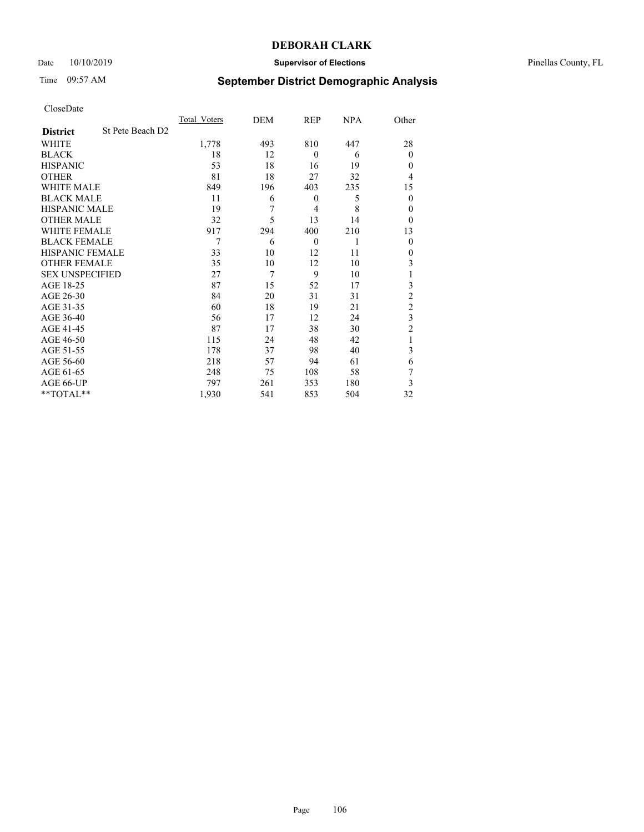## Date 10/10/2019 **Supervisor of Elections** Pinellas County, FL

# Time 09:57 AM **September District Demographic Analysis**

|                        |                  | Total Voters | DEM | REP              | <b>NPA</b> | Other          |
|------------------------|------------------|--------------|-----|------------------|------------|----------------|
| <b>District</b>        | St Pete Beach D2 |              |     |                  |            |                |
| WHITE                  |                  | 1,778        | 493 | 810              | 447        | 28             |
| <b>BLACK</b>           |                  | 18           | 12  | $\theta$         | 6          | $\theta$       |
| <b>HISPANIC</b>        |                  | 53           | 18  | 16               | 19         | $\theta$       |
| <b>OTHER</b>           |                  | 81           | 18  | 27               | 32         | 4              |
| WHITE MALE             |                  | 849          | 196 | 403              | 235        | 15             |
| <b>BLACK MALE</b>      |                  | 11           | 6   | $\boldsymbol{0}$ | 5          | $\overline{0}$ |
| <b>HISPANIC MALE</b>   |                  | 19           | 7   | $\overline{4}$   | 8          | $\theta$       |
| <b>OTHER MALE</b>      |                  | 32           | 5   | 13               | 14         | $\theta$       |
| WHITE FEMALE           |                  | 917          | 294 | 400              | 210        | 13             |
| <b>BLACK FEMALE</b>    |                  | 7            | 6   | $\theta$         | 1          | $\theta$       |
| <b>HISPANIC FEMALE</b> |                  | 33           | 10  | 12               | 11         | $\theta$       |
| <b>OTHER FEMALE</b>    |                  | 35           | 10  | 12               | 10         | 3              |
| <b>SEX UNSPECIFIED</b> |                  | 27           | 7   | 9                | 10         |                |
| AGE 18-25              |                  | 87           | 15  | 52               | 17         | 3              |
| AGE 26-30              |                  | 84           | 20  | 31               | 31         | $\overline{2}$ |
| AGE 31-35              |                  | 60           | 18  | 19               | 21         | $\overline{c}$ |
| AGE 36-40              |                  | 56           | 17  | 12               | 24         | 3              |
| AGE 41-45              |                  | 87           | 17  | 38               | 30         | $\overline{c}$ |
| AGE 46-50              |                  | 115          | 24  | 48               | 42         | 1              |
| AGE 51-55              |                  | 178          | 37  | 98               | 40         | 3              |
| AGE 56-60              |                  | 218          | 57  | 94               | 61         | 6              |
| AGE 61-65              |                  | 248          | 75  | 108              | 58         | 7              |
| AGE 66-UP              |                  | 797          | 261 | 353              | 180        | 3              |
| **TOTAL**              |                  | 1,930        | 541 | 853              | 504        | 32             |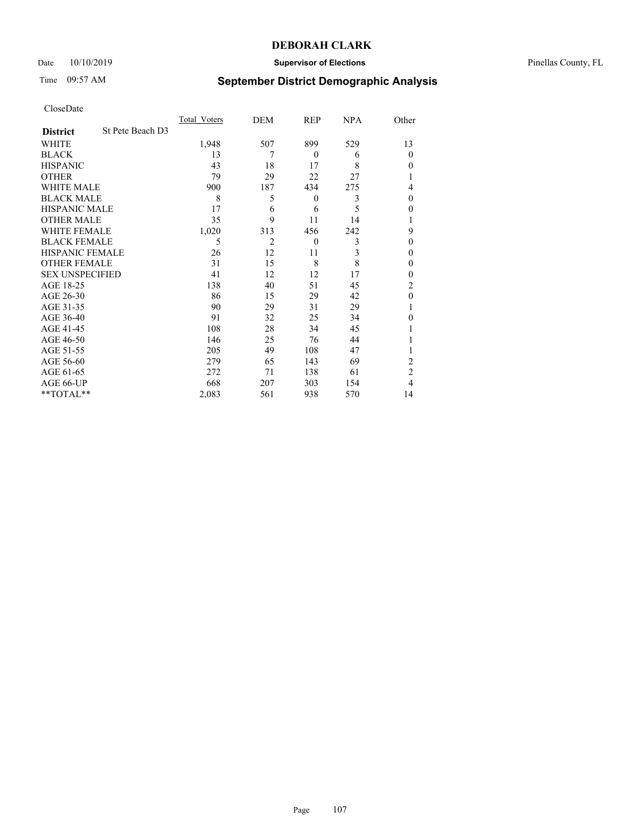## Date 10/10/2019 **Supervisor of Elections** Pinellas County, FL

# Time 09:57 AM **September District Demographic Analysis**

|                        |                  | Total Voters | DEM            | REP      | NPA | Other          |
|------------------------|------------------|--------------|----------------|----------|-----|----------------|
| <b>District</b>        | St Pete Beach D3 |              |                |          |     |                |
| WHITE                  |                  | 1,948        | 507            | 899      | 529 | 13             |
| <b>BLACK</b>           |                  | 13           | 7              | $\theta$ | 6   | $\Omega$       |
| <b>HISPANIC</b>        |                  | 43           | 18             | 17       | 8   | $\theta$       |
| <b>OTHER</b>           |                  | 79           | 29             | 22       | 27  |                |
| WHITE MALE             |                  | 900          | 187            | 434      | 275 | 4              |
| <b>BLACK MALE</b>      |                  | 8            | 5              | $\theta$ | 3   | $\theta$       |
| <b>HISPANIC MALE</b>   |                  | 17           | 6              | 6        | 5   | 0              |
| <b>OTHER MALE</b>      |                  | 35           | 9              | 11       | 14  |                |
| <b>WHITE FEMALE</b>    |                  | 1,020        | 313            | 456      | 242 | 9              |
| <b>BLACK FEMALE</b>    |                  | 5            | $\overline{2}$ | $\theta$ | 3   | $\Omega$       |
| <b>HISPANIC FEMALE</b> |                  | 26           | 12             | 11       | 3   | $\Omega$       |
| <b>OTHER FEMALE</b>    |                  | 31           | 15             | 8        | 8   | $\Omega$       |
| <b>SEX UNSPECIFIED</b> |                  | 41           | 12             | 12       | 17  | $\Omega$       |
| AGE 18-25              |                  | 138          | 40             | 51       | 45  | $\overline{2}$ |
| AGE 26-30              |                  | 86           | 15             | 29       | 42  | $\mathbf{0}$   |
| AGE 31-35              |                  | 90           | 29             | 31       | 29  |                |
| AGE 36-40              |                  | 91           | 32             | 25       | 34  | $\theta$       |
| AGE 41-45              |                  | 108          | 28             | 34       | 45  |                |
| AGE 46-50              |                  | 146          | 25             | 76       | 44  |                |
| AGE 51-55              |                  | 205          | 49             | 108      | 47  |                |
| AGE 56-60              |                  | 279          | 65             | 143      | 69  | $\overline{c}$ |
| AGE 61-65              |                  | 272          | 71             | 138      | 61  | $\overline{2}$ |
| AGE 66-UP              |                  | 668          | 207            | 303      | 154 | 4              |
| **TOTAL**              |                  | 2,083        | 561            | 938      | 570 | 14             |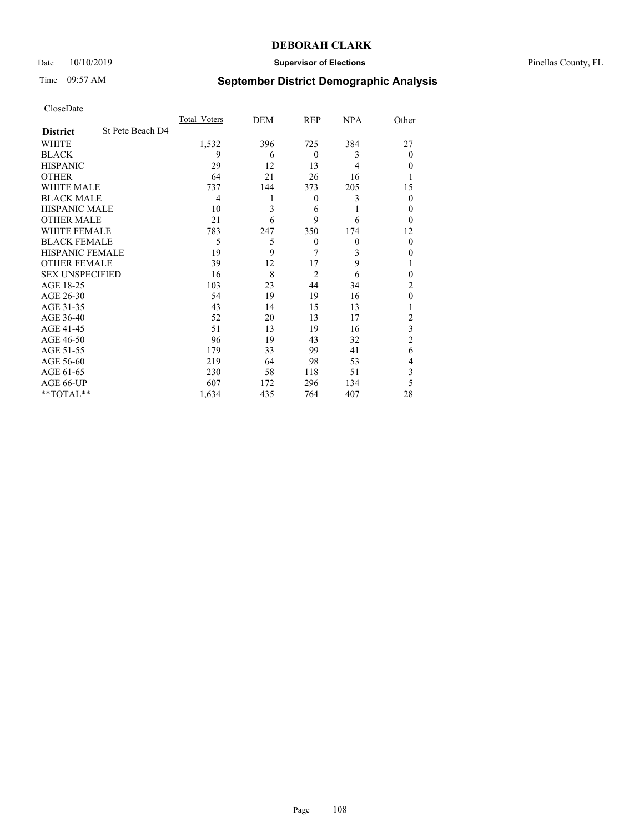## Date 10/10/2019 **Supervisor of Elections** Pinellas County, FL

# Time 09:57 AM **September District Demographic Analysis**

|                        |                  | Total Voters | DEM | REP              | <b>NPA</b> | Other          |
|------------------------|------------------|--------------|-----|------------------|------------|----------------|
| <b>District</b>        | St Pete Beach D4 |              |     |                  |            |                |
| WHITE                  |                  | 1,532        | 396 | 725              | 384        | 27             |
| <b>BLACK</b>           |                  | 9            | 6   | $\theta$         | 3          | $\Omega$       |
| <b>HISPANIC</b>        |                  | 29           | 12  | 13               | 4          | $\theta$       |
| <b>OTHER</b>           |                  | 64           | 21  | 26               | 16         |                |
| WHITE MALE             |                  | 737          | 144 | 373              | 205        | 15             |
| <b>BLACK MALE</b>      |                  | 4            |     | $\boldsymbol{0}$ | 3          | $\Omega$       |
| <b>HISPANIC MALE</b>   |                  | 10           | 3   | 6                | 1          | $\theta$       |
| <b>OTHER MALE</b>      |                  | 21           | 6   | 9                | 6          | $\Omega$       |
| WHITE FEMALE           |                  | 783          | 247 | 350              | 174        | 12             |
| <b>BLACK FEMALE</b>    |                  | 5            | 5   | $\theta$         | $\theta$   | $\Omega$       |
| <b>HISPANIC FEMALE</b> |                  | 19           | 9   | 7                | 3          | $\theta$       |
| <b>OTHER FEMALE</b>    |                  | 39           | 12  | 17               | 9          |                |
| <b>SEX UNSPECIFIED</b> |                  | 16           | 8   | $\overline{2}$   | 6          | $\Omega$       |
| AGE 18-25              |                  | 103          | 23  | 44               | 34         | $\overline{c}$ |
| AGE 26-30              |                  | 54           | 19  | 19               | 16         | $\theta$       |
| AGE 31-35              |                  | 43           | 14  | 15               | 13         |                |
| AGE 36-40              |                  | 52           | 20  | 13               | 17         | $\overline{c}$ |
| AGE 41-45              |                  | 51           | 13  | 19               | 16         | 3              |
| AGE 46-50              |                  | 96           | 19  | 43               | 32         | $\overline{2}$ |
| AGE 51-55              |                  | 179          | 33  | 99               | 41         | 6              |
| AGE 56-60              |                  | 219          | 64  | 98               | 53         | 4              |
| AGE 61-65              |                  | 230          | 58  | 118              | 51         | 3              |
| AGE 66-UP              |                  | 607          | 172 | 296              | 134        | 5              |
| **TOTAL**              |                  | 1,634        | 435 | 764              | 407        | 28             |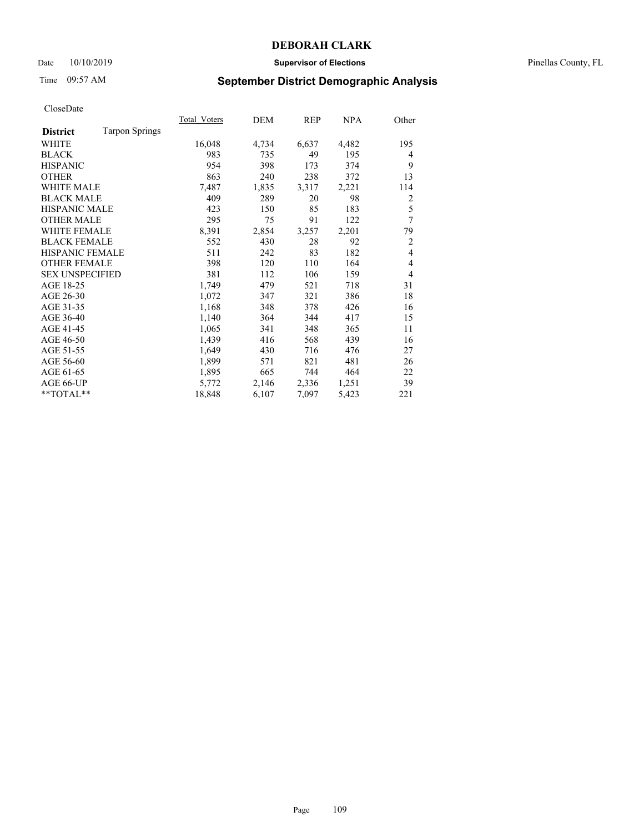## Date 10/10/2019 **Supervisor of Elections** Pinellas County, FL

# Time 09:57 AM **September District Demographic Analysis**

|                        |                       | Total Voters | DEM   | REP   | NPA   | Other          |
|------------------------|-----------------------|--------------|-------|-------|-------|----------------|
| <b>District</b>        | <b>Tarpon Springs</b> |              |       |       |       |                |
| WHITE                  |                       | 16,048       | 4,734 | 6,637 | 4,482 | 195            |
| <b>BLACK</b>           |                       | 983          | 735   | 49    | 195   | 4              |
| <b>HISPANIC</b>        |                       | 954          | 398   | 173   | 374   | 9              |
| <b>OTHER</b>           |                       | 863          | 240   | 238   | 372   | 13             |
| WHITE MALE             |                       | 7,487        | 1,835 | 3,317 | 2,221 | 114            |
| <b>BLACK MALE</b>      |                       | 409          | 289   | 20    | 98    | 2              |
| <b>HISPANIC MALE</b>   |                       | 423          | 150   | 85    | 183   | 5              |
| <b>OTHER MALE</b>      |                       | 295          | 75    | 91    | 122   | 7              |
| <b>WHITE FEMALE</b>    |                       | 8,391        | 2,854 | 3,257 | 2,201 | 79             |
| <b>BLACK FEMALE</b>    |                       | 552          | 430   | 28    | 92    | $\overline{2}$ |
| <b>HISPANIC FEMALE</b> |                       | 511          | 242   | 83    | 182   | $\overline{4}$ |
| <b>OTHER FEMALE</b>    |                       | 398          | 120   | 110   | 164   | 4              |
| <b>SEX UNSPECIFIED</b> |                       | 381          | 112   | 106   | 159   | $\overline{4}$ |
| AGE 18-25              |                       | 1,749        | 479   | 521   | 718   | 31             |
| AGE 26-30              |                       | 1,072        | 347   | 321   | 386   | 18             |
| AGE 31-35              |                       | 1,168        | 348   | 378   | 426   | 16             |
| AGE 36-40              |                       | 1,140        | 364   | 344   | 417   | 15             |
| AGE 41-45              |                       | 1,065        | 341   | 348   | 365   | 11             |
| AGE 46-50              |                       | 1,439        | 416   | 568   | 439   | 16             |
| AGE 51-55              |                       | 1,649        | 430   | 716   | 476   | 27             |
| AGE 56-60              |                       | 1,899        | 571   | 821   | 481   | 26             |
| AGE 61-65              |                       | 1,895        | 665   | 744   | 464   | 22             |
| AGE 66-UP              |                       | 5,772        | 2,146 | 2,336 | 1,251 | 39             |
| **TOTAL**              |                       | 18,848       | 6,107 | 7,097 | 5,423 | 221            |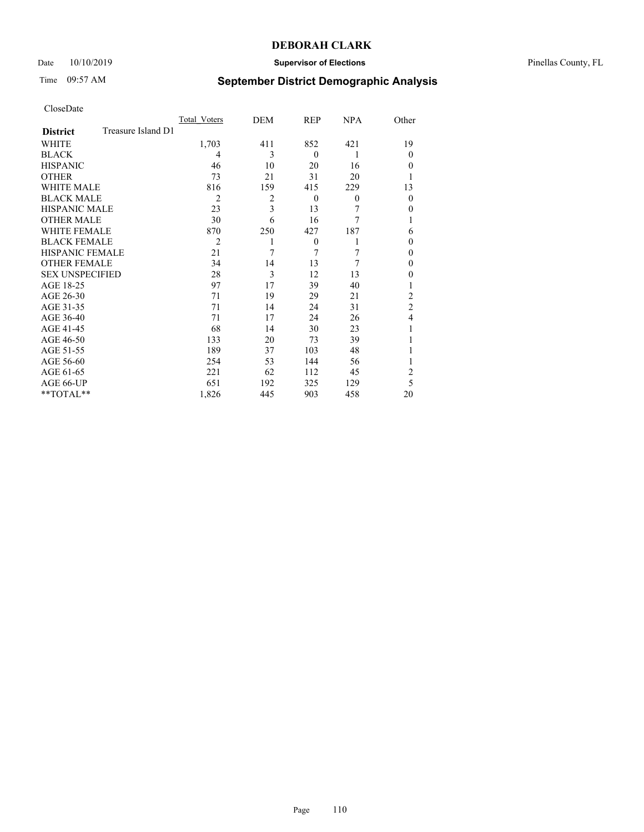## Date 10/10/2019 **Supervisor of Elections** Pinellas County, FL

# Time 09:57 AM **September District Demographic Analysis**

|                        |                    | Total Voters   | DEM            | <b>REP</b>   | <b>NPA</b> | Other          |
|------------------------|--------------------|----------------|----------------|--------------|------------|----------------|
| <b>District</b>        | Treasure Island D1 |                |                |              |            |                |
| <b>WHITE</b>           |                    | 1,703          | 411            | 852          | 421        | 19             |
| <b>BLACK</b>           |                    | 4              | 3              | $\theta$     | 1          | $\Omega$       |
| <b>HISPANIC</b>        |                    | 46             | 10             | 20           | 16         | $\Omega$       |
| <b>OTHER</b>           |                    | 73             | 21             | 31           | 20         |                |
| <b>WHITE MALE</b>      |                    | 816            | 159            | 415          | 229        | 13             |
| <b>BLACK MALE</b>      |                    | $\overline{2}$ | $\overline{2}$ | $\theta$     | $\theta$   | $\Omega$       |
| <b>HISPANIC MALE</b>   |                    | 23             | 3              | 13           | 7          | $\Omega$       |
| <b>OTHER MALE</b>      |                    | 30             | 6              | 16           | 7          |                |
| <b>WHITE FEMALE</b>    |                    | 870            | 250            | 427          | 187        | 6              |
| <b>BLACK FEMALE</b>    |                    | $\overline{2}$ |                | $\mathbf{0}$ | 1          | $\Omega$       |
| <b>HISPANIC FEMALE</b> |                    | 21             | 7              | 7            | 7          | $\Omega$       |
| <b>OTHER FEMALE</b>    |                    | 34             | 14             | 13           | 7          | $\overline{0}$ |
| <b>SEX UNSPECIFIED</b> |                    | 28             | 3              | 12           | 13         | $\theta$       |
| AGE 18-25              |                    | 97             | 17             | 39           | 40         |                |
| AGE 26-30              |                    | 71             | 19             | 29           | 21         | $\overline{2}$ |
| AGE 31-35              |                    | 71             | 14             | 24           | 31         | $\overline{2}$ |
| AGE 36-40              |                    | 71             | 17             | 24           | 26         | 4              |
| AGE 41-45              |                    | 68             | 14             | 30           | 23         |                |
| AGE 46-50              |                    | 133            | 20             | 73           | 39         |                |
| AGE 51-55              |                    | 189            | 37             | 103          | 48         |                |
| AGE 56-60              |                    | 254            | 53             | 144          | 56         |                |
| AGE 61-65              |                    | 221            | 62             | 112          | 45         | $\overline{2}$ |
| AGE 66-UP              |                    | 651            | 192            | 325          | 129        | 5              |
| **TOTAL**              |                    | 1,826          | 445            | 903          | 458        | 20             |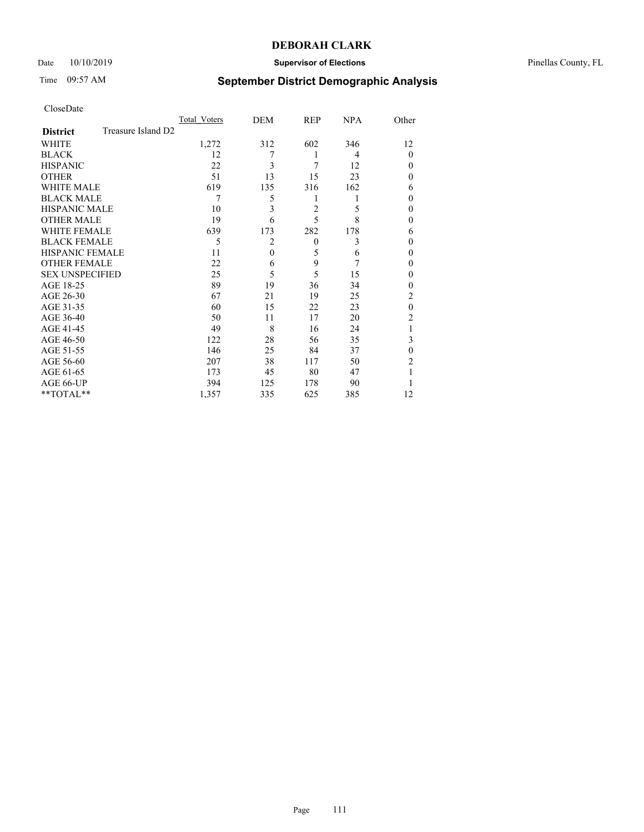## Date 10/10/2019 **Supervisor of Elections** Pinellas County, FL

# Time 09:57 AM **September District Demographic Analysis**

|                        |                    | Total Voters | DEM      | <b>REP</b>     | <b>NPA</b> | Other          |
|------------------------|--------------------|--------------|----------|----------------|------------|----------------|
| <b>District</b>        | Treasure Island D2 |              |          |                |            |                |
| WHITE                  |                    | 1,272        | 312      | 602            | 346        | 12             |
| <b>BLACK</b>           |                    | 12           |          | 1              | 4          | $\Omega$       |
| <b>HISPANIC</b>        |                    | 22           | 3        | 7              | 12         | $\Omega$       |
| <b>OTHER</b>           |                    | 51           | 13       | 15             | 23         | $\Omega$       |
| WHITE MALE             |                    | 619          | 135      | 316            | 162        | 6              |
| <b>BLACK MALE</b>      |                    | 7            | 5        | 1              | 1          | $\theta$       |
| <b>HISPANIC MALE</b>   |                    | 10           | 3        | $\overline{2}$ | 5          | $\theta$       |
| <b>OTHER MALE</b>      |                    | 19           | 6        | 5              | 8          | $\theta$       |
| WHITE FEMALE           |                    | 639          | 173      | 282            | 178        | 6              |
| <b>BLACK FEMALE</b>    |                    | 5            | 2        | $\theta$       | 3          | $\Omega$       |
| <b>HISPANIC FEMALE</b> |                    | 11           | $\theta$ | 5              | 6          | $\theta$       |
| <b>OTHER FEMALE</b>    |                    | 22           | 6        | 9              | 7          | $\overline{0}$ |
| <b>SEX UNSPECIFIED</b> |                    | 25           | 5        | 5              | 15         | $\theta$       |
| AGE 18-25              |                    | 89           | 19       | 36             | 34         | $\Omega$       |
| AGE 26-30              |                    | 67           | 21       | 19             | 25         | 2              |
| AGE 31-35              |                    | 60           | 15       | 22             | 23         | $\theta$       |
| AGE 36-40              |                    | 50           | 11       | 17             | 20         | 2              |
| AGE 41-45              |                    | 49           | 8        | 16             | 24         |                |
| AGE 46-50              |                    | 122          | 28       | 56             | 35         | 3              |
| AGE 51-55              |                    | 146          | 25       | 84             | 37         | $\Omega$       |
| AGE 56-60              |                    | 207          | 38       | 117            | 50         | 2              |
| AGE 61-65              |                    | 173          | 45       | 80             | 47         |                |
| AGE 66-UP              |                    | 394          | 125      | 178            | 90         |                |
| **TOTAL**              |                    | 1,357        | 335      | 625            | 385        | 12             |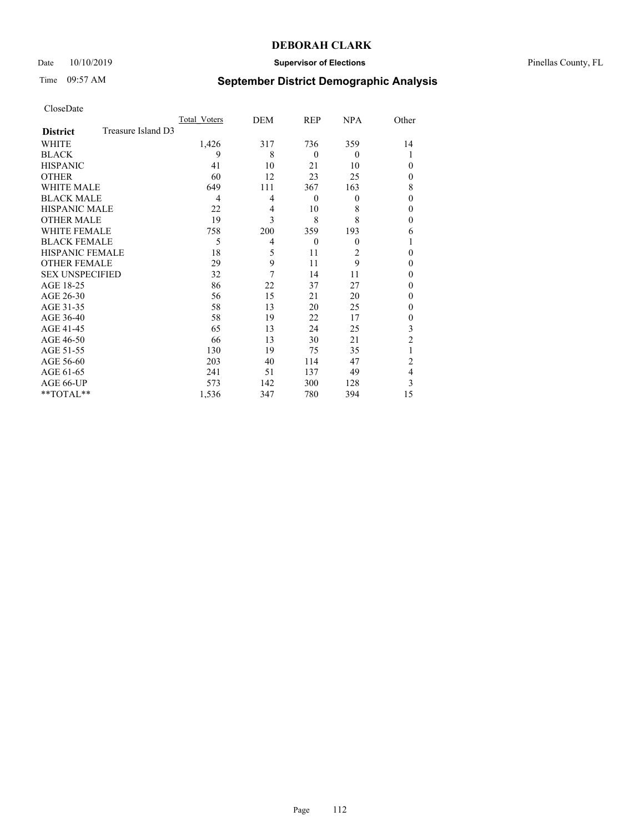## Date 10/10/2019 **Supervisor of Elections** Pinellas County, FL

# Time 09:57 AM **September District Demographic Analysis**

|                        |                    | Total Voters | DEM | <b>REP</b> | <b>NPA</b>     | Other          |
|------------------------|--------------------|--------------|-----|------------|----------------|----------------|
| <b>District</b>        | Treasure Island D3 |              |     |            |                |                |
| WHITE                  |                    | 1,426        | 317 | 736        | 359            | 14             |
| <b>BLACK</b>           |                    | 9            | 8   | $\theta$   | $\theta$       |                |
| <b>HISPANIC</b>        |                    | 41           | 10  | 21         | 10             | $\Omega$       |
| <b>OTHER</b>           |                    | 60           | 12  | 23         | 25             | $\Omega$       |
| WHITE MALE             |                    | 649          | 111 | 367        | 163            | 8              |
| <b>BLACK MALE</b>      |                    | 4            | 4   | $\theta$   | $\overline{0}$ | $\theta$       |
| <b>HISPANIC MALE</b>   |                    | 22           | 4   | 10         | 8              | $\Omega$       |
| <b>OTHER MALE</b>      |                    | 19           | 3   | 8          | 8              | $\theta$       |
| WHITE FEMALE           |                    | 758          | 200 | 359        | 193            | 6              |
| <b>BLACK FEMALE</b>    |                    | 5            | 4   | $\theta$   | $\theta$       |                |
| <b>HISPANIC FEMALE</b> |                    | 18           | 5   | 11         | $\overline{2}$ | $\Omega$       |
| <b>OTHER FEMALE</b>    |                    | 29           | 9   | 11         | 9              | $\overline{0}$ |
| <b>SEX UNSPECIFIED</b> |                    | 32           | 7   | 14         | 11             | $\theta$       |
| AGE 18-25              |                    | 86           | 22  | 37         | 27             | $\Omega$       |
| AGE 26-30              |                    | 56           | 15  | 21         | 20             | $\Omega$       |
| AGE 31-35              |                    | 58           | 13  | 20         | 25             | $\Omega$       |
| AGE 36-40              |                    | 58           | 19  | 22         | 17             | $\overline{0}$ |
| AGE 41-45              |                    | 65           | 13  | 24         | 25             | 3              |
| AGE 46-50              |                    | 66           | 13  | 30         | 21             | $\overline{2}$ |
| AGE 51-55              |                    | 130          | 19  | 75         | 35             |                |
| AGE 56-60              |                    | 203          | 40  | 114        | 47             | 2              |
| AGE 61-65              |                    | 241          | 51  | 137        | 49             | 4              |
| AGE 66-UP              |                    | 573          | 142 | 300        | 128            | 3              |
| **TOTAL**              |                    | 1,536        | 347 | 780        | 394            | 15             |